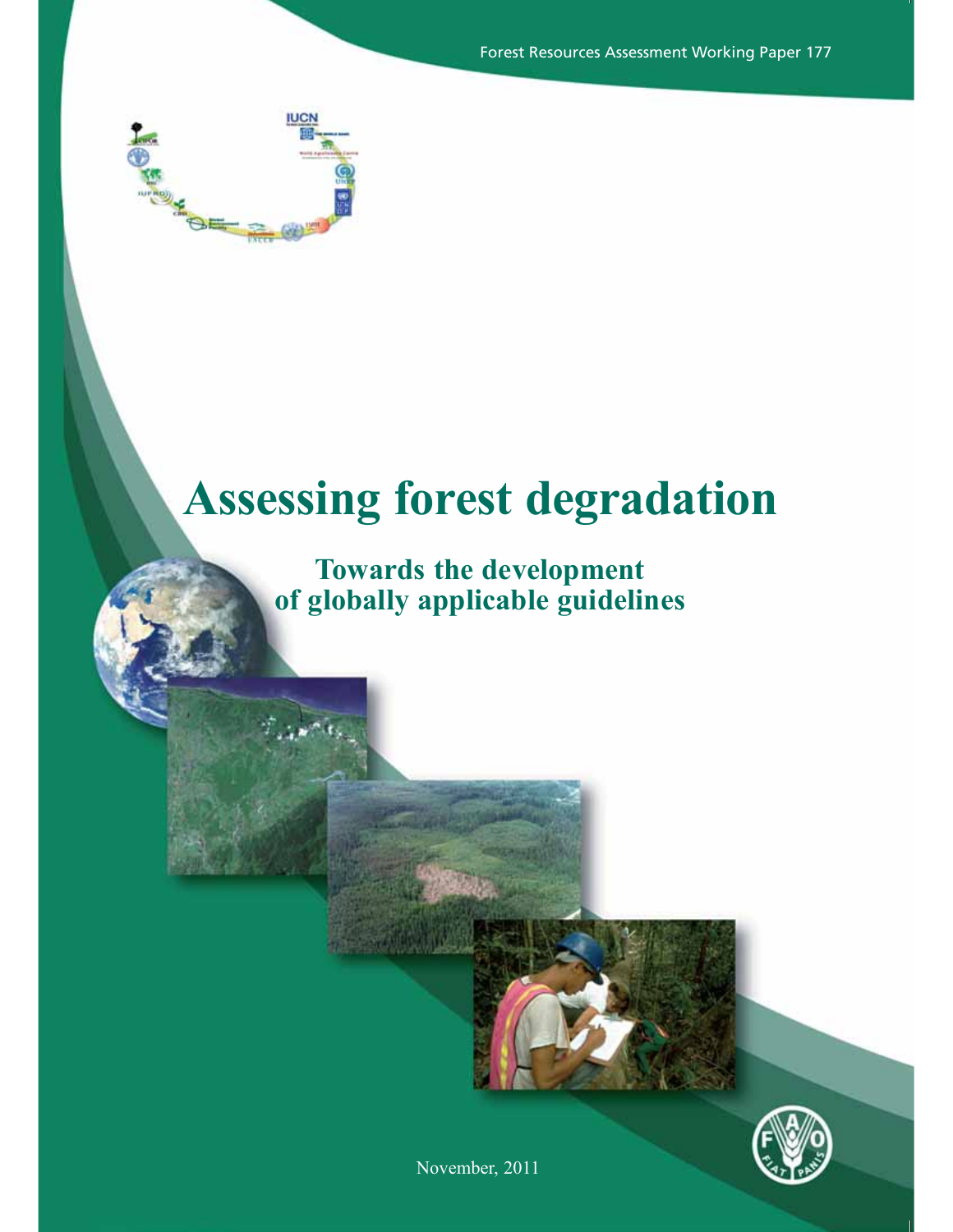Forest Resources Assessment Working Paper 177



# **Assessing forest degradation**

# **Towards the development of globally applicable guidelines**



November, 2011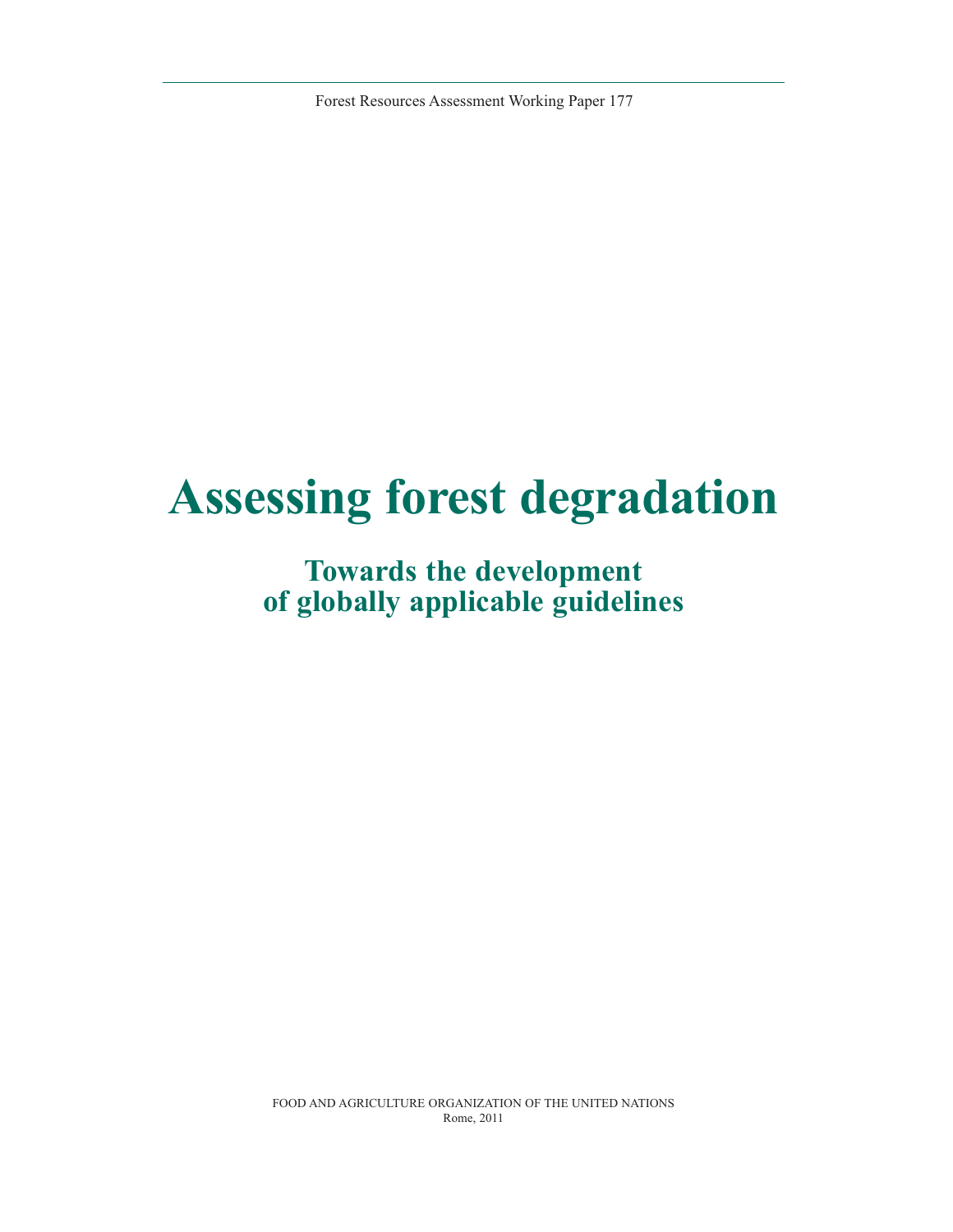Forest Resources Assessment Working Paper 177

# **Assessing forest degradation**

# **Towards the development of globally applicable guidelines**

FOOD AND AGRICULTURE ORGANIZATION OF THE UNITED NATIONS Rome, 2011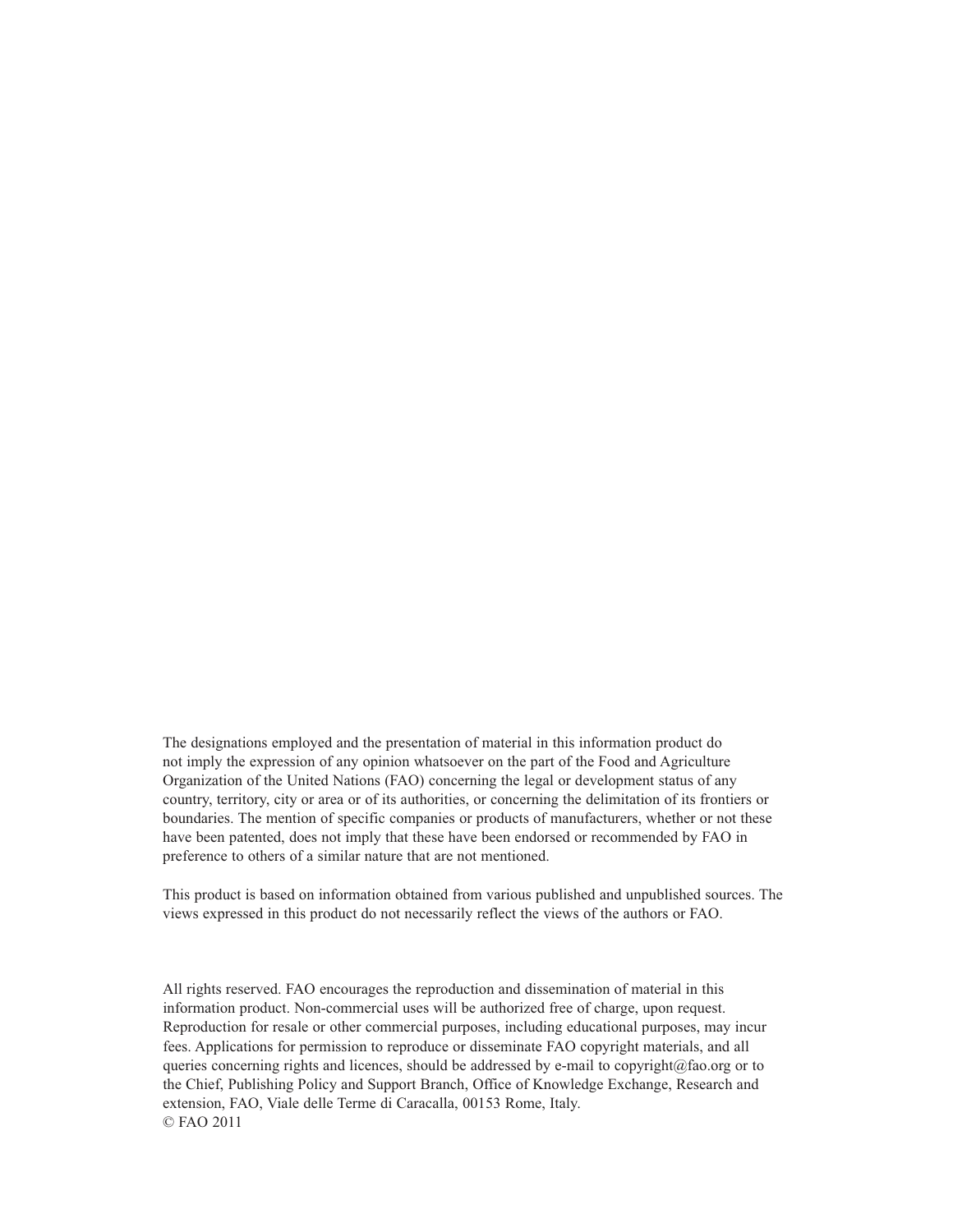The designations employed and the presentation of material in this information product do not imply the expression of any opinion whatsoever on the part of the Food and Agriculture Organization of the United Nations (FAO) concerning the legal or development status of any country, territory, city or area or of its authorities, or concerning the delimitation of its frontiers or boundaries. The mention of specific companies or products of manufacturers, whether or not these have been patented, does not imply that these have been endorsed or recommended by FAO in preference to others of a similar nature that are not mentioned.

This product is based on information obtained from various published and unpublished sources. The views expressed in this product do not necessarily reflect the views of the authors or FAO.

All rights reserved. FAO encourages the reproduction and dissemination of material in this information product. Non-commercial uses will be authorized free of charge, upon request. Reproduction for resale or other commercial purposes, including educational purposes, may incur fees. Applications for permission to reproduce or disseminate FAO copyright materials, and all queries concerning rights and licences, should be addressed by e-mail to copyright@fao.org or to the Chief, Publishing Policy and Support Branch, Office of Knowledge Exchange, Research and extension, FAO, Viale delle Terme di Caracalla, 00153 Rome, Italy. © FAO 2011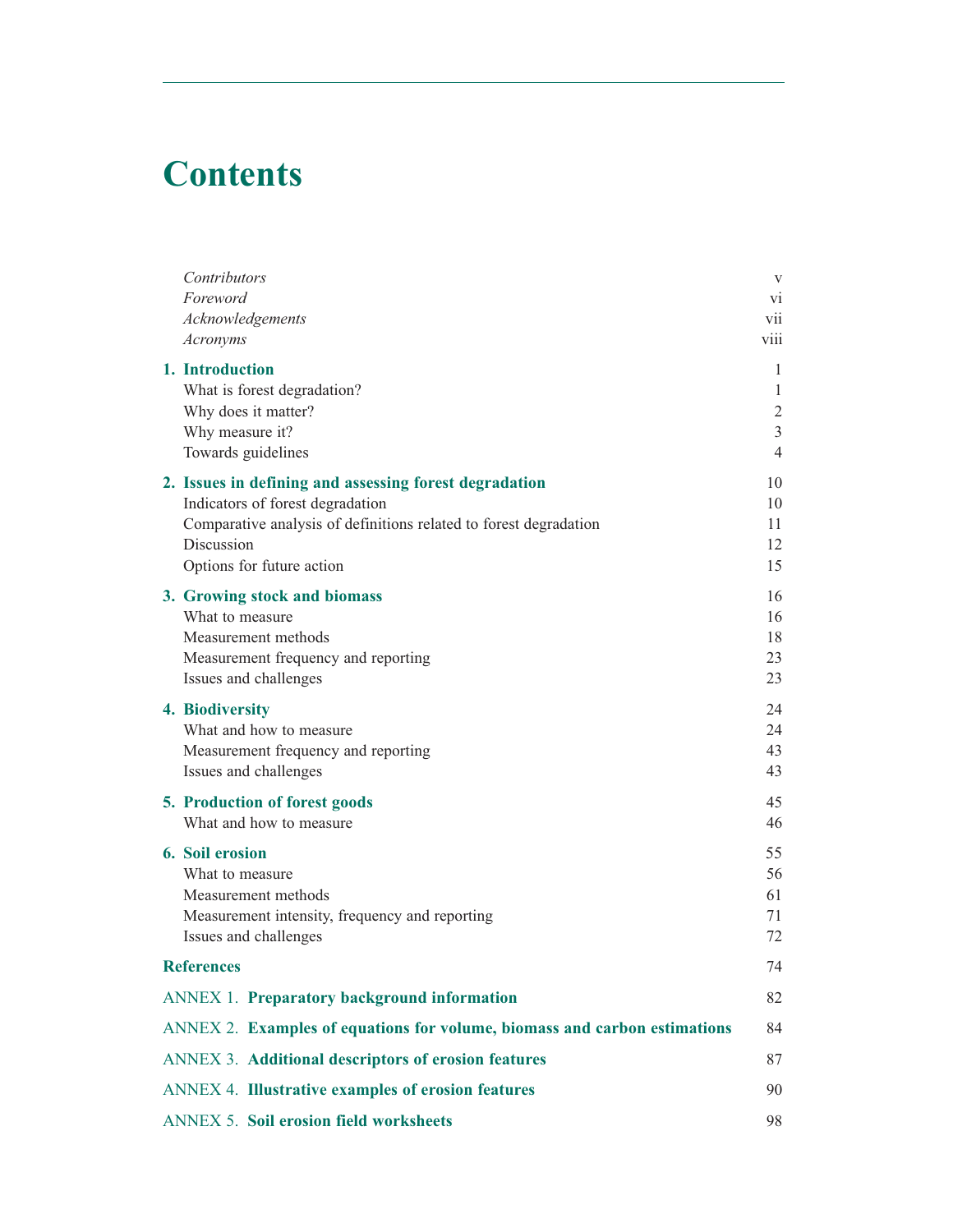# **Contents**

| Contributors                                                              | $\mathbf V$    |
|---------------------------------------------------------------------------|----------------|
| Foreword                                                                  | V1             |
| Acknowledgements                                                          | vii            |
| Acronyms                                                                  | viii           |
| 1. Introduction                                                           | 1              |
| What is forest degradation?                                               | 1              |
| Why does it matter?                                                       | $\overline{c}$ |
| Why measure it?                                                           | 3              |
| Towards guidelines                                                        | $\overline{4}$ |
| 2. Issues in defining and assessing forest degradation                    | 10             |
| Indicators of forest degradation                                          | 10             |
| Comparative analysis of definitions related to forest degradation         | 11             |
| Discussion                                                                | 12             |
| Options for future action                                                 | 15             |
| 3. Growing stock and biomass                                              | 16             |
| What to measure                                                           | 16             |
| Measurement methods                                                       | 18             |
| Measurement frequency and reporting                                       | 23             |
| Issues and challenges                                                     | 23             |
| 4. Biodiversity                                                           | 24             |
| What and how to measure                                                   | 24             |
| Measurement frequency and reporting                                       | 43             |
| Issues and challenges                                                     | 43             |
| 5. Production of forest goods                                             | 45             |
| What and how to measure                                                   | 46             |
| 6. Soil erosion                                                           | 55             |
| What to measure                                                           | 56             |
| Measurement methods                                                       | 61             |
| Measurement intensity, frequency and reporting                            | 71             |
| Issues and challenges                                                     | 72             |
| <b>References</b>                                                         | 74             |
| <b>ANNEX 1. Preparatory background information</b>                        | 82             |
| ANNEX 2. Examples of equations for volume, biomass and carbon estimations | 84             |
| ANNEX 3. Additional descriptors of erosion features                       | 87             |
| <b>ANNEX 4. Illustrative examples of erosion features</b>                 | 90             |
| <b>ANNEX 5. Soil erosion field worksheets</b>                             | 98             |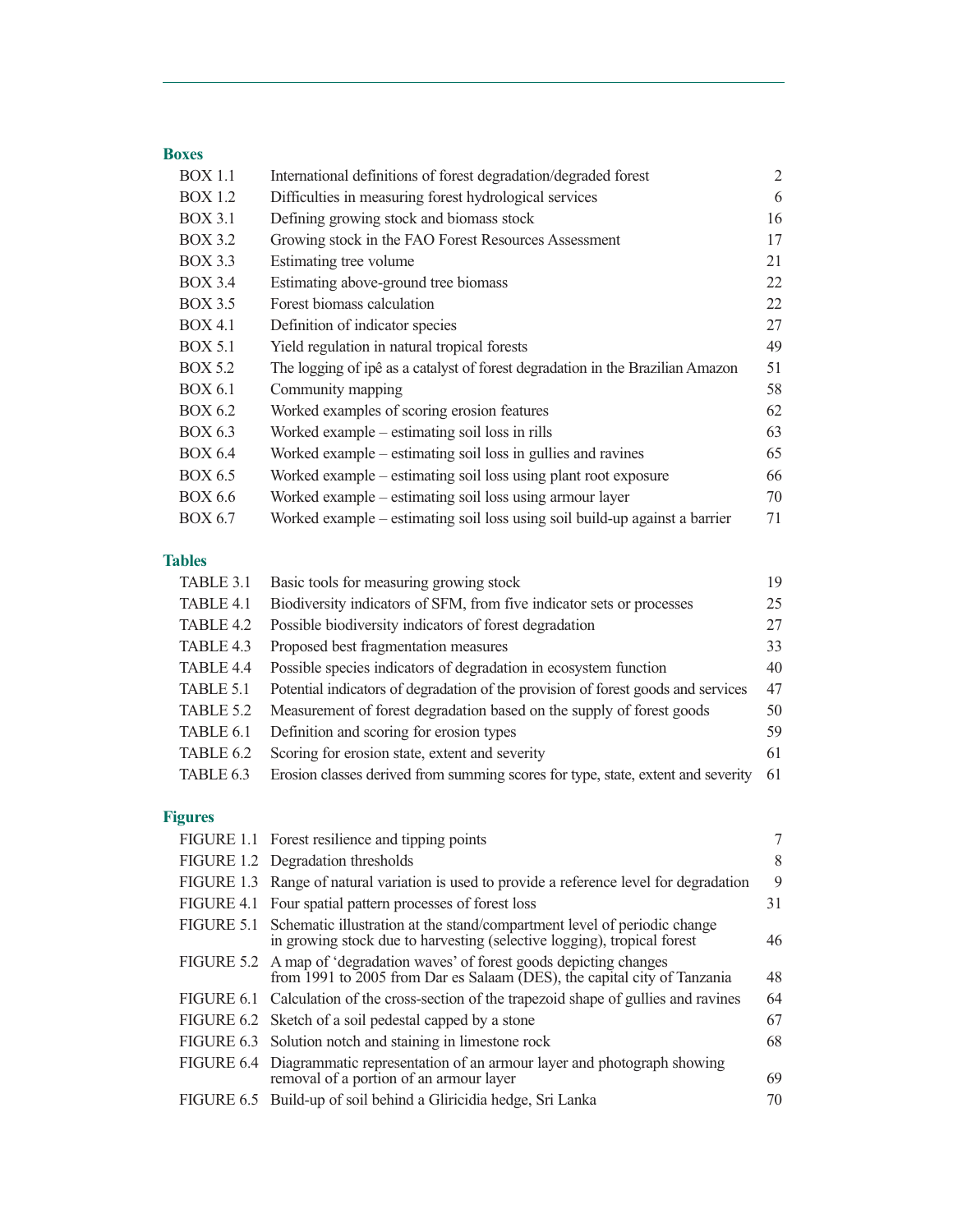# **Boxes**

| <b>BOX 1.1</b> | International definitions of forest degradation/degraded forest                | $\overline{2}$ |
|----------------|--------------------------------------------------------------------------------|----------------|
| <b>BOX 1.2</b> | Difficulties in measuring forest hydrological services                         | 6              |
| <b>BOX 3.1</b> | Defining growing stock and biomass stock                                       | 16             |
| <b>BOX 3.2</b> | Growing stock in the FAO Forest Resources Assessment                           | 17             |
| <b>BOX 3.3</b> | Estimating tree volume                                                         | 21             |
| <b>BOX 3.4</b> | Estimating above-ground tree biomass                                           | 22             |
| <b>BOX 3.5</b> | Forest biomass calculation                                                     | 22             |
| <b>BOX 4.1</b> | Definition of indicator species                                                | 27             |
| <b>BOX 5.1</b> | Yield regulation in natural tropical forests                                   | 49             |
| <b>BOX 5.2</b> | The logging of ipê as a catalyst of forest degradation in the Brazilian Amazon | 51             |
| <b>BOX 6.1</b> | Community mapping                                                              | 58             |
| <b>BOX 6.2</b> | Worked examples of scoring erosion features                                    | 62             |
| <b>BOX 6.3</b> | Worked example – estimating soil loss in rills                                 | 63             |
| <b>BOX 6.4</b> | Worked example – estimating soil loss in gullies and ravines                   | 65             |
| BOX 6.5        | Worked example – estimating soil loss using plant root exposure                | 66             |
| <b>BOX 6.6</b> | Worked example – estimating soil loss using armour layer                       | 70             |
| <b>BOX 6.7</b> | Worked example – estimating soil loss using soil build-up against a barrier    | 71             |

# **Tables**

| TABLE 3.1 | Basic tools for measuring growing stock                                           | 19 |
|-----------|-----------------------------------------------------------------------------------|----|
| TABLE 4.1 | Biodiversity indicators of SFM, from five indicator sets or processes             | 25 |
| TABLE 4.2 | Possible biodiversity indicators of forest degradation                            | 27 |
| TABLE 4.3 | Proposed best fragmentation measures                                              | 33 |
| TABLE 4.4 | Possible species indicators of degradation in ecosystem function                  | 40 |
| TABLE 5.1 | Potential indicators of degradation of the provision of forest goods and services | 47 |
| TABLE 5.2 | Measurement of forest degradation based on the supply of forest goods             | 50 |
| TABLE 6.1 | Definition and scoring for erosion types                                          | 59 |
| TABLE 6.2 | Scoring for erosion state, extent and severity                                    | 61 |
| TABLE 6.3 | Erosion classes derived from summing scores for type, state, extent and severity  | 61 |

# **Figures**

| FIGURE 1.1 Forest resilience and tipping points                                                                                                                | 7  |
|----------------------------------------------------------------------------------------------------------------------------------------------------------------|----|
| FIGURE 1.2 Degradation thresholds                                                                                                                              | 8  |
| FIGURE 1.3 Range of natural variation is used to provide a reference level for degradation                                                                     | 9  |
| FIGURE 4.1 Four spatial pattern processes of forest loss                                                                                                       | 31 |
| FIGURE 5.1 Schematic illustration at the stand/compartment level of periodic change<br>in growing stock due to harvesting (selective logging), tropical forest | 46 |
| FIGURE 5.2 A map of 'degradation waves' of forest goods depicting changes<br>from 1991 to 2005 from Dar es Salaam (DES), the capital city of Tanzania          | 48 |
| FIGURE 6.1 Calculation of the cross-section of the trapezoid shape of gullies and ravines                                                                      | 64 |
| FIGURE 6.2 Sketch of a soil pedestal capped by a stone                                                                                                         | 67 |
| FIGURE 6.3 Solution notch and staining in limestone rock                                                                                                       | 68 |
| FIGURE 6.4 Diagrammatic representation of an armour layer and photograph showing<br>removal of a portion of an armour layer                                    | 69 |
| FIGURE 6.5 Build-up of soil behind a Gliricidia hedge, Sri Lanka                                                                                               | 70 |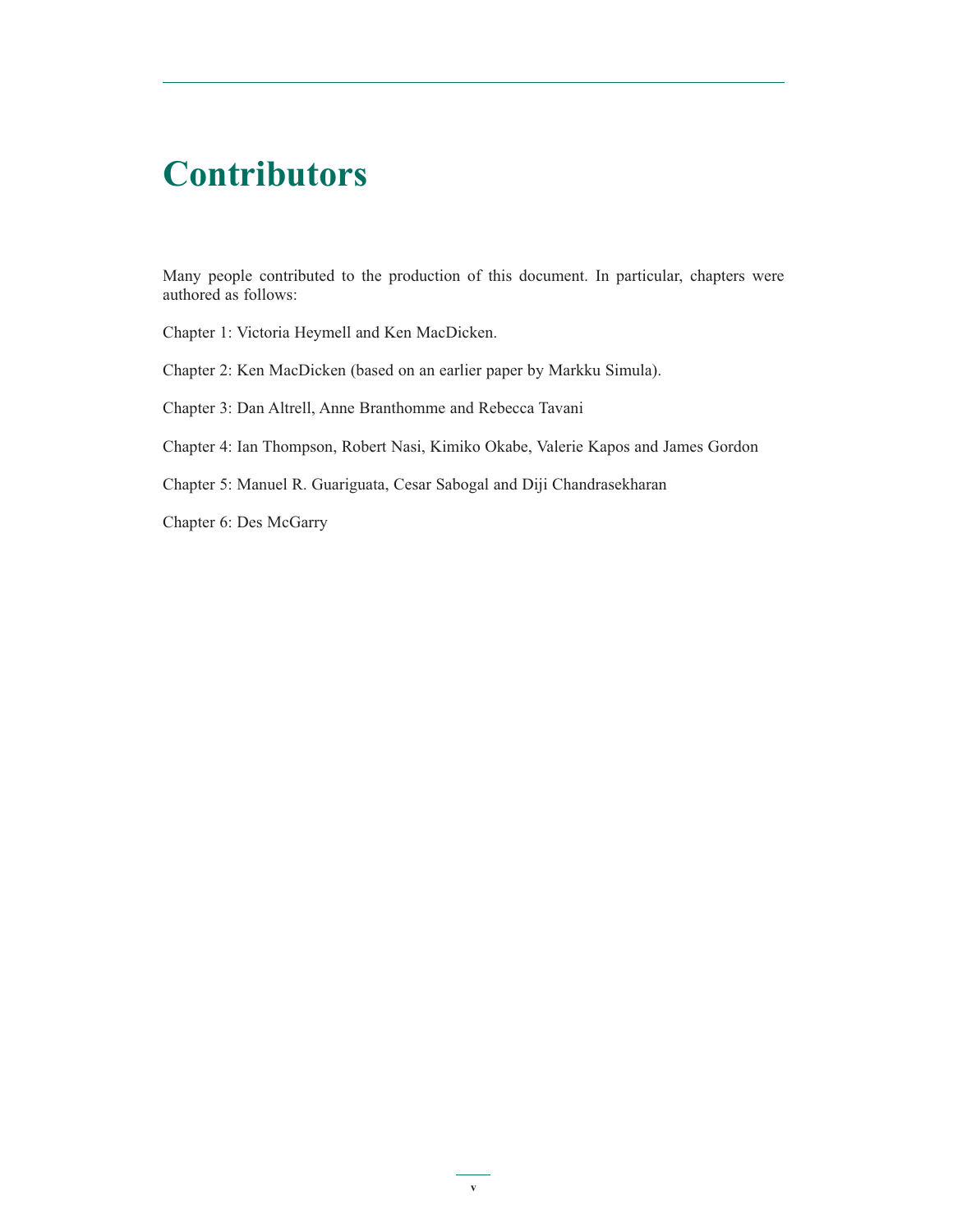# **Contributors**

Many people contributed to the production of this document. In particular, chapters were authored as follows:

Chapter 1: Victoria Heymell and Ken MacDicken.

Chapter 2: Ken MacDicken (based on an earlier paper by Markku Simula).

Chapter 3: Dan Altrell, Anne Branthomme and Rebecca Tavani

Chapter 4: Ian Thompson, Robert Nasi, Kimiko Okabe, Valerie Kapos and James Gordon

Chapter 5: Manuel R. Guariguata, Cesar Sabogal and Diji Chandrasekharan

Chapter 6: Des McGarry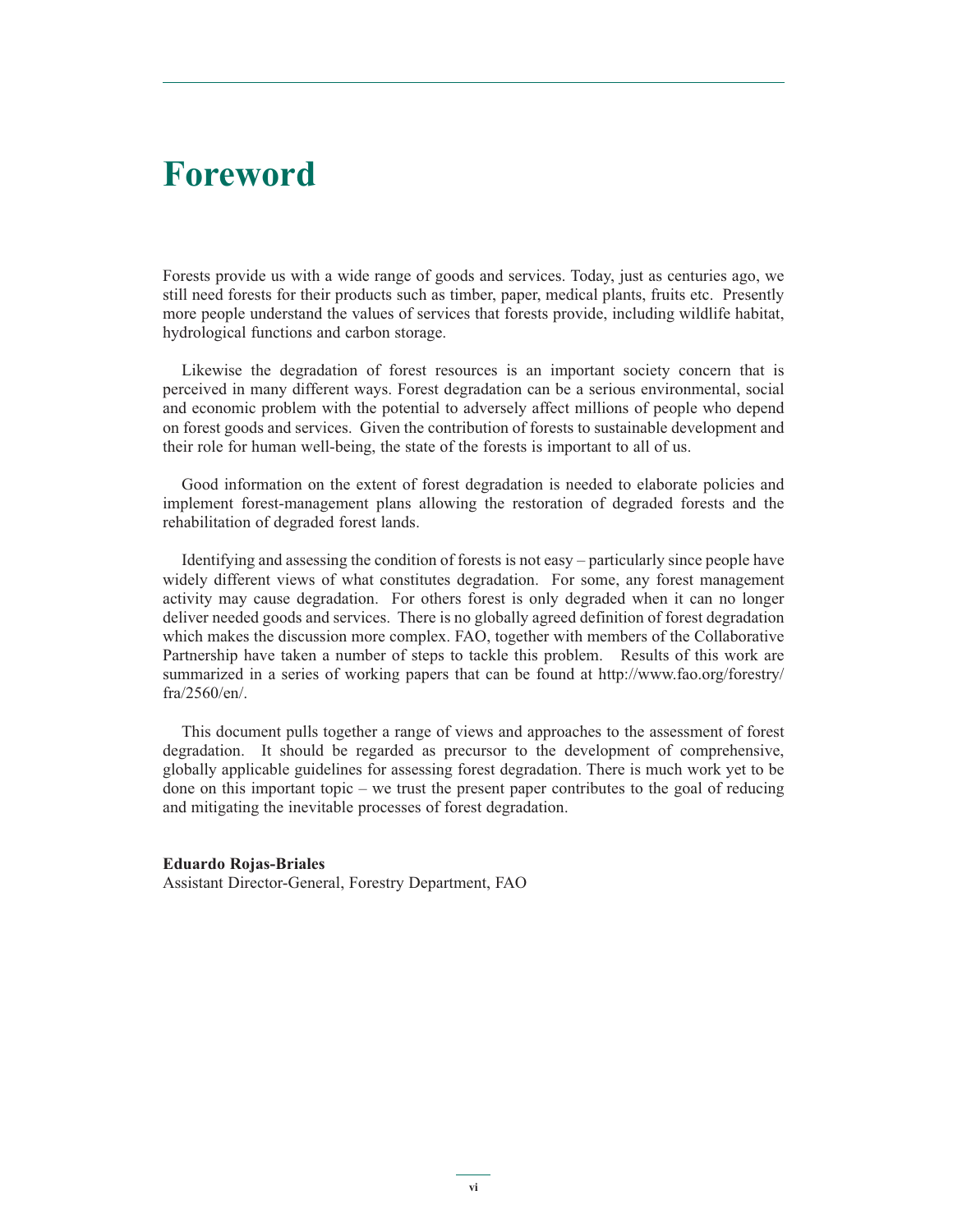# **Foreword**

Forests provide us with a wide range of goods and services. Today, just as centuries ago, we still need forests for their products such as timber, paper, medical plants, fruits etc. Presently more people understand the values of services that forests provide, including wildlife habitat, hydrological functions and carbon storage.

Likewise the degradation of forest resources is an important society concern that is perceived in many different ways. Forest degradation can be a serious environmental, social and economic problem with the potential to adversely affect millions of people who depend on forest goods and services. Given the contribution of forests to sustainable development and their role for human well-being, the state of the forests is important to all of us.

Good information on the extent of forest degradation is needed to elaborate policies and implement forest-management plans allowing the restoration of degraded forests and the rehabilitation of degraded forest lands.

Identifying and assessing the condition of forests is not easy – particularly since people have widely different views of what constitutes degradation. For some, any forest management activity may cause degradation. For others forest is only degraded when it can no longer deliver needed goods and services. There is no globally agreed definition of forest degradation which makes the discussion more complex. FAO, together with members of the Collaborative Partnership have taken a number of steps to tackle this problem. Results of this work are summarized in a series of working papers that can be found at http://www.fao.org/forestry/ fra/2560/en/.

This document pulls together a range of views and approaches to the assessment of forest degradation. It should be regarded as precursor to the development of comprehensive, globally applicable guidelines for assessing forest degradation. There is much work yet to be done on this important topic – we trust the present paper contributes to the goal of reducing and mitigating the inevitable processes of forest degradation.

#### **Eduardo Rojas-Briales**

Assistant Director-General, Forestry Department, FAO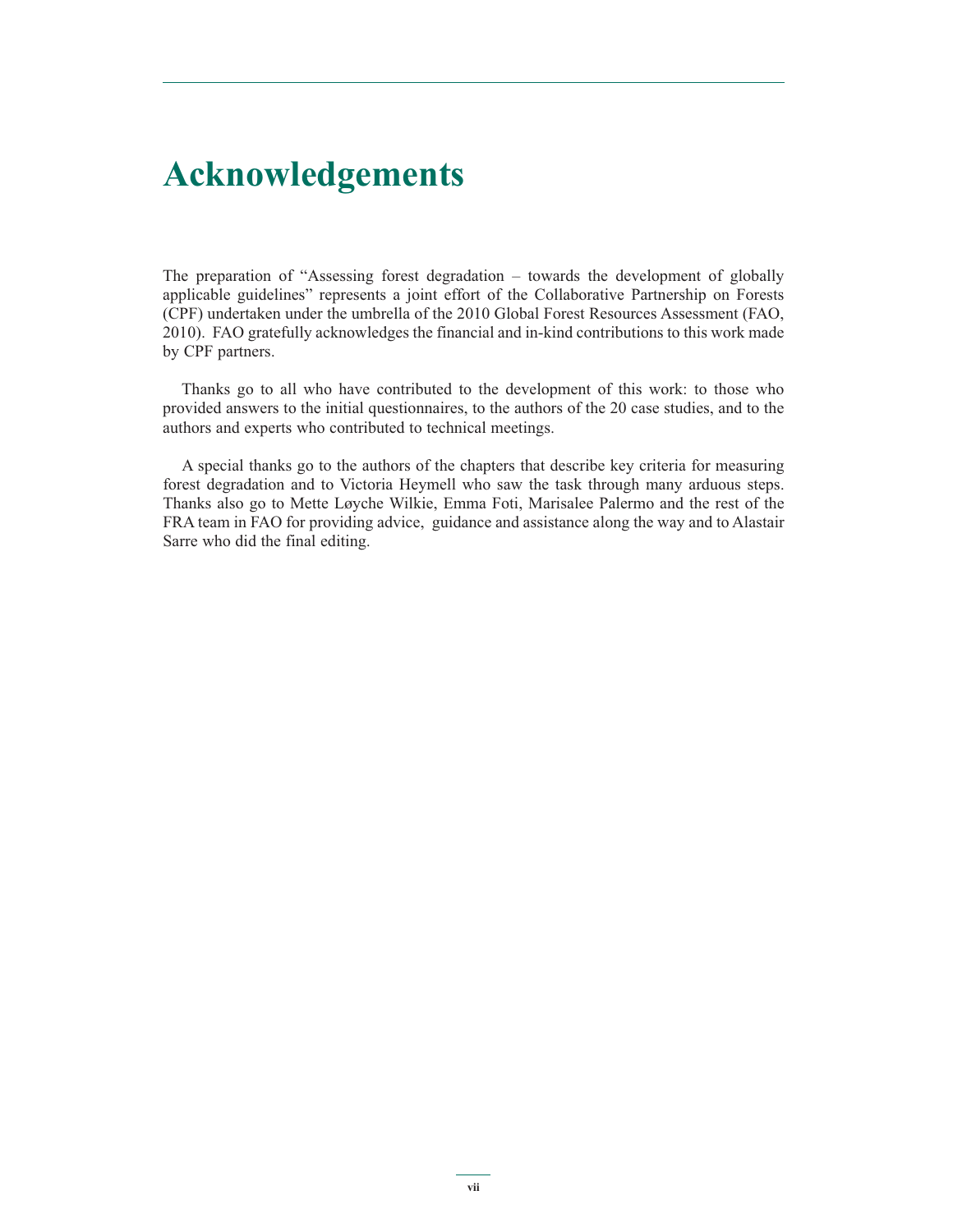# **Acknowledgements**

The preparation of "Assessing forest degradation – towards the development of globally applicable guidelines" represents a joint effort of the Collaborative Partnership on Forests (CPF) undertaken under the umbrella of the 2010 Global Forest Resources Assessment (FAO, 2010). FAO gratefully acknowledges the financial and in-kind contributions to this work made by CPF partners.

Thanks go to all who have contributed to the development of this work: to those who provided answers to the initial questionnaires, to the authors of the 20 case studies, and to the authors and experts who contributed to technical meetings.

A special thanks go to the authors of the chapters that describe key criteria for measuring forest degradation and to Victoria Heymell who saw the task through many arduous steps. Thanks also go to Mette Løyche Wilkie, Emma Foti, Marisalee Palermo and the rest of the FRA team in FAO for providing advice, guidance and assistance along the way and to Alastair Sarre who did the final editing.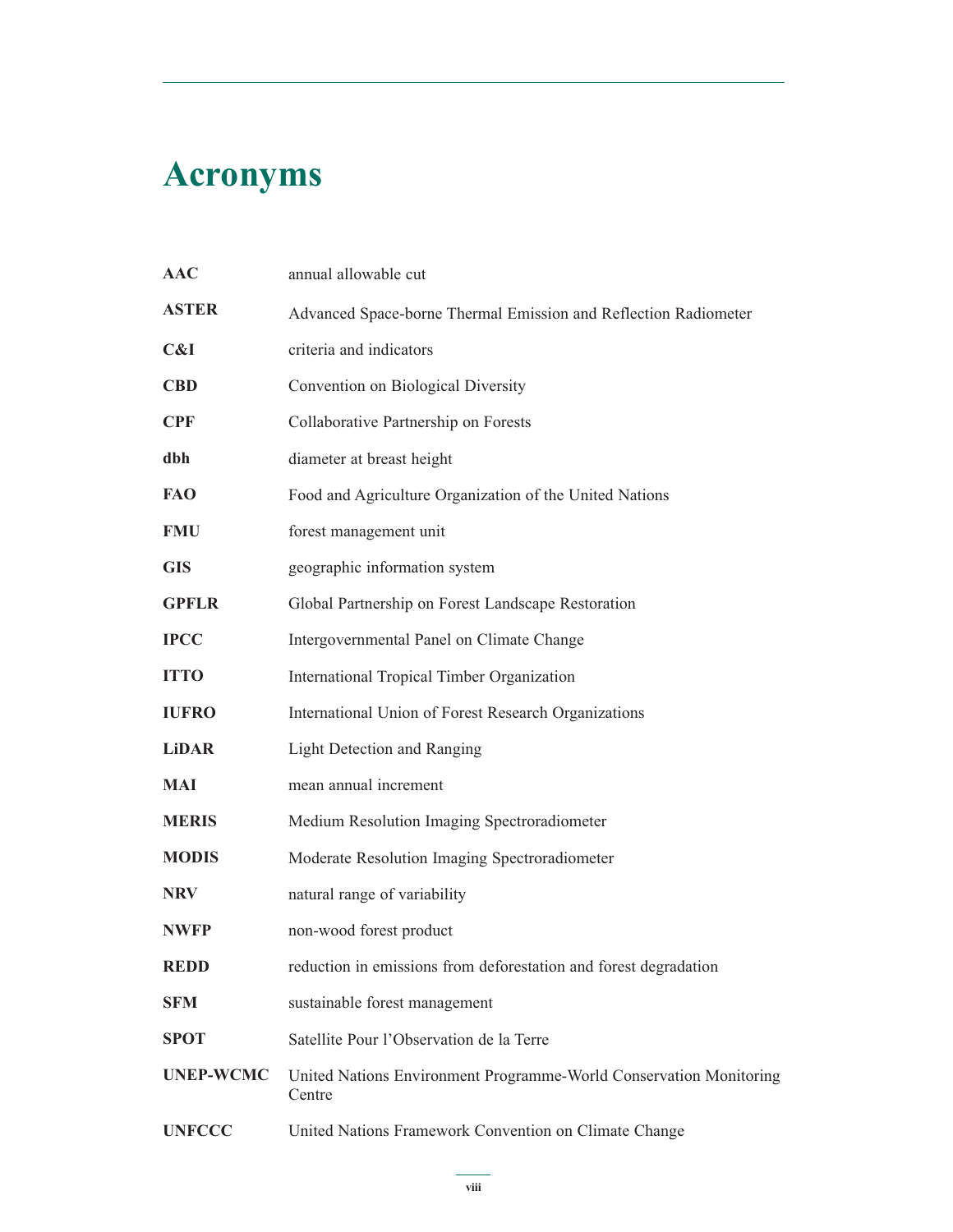# **Acronyms**

| <b>AAC</b>       | annual allowable cut                                                         |
|------------------|------------------------------------------------------------------------------|
| <b>ASTER</b>     | Advanced Space-borne Thermal Emission and Reflection Radiometer              |
| C&I              | criteria and indicators                                                      |
| <b>CBD</b>       | Convention on Biological Diversity                                           |
| <b>CPF</b>       | Collaborative Partnership on Forests                                         |
| dbh              | diameter at breast height                                                    |
| <b>FAO</b>       | Food and Agriculture Organization of the United Nations                      |
| <b>FMU</b>       | forest management unit                                                       |
| <b>GIS</b>       | geographic information system                                                |
| <b>GPFLR</b>     | Global Partnership on Forest Landscape Restoration                           |
| <b>IPCC</b>      | Intergovernmental Panel on Climate Change                                    |
| <b>ITTO</b>      | International Tropical Timber Organization                                   |
| <b>IUFRO</b>     | International Union of Forest Research Organizations                         |
| <b>LiDAR</b>     | <b>Light Detection and Ranging</b>                                           |
| MAI              | mean annual increment                                                        |
| <b>MERIS</b>     | Medium Resolution Imaging Spectroradiometer                                  |
| <b>MODIS</b>     | Moderate Resolution Imaging Spectroradiometer                                |
| <b>NRV</b>       | natural range of variability                                                 |
| <b>NWFP</b>      | non-wood forest product                                                      |
| <b>REDD</b>      | reduction in emissions from deforestation and forest degradation             |
| <b>SFM</b>       | sustainable forest management                                                |
| <b>SPOT</b>      | Satellite Pour l'Observation de la Terre                                     |
| <b>UNEP-WCMC</b> | United Nations Environment Programme-World Conservation Monitoring<br>Centre |
| <b>UNFCCC</b>    | United Nations Framework Convention on Climate Change                        |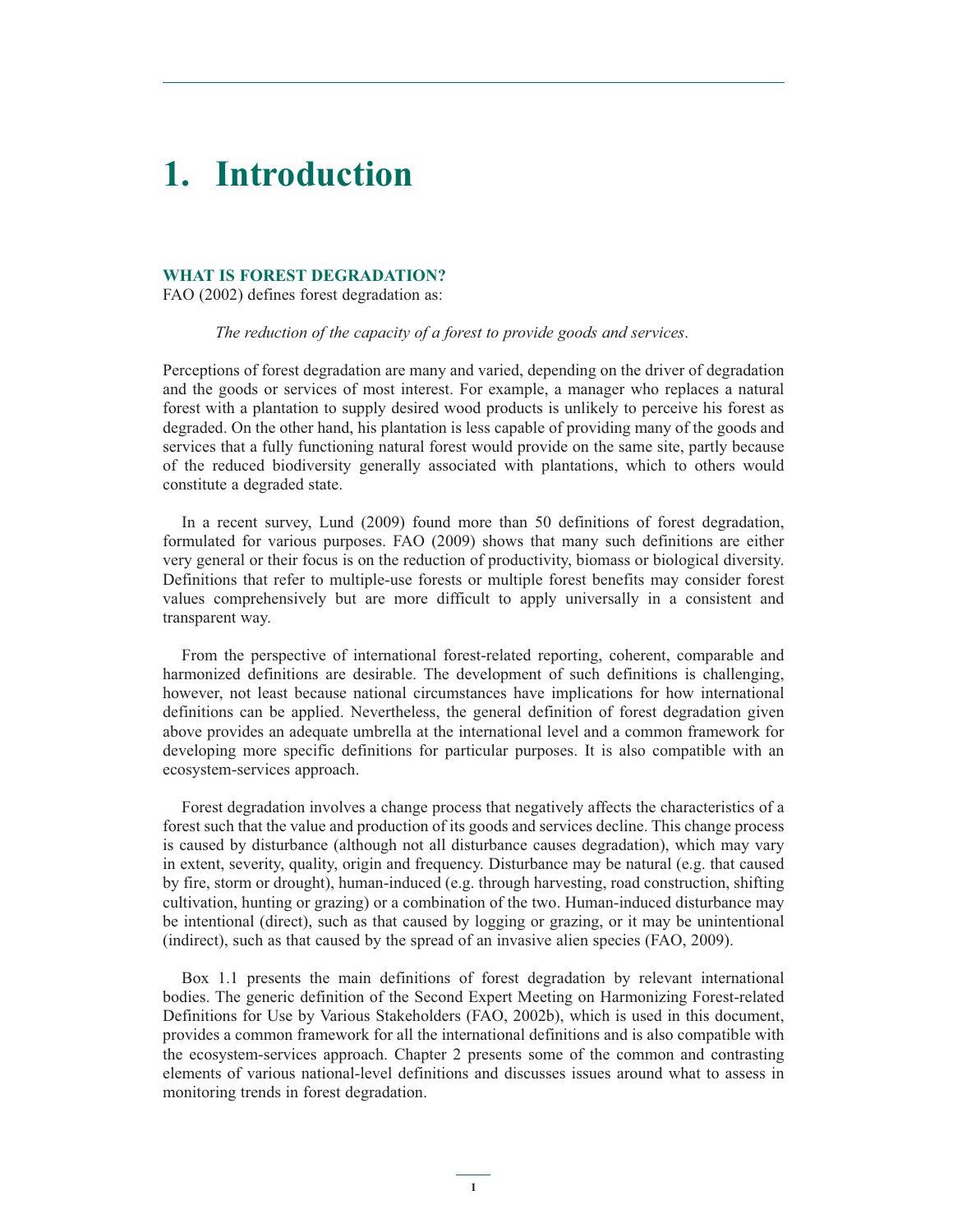# **1. Introduction**

### **WHAT IS FOREST DEGRADATION?**

FAO (2002) defines forest degradation as:

 *The reduction of the capacity of a forest to provide goods and services*.

Perceptions of forest degradation are many and varied, depending on the driver of degradation and the goods or services of most interest. For example, a manager who replaces a natural forest with a plantation to supply desired wood products is unlikely to perceive his forest as degraded. On the other hand, his plantation is less capable of providing many of the goods and services that a fully functioning natural forest would provide on the same site, partly because of the reduced biodiversity generally associated with plantations, which to others would constitute a degraded state.

In a recent survey, Lund (2009) found more than 50 definitions of forest degradation, formulated for various purposes. FAO (2009) shows that many such definitions are either very general or their focus is on the reduction of productivity, biomass or biological diversity. Definitions that refer to multiple-use forests or multiple forest benefits may consider forest values comprehensively but are more difficult to apply universally in a consistent and transparent way.

From the perspective of international forest-related reporting, coherent, comparable and harmonized definitions are desirable. The development of such definitions is challenging, however, not least because national circumstances have implications for how international definitions can be applied. Nevertheless, the general definition of forest degradation given above provides an adequate umbrella at the international level and a common framework for developing more specific definitions for particular purposes. It is also compatible with an ecosystem-services approach.

Forest degradation involves a change process that negatively affects the characteristics of a forest such that the value and production of its goods and services decline. This change process is caused by disturbance (although not all disturbance causes degradation), which may vary in extent, severity, quality, origin and frequency. Disturbance may be natural (e.g. that caused by fire, storm or drought), human-induced (e.g. through harvesting, road construction, shifting cultivation, hunting or grazing) or a combination of the two. Human-induced disturbance may be intentional (direct), such as that caused by logging or grazing, or it may be unintentional (indirect), such as that caused by the spread of an invasive alien species (FAO, 2009).

Box 1.1 presents the main definitions of forest degradation by relevant international bodies. The generic definition of the Second Expert Meeting on Harmonizing Forest-related Definitions for Use by Various Stakeholders (FAO, 2002b), which is used in this document, provides a common framework for all the international definitions and is also compatible with the ecosystem-services approach. Chapter 2 presents some of the common and contrasting elements of various national-level definitions and discusses issues around what to assess in monitoring trends in forest degradation.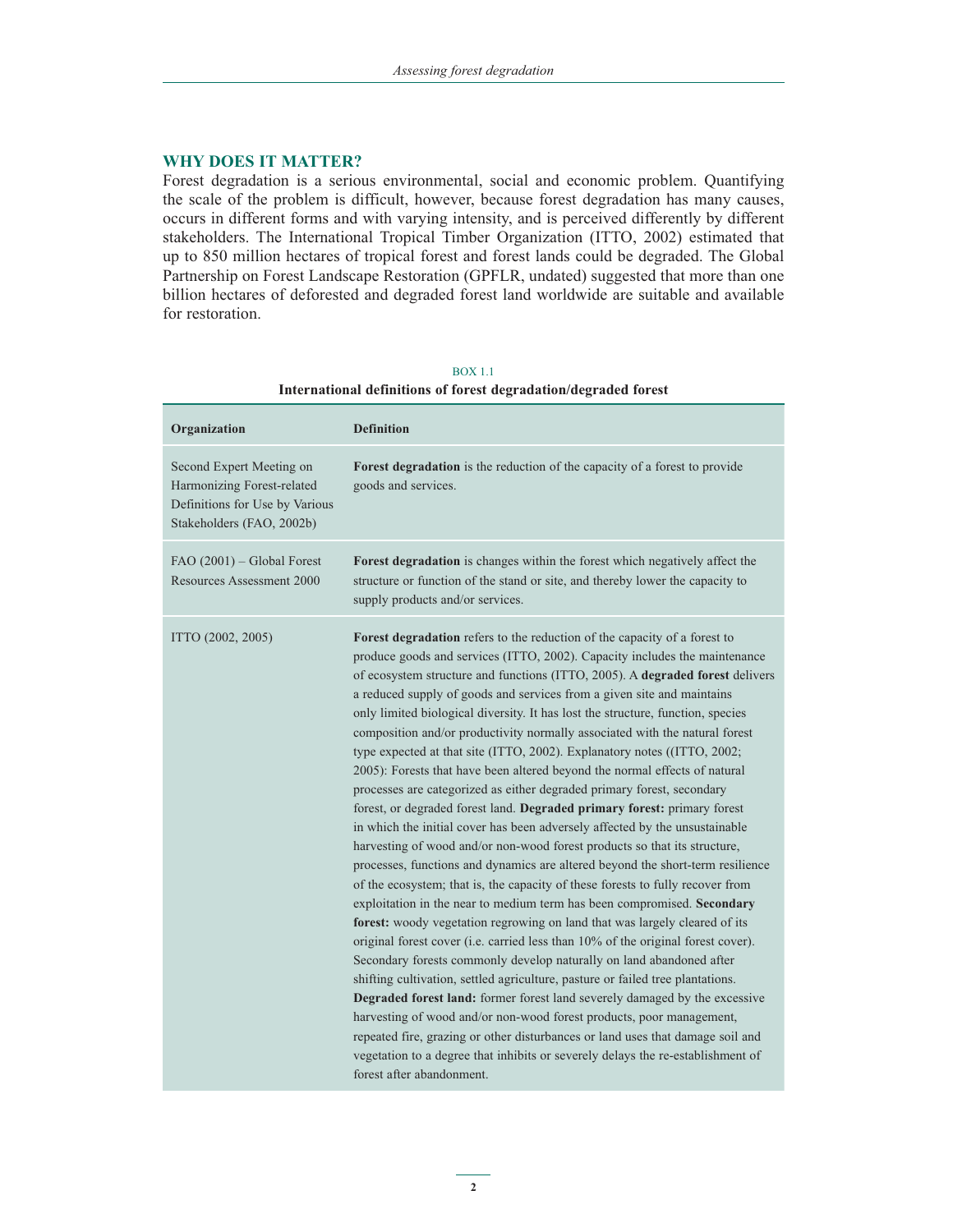# **WHY DOES IT MATTER?**

Forest degradation is a serious environmental, social and economic problem. Quantifying the scale of the problem is difficult, however, because forest degradation has many causes, occurs in different forms and with varying intensity, and is perceived differently by different stakeholders. The International Tropical Timber Organization (ITTO, 2002) estimated that up to 850 million hectares of tropical forest and forest lands could be degraded. The Global Partnership on Forest Landscape Restoration (GPFLR, undated) suggested that more than one billion hectares of deforested and degraded forest land worldwide are suitable and available for restoration.

#### BOX 1.1

# **Organization Definition** Second Expert Meeting on Harmonizing Forest-related Definitions for Use by Various Stakeholders (FAO, 2002b) **Forest degradation** is the reduction of the capacity of a forest to provide goods and services. FAO (2001) – Global Forest Resources Assessment 2000 **Forest degradation** is changes within the forest which negatively affect the structure or function of the stand or site, and thereby lower the capacity to supply products and/or services. ITTO (2002, 2005) **Forest degradation** refers to the reduction of the capacity of a forest to produce goods and services (ITTO, 2002). Capacity includes the maintenance of ecosystem structure and functions (ITTO, 2005). A **degraded forest** delivers a reduced supply of goods and services from a given site and maintains only limited biological diversity. It has lost the structure, function, species composition and/or productivity normally associated with the natural forest type expected at that site (ITTO, 2002). Explanatory notes ((ITTO, 2002; 2005): Forests that have been altered beyond the normal effects of natural processes are categorized as either degraded primary forest, secondary forest, or degraded forest land. **Degraded primary forest:** primary forest in which the initial cover has been adversely affected by the unsustainable harvesting of wood and/or non-wood forest products so that its structure, processes, functions and dynamics are altered beyond the short-term resilience of the ecosystem; that is, the capacity of these forests to fully recover from exploitation in the near to medium term has been compromised. **Secondary forest:** woody vegetation regrowing on land that was largely cleared of its original forest cover (i.e. carried less than 10% of the original forest cover). Secondary forests commonly develop naturally on land abandoned after shifting cultivation, settled agriculture, pasture or failed tree plantations. **Degraded forest land:** former forest land severely damaged by the excessive harvesting of wood and/or non-wood forest products, poor management, repeated fire, grazing or other disturbances or land uses that damage soil and vegetation to a degree that inhibits or severely delays the re-establishment of

# **International definitions of forest degradation/degraded forest**

forest after abandonment.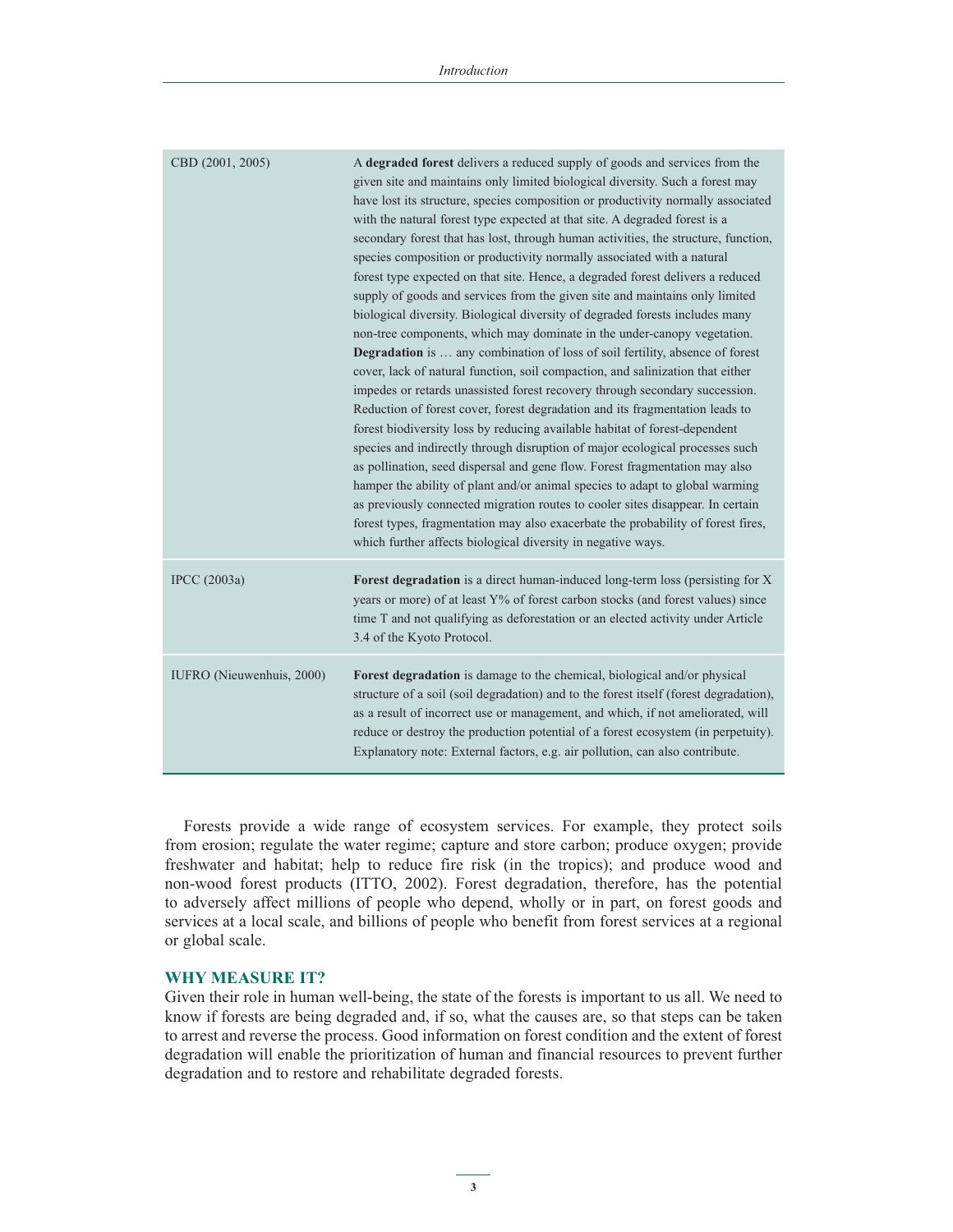| CBD (2001, 2005)          | A degraded forest delivers a reduced supply of goods and services from the<br>given site and maintains only limited biological diversity. Such a forest may<br>have lost its structure, species composition or productivity normally associated<br>with the natural forest type expected at that site. A degraded forest is a<br>secondary forest that has lost, through human activities, the structure, function,<br>species composition or productivity normally associated with a natural<br>forest type expected on that site. Hence, a degraded forest delivers a reduced<br>supply of goods and services from the given site and maintains only limited<br>biological diversity. Biological diversity of degraded forests includes many<br>non-tree components, which may dominate in the under-canopy vegetation.<br><b>Degradation</b> is  any combination of loss of soil fertility, absence of forest<br>cover, lack of natural function, soil compaction, and salinization that either<br>impedes or retards unassisted forest recovery through secondary succession.<br>Reduction of forest cover, forest degradation and its fragmentation leads to<br>forest biodiversity loss by reducing available habitat of forest-dependent<br>species and indirectly through disruption of major ecological processes such<br>as pollination, seed dispersal and gene flow. Forest fragmentation may also<br>hamper the ability of plant and/or animal species to adapt to global warming<br>as previously connected migration routes to cooler sites disappear. In certain<br>forest types, fragmentation may also exacerbate the probability of forest fires,<br>which further affects biological diversity in negative ways. |
|---------------------------|--------------------------------------------------------------------------------------------------------------------------------------------------------------------------------------------------------------------------------------------------------------------------------------------------------------------------------------------------------------------------------------------------------------------------------------------------------------------------------------------------------------------------------------------------------------------------------------------------------------------------------------------------------------------------------------------------------------------------------------------------------------------------------------------------------------------------------------------------------------------------------------------------------------------------------------------------------------------------------------------------------------------------------------------------------------------------------------------------------------------------------------------------------------------------------------------------------------------------------------------------------------------------------------------------------------------------------------------------------------------------------------------------------------------------------------------------------------------------------------------------------------------------------------------------------------------------------------------------------------------------------------------------------------------------------------------------------------------------------------|
| <b>IPCC</b> (2003a)       | <b>Forest degradation</b> is a direct human-induced long-term loss (persisting for X)<br>years or more) of at least Y% of forest carbon stocks (and forest values) since<br>time T and not qualifying as deforestation or an elected activity under Article<br>3.4 of the Kyoto Protocol.                                                                                                                                                                                                                                                                                                                                                                                                                                                                                                                                                                                                                                                                                                                                                                                                                                                                                                                                                                                                                                                                                                                                                                                                                                                                                                                                                                                                                                            |
| IUFRO (Nieuwenhuis, 2000) | Forest degradation is damage to the chemical, biological and/or physical<br>structure of a soil (soil degradation) and to the forest itself (forest degradation),<br>as a result of incorrect use or management, and which, if not ameliorated, will<br>reduce or destroy the production potential of a forest ecosystem (in perpetuity).<br>Explanatory note: External factors, e.g. air pollution, can also contribute.                                                                                                                                                                                                                                                                                                                                                                                                                                                                                                                                                                                                                                                                                                                                                                                                                                                                                                                                                                                                                                                                                                                                                                                                                                                                                                            |

Forests provide a wide range of ecosystem services. For example, they protect soils from erosion; regulate the water regime; capture and store carbon; produce oxygen; provide freshwater and habitat; help to reduce fire risk (in the tropics); and produce wood and non-wood forest products (ITTO, 2002). Forest degradation, therefore, has the potential to adversely affect millions of people who depend, wholly or in part, on forest goods and services at a local scale, and billions of people who benefit from forest services at a regional or global scale.

### **WHY MEASURE IT?**

Given their role in human well-being, the state of the forests is important to us all. We need to know if forests are being degraded and, if so, what the causes are, so that steps can be taken to arrest and reverse the process. Good information on forest condition and the extent of forest degradation will enable the prioritization of human and financial resources to prevent further degradation and to restore and rehabilitate degraded forests.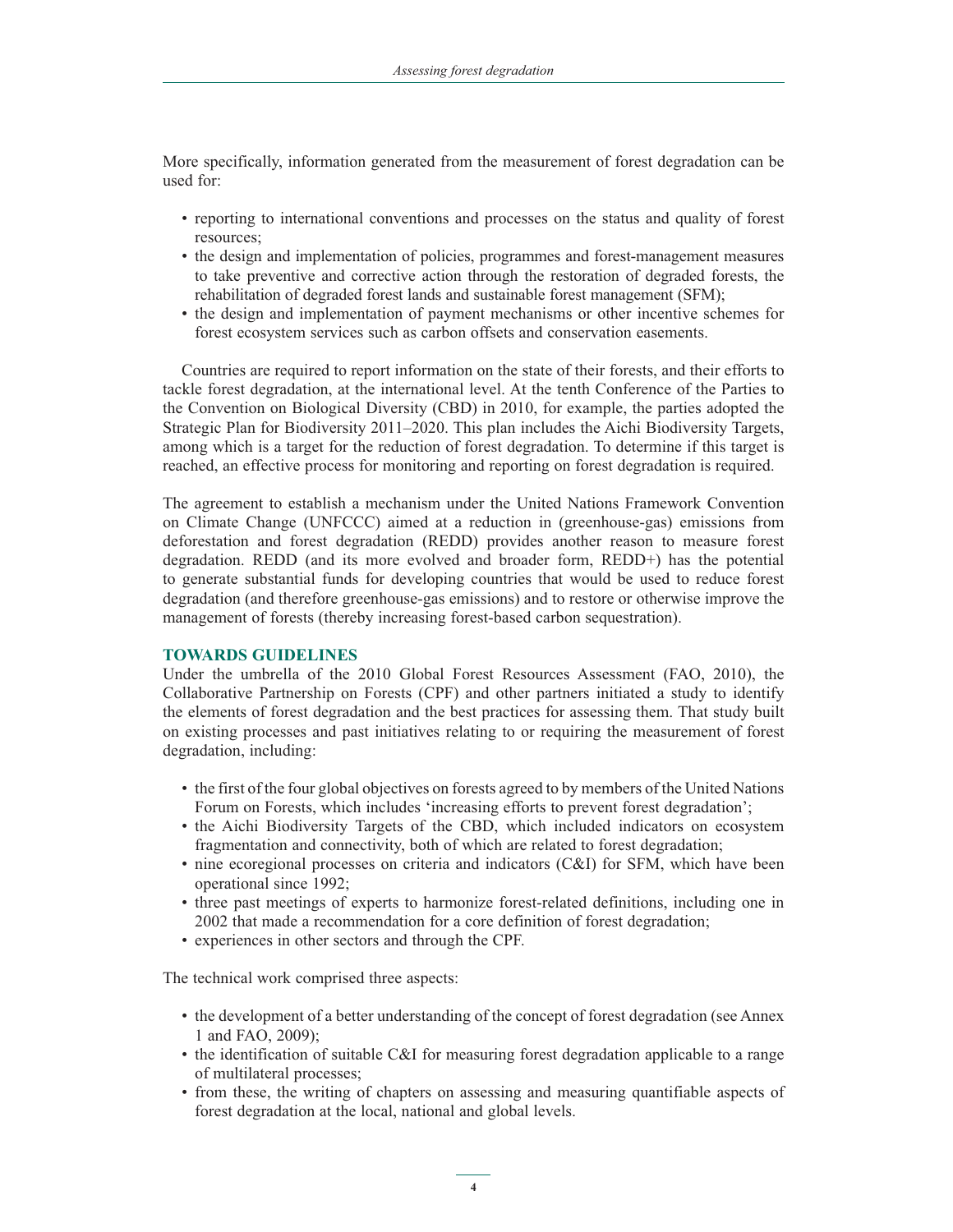More specifically, information generated from the measurement of forest degradation can be used for:

- reporting to international conventions and processes on the status and quality of forest resources;
- the design and implementation of policies, programmes and forest-management measures to take preventive and corrective action through the restoration of degraded forests, the rehabilitation of degraded forest lands and sustainable forest management (SFM);
- the design and implementation of payment mechanisms or other incentive schemes for forest ecosystem services such as carbon offsets and conservation easements.

Countries are required to report information on the state of their forests, and their efforts to tackle forest degradation, at the international level. At the tenth Conference of the Parties to the Convention on Biological Diversity (CBD) in 2010, for example, the parties adopted the Strategic Plan for Biodiversity 2011–2020. This plan includes the Aichi Biodiversity Targets, among which is a target for the reduction of forest degradation. To determine if this target is reached, an effective process for monitoring and reporting on forest degradation is required.

The agreement to establish a mechanism under the United Nations Framework Convention on Climate Change (UNFCCC) aimed at a reduction in (greenhouse-gas) emissions from deforestation and forest degradation (REDD) provides another reason to measure forest degradation. REDD (and its more evolved and broader form, REDD+) has the potential to generate substantial funds for developing countries that would be used to reduce forest degradation (and therefore greenhouse-gas emissions) and to restore or otherwise improve the management of forests (thereby increasing forest-based carbon sequestration).

# **TOWARDS GUIDELINES**

Under the umbrella of the 2010 Global Forest Resources Assessment (FAO, 2010), the Collaborative Partnership on Forests (CPF) and other partners initiated a study to identify the elements of forest degradation and the best practices for assessing them. That study built on existing processes and past initiatives relating to or requiring the measurement of forest degradation, including:

- the first of the four global objectives on forests agreed to by members of the United Nations Forum on Forests, which includes 'increasing efforts to prevent forest degradation';
- the Aichi Biodiversity Targets of the CBD, which included indicators on ecosystem fragmentation and connectivity, both of which are related to forest degradation;
- nine ecoregional processes on criteria and indicators (C&I) for SFM, which have been operational since 1992;
- three past meetings of experts to harmonize forest-related definitions, including one in 2002 that made a recommendation for a core definition of forest degradation;
- experiences in other sectors and through the CPF.

The technical work comprised three aspects:

- the development of a better understanding of the concept of forest degradation (see Annex 1 and FAO, 2009);
- the identification of suitable C&I for measuring forest degradation applicable to a range of multilateral processes;
- from these, the writing of chapters on assessing and measuring quantifiable aspects of forest degradation at the local, national and global levels.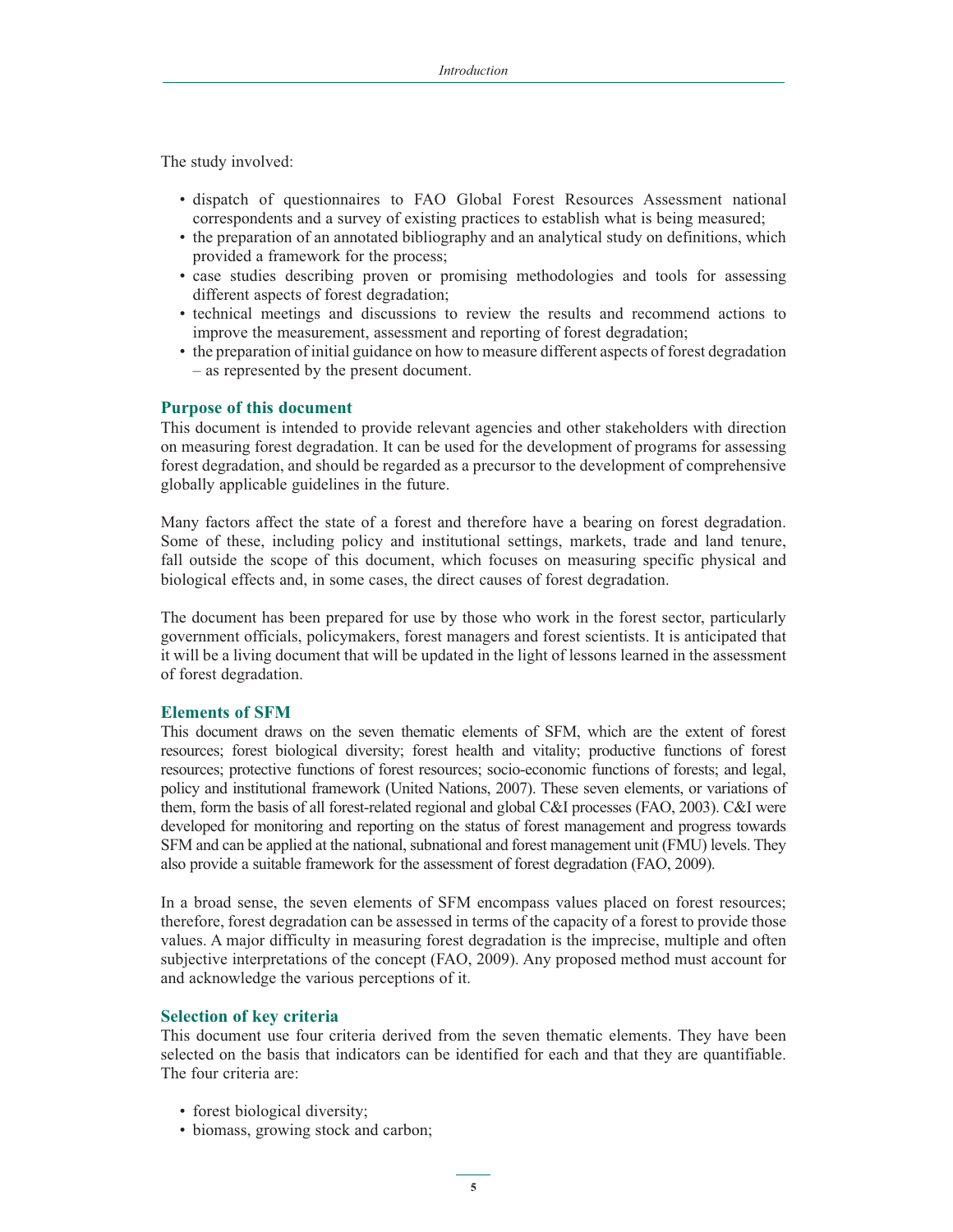The study involved:

- dispatch of questionnaires to FAO Global Forest Resources Assessment national correspondents and a survey of existing practices to establish what is being measured;
- the preparation of an annotated bibliography and an analytical study on definitions, which provided a framework for the process;
- case studies describing proven or promising methodologies and tools for assessing different aspects of forest degradation;
- technical meetings and discussions to review the results and recommend actions to improve the measurement, assessment and reporting of forest degradation;
- the preparation of initial guidance on how to measure different aspects of forest degradation – as represented by the present document.

# **Purpose of this document**

This document is intended to provide relevant agencies and other stakeholders with direction on measuring forest degradation. It can be used for the development of programs for assessing forest degradation, and should be regarded as a precursor to the development of comprehensive globally applicable guidelines in the future.

Many factors affect the state of a forest and therefore have a bearing on forest degradation. Some of these, including policy and institutional settings, markets, trade and land tenure, fall outside the scope of this document, which focuses on measuring specific physical and biological effects and, in some cases, the direct causes of forest degradation.

The document has been prepared for use by those who work in the forest sector, particularly government officials, policymakers, forest managers and forest scientists. It is anticipated that it will be a living document that will be updated in the light of lessons learned in the assessment of forest degradation.

# **Elements of SFM**

This document draws on the seven thematic elements of SFM, which are the extent of forest resources; forest biological diversity; forest health and vitality; productive functions of forest resources; protective functions of forest resources; socio-economic functions of forests; and legal, policy and institutional framework (United Nations, 2007). These seven elements, or variations of them, form the basis of all forest-related regional and global C&I processes (FAO, 2003). C&I were developed for monitoring and reporting on the status of forest management and progress towards SFM and can be applied at the national, subnational and forest management unit (FMU) levels. They also provide a suitable framework for the assessment of forest degradation (FAO, 2009).

In a broad sense, the seven elements of SFM encompass values placed on forest resources; therefore, forest degradation can be assessed in terms of the capacity of a forest to provide those values. A major difficulty in measuring forest degradation is the imprecise, multiple and often subjective interpretations of the concept (FAO, 2009). Any proposed method must account for and acknowledge the various perceptions of it.

# **Selection of key criteria**

This document use four criteria derived from the seven thematic elements. They have been selected on the basis that indicators can be identified for each and that they are quantifiable. The four criteria are:

- forest biological diversity;
- biomass, growing stock and carbon;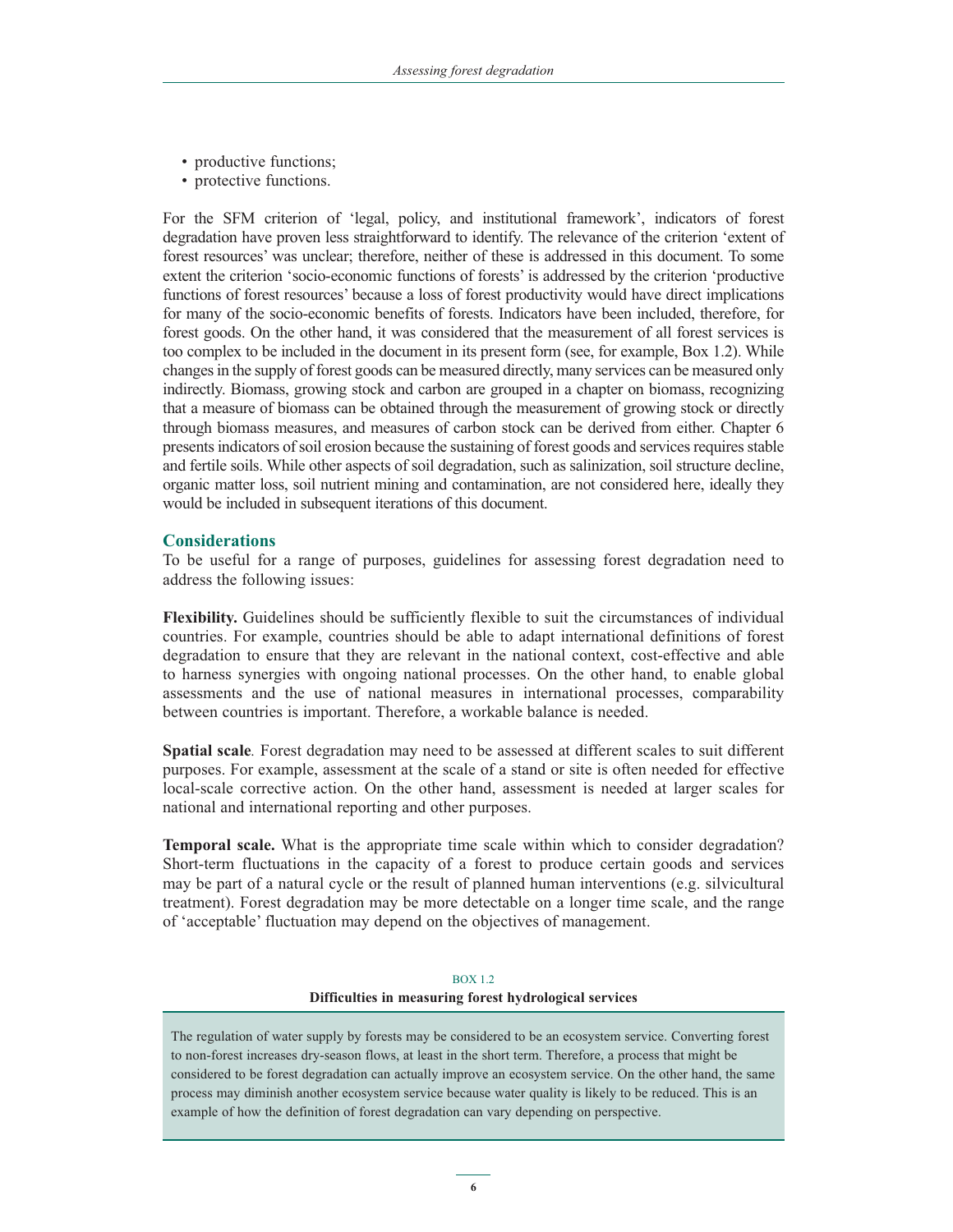- productive functions;
- protective functions.

For the SFM criterion of 'legal, policy, and institutional framework', indicators of forest degradation have proven less straightforward to identify. The relevance of the criterion 'extent of forest resources' was unclear; therefore, neither of these is addressed in this document. To some extent the criterion 'socio-economic functions of forests' is addressed by the criterion 'productive functions of forest resources' because a loss of forest productivity would have direct implications for many of the socio-economic benefits of forests. Indicators have been included, therefore, for forest goods. On the other hand, it was considered that the measurement of all forest services is too complex to be included in the document in its present form (see, for example, Box 1.2). While changes in the supply of forest goods can be measured directly, many services can be measured only indirectly. Biomass, growing stock and carbon are grouped in a chapter on biomass, recognizing that a measure of biomass can be obtained through the measurement of growing stock or directly through biomass measures, and measures of carbon stock can be derived from either. Chapter 6 presents indicators of soil erosion because the sustaining of forest goods and services requires stable and fertile soils. While other aspects of soil degradation, such as salinization, soil structure decline, organic matter loss, soil nutrient mining and contamination, are not considered here, ideally they would be included in subsequent iterations of this document.

# **Considerations**

To be useful for a range of purposes, guidelines for assessing forest degradation need to address the following issues:

**Flexibility.** Guidelines should be sufficiently flexible to suit the circumstances of individual countries. For example, countries should be able to adapt international definitions of forest degradation to ensure that they are relevant in the national context, cost-effective and able to harness synergies with ongoing national processes. On the other hand, to enable global assessments and the use of national measures in international processes, comparability between countries is important. Therefore, a workable balance is needed.

**Spatial scale***.* Forest degradation may need to be assessed at different scales to suit different purposes. For example, assessment at the scale of a stand or site is often needed for effective local-scale corrective action. On the other hand, assessment is needed at larger scales for national and international reporting and other purposes.

**Temporal scale.** What is the appropriate time scale within which to consider degradation? Short-term fluctuations in the capacity of a forest to produce certain goods and services may be part of a natural cycle or the result of planned human interventions (e.g. silvicultural treatment). Forest degradation may be more detectable on a longer time scale, and the range of 'acceptable' fluctuation may depend on the objectives of management.

#### BOX 1.2

#### **Difficulties in measuring forest hydrological services**

The regulation of water supply by forests may be considered to be an ecosystem service. Converting forest to non-forest increases dry-season flows, at least in the short term. Therefore, a process that might be considered to be forest degradation can actually improve an ecosystem service. On the other hand, the same process may diminish another ecosystem service because water quality is likely to be reduced. This is an example of how the definition of forest degradation can vary depending on perspective.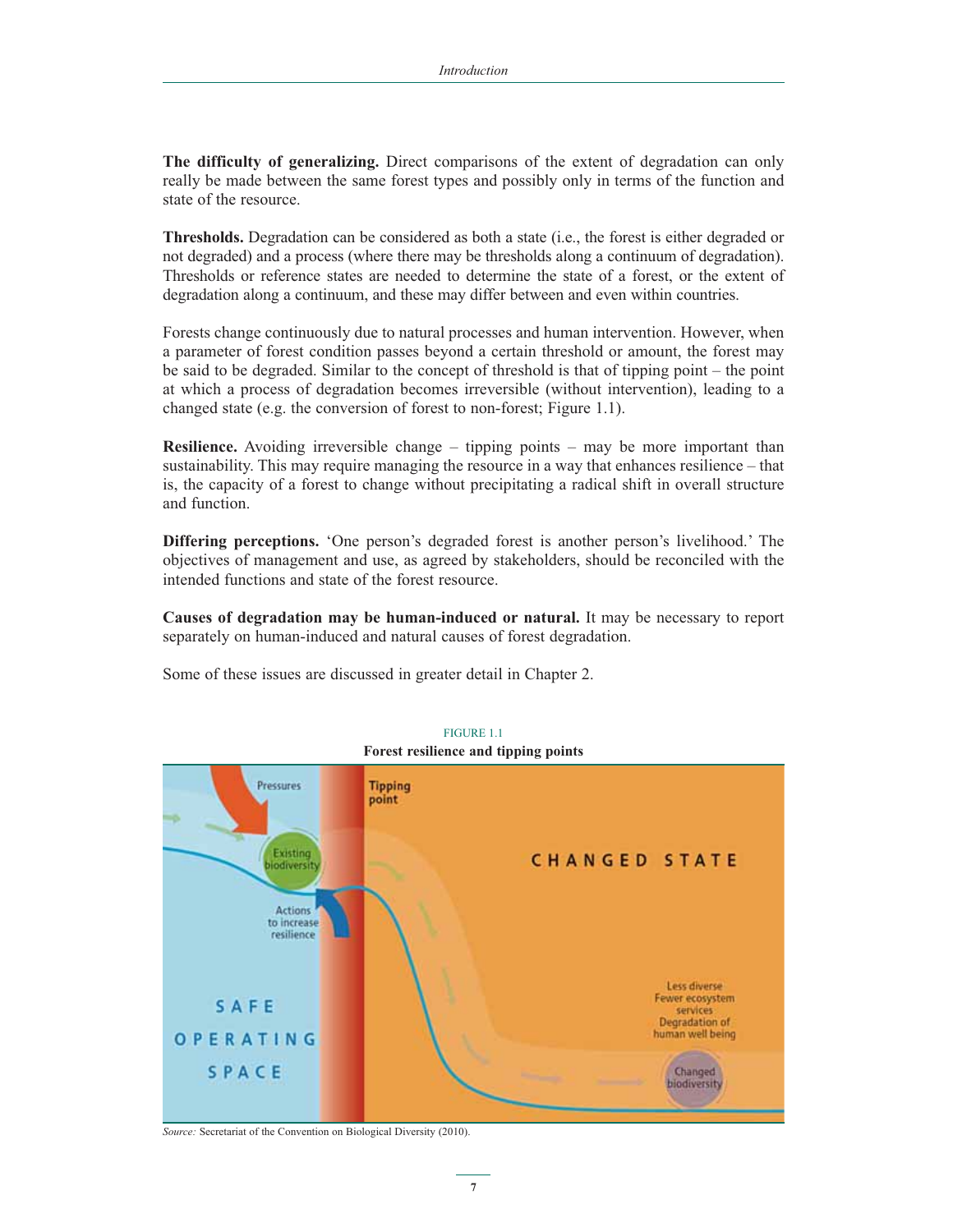**The difficulty of generalizing.** Direct comparisons of the extent of degradation can only really be made between the same forest types and possibly only in terms of the function and state of the resource.

**Thresholds.** Degradation can be considered as both a state (i.e., the forest is either degraded or not degraded) and a process (where there may be thresholds along a continuum of degradation). Thresholds or reference states are needed to determine the state of a forest, or the extent of degradation along a continuum, and these may differ between and even within countries.

Forests change continuously due to natural processes and human intervention. However, when a parameter of forest condition passes beyond a certain threshold or amount, the forest may be said to be degraded. Similar to the concept of threshold is that of tipping point – the point at which a process of degradation becomes irreversible (without intervention), leading to a changed state (e.g. the conversion of forest to non-forest; Figure 1.1).

**Resilience.** Avoiding irreversible change – tipping points – may be more important than sustainability. This may require managing the resource in a way that enhances resilience – that is, the capacity of a forest to change without precipitating a radical shift in overall structure and function.

**Differing perceptions.** 'One person's degraded forest is another person's livelihood.' The objectives of management and use, as agreed by stakeholders, should be reconciled with the intended functions and state of the forest resource.

**Causes of degradation may be human-induced or natural.** It may be necessary to report separately on human-induced and natural causes of forest degradation.

Some of these issues are discussed in greater detail in Chapter 2.



*Source:* Secretariat of the Convention on Biological Diversity (2010).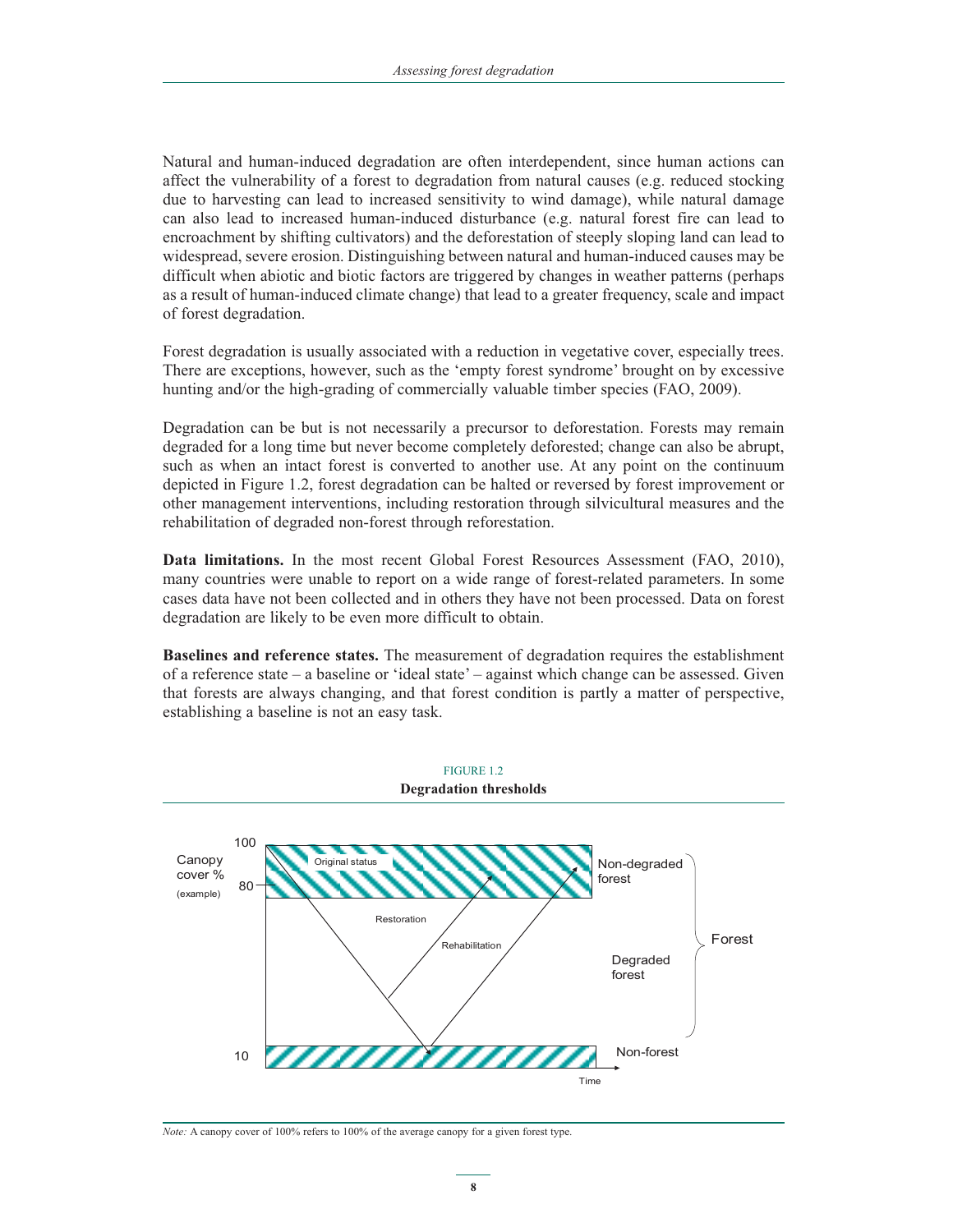Natural and human-induced degradation are often interdependent, since human actions can affect the vulnerability of a forest to degradation from natural causes (e.g. reduced stocking due to harvesting can lead to increased sensitivity to wind damage), while natural damage can also lead to increased human-induced disturbance (e.g. natural forest fire can lead to encroachment by shifting cultivators) and the deforestation of steeply sloping land can lead to widespread, severe erosion. Distinguishing between natural and human-induced causes may be difficult when abiotic and biotic factors are triggered by changes in weather patterns (perhaps as a result of human-induced climate change) that lead to a greater frequency, scale and impact of forest degradation.

Forest degradation is usually associated with a reduction in vegetative cover, especially trees. There are exceptions, however, such as the 'empty forest syndrome' brought on by excessive hunting and/or the high-grading of commercially valuable timber species (FAO, 2009).

Degradation can be but is not necessarily a precursor to deforestation. Forests may remain degraded for a long time but never become completely deforested; change can also be abrupt, such as when an intact forest is converted to another use. At any point on the continuum depicted in Figure 1.2, forest degradation can be halted or reversed by forest improvement or other management interventions, including restoration through silvicultural measures and the rehabilitation of degraded non-forest through reforestation.

**Data limitations.** In the most recent Global Forest Resources Assessment (FAO, 2010), many countries were unable to report on a wide range of forest-related parameters. In some cases data have not been collected and in others they have not been processed. Data on forest degradation are likely to be even more difficult to obtain.

**Baselines and reference states.** The measurement of degradation requires the establishment of a reference state – a baseline or 'ideal state' – against which change can be assessed. Given that forests are always changing, and that forest condition is partly a matter of perspective, establishing a baseline is not an easy task.



*Note:* A canopy cover of 100% refers to 100% of the average canopy for a given forest type.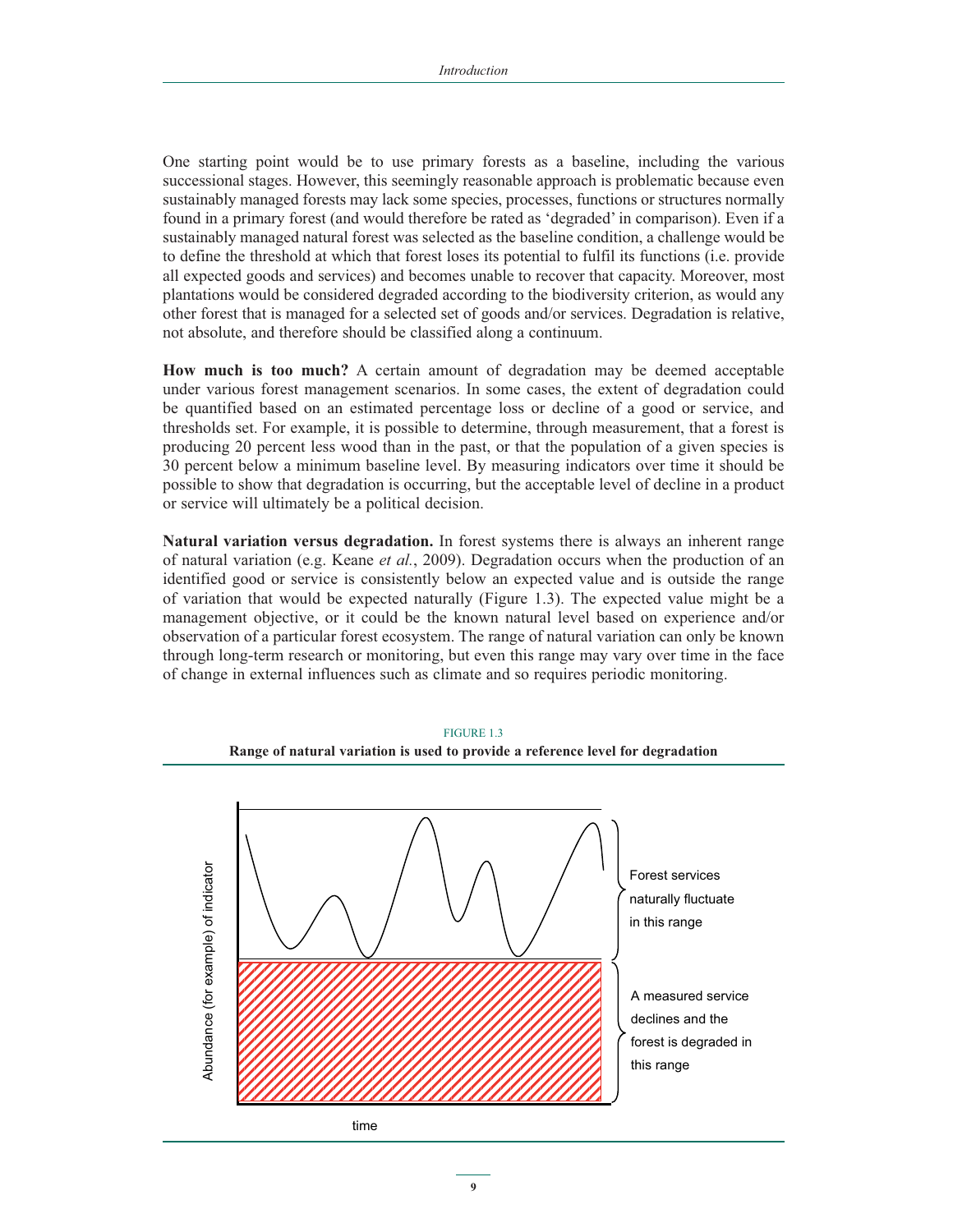One starting point would be to use primary forests as a baseline, including the various successional stages. However, this seemingly reasonable approach is problematic because even sustainably managed forests may lack some species, processes, functions or structures normally found in a primary forest (and would therefore be rated as 'degraded' in comparison). Even if a sustainably managed natural forest was selected as the baseline condition, a challenge would be to define the threshold at which that forest loses its potential to fulfil its functions (i.e. provide all expected goods and services) and becomes unable to recover that capacity. Moreover, most plantations would be considered degraded according to the biodiversity criterion, as would any other forest that is managed for a selected set of goods and/or services. Degradation is relative, not absolute, and therefore should be classified along a continuum.

**How much is too much?** A certain amount of degradation may be deemed acceptable under various forest management scenarios. In some cases, the extent of degradation could be quantified based on an estimated percentage loss or decline of a good or service, and thresholds set. For example, it is possible to determine, through measurement, that a forest is producing 20 percent less wood than in the past, or that the population of a given species is 30 percent below a minimum baseline level. By measuring indicators over time it should be possible to show that degradation is occurring, but the acceptable level of decline in a product or service will ultimately be a political decision.

**Natural variation versus degradation.** In forest systems there is always an inherent range of natural variation (e.g. Keane *et al.*, 2009). Degradation occurs when the production of an identified good or service is consistently below an expected value and is outside the range of variation that would be expected naturally (Figure 1.3). The expected value might be a management objective, or it could be the known natural level based on experience and/or observation of a particular forest ecosystem. The range of natural variation can only be known through long-term research or monitoring, but even this range may vary over time in the face of change in external influences such as climate and so requires periodic monitoring.



FIGURE 1.3 **Range of natural variation is used to provide a reference level for degradation**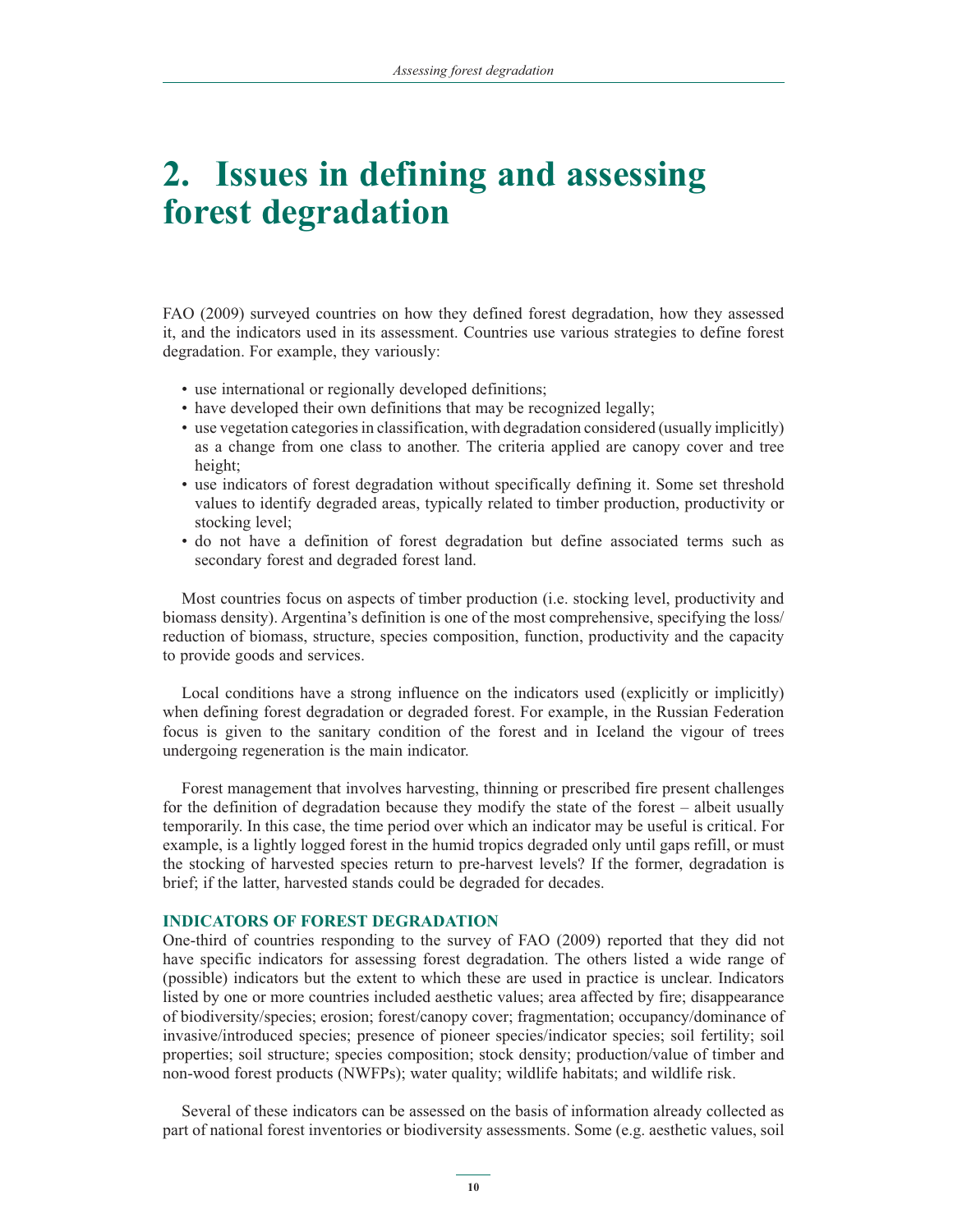# **2. Issues in defining and assessing forest degradation**

FAO (2009) surveyed countries on how they defined forest degradation, how they assessed it, and the indicators used in its assessment. Countries use various strategies to define forest degradation. For example, they variously:

- use international or regionally developed definitions;
- have developed their own definitions that may be recognized legally;
- use vegetation categories in classification, with degradation considered (usually implicitly) as a change from one class to another. The criteria applied are canopy cover and tree height;
- use indicators of forest degradation without specifically defining it. Some set threshold values to identify degraded areas, typically related to timber production, productivity or stocking level;
- do not have a definition of forest degradation but define associated terms such as secondary forest and degraded forest land.

Most countries focus on aspects of timber production (i.e. stocking level, productivity and biomass density). Argentina's definition is one of the most comprehensive, specifying the loss/ reduction of biomass, structure, species composition, function, productivity and the capacity to provide goods and services.

Local conditions have a strong influence on the indicators used (explicitly or implicitly) when defining forest degradation or degraded forest. For example, in the Russian Federation focus is given to the sanitary condition of the forest and in Iceland the vigour of trees undergoing regeneration is the main indicator.

Forest management that involves harvesting, thinning or prescribed fire present challenges for the definition of degradation because they modify the state of the forest – albeit usually temporarily. In this case, the time period over which an indicator may be useful is critical. For example, is a lightly logged forest in the humid tropics degraded only until gaps refill, or must the stocking of harvested species return to pre-harvest levels? If the former, degradation is brief; if the latter, harvested stands could be degraded for decades.

### **INDICATORS OF FOREST DEGRADATION**

One-third of countries responding to the survey of FAO (2009) reported that they did not have specific indicators for assessing forest degradation. The others listed a wide range of (possible) indicators but the extent to which these are used in practice is unclear. Indicators listed by one or more countries included aesthetic values; area affected by fire; disappearance of biodiversity/species; erosion; forest/canopy cover; fragmentation; occupancy/dominance of invasive/introduced species; presence of pioneer species/indicator species; soil fertility; soil properties; soil structure; species composition; stock density; production/value of timber and non-wood forest products (NWFPs); water quality; wildlife habitats; and wildlife risk.

Several of these indicators can be assessed on the basis of information already collected as part of national forest inventories or biodiversity assessments. Some (e.g. aesthetic values, soil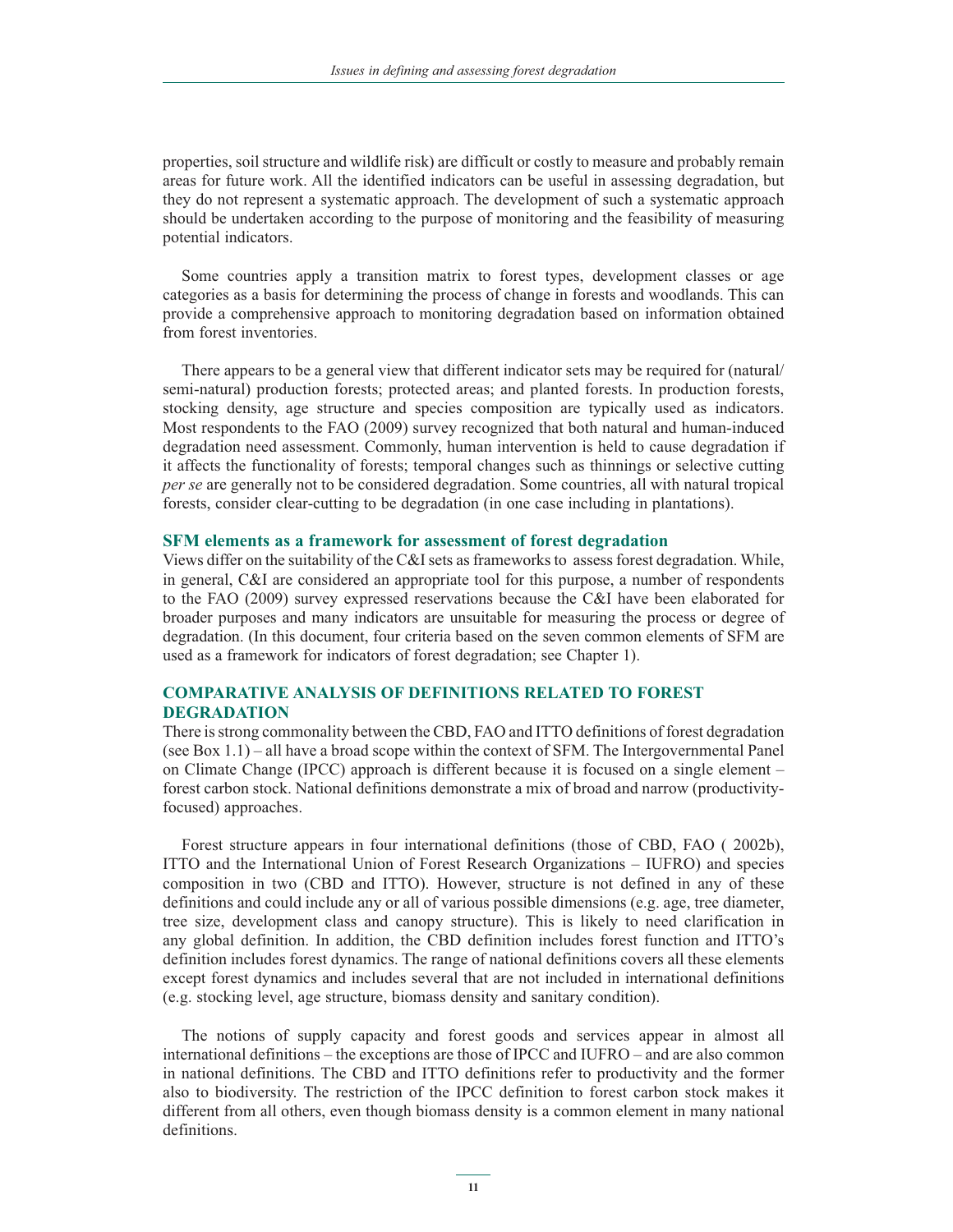properties, soil structure and wildlife risk) are difficult or costly to measure and probably remain areas for future work. All the identified indicators can be useful in assessing degradation, but they do not represent a systematic approach. The development of such a systematic approach should be undertaken according to the purpose of monitoring and the feasibility of measuring potential indicators.

Some countries apply a transition matrix to forest types, development classes or age categories as a basis for determining the process of change in forests and woodlands. This can provide a comprehensive approach to monitoring degradation based on information obtained from forest inventories.

There appears to be a general view that different indicator sets may be required for (natural/ semi-natural) production forests; protected areas; and planted forests. In production forests, stocking density, age structure and species composition are typically used as indicators. Most respondents to the FAO (2009) survey recognized that both natural and human-induced degradation need assessment. Commonly, human intervention is held to cause degradation if it affects the functionality of forests; temporal changes such as thinnings or selective cutting *per se* are generally not to be considered degradation. Some countries, all with natural tropical forests, consider clear-cutting to be degradation (in one case including in plantations).

### **SFM elements as a framework for assessment of forest degradation**

Views differ on the suitability of the C&I sets as frameworks to assess forest degradation. While, in general, C&I are considered an appropriate tool for this purpose, a number of respondents to the FAO (2009) survey expressed reservations because the C&I have been elaborated for broader purposes and many indicators are unsuitable for measuring the process or degree of degradation. (In this document, four criteria based on the seven common elements of SFM are used as a framework for indicators of forest degradation; see Chapter 1).

# **COMPARATIVE ANALYSIS OF DEFINITIONS RELATED TO FOREST DEGRADATION**

There is strong commonality between the CBD, FAO and ITTO definitions of forest degradation (see Box 1.1) – all have a broad scope within the context of SFM. The Intergovernmental Panel on Climate Change (IPCC) approach is different because it is focused on a single element – forest carbon stock. National definitions demonstrate a mix of broad and narrow (productivityfocused) approaches.

Forest structure appears in four international definitions (those of CBD, FAO ( 2002b), ITTO and the International Union of Forest Research Organizations – IUFRO) and species composition in two (CBD and ITTO). However, structure is not defined in any of these definitions and could include any or all of various possible dimensions (e.g. age, tree diameter, tree size, development class and canopy structure). This is likely to need clarification in any global definition. In addition, the CBD definition includes forest function and ITTO's definition includes forest dynamics. The range of national definitions covers all these elements except forest dynamics and includes several that are not included in international definitions (e.g. stocking level, age structure, biomass density and sanitary condition).

The notions of supply capacity and forest goods and services appear in almost all international definitions – the exceptions are those of IPCC and IUFRO – and are also common in national definitions. The CBD and ITTO definitions refer to productivity and the former also to biodiversity. The restriction of the IPCC definition to forest carbon stock makes it different from all others, even though biomass density is a common element in many national definitions.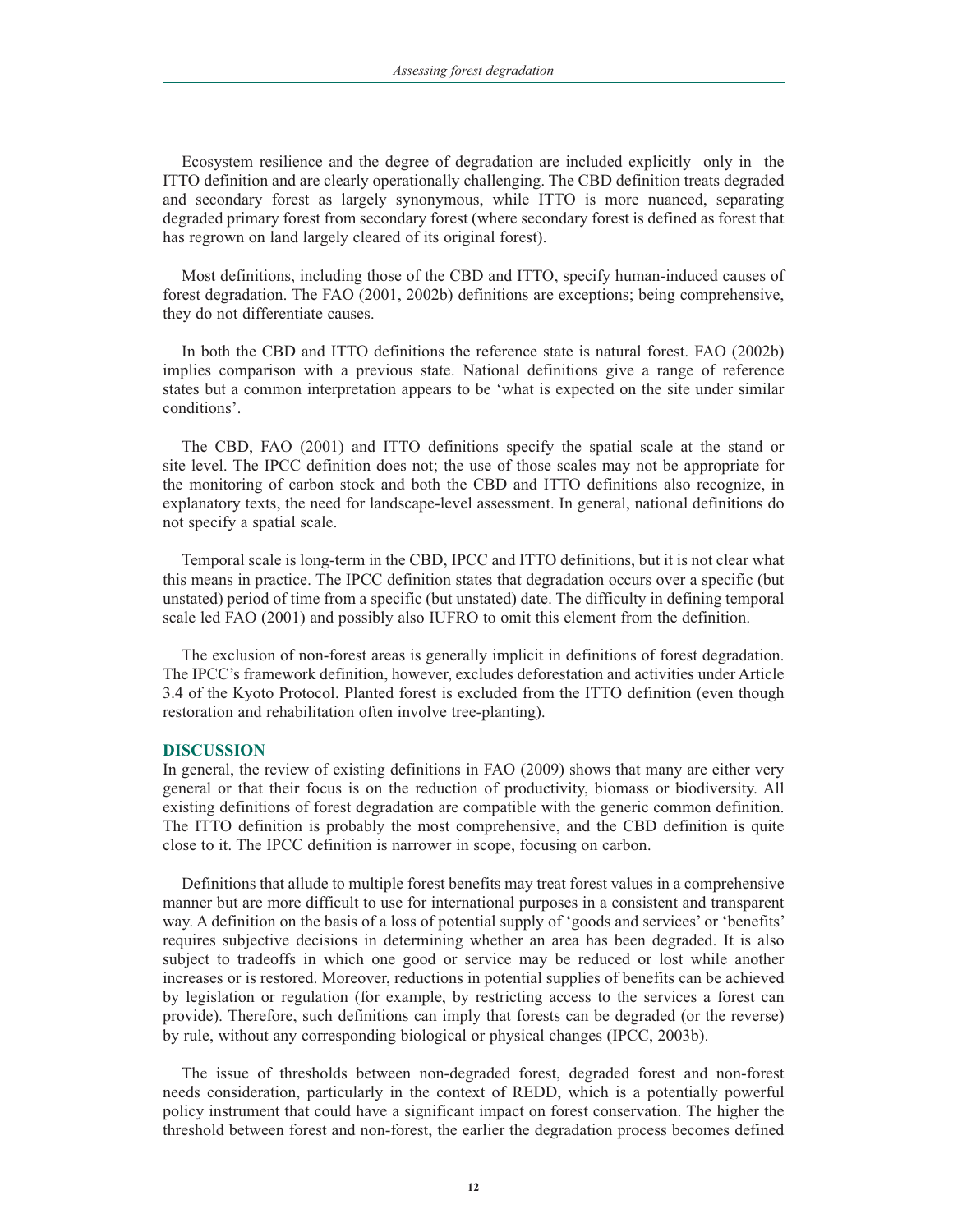Ecosystem resilience and the degree of degradation are included explicitly only in the ITTO definition and are clearly operationally challenging. The CBD definition treats degraded and secondary forest as largely synonymous, while ITTO is more nuanced, separating degraded primary forest from secondary forest (where secondary forest is defined as forest that has regrown on land largely cleared of its original forest).

Most definitions, including those of the CBD and ITTO, specify human-induced causes of forest degradation. The FAO (2001, 2002b) definitions are exceptions; being comprehensive, they do not differentiate causes.

In both the CBD and ITTO definitions the reference state is natural forest. FAO (2002b) implies comparison with a previous state. National definitions give a range of reference states but a common interpretation appears to be 'what is expected on the site under similar conditions'.

The CBD, FAO (2001) and ITTO definitions specify the spatial scale at the stand or site level. The IPCC definition does not; the use of those scales may not be appropriate for the monitoring of carbon stock and both the CBD and ITTO definitions also recognize, in explanatory texts, the need for landscape-level assessment. In general, national definitions do not specify a spatial scale.

Temporal scale is long-term in the CBD, IPCC and ITTO definitions, but it is not clear what this means in practice. The IPCC definition states that degradation occurs over a specific (but unstated) period of time from a specific (but unstated) date. The difficulty in defining temporal scale led FAO (2001) and possibly also IUFRO to omit this element from the definition.

The exclusion of non-forest areas is generally implicit in definitions of forest degradation. The IPCC's framework definition, however, excludes deforestation and activities under Article 3.4 of the Kyoto Protocol. Planted forest is excluded from the ITTO definition (even though restoration and rehabilitation often involve tree-planting).

#### **DISCUSSION**

In general, the review of existing definitions in FAO (2009) shows that many are either very general or that their focus is on the reduction of productivity, biomass or biodiversity. All existing definitions of forest degradation are compatible with the generic common definition. The ITTO definition is probably the most comprehensive, and the CBD definition is quite close to it. The IPCC definition is narrower in scope, focusing on carbon.

Definitions that allude to multiple forest benefits may treat forest values in a comprehensive manner but are more difficult to use for international purposes in a consistent and transparent way. A definition on the basis of a loss of potential supply of 'goods and services' or 'benefits' requires subjective decisions in determining whether an area has been degraded. It is also subject to tradeoffs in which one good or service may be reduced or lost while another increases or is restored. Moreover, reductions in potential supplies of benefits can be achieved by legislation or regulation (for example, by restricting access to the services a forest can provide). Therefore, such definitions can imply that forests can be degraded (or the reverse) by rule, without any corresponding biological or physical changes (IPCC, 2003b).

The issue of thresholds between non-degraded forest, degraded forest and non-forest needs consideration, particularly in the context of REDD, which is a potentially powerful policy instrument that could have a significant impact on forest conservation. The higher the threshold between forest and non-forest, the earlier the degradation process becomes defined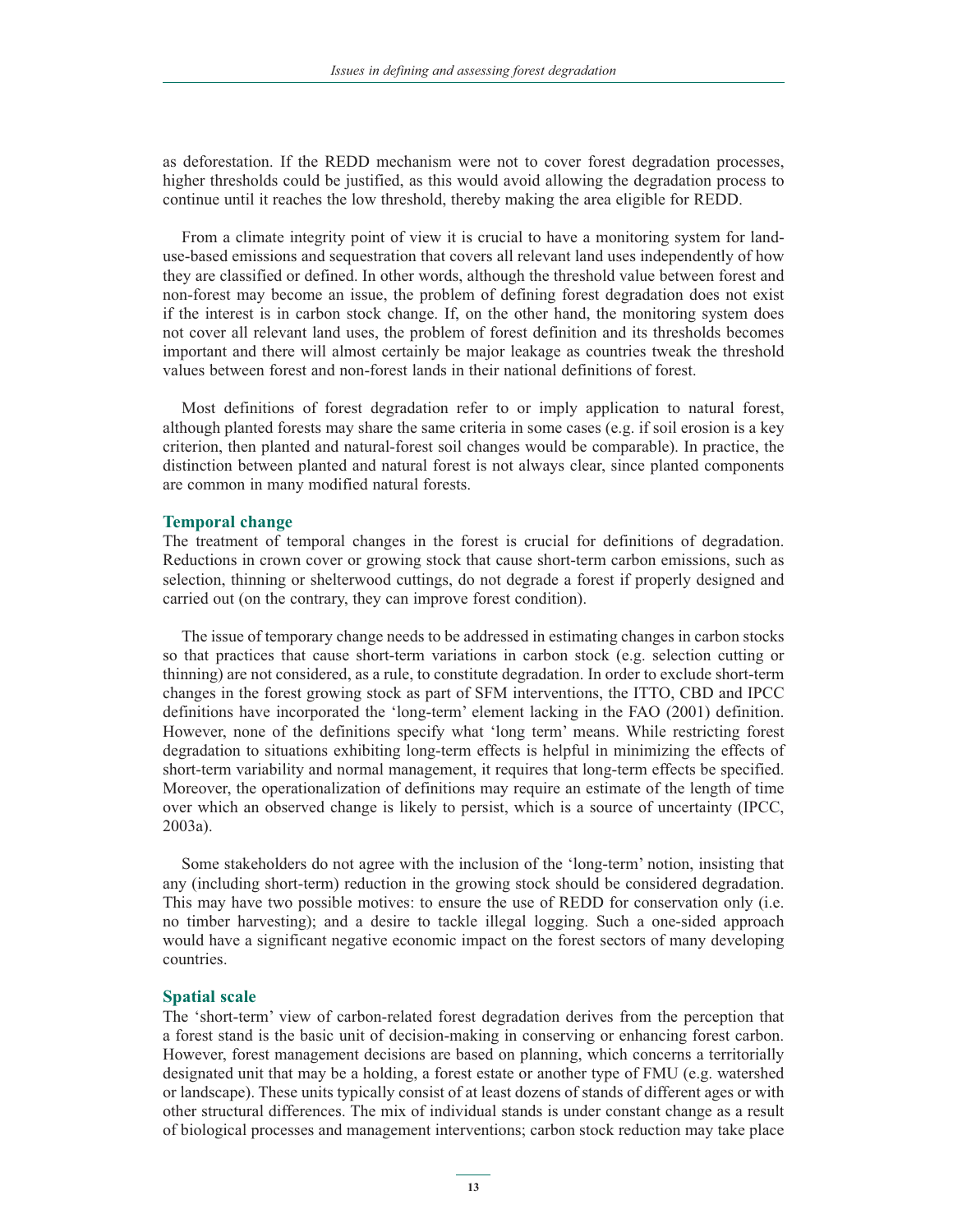as deforestation. If the REDD mechanism were not to cover forest degradation processes, higher thresholds could be justified, as this would avoid allowing the degradation process to continue until it reaches the low threshold, thereby making the area eligible for REDD.

From a climate integrity point of view it is crucial to have a monitoring system for landuse-based emissions and sequestration that covers all relevant land uses independently of how they are classified or defined. In other words, although the threshold value between forest and non-forest may become an issue, the problem of defining forest degradation does not exist if the interest is in carbon stock change. If, on the other hand, the monitoring system does not cover all relevant land uses, the problem of forest definition and its thresholds becomes important and there will almost certainly be major leakage as countries tweak the threshold values between forest and non-forest lands in their national definitions of forest.

Most definitions of forest degradation refer to or imply application to natural forest, although planted forests may share the same criteria in some cases (e.g. if soil erosion is a key criterion, then planted and natural-forest soil changes would be comparable). In practice, the distinction between planted and natural forest is not always clear, since planted components are common in many modified natural forests.

#### **Temporal change**

The treatment of temporal changes in the forest is crucial for definitions of degradation. Reductions in crown cover or growing stock that cause short-term carbon emissions, such as selection, thinning or shelterwood cuttings, do not degrade a forest if properly designed and carried out (on the contrary, they can improve forest condition).

The issue of temporary change needs to be addressed in estimating changes in carbon stocks so that practices that cause short-term variations in carbon stock (e.g. selection cutting or thinning) are not considered, as a rule, to constitute degradation. In order to exclude short-term changes in the forest growing stock as part of SFM interventions, the ITTO, CBD and IPCC definitions have incorporated the 'long-term' element lacking in the FAO (2001) definition. However, none of the definitions specify what 'long term' means. While restricting forest degradation to situations exhibiting long-term effects is helpful in minimizing the effects of short-term variability and normal management, it requires that long-term effects be specified. Moreover, the operationalization of definitions may require an estimate of the length of time over which an observed change is likely to persist, which is a source of uncertainty (IPCC, 2003a).

Some stakeholders do not agree with the inclusion of the 'long-term' notion, insisting that any (including short-term) reduction in the growing stock should be considered degradation. This may have two possible motives: to ensure the use of REDD for conservation only (i.e. no timber harvesting); and a desire to tackle illegal logging. Such a one-sided approach would have a significant negative economic impact on the forest sectors of many developing countries.

#### **Spatial scale**

The 'short-term' view of carbon-related forest degradation derives from the perception that a forest stand is the basic unit of decision-making in conserving or enhancing forest carbon. However, forest management decisions are based on planning, which concerns a territorially designated unit that may be a holding, a forest estate or another type of FMU (e.g. watershed or landscape). These units typically consist of at least dozens of stands of different ages or with other structural differences. The mix of individual stands is under constant change as a result of biological processes and management interventions; carbon stock reduction may take place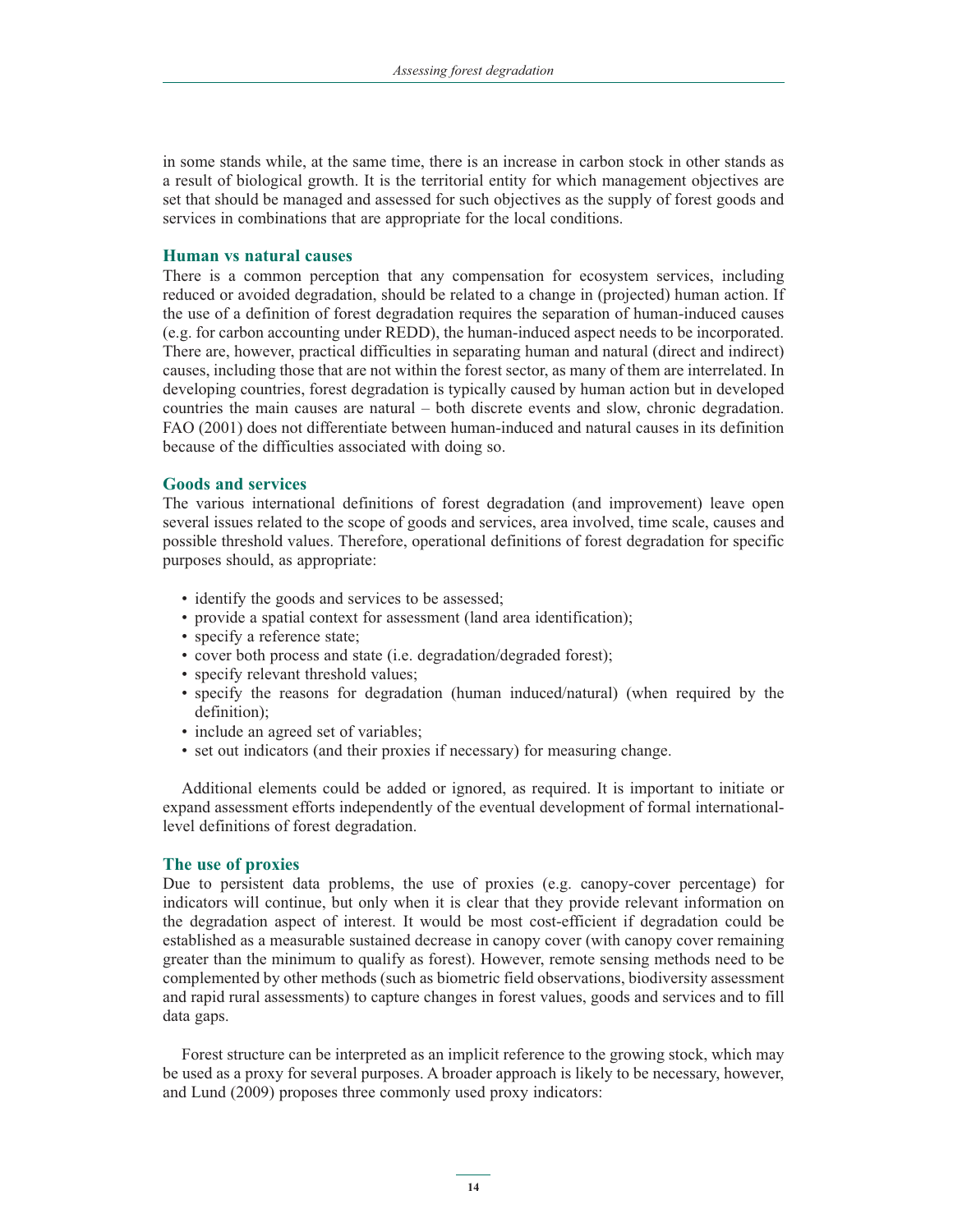in some stands while, at the same time, there is an increase in carbon stock in other stands as a result of biological growth. It is the territorial entity for which management objectives are set that should be managed and assessed for such objectives as the supply of forest goods and services in combinations that are appropriate for the local conditions.

### **Human vs natural causes**

There is a common perception that any compensation for ecosystem services, including reduced or avoided degradation, should be related to a change in (projected) human action. If the use of a definition of forest degradation requires the separation of human-induced causes (e.g. for carbon accounting under REDD), the human-induced aspect needs to be incorporated. There are, however, practical difficulties in separating human and natural (direct and indirect) causes, including those that are not within the forest sector, as many of them are interrelated. In developing countries, forest degradation is typically caused by human action but in developed countries the main causes are natural – both discrete events and slow, chronic degradation. FAO (2001) does not differentiate between human-induced and natural causes in its definition because of the difficulties associated with doing so.

### **Goods and services**

The various international definitions of forest degradation (and improvement) leave open several issues related to the scope of goods and services, area involved, time scale, causes and possible threshold values. Therefore, operational definitions of forest degradation for specific purposes should, as appropriate:

- identify the goods and services to be assessed;
- provide a spatial context for assessment (land area identification);
- specify a reference state;
- cover both process and state (i.e. degradation/degraded forest);
- specify relevant threshold values;
- specify the reasons for degradation (human induced/natural) (when required by the definition);
- include an agreed set of variables;
- set out indicators (and their proxies if necessary) for measuring change.

Additional elements could be added or ignored, as required. It is important to initiate or expand assessment efforts independently of the eventual development of formal internationallevel definitions of forest degradation.

# **The use of proxies**

Due to persistent data problems, the use of proxies (e.g. canopy-cover percentage) for indicators will continue, but only when it is clear that they provide relevant information on the degradation aspect of interest. It would be most cost-efficient if degradation could be established as a measurable sustained decrease in canopy cover (with canopy cover remaining greater than the minimum to qualify as forest). However, remote sensing methods need to be complemented by other methods (such as biometric field observations, biodiversity assessment and rapid rural assessments) to capture changes in forest values, goods and services and to fill data gaps.

Forest structure can be interpreted as an implicit reference to the growing stock, which may be used as a proxy for several purposes. A broader approach is likely to be necessary, however, and Lund (2009) proposes three commonly used proxy indicators: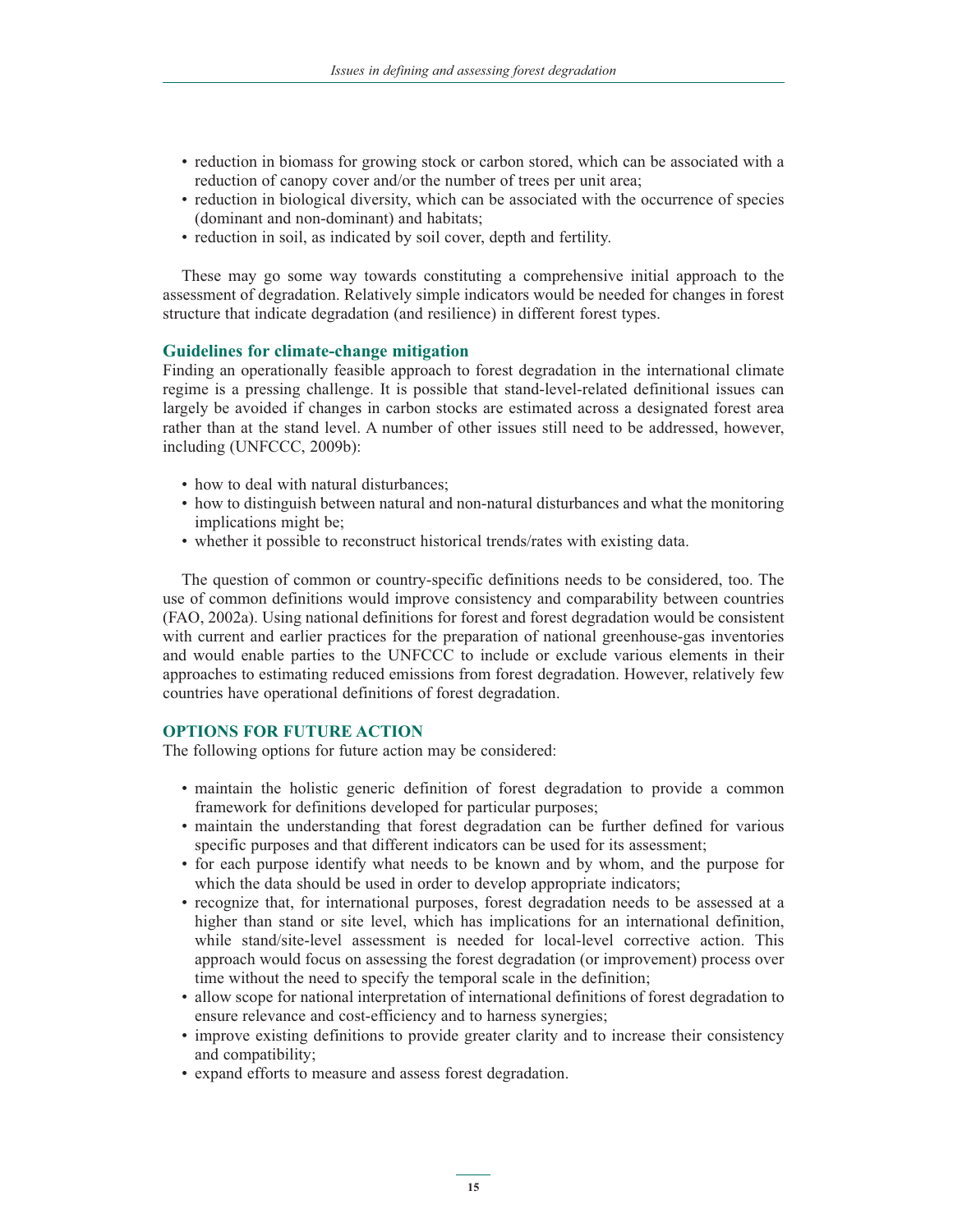- reduction in biomass for growing stock or carbon stored, which can be associated with a reduction of canopy cover and/or the number of trees per unit area;
- reduction in biological diversity, which can be associated with the occurrence of species (dominant and non-dominant) and habitats;
- reduction in soil, as indicated by soil cover, depth and fertility.

These may go some way towards constituting a comprehensive initial approach to the assessment of degradation. Relatively simple indicators would be needed for changes in forest structure that indicate degradation (and resilience) in different forest types.

# **Guidelines for climate-change mitigation**

Finding an operationally feasible approach to forest degradation in the international climate regime is a pressing challenge. It is possible that stand-level-related definitional issues can largely be avoided if changes in carbon stocks are estimated across a designated forest area rather than at the stand level. A number of other issues still need to be addressed, however, including (UNFCCC, 2009b):

- how to deal with natural disturbances;
- how to distinguish between natural and non-natural disturbances and what the monitoring implications might be;
- whether it possible to reconstruct historical trends/rates with existing data.

The question of common or country-specific definitions needs to be considered, too. The use of common definitions would improve consistency and comparability between countries (FAO, 2002a). Using national definitions for forest and forest degradation would be consistent with current and earlier practices for the preparation of national greenhouse-gas inventories and would enable parties to the UNFCCC to include or exclude various elements in their approaches to estimating reduced emissions from forest degradation. However, relatively few countries have operational definitions of forest degradation.

# **OPTIONS FOR FUTURE ACTION**

The following options for future action may be considered:

- maintain the holistic generic definition of forest degradation to provide a common framework for definitions developed for particular purposes;
- maintain the understanding that forest degradation can be further defined for various specific purposes and that different indicators can be used for its assessment;
- for each purpose identify what needs to be known and by whom, and the purpose for which the data should be used in order to develop appropriate indicators;
- recognize that, for international purposes, forest degradation needs to be assessed at a higher than stand or site level, which has implications for an international definition, while stand/site-level assessment is needed for local-level corrective action. This approach would focus on assessing the forest degradation (or improvement) process over time without the need to specify the temporal scale in the definition;
- allow scope for national interpretation of international definitions of forest degradation to ensure relevance and cost-efficiency and to harness synergies;
- improve existing definitions to provide greater clarity and to increase their consistency and compatibility;
- expand efforts to measure and assess forest degradation.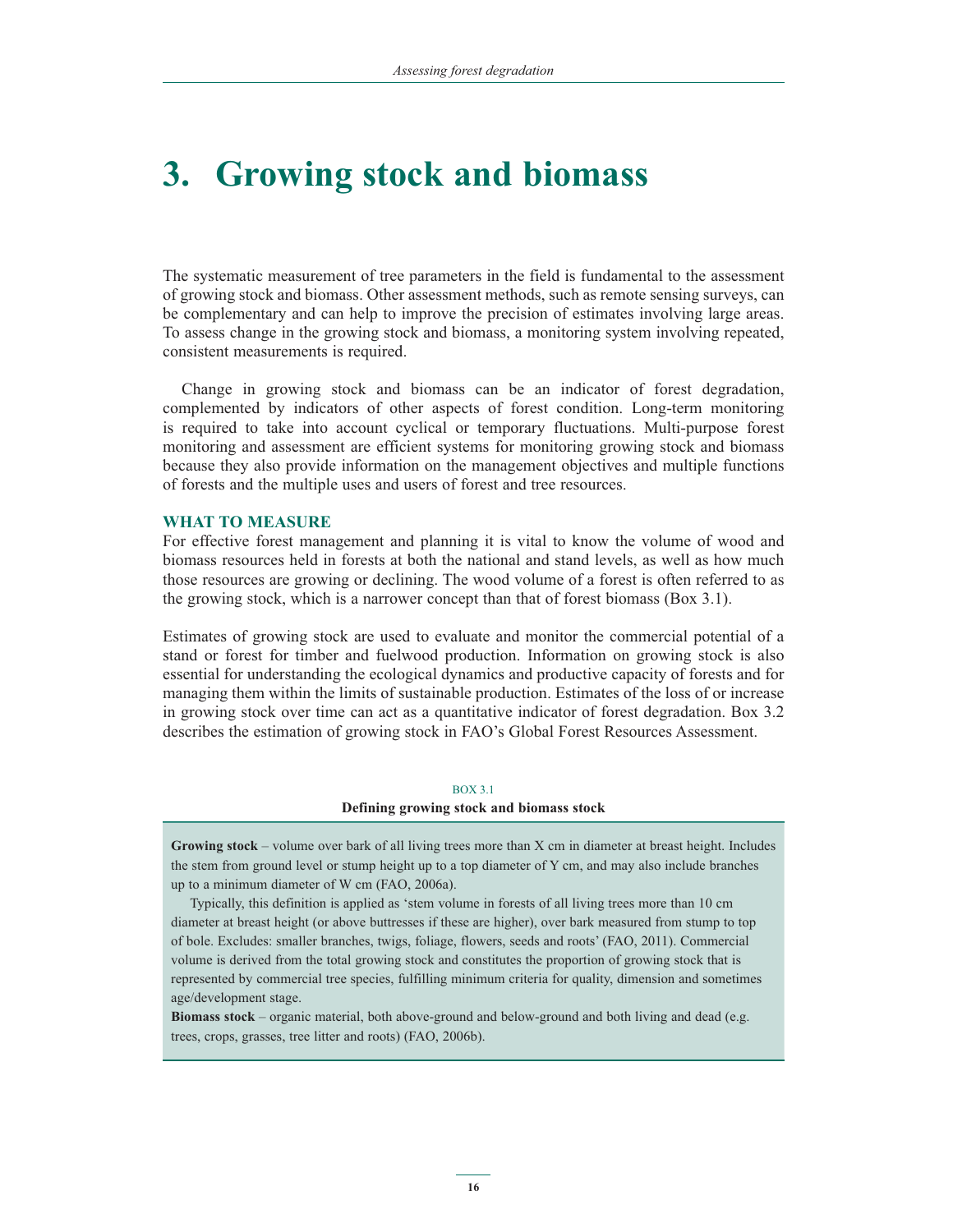# **3. Growing stock and biomass**

The systematic measurement of tree parameters in the field is fundamental to the assessment of growing stock and biomass. Other assessment methods, such as remote sensing surveys, can be complementary and can help to improve the precision of estimates involving large areas. To assess change in the growing stock and biomass, a monitoring system involving repeated, consistent measurements is required.

Change in growing stock and biomass can be an indicator of forest degradation, complemented by indicators of other aspects of forest condition. Long-term monitoring is required to take into account cyclical or temporary fluctuations. Multi-purpose forest monitoring and assessment are efficient systems for monitoring growing stock and biomass because they also provide information on the management objectives and multiple functions of forests and the multiple uses and users of forest and tree resources.

### **WHAT TO MEASURE**

For effective forest management and planning it is vital to know the volume of wood and biomass resources held in forests at both the national and stand levels, as well as how much those resources are growing or declining. The wood volume of a forest is often referred to as the growing stock, which is a narrower concept than that of forest biomass (Box 3.1).

Estimates of growing stock are used to evaluate and monitor the commercial potential of a stand or forest for timber and fuelwood production. Information on growing stock is also essential for understanding the ecological dynamics and productive capacity of forests and for managing them within the limits of sustainable production. Estimates of the loss of or increase in growing stock over time can act as a quantitative indicator of forest degradation. Box 3.2 describes the estimation of growing stock in FAO's Global Forest Resources Assessment.

#### BOX 3.1

#### **Defining growing stock and biomass stock**

**Growing stock** – volume over bark of all living trees more than X cm in diameter at breast height. Includes the stem from ground level or stump height up to a top diameter of Y cm, and may also include branches up to a minimum diameter of W cm (FAO, 2006a).

Typically, this definition is applied as 'stem volume in forests of all living trees more than 10 cm diameter at breast height (or above buttresses if these are higher), over bark measured from stump to top of bole. Excludes: smaller branches, twigs, foliage, flowers, seeds and roots' (FAO, 2011). Commercial volume is derived from the total growing stock and constitutes the proportion of growing stock that is represented by commercial tree species, fulfilling minimum criteria for quality, dimension and sometimes age/development stage.

**Biomass stock** – organic material, both above-ground and below-ground and both living and dead (e.g. trees, crops, grasses, tree litter and roots) (FAO, 2006b).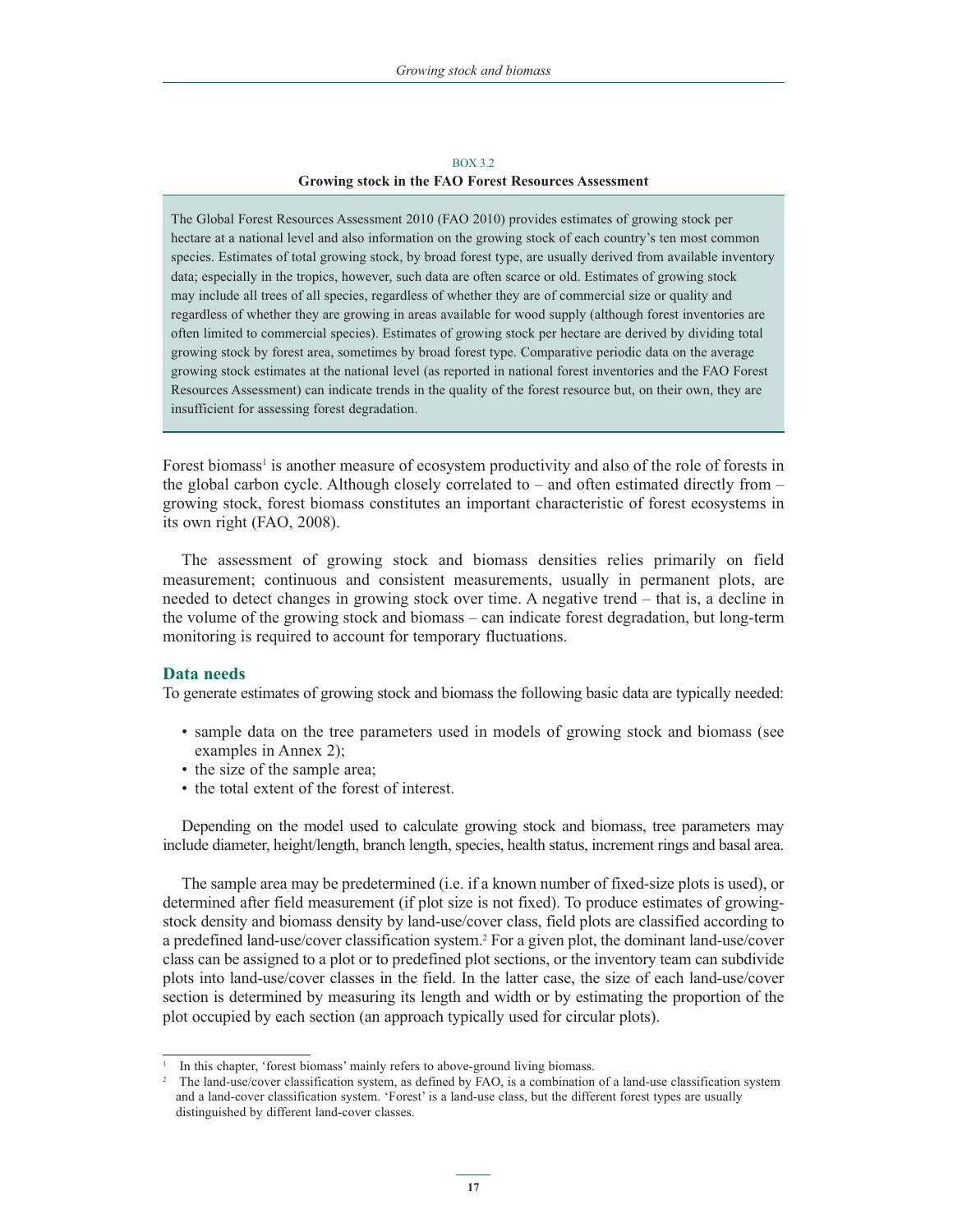#### BOX 3.2 **Growing stock in the FAO Forest Resources Assessment**

The Global Forest Resources Assessment 2010 (FAO 2010) provides estimates of growing stock per hectare at a national level and also information on the growing stock of each country's ten most common species. Estimates of total growing stock, by broad forest type, are usually derived from available inventory data; especially in the tropics, however, such data are often scarce or old. Estimates of growing stock may include all trees of all species, regardless of whether they are of commercial size or quality and regardless of whether they are growing in areas available for wood supply (although forest inventories are often limited to commercial species). Estimates of growing stock per hectare are derived by dividing total growing stock by forest area, sometimes by broad forest type. Comparative periodic data on the average growing stock estimates at the national level (as reported in national forest inventories and the FAO Forest Resources Assessment) can indicate trends in the quality of the forest resource but, on their own, they are insufficient for assessing forest degradation.

Forest biomass<sup>1</sup> is another measure of ecosystem productivity and also of the role of forests in the global carbon cycle. Although closely correlated to – and often estimated directly from – growing stock, forest biomass constitutes an important characteristic of forest ecosystems in its own right (FAO, 2008).

The assessment of growing stock and biomass densities relies primarily on field measurement; continuous and consistent measurements, usually in permanent plots, are needed to detect changes in growing stock over time. A negative trend – that is, a decline in the volume of the growing stock and biomass – can indicate forest degradation, but long-term monitoring is required to account for temporary fluctuations.

### **Data needs**

To generate estimates of growing stock and biomass the following basic data are typically needed:

- sample data on the tree parameters used in models of growing stock and biomass (see examples in Annex 2);
- the size of the sample area;
- the total extent of the forest of interest.

Depending on the model used to calculate growing stock and biomass, tree parameters may include diameter, height/length, branch length, species, health status, increment rings and basal area.

The sample area may be predetermined (i.e. if a known number of fixed-size plots is used), or determined after field measurement (if plot size is not fixed). To produce estimates of growingstock density and biomass density by land-use/cover class, field plots are classified according to a predefined land-use/cover classification system.2 For a given plot, the dominant land-use/cover class can be assigned to a plot or to predefined plot sections, or the inventory team can subdivide plots into land-use/cover classes in the field. In the latter case, the size of each land-use/cover section is determined by measuring its length and width or by estimating the proportion of the plot occupied by each section (an approach typically used for circular plots).

<sup>1</sup> In this chapter, 'forest biomass' mainly refers to above-ground living biomass.

<sup>2</sup> The land-use/cover classification system, as defined by FAO, is a combination of a land-use classification system and a land-cover classification system. 'Forest' is a land-use class, but the different forest types are usually distinguished by different land-cover classes.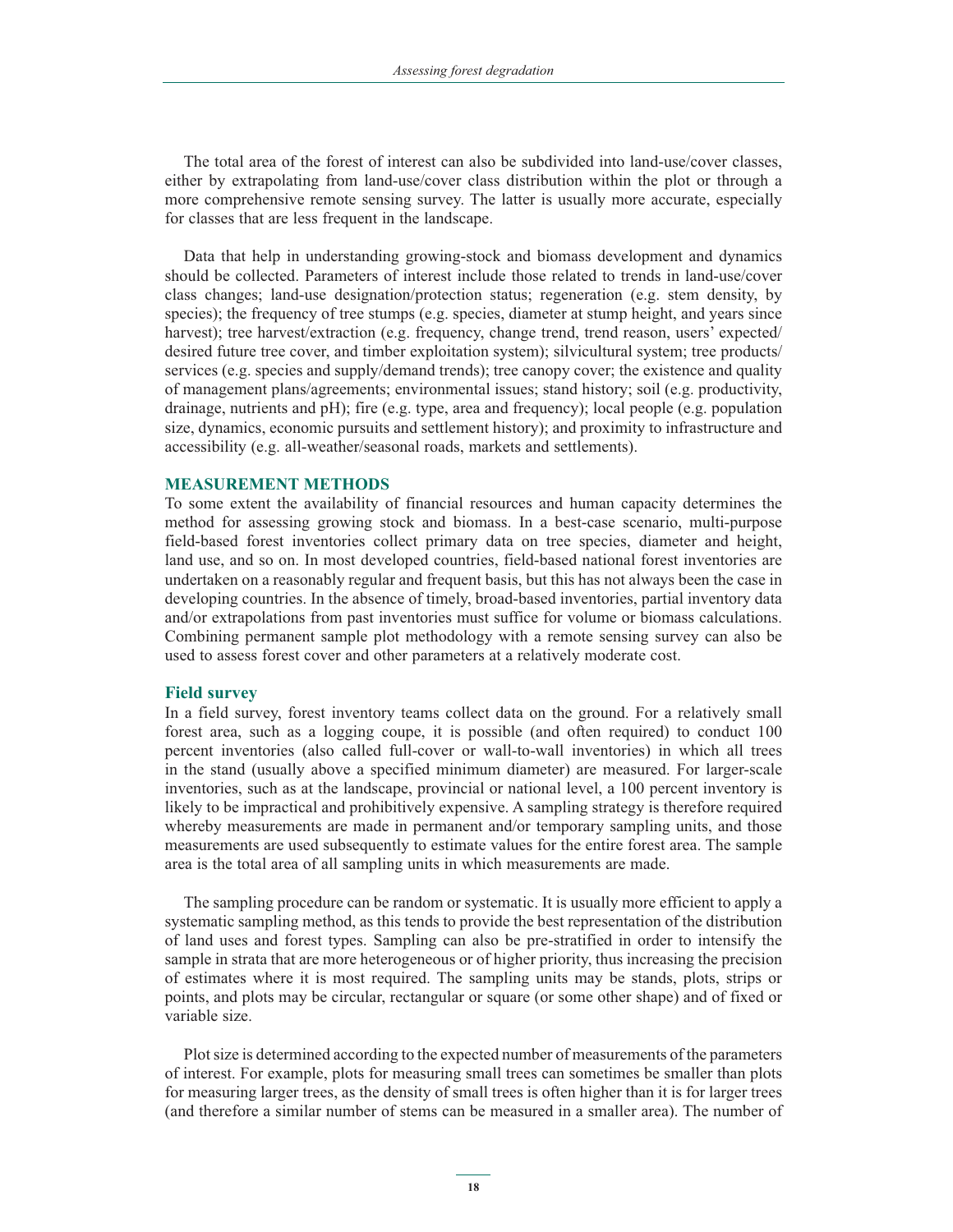The total area of the forest of interest can also be subdivided into land-use/cover classes, either by extrapolating from land-use/cover class distribution within the plot or through a more comprehensive remote sensing survey. The latter is usually more accurate, especially for classes that are less frequent in the landscape.

Data that help in understanding growing-stock and biomass development and dynamics should be collected. Parameters of interest include those related to trends in land-use/cover class changes; land-use designation/protection status; regeneration (e.g. stem density, by species); the frequency of tree stumps (e.g. species, diameter at stump height, and years since harvest); tree harvest/extraction (e.g. frequency, change trend, trend reason, users' expected/ desired future tree cover, and timber exploitation system); silvicultural system; tree products/ services (e.g. species and supply/demand trends); tree canopy cover; the existence and quality of management plans/agreements; environmental issues; stand history; soil (e.g. productivity, drainage, nutrients and pH); fire (e.g. type, area and frequency); local people (e.g. population size, dynamics, economic pursuits and settlement history); and proximity to infrastructure and accessibility (e.g. all-weather/seasonal roads, markets and settlements).

### **MEASUREMENT METHODS**

To some extent the availability of financial resources and human capacity determines the method for assessing growing stock and biomass. In a best-case scenario, multi-purpose field-based forest inventories collect primary data on tree species, diameter and height, land use, and so on. In most developed countries, field-based national forest inventories are undertaken on a reasonably regular and frequent basis, but this has not always been the case in developing countries. In the absence of timely, broad-based inventories, partial inventory data and/or extrapolations from past inventories must suffice for volume or biomass calculations. Combining permanent sample plot methodology with a remote sensing survey can also be used to assess forest cover and other parameters at a relatively moderate cost.

#### **Field survey**

In a field survey, forest inventory teams collect data on the ground. For a relatively small forest area, such as a logging coupe, it is possible (and often required) to conduct 100 percent inventories (also called full-cover or wall-to-wall inventories) in which all trees in the stand (usually above a specified minimum diameter) are measured. For larger-scale inventories, such as at the landscape, provincial or national level, a 100 percent inventory is likely to be impractical and prohibitively expensive. A sampling strategy is therefore required whereby measurements are made in permanent and/or temporary sampling units, and those measurements are used subsequently to estimate values for the entire forest area. The sample area is the total area of all sampling units in which measurements are made.

The sampling procedure can be random or systematic. It is usually more efficient to apply a systematic sampling method, as this tends to provide the best representation of the distribution of land uses and forest types. Sampling can also be pre-stratified in order to intensify the sample in strata that are more heterogeneous or of higher priority, thus increasing the precision of estimates where it is most required. The sampling units may be stands, plots, strips or points, and plots may be circular, rectangular or square (or some other shape) and of fixed or variable size.

Plot size is determined according to the expected number of measurements of the parameters of interest. For example, plots for measuring small trees can sometimes be smaller than plots for measuring larger trees, as the density of small trees is often higher than it is for larger trees (and therefore a similar number of stems can be measured in a smaller area). The number of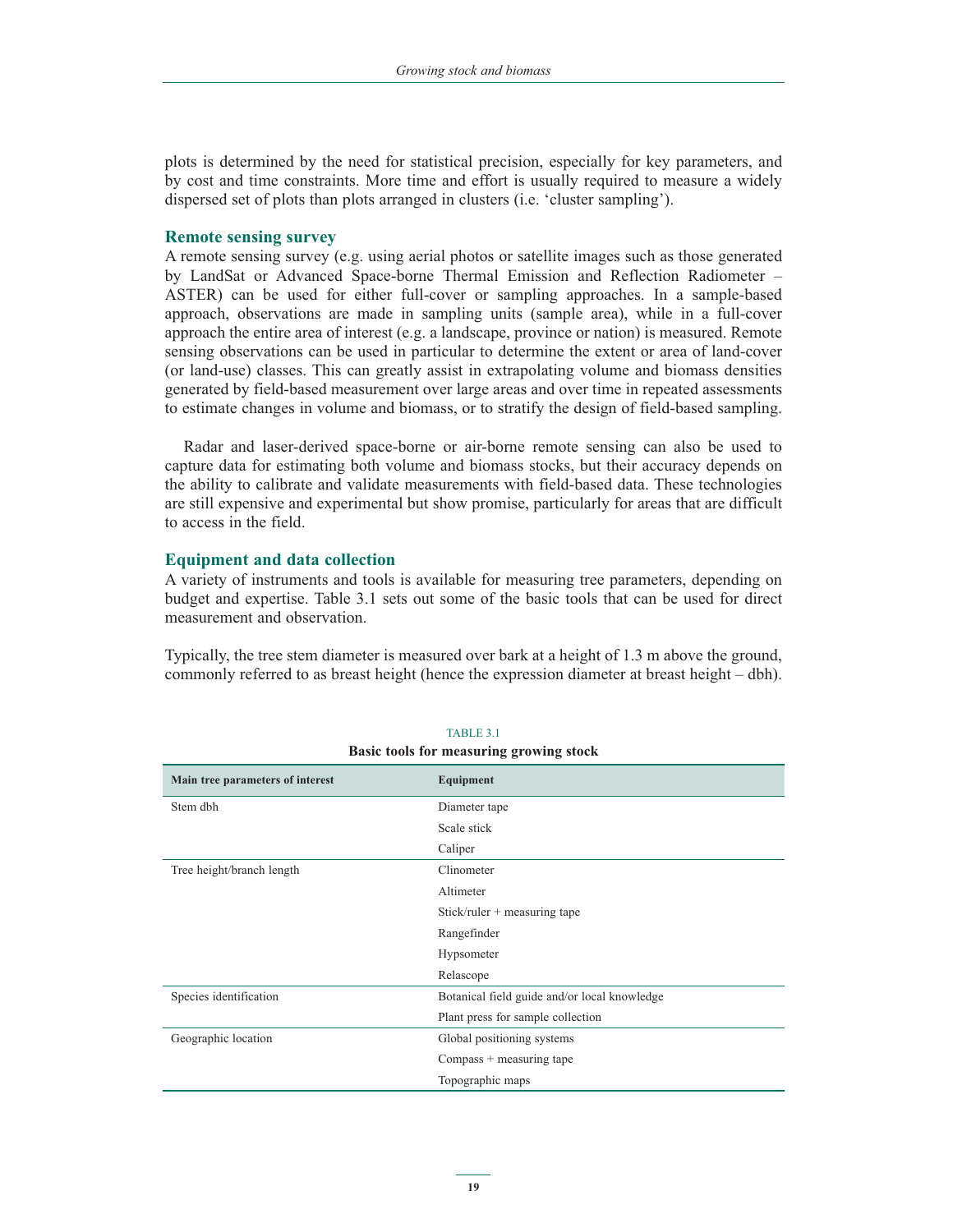plots is determined by the need for statistical precision, especially for key parameters, and by cost and time constraints. More time and effort is usually required to measure a widely dispersed set of plots than plots arranged in clusters (i.e. 'cluster sampling').

#### **Remote sensing survey**

A remote sensing survey (e.g. using aerial photos or satellite images such as those generated by LandSat or Advanced Space-borne Thermal Emission and Reflection Radiometer – ASTER) can be used for either full-cover or sampling approaches. In a sample-based approach, observations are made in sampling units (sample area), while in a full-cover approach the entire area of interest (e.g. a landscape, province or nation) is measured. Remote sensing observations can be used in particular to determine the extent or area of land-cover (or land-use) classes. This can greatly assist in extrapolating volume and biomass densities generated by field-based measurement over large areas and over time in repeated assessments to estimate changes in volume and biomass, or to stratify the design of field-based sampling.

Radar and laser-derived space-borne or air-borne remote sensing can also be used to capture data for estimating both volume and biomass stocks, but their accuracy depends on the ability to calibrate and validate measurements with field-based data. These technologies are still expensive and experimental but show promise, particularly for areas that are difficult to access in the field.

### **Equipment and data collection**

A variety of instruments and tools is available for measuring tree parameters, depending on budget and expertise. Table 3.1 sets out some of the basic tools that can be used for direct measurement and observation.

Typically, the tree stem diameter is measured over bark at a height of 1.3 m above the ground, commonly referred to as breast height (hence the expression diameter at breast height – dbh).

| <b>Basic tools for measuring growing stock</b> |                                              |  |  |  |
|------------------------------------------------|----------------------------------------------|--|--|--|
| Main tree parameters of interest<br>Equipment  |                                              |  |  |  |
| Stem dbh                                       | Diameter tape                                |  |  |  |
|                                                | Scale stick                                  |  |  |  |
|                                                | Caliper                                      |  |  |  |
| Tree height/branch length                      | Clinometer                                   |  |  |  |
|                                                | Altimeter                                    |  |  |  |
|                                                | Stick/ruler $+$ measuring tape               |  |  |  |
|                                                | Rangefinder                                  |  |  |  |
|                                                | Hypsometer                                   |  |  |  |
|                                                | Relascope                                    |  |  |  |
| Species identification                         | Botanical field guide and/or local knowledge |  |  |  |
|                                                | Plant press for sample collection            |  |  |  |
| Geographic location                            | Global positioning systems                   |  |  |  |
| $Compass + measuring tape$                     |                                              |  |  |  |
|                                                | Topographic maps                             |  |  |  |
|                                                |                                              |  |  |  |

TABLE 3.1 **Basic tools for measuring growing stock**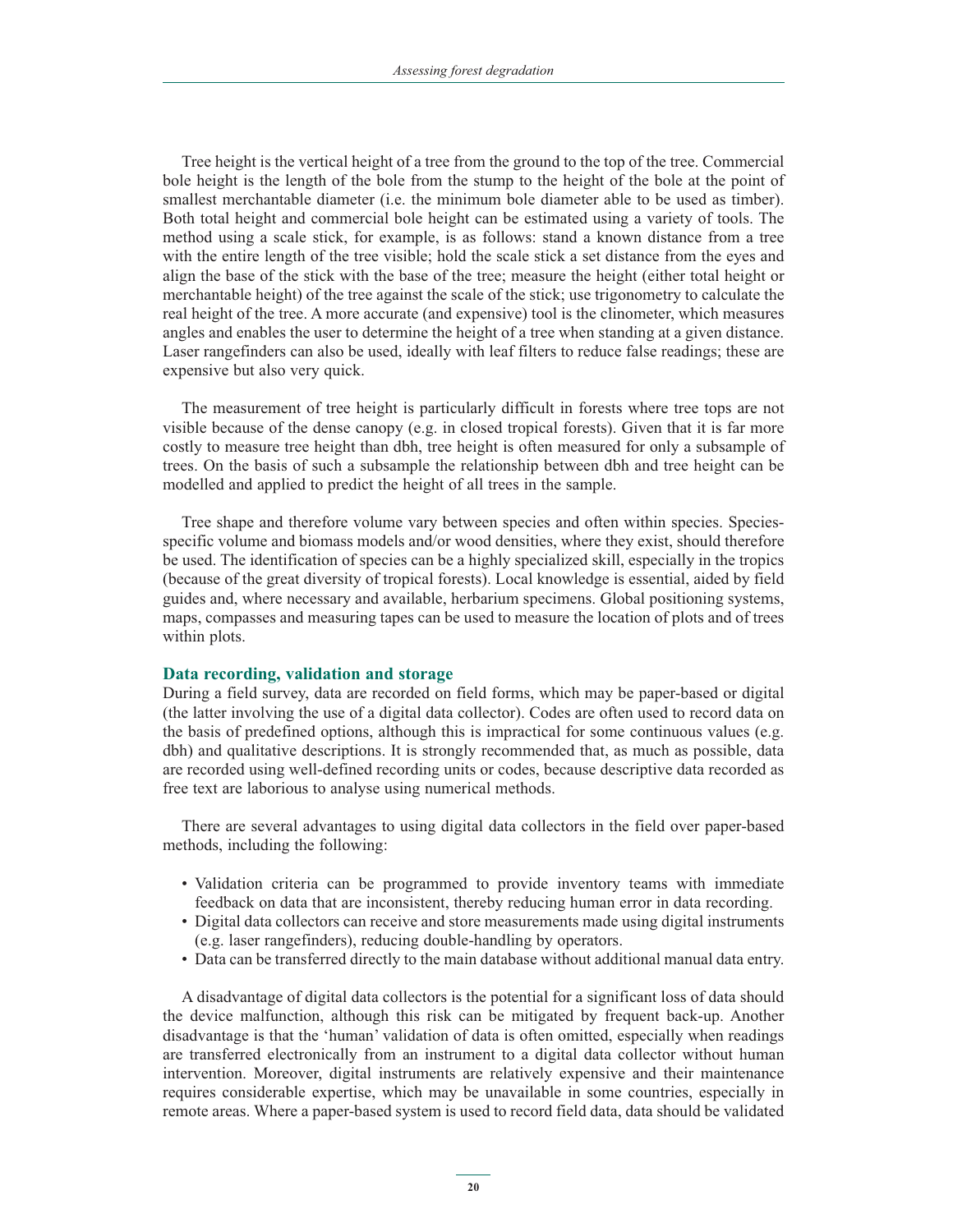Tree height is the vertical height of a tree from the ground to the top of the tree. Commercial bole height is the length of the bole from the stump to the height of the bole at the point of smallest merchantable diameter (i.e. the minimum bole diameter able to be used as timber). Both total height and commercial bole height can be estimated using a variety of tools. The method using a scale stick, for example, is as follows: stand a known distance from a tree with the entire length of the tree visible; hold the scale stick a set distance from the eyes and align the base of the stick with the base of the tree; measure the height (either total height or merchantable height) of the tree against the scale of the stick; use trigonometry to calculate the real height of the tree. A more accurate (and expensive) tool is the clinometer, which measures angles and enables the user to determine the height of a tree when standing at a given distance. Laser rangefinders can also be used, ideally with leaf filters to reduce false readings; these are expensive but also very quick.

The measurement of tree height is particularly difficult in forests where tree tops are not visible because of the dense canopy (e.g. in closed tropical forests). Given that it is far more costly to measure tree height than dbh, tree height is often measured for only a subsample of trees. On the basis of such a subsample the relationship between dbh and tree height can be modelled and applied to predict the height of all trees in the sample.

Tree shape and therefore volume vary between species and often within species. Speciesspecific volume and biomass models and/or wood densities, where they exist, should therefore be used. The identification of species can be a highly specialized skill, especially in the tropics (because of the great diversity of tropical forests). Local knowledge is essential, aided by field guides and, where necessary and available, herbarium specimens. Global positioning systems, maps, compasses and measuring tapes can be used to measure the location of plots and of trees within plots.

# **Data recording, validation and storage**

During a field survey, data are recorded on field forms, which may be paper-based or digital (the latter involving the use of a digital data collector). Codes are often used to record data on the basis of predefined options, although this is impractical for some continuous values (e.g. dbh) and qualitative descriptions. It is strongly recommended that, as much as possible, data are recorded using well-defined recording units or codes, because descriptive data recorded as free text are laborious to analyse using numerical methods.

There are several advantages to using digital data collectors in the field over paper-based methods, including the following:

- Validation criteria can be programmed to provide inventory teams with immediate feedback on data that are inconsistent, thereby reducing human error in data recording.
- Digital data collectors can receive and store measurements made using digital instruments (e.g. laser rangefinders), reducing double-handling by operators.
- Data can be transferred directly to the main database without additional manual data entry.

A disadvantage of digital data collectors is the potential for a significant loss of data should the device malfunction, although this risk can be mitigated by frequent back-up. Another disadvantage is that the 'human' validation of data is often omitted, especially when readings are transferred electronically from an instrument to a digital data collector without human intervention. Moreover, digital instruments are relatively expensive and their maintenance requires considerable expertise, which may be unavailable in some countries, especially in remote areas. Where a paper-based system is used to record field data, data should be validated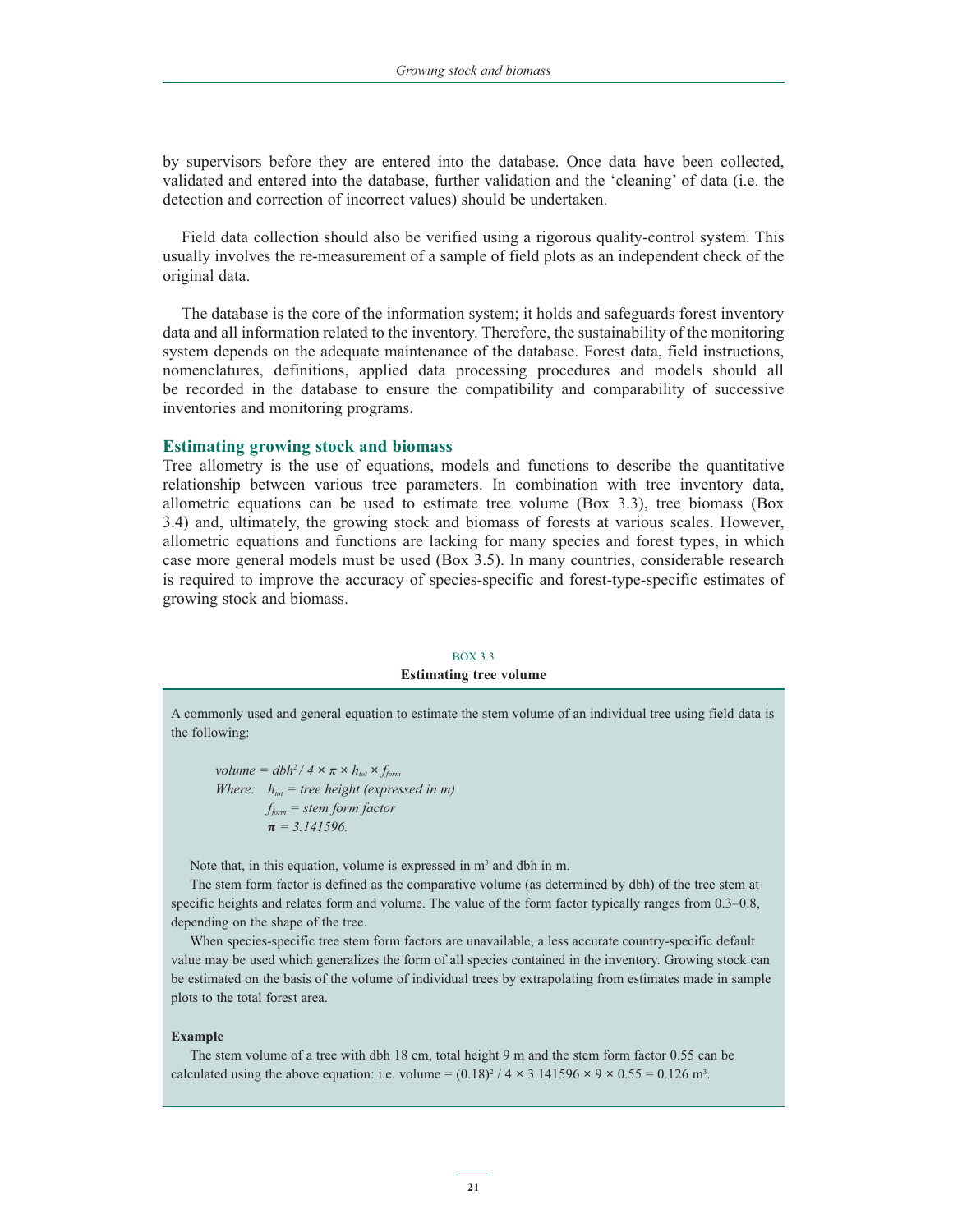by supervisors before they are entered into the database. Once data have been collected, validated and entered into the database, further validation and the 'cleaning' of data (i.e. the detection and correction of incorrect values) should be undertaken.

Field data collection should also be verified using a rigorous quality-control system. This usually involves the re-measurement of a sample of field plots as an independent check of the original data.

The database is the core of the information system; it holds and safeguards forest inventory data and all information related to the inventory. Therefore, the sustainability of the monitoring system depends on the adequate maintenance of the database. Forest data, field instructions, nomenclatures, definitions, applied data processing procedures and models should all be recorded in the database to ensure the compatibility and comparability of successive inventories and monitoring programs.

#### **Estimating growing stock and biomass**

Tree allometry is the use of equations, models and functions to describe the quantitative relationship between various tree parameters. In combination with tree inventory data, allometric equations can be used to estimate tree volume (Box 3.3), tree biomass (Box 3.4) and, ultimately, the growing stock and biomass of forests at various scales. However, allometric equations and functions are lacking for many species and forest types, in which case more general models must be used (Box 3.5). In many countries, considerable research is required to improve the accuracy of species-specific and forest-type-specific estimates of growing stock and biomass.

# BOX 3.3 **Estimating tree volume**

A commonly used and general equation to estimate the stem volume of an individual tree using field data is the following:

*volume = dbh<sup>2</sup> / 4*  $\times \pi \times h_{\text{tot}} \times f_{\text{form}}$ *Where:*  $h_{tot}$  = tree height (expressed in m)  *fform = stem form factor*  $\pi$  $\pi = 3.141596$ .

Note that, in this equation, volume is expressed in m<sup>3</sup> and dbh in m.

The stem form factor is defined as the comparative volume (as determined by dbh) of the tree stem at specific heights and relates form and volume. The value of the form factor typically ranges from 0.3–0.8, depending on the shape of the tree.

When species-specific tree stem form factors are unavailable, a less accurate country-specific default value may be used which generalizes the form of all species contained in the inventory. Growing stock can be estimated on the basis of the volume of individual trees by extrapolating from estimates made in sample plots to the total forest area.

#### **Example**

The stem volume of a tree with dbh 18 cm, total height 9 m and the stem form factor 0.55 can be calculated using the above equation: i.e. volume =  $(0.18)^2 / 4 \times 3.141596 \times 9 \times 0.55 = 0.126$  m<sup>3</sup>.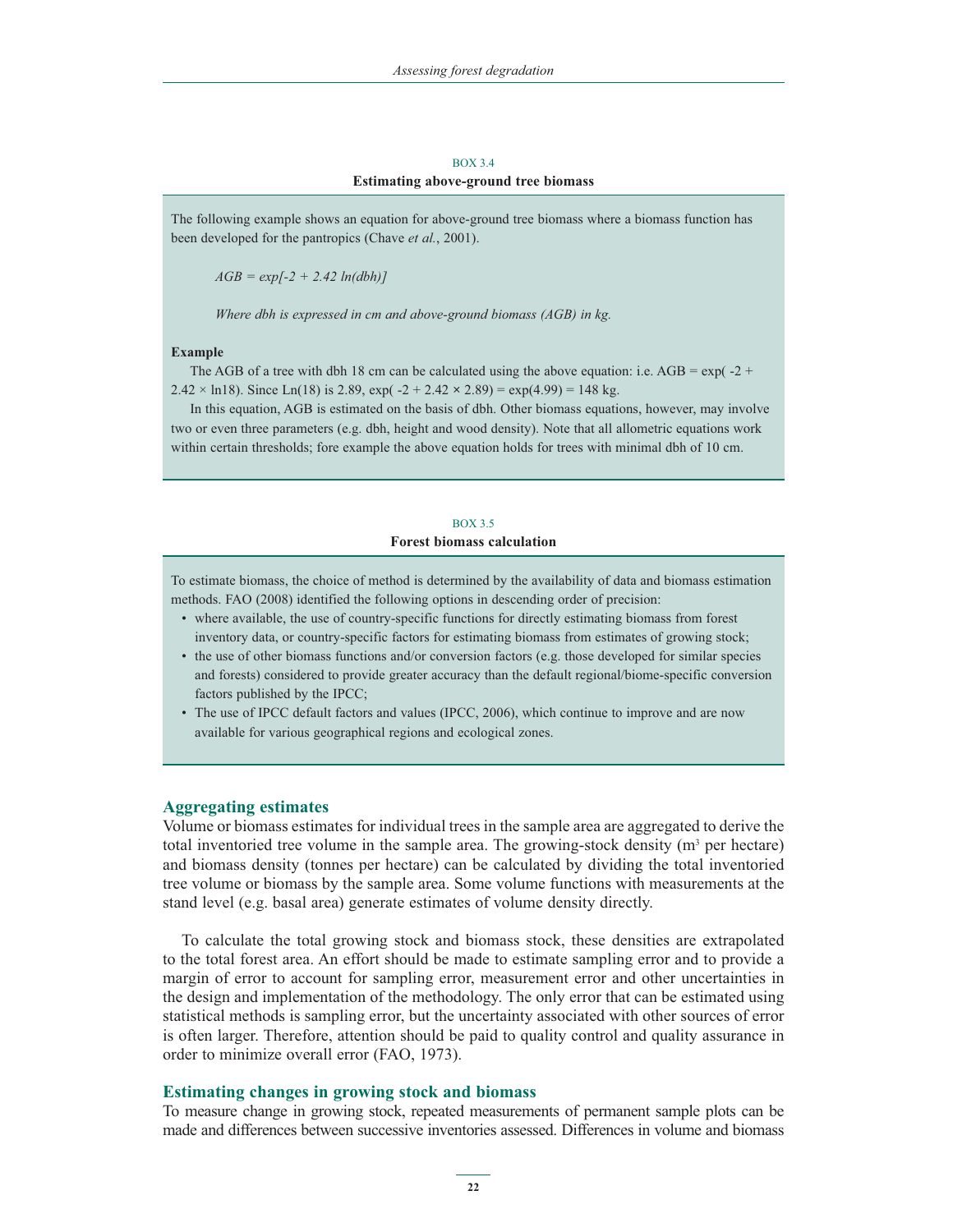### BOX 3.4 **Estimating above-ground tree biomass**

The following example shows an equation for above-ground tree biomass where a biomass function has been developed for the pantropics (Chave *et al.*, 2001).

 *AGB = exp[-2 + 2.42 ln(dbh)]* 

 *Where dbh is expressed in cm and above-ground biomass (AGB) in kg.*

#### **Example**

The AGB of a tree with dbh 18 cm can be calculated using the above equation: i.e. AGB =  $\exp(-2 + \frac{1}{2})$ 2.42  $\times$  ln18). Since Ln(18) is 2.89, exp( -2 + 2.42  $\times$  2.89) = exp(4.99) = 148 kg.

In this equation, AGB is estimated on the basis of dbh. Other biomass equations, however, may involve two or even three parameters (e.g. dbh, height and wood density). Note that all allometric equations work within certain thresholds; fore example the above equation holds for trees with minimal dbh of 10 cm.

# BOX 3.5 **Forest biomass calculation**

To estimate biomass, the choice of method is determined by the availability of data and biomass estimation methods. FAO (2008) identified the following options in descending order of precision:

- where available, the use of country-specific functions for directly estimating biomass from forest inventory data, or country-specific factors for estimating biomass from estimates of growing stock;
- the use of other biomass functions and/or conversion factors (e.g. those developed for similar species and forests) considered to provide greater accuracy than the default regional/biome-specific conversion factors published by the IPCC;
- The use of IPCC default factors and values (IPCC, 2006), which continue to improve and are now available for various geographical regions and ecological zones.

#### **Aggregating estimates**

Volume or biomass estimates for individual trees in the sample area are aggregated to derive the total inventoried tree volume in the sample area. The growing-stock density  $(m^3$  per hectare) and biomass density (tonnes per hectare) can be calculated by dividing the total inventoried tree volume or biomass by the sample area. Some volume functions with measurements at the stand level (e.g. basal area) generate estimates of volume density directly.

To calculate the total growing stock and biomass stock, these densities are extrapolated to the total forest area. An effort should be made to estimate sampling error and to provide a margin of error to account for sampling error, measurement error and other uncertainties in the design and implementation of the methodology. The only error that can be estimated using statistical methods is sampling error, but the uncertainty associated with other sources of error is often larger. Therefore, attention should be paid to quality control and quality assurance in order to minimize overall error (FAO, 1973).

#### **Estimating changes in growing stock and biomass**

To measure change in growing stock, repeated measurements of permanent sample plots can be made and differences between successive inventories assessed. Differences in volume and biomass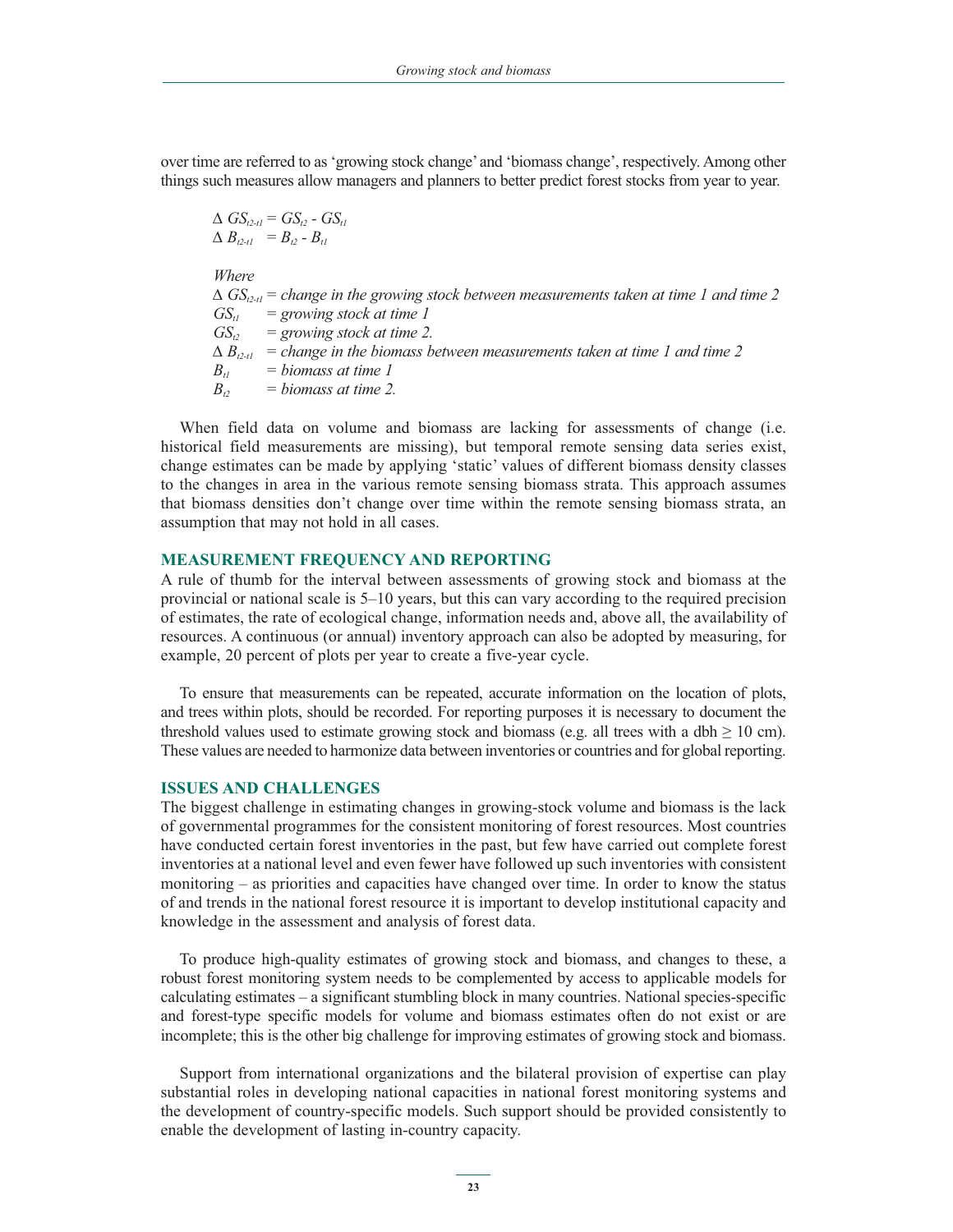over time are referred to as 'growing stock change' and 'biomass change', respectively. Among other things such measures allow managers and planners to better predict forest stocks from year to year.

 $\Delta$  *GS*<sub>t2-t1</sub> = *GS*<sub>t2</sub> - *GS*<sub>t1</sub>  $\Delta B_{t2-t1} = B_{t2} - B_{t1}$  *Where*  $\Delta$   $GS_{t2-t1}$  = change in the growing stock between measurements taken at time 1 and time 2  $GS_{t1}$  = growing stock at time 1  $GS_{i2}$  = growing stock at time 2.  $\Delta B_{t2-t1}$  = change in the biomass between measurements taken at time 1 and time 2  $B_{ij} = binmass$  *at time 1*  $B_{t2}$  = biomass at time 2.

When field data on volume and biomass are lacking for assessments of change (i.e. historical field measurements are missing), but temporal remote sensing data series exist, change estimates can be made by applying 'static' values of different biomass density classes to the changes in area in the various remote sensing biomass strata. This approach assumes that biomass densities don't change over time within the remote sensing biomass strata, an assumption that may not hold in all cases.

### **MEASUREMENT FREQUENCY AND REPORTING**

A rule of thumb for the interval between assessments of growing stock and biomass at the provincial or national scale is 5–10 years, but this can vary according to the required precision of estimates, the rate of ecological change, information needs and, above all, the availability of resources. A continuous (or annual) inventory approach can also be adopted by measuring, for example, 20 percent of plots per year to create a five-year cycle.

To ensure that measurements can be repeated, accurate information on the location of plots, and trees within plots, should be recorded. For reporting purposes it is necessary to document the threshold values used to estimate growing stock and biomass (e.g. all trees with a dbh  $\geq 10$  cm). These values are needed to harmonize data between inventories or countries and for global reporting.

## **ISSUES AND CHALLENGES**

The biggest challenge in estimating changes in growing-stock volume and biomass is the lack of governmental programmes for the consistent monitoring of forest resources. Most countries have conducted certain forest inventories in the past, but few have carried out complete forest inventories at a national level and even fewer have followed up such inventories with consistent monitoring – as priorities and capacities have changed over time. In order to know the status of and trends in the national forest resource it is important to develop institutional capacity and knowledge in the assessment and analysis of forest data.

To produce high-quality estimates of growing stock and biomass, and changes to these, a robust forest monitoring system needs to be complemented by access to applicable models for calculating estimates – a significant stumbling block in many countries. National species-specific and forest-type specific models for volume and biomass estimates often do not exist or are incomplete; this is the other big challenge for improving estimates of growing stock and biomass.

Support from international organizations and the bilateral provision of expertise can play substantial roles in developing national capacities in national forest monitoring systems and the development of country-specific models. Such support should be provided consistently to enable the development of lasting in-country capacity.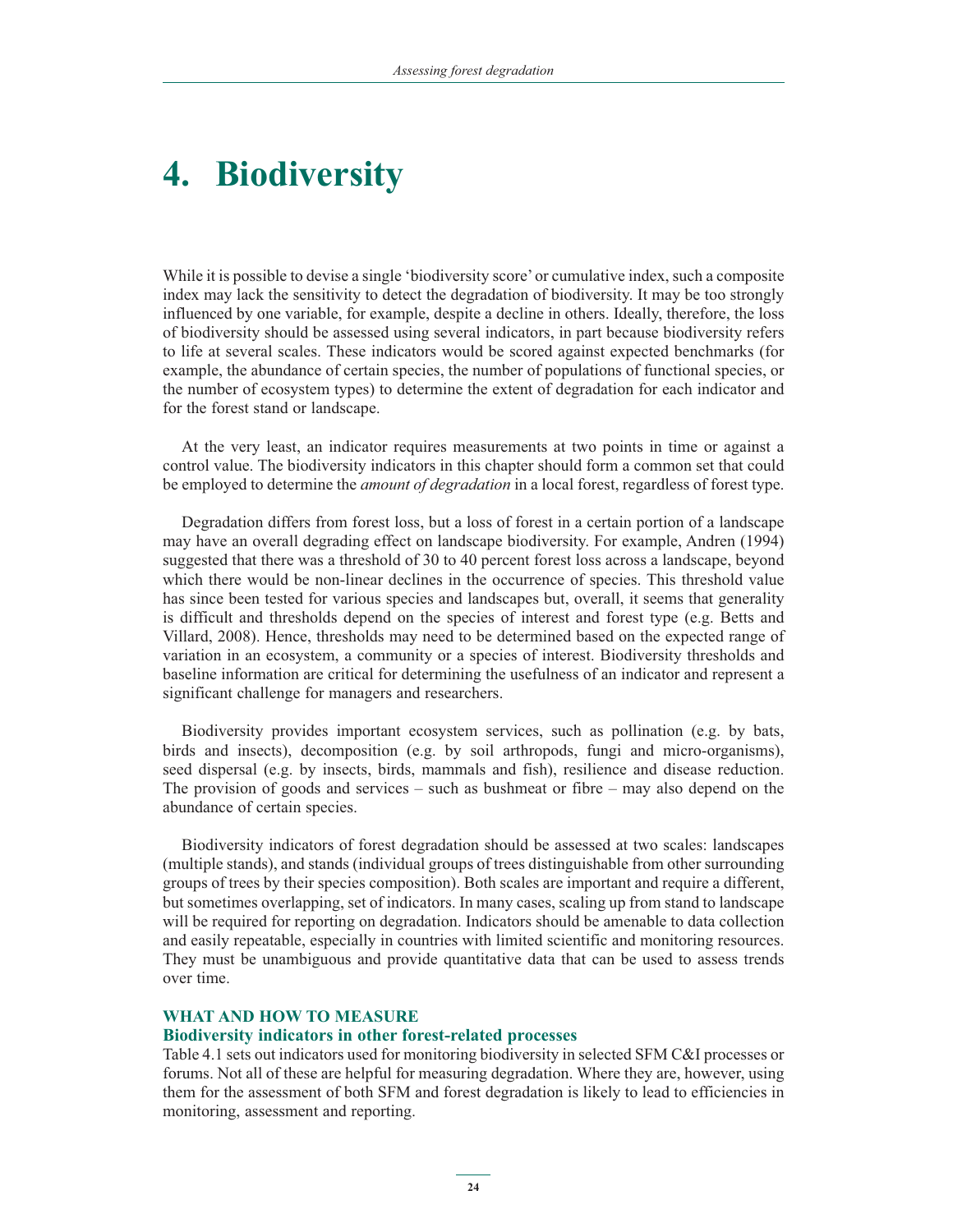# **4. Biodiversity**

While it is possible to devise a single 'biodiversity score' or cumulative index, such a composite index may lack the sensitivity to detect the degradation of biodiversity. It may be too strongly influenced by one variable, for example, despite a decline in others. Ideally, therefore, the loss of biodiversity should be assessed using several indicators, in part because biodiversity refers to life at several scales. These indicators would be scored against expected benchmarks (for example, the abundance of certain species, the number of populations of functional species, or the number of ecosystem types) to determine the extent of degradation for each indicator and for the forest stand or landscape.

At the very least, an indicator requires measurements at two points in time or against a control value. The biodiversity indicators in this chapter should form a common set that could be employed to determine the *amount of degradation* in a local forest, regardless of forest type.

Degradation differs from forest loss, but a loss of forest in a certain portion of a landscape may have an overall degrading effect on landscape biodiversity. For example, Andren (1994) suggested that there was a threshold of 30 to 40 percent forest loss across a landscape, beyond which there would be non-linear declines in the occurrence of species. This threshold value has since been tested for various species and landscapes but, overall, it seems that generality is difficult and thresholds depend on the species of interest and forest type (e.g. Betts and Villard, 2008). Hence, thresholds may need to be determined based on the expected range of variation in an ecosystem, a community or a species of interest. Biodiversity thresholds and baseline information are critical for determining the usefulness of an indicator and represent a significant challenge for managers and researchers.

Biodiversity provides important ecosystem services, such as pollination (e.g. by bats, birds and insects), decomposition (e.g. by soil arthropods, fungi and micro-organisms), seed dispersal (e.g. by insects, birds, mammals and fish), resilience and disease reduction. The provision of goods and services – such as bushmeat or fibre – may also depend on the abundance of certain species.

Biodiversity indicators of forest degradation should be assessed at two scales: landscapes (multiple stands), and stands (individual groups of trees distinguishable from other surrounding groups of trees by their species composition). Both scales are important and require a different, but sometimes overlapping, set of indicators. In many cases, scaling up from stand to landscape will be required for reporting on degradation. Indicators should be amenable to data collection and easily repeatable, especially in countries with limited scientific and monitoring resources. They must be unambiguous and provide quantitative data that can be used to assess trends over time.

### **WHAT AND HOW TO MEASURE**

## **Biodiversity indicators in other forest-related processes**

Table 4.1 sets out indicators used for monitoring biodiversity in selected SFM C&I processes or forums. Not all of these are helpful for measuring degradation. Where they are, however, using them for the assessment of both SFM and forest degradation is likely to lead to efficiencies in monitoring, assessment and reporting.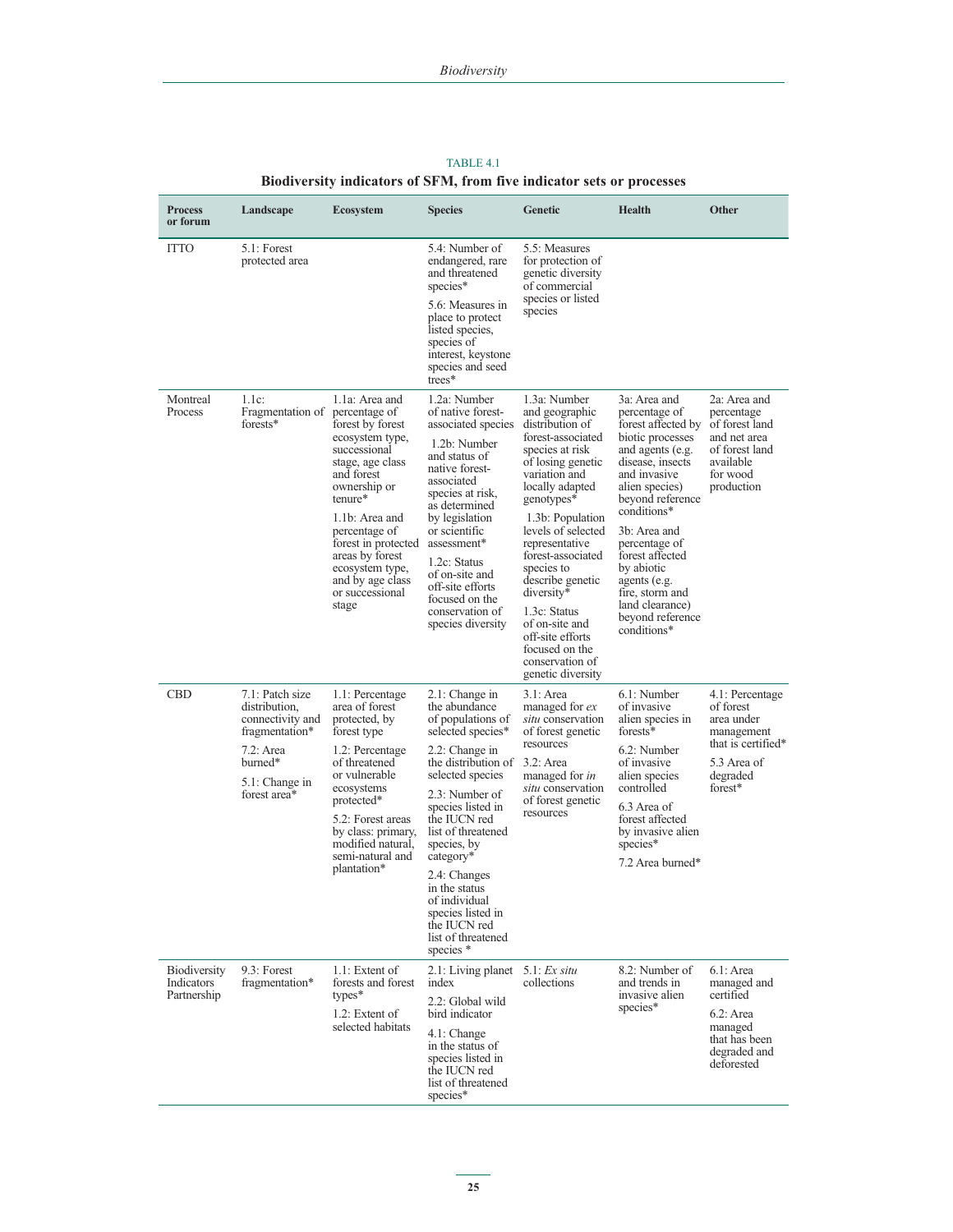| <b>Process</b><br>or forum                       | Landscape                                                                                                                        | <b>Ecosystem</b>                                                                                                                                                                                                                                                                   | <b>Species</b>                                                                                                                                                                                                                                                                                                                                                                      | Genetic                                                                                                                                                                                                                                                                                                                                                                                                           | Health                                                                                                                                                                                                                                                                                                                                          | Other                                                                                                                 |
|--------------------------------------------------|----------------------------------------------------------------------------------------------------------------------------------|------------------------------------------------------------------------------------------------------------------------------------------------------------------------------------------------------------------------------------------------------------------------------------|-------------------------------------------------------------------------------------------------------------------------------------------------------------------------------------------------------------------------------------------------------------------------------------------------------------------------------------------------------------------------------------|-------------------------------------------------------------------------------------------------------------------------------------------------------------------------------------------------------------------------------------------------------------------------------------------------------------------------------------------------------------------------------------------------------------------|-------------------------------------------------------------------------------------------------------------------------------------------------------------------------------------------------------------------------------------------------------------------------------------------------------------------------------------------------|-----------------------------------------------------------------------------------------------------------------------|
| <b>ITTO</b>                                      | $5.1$ : Forest<br>protected area                                                                                                 |                                                                                                                                                                                                                                                                                    | 5.4: Number of<br>endangered, rare<br>and threatened<br>species*<br>5.6: Measures in<br>place to protect<br>listed species,<br>species of<br>interest, keystone<br>species and seed<br>trees*                                                                                                                                                                                       | 5.5: Measures<br>for protection of<br>genetic diversity<br>of commercial<br>species or listed<br>species                                                                                                                                                                                                                                                                                                          |                                                                                                                                                                                                                                                                                                                                                 |                                                                                                                       |
| Montreal<br>Process                              | $1.1c$ :<br>Fragmentation of percentage of<br>forests*                                                                           | 1.1a: Area and<br>forest by forest<br>ecosystem type,<br>successional<br>stage, age class<br>and forest<br>ownership or<br>tenure*<br>1.1b: Area and<br>percentage of<br>forest in protected<br>areas by forest<br>ecosystem type,<br>and by age class<br>or successional<br>stage | 1.2a: Number<br>of native forest-<br>associated species<br>1.2b: Number<br>and status of<br>native forest-<br>associated<br>species at risk.<br>as determined<br>by legislation<br>or scientific<br>assessment*<br>1.2c: Status<br>of on-site and<br>off-site efforts<br>focused on the<br>conservation of<br>species diversity                                                     | 1.3a: Number<br>and geographic<br>distribution of<br>forest-associated<br>species at risk<br>of losing genetic<br>variation and<br>locally adapted<br>genotypes*<br>1.3b: Population<br>levels of selected<br>representative<br>forest-associated<br>species to<br>describe genetic<br>diversity*<br>1.3c: Status<br>of on-site and<br>off-site efforts<br>focused on the<br>conservation of<br>genetic diversity | 3a: Area and<br>percentage of<br>forest affected by<br>biotic processes<br>and agents (e.g.<br>disease, insects<br>and invasive<br>alien species)<br>beyond reference<br>conditions*<br>3b: Area and<br>percentage of<br>forest affected<br>by abiotic<br>agents (e.g.<br>fire, storm and<br>land clearance)<br>beyond reference<br>conditions* | 2a: Area and<br>percentage<br>of forest land<br>and net area<br>of forest land<br>available<br>for wood<br>production |
| CBD                                              | 7.1: Patch size<br>distribution,<br>connectivity and<br>fragmentation*<br>7.2: Area<br>burned*<br>5.1: Change in<br>forest area* | 1.1: Percentage<br>area of forest<br>protected, by<br>forest type<br>1.2: Percentage<br>of threatened<br>or vulnerable<br>ecosystems<br>protected*<br>5.2: Forest areas<br>by class: primary,<br>modified natural,<br>semi-natural and<br>plantation*                              | 2.1: Change in<br>the abundance<br>of populations of<br>selected species*<br>2.2: Change in<br>the distribution of 3.2: Area<br>selected species<br>2.3: Number of<br>species listed in<br>the IUCN red<br>list of threatened<br>species, by<br>category*<br>2.4: Changes<br>in the status<br>of individual<br>species listed in<br>the IUCN red<br>list of threatened<br>species * | 3.1: Area<br>managed for ex<br>situ conservation<br>of forest genetic<br>resources<br>managed for <i>in</i><br>situ conservation<br>of forest genetic<br>resources                                                                                                                                                                                                                                                | 6.1: Number<br>of invasive<br>alien species in<br>forests*<br>6.2: Number<br>of invasive<br>alien species<br>controlled<br>6.3 Area of<br>forest affected<br>by invasive alien<br>species*<br>7.2 Area burned*                                                                                                                                  | 4.1: Percentage<br>of forest<br>area under<br>management<br>that is certified*<br>5.3 Area of<br>degraded<br>forest*  |
| <b>Biodiversity</b><br>Indicators<br>Partnership | 9.3: Forest<br>fragmentation*                                                                                                    | $1.1$ : Extent of<br>forests and forest<br>$types*$<br>1.2: Extent of<br>selected habitats                                                                                                                                                                                         | 2.1: Living planet $5.1$ : Ex situ<br>index<br>2.2: Global wild<br>bird indicator<br>4.1: Change<br>in the status of<br>species listed in<br>the IUCN red<br>list of threatened<br>species*                                                                                                                                                                                         | collections                                                                                                                                                                                                                                                                                                                                                                                                       | 8.2: Number of<br>and trends in<br>invasive alien<br>species*                                                                                                                                                                                                                                                                                   | $6.1:$ Area<br>managed and<br>certified<br>$6.2$ : Area<br>managed<br>that has been<br>degraded and<br>deforested     |

# TABLE 4.1 **Biodiversity indicators of SFM, from five indicator sets or processes**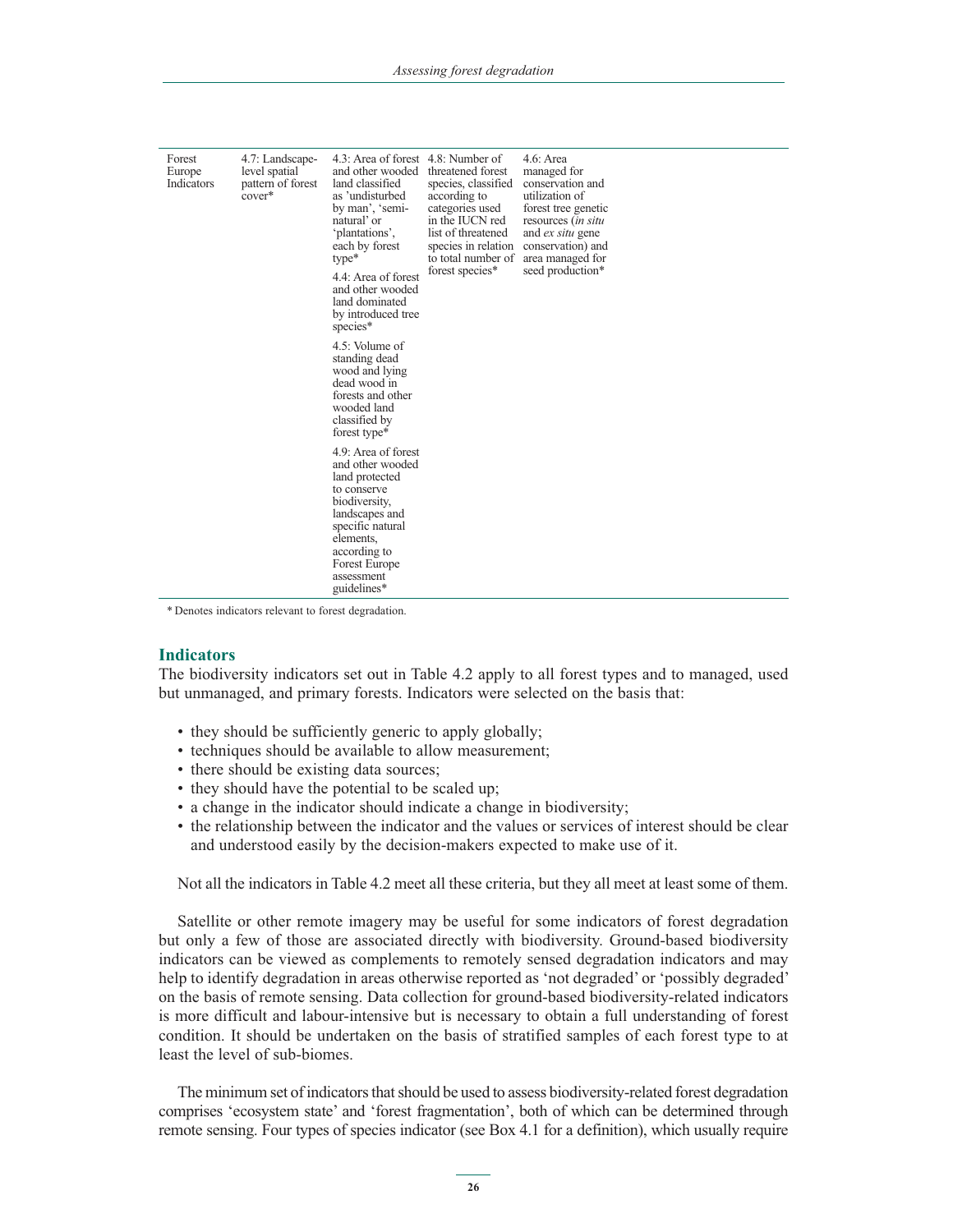| Forest<br>Europe<br>Indicators | 4.7: Landscape-<br>level spatial<br>pattern of forest<br>cover* | 4.3: Area of forest 4.8: Number of<br>and other wooded<br>land classified<br>as 'undisturbed<br>by man', 'semi-<br>natural' or<br>'plantations',<br>each by forest<br>$type*$<br>4.4: Area of forest<br>and other wooded<br>land dominated<br>by introduced tree<br>species* | threatened forest<br>species, classified<br>according to<br>categories used<br>in the IUCN red<br>list of threatened<br>species in relation<br>to total number of<br>forest species* | $4.6:$ Area<br>managed for<br>conservation and<br>utilization of<br>forest tree genetic<br>resources <i>(in situ</i><br>and <i>ex situ</i> gene<br>conservation) and<br>area managed for<br>seed production* |  |
|--------------------------------|-----------------------------------------------------------------|------------------------------------------------------------------------------------------------------------------------------------------------------------------------------------------------------------------------------------------------------------------------------|--------------------------------------------------------------------------------------------------------------------------------------------------------------------------------------|--------------------------------------------------------------------------------------------------------------------------------------------------------------------------------------------------------------|--|
|                                |                                                                 | 4.5: Volume of<br>standing dead<br>wood and lying<br>dead wood in<br>forests and other<br>wooded land<br>classified by<br>forest type*                                                                                                                                       |                                                                                                                                                                                      |                                                                                                                                                                                                              |  |
|                                |                                                                 | 4.9: Area of forest<br>and other wooded<br>land protected<br>to conserve<br>biodiversity,<br>landscapes and<br>specific natural<br>elements,<br>according to<br>Forest Europe<br>assessment<br>guidelines*                                                                   |                                                                                                                                                                                      |                                                                                                                                                                                                              |  |

\* Denotes indicators relevant to forest degradation.

#### **Indicators**

The biodiversity indicators set out in Table 4.2 apply to all forest types and to managed, used but unmanaged, and primary forests. Indicators were selected on the basis that:

- they should be sufficiently generic to apply globally;
- techniques should be available to allow measurement;
- there should be existing data sources;
- they should have the potential to be scaled up;
- a change in the indicator should indicate a change in biodiversity;
- the relationship between the indicator and the values or services of interest should be clear and understood easily by the decision-makers expected to make use of it.

Not all the indicators in Table 4.2 meet all these criteria, but they all meet at least some of them.

Satellite or other remote imagery may be useful for some indicators of forest degradation but only a few of those are associated directly with biodiversity. Ground-based biodiversity indicators can be viewed as complements to remotely sensed degradation indicators and may help to identify degradation in areas otherwise reported as 'not degraded' or 'possibly degraded' on the basis of remote sensing. Data collection for ground-based biodiversity-related indicators is more difficult and labour-intensive but is necessary to obtain a full understanding of forest condition. It should be undertaken on the basis of stratified samples of each forest type to at least the level of sub-biomes.

The minimum set of indicators that should be used to assess biodiversity-related forest degradation comprises 'ecosystem state' and 'forest fragmentation', both of which can be determined through remote sensing. Four types of species indicator (see Box 4.1 for a definition), which usually require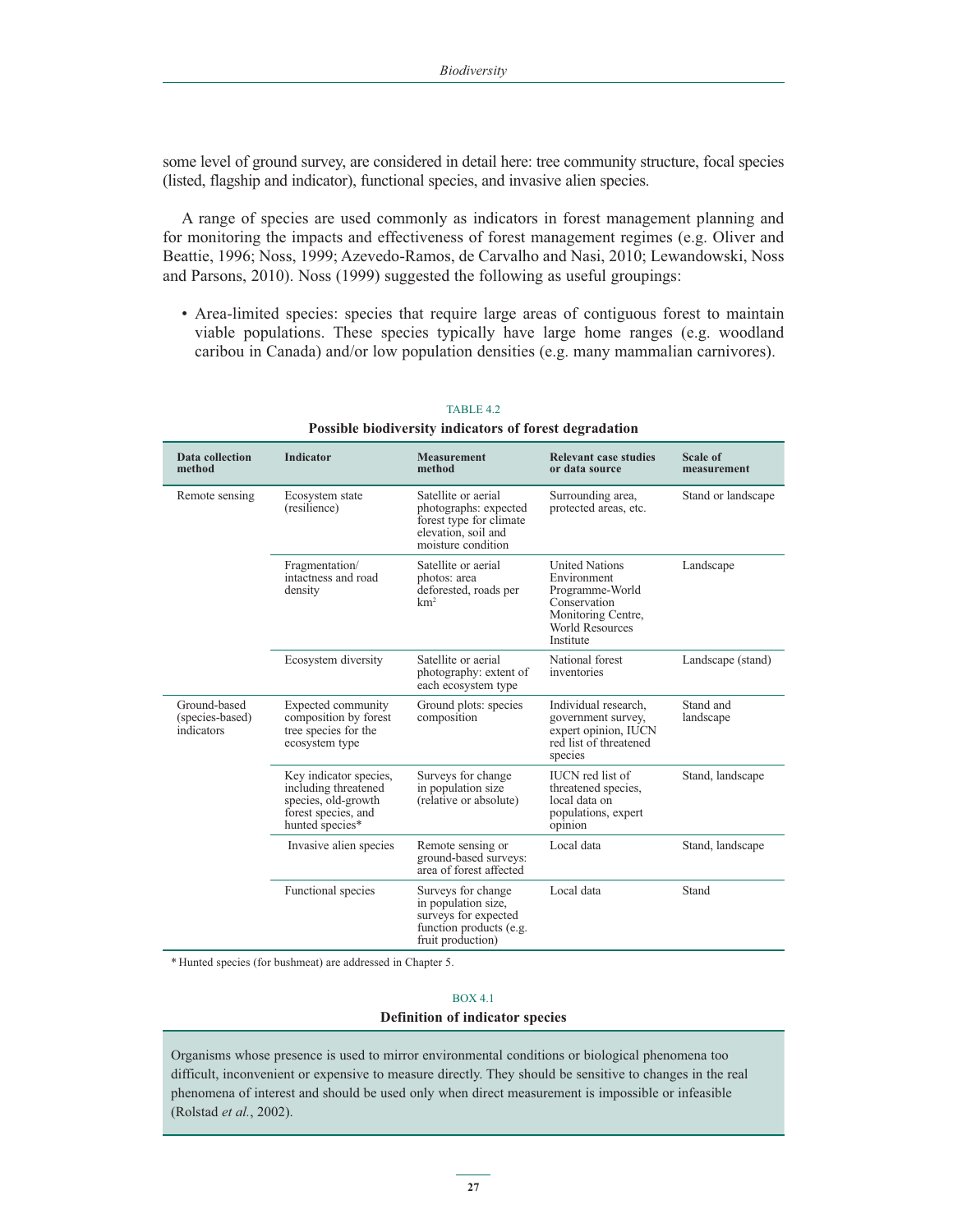some level of ground survey, are considered in detail here: tree community structure, focal species (listed, flagship and indicator), functional species, and invasive alien species.

A range of species are used commonly as indicators in forest management planning and for monitoring the impacts and effectiveness of forest management regimes (e.g. Oliver and Beattie, 1996; Noss, 1999; Azevedo-Ramos, de Carvalho and Nasi, 2010; Lewandowski, Noss and Parsons, 2010). Noss (1999) suggested the following as useful groupings:

- Area-limited species: species that require large areas of contiguous forest to maintain viable populations. These species typically have large home ranges (e.g. woodland caribou in Canada) and/or low population densities (e.g. many mammalian carnivores).

| Data collection<br>method                     | <b>Indicator</b>                                                                                                | <b>Measurement</b><br>method                                                                                         | <b>Relevant case studies</b><br>or data source                                                                                | Scale of<br>measurement |
|-----------------------------------------------|-----------------------------------------------------------------------------------------------------------------|----------------------------------------------------------------------------------------------------------------------|-------------------------------------------------------------------------------------------------------------------------------|-------------------------|
| Remote sensing                                | Ecosystem state<br>(resilience)                                                                                 | Satellite or aerial<br>photographs: expected<br>forest type for climate<br>elevation, soil and<br>moisture condition | Surrounding area,<br>protected areas, etc.                                                                                    | Stand or landscape      |
|                                               | Fragmentation/<br>intactness and road<br>density                                                                | Satellite or aerial<br>photos: area<br>deforested, roads per<br>km <sup>2</sup>                                      | <b>United Nations</b><br>Environment<br>Programme-World<br>Conservation<br>Monitoring Centre,<br>World Resources<br>Institute | Landscape               |
|                                               | Ecosystem diversity                                                                                             | Satellite or aerial<br>photography: extent of<br>each ecosystem type                                                 | National forest<br>inventories                                                                                                | Landscape (stand)       |
| Ground-based<br>(species-based)<br>indicators | Expected community<br>composition by forest<br>tree species for the<br>ecosystem type                           | Ground plots: species<br>composition                                                                                 | Individual research.<br>government survey,<br>expert opinion, IUCN<br>red list of threatened<br>species                       | Stand and<br>landscape  |
|                                               | Key indicator species,<br>including threatened<br>species, old-growth<br>forest species, and<br>hunted species* | Surveys for change<br>in population size<br>(relative or absolute)                                                   | <b>IUCN</b> red list of<br>threatened species.<br>local data on<br>populations, expert<br>opinion                             | Stand, landscape        |
|                                               | Invasive alien species                                                                                          | Remote sensing or<br>ground-based surveys:<br>area of forest affected                                                | Local data                                                                                                                    | Stand, landscape        |
|                                               | Functional species                                                                                              | Surveys for change<br>in population size,<br>surveys for expected<br>function products (e.g.<br>fruit production)    | Local data                                                                                                                    | Stand                   |

#### TABLE 4.2 **Possible biodiversity indicators of forest degradation**

\* Hunted species (for bushmeat) are addressed in Chapter 5.

# BOX 4.1 **Definition of indicator species**

Organisms whose presence is used to mirror environmental conditions or biological phenomena too difficult, inconvenient or expensive to measure directly. They should be sensitive to changes in the real phenomena of interest and should be used only when direct measurement is impossible or infeasible (Rolstad *et al.*, 2002).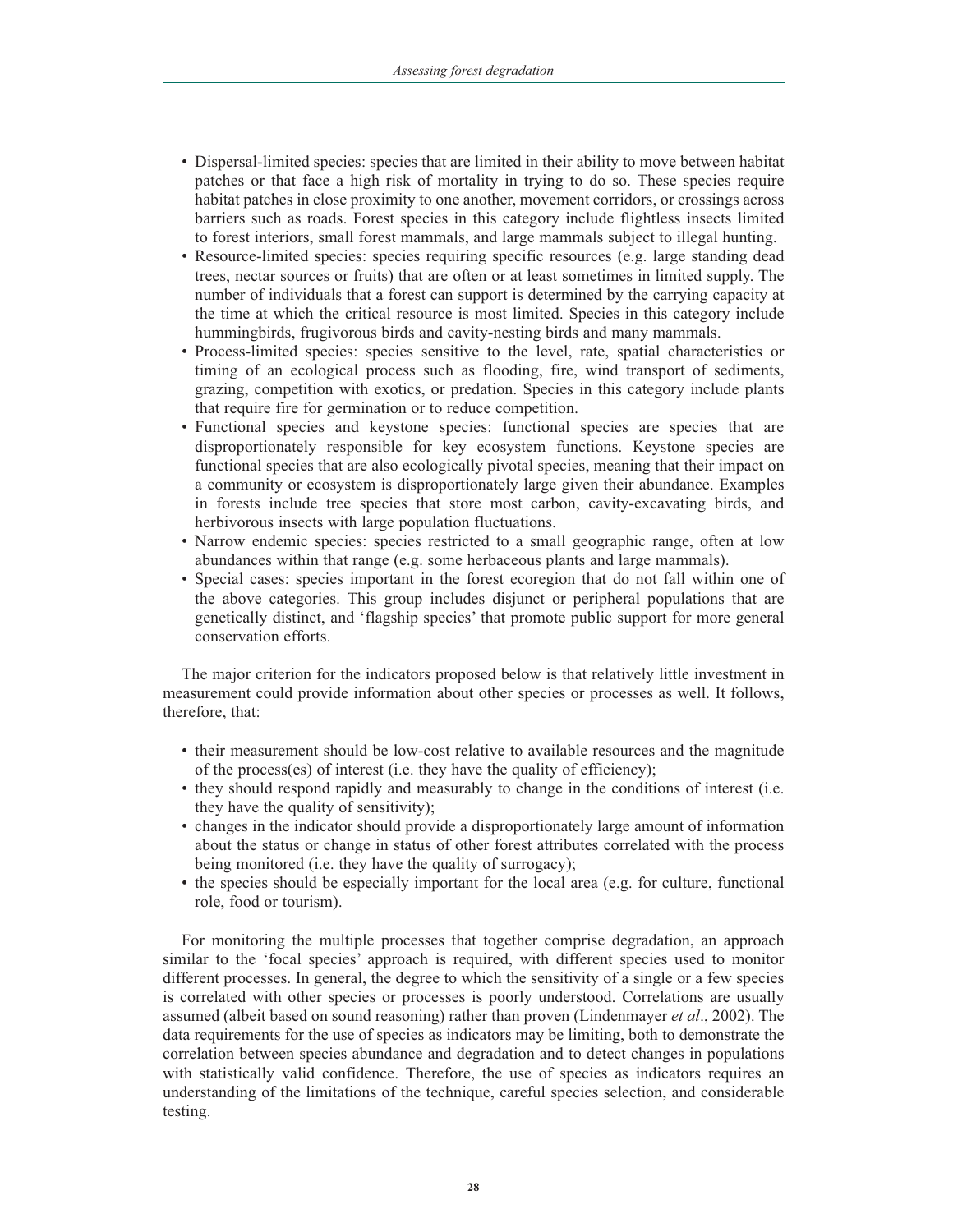- Dispersal-limited species: species that are limited in their ability to move between habitat patches or that face a high risk of mortality in trying to do so. These species require habitat patches in close proximity to one another, movement corridors, or crossings across barriers such as roads. Forest species in this category include flightless insects limited to forest interiors, small forest mammals, and large mammals subject to illegal hunting.
- Resource-limited species: species requiring specific resources (e.g. large standing dead trees, nectar sources or fruits) that are often or at least sometimes in limited supply. The number of individuals that a forest can support is determined by the carrying capacity at the time at which the critical resource is most limited. Species in this category include hummingbirds, frugivorous birds and cavity-nesting birds and many mammals.
- Process-limited species: species sensitive to the level, rate, spatial characteristics or timing of an ecological process such as flooding, fire, wind transport of sediments, grazing, competition with exotics, or predation. Species in this category include plants that require fire for germination or to reduce competition.
- - Functional species and keystone species: functional species are species that are disproportionately responsible for key ecosystem functions. Keystone species are functional species that are also ecologically pivotal species, meaning that their impact on a community or ecosystem is disproportionately large given their abundance. Examples in forests include tree species that store most carbon, cavity-excavating birds, and herbivorous insects with large population fluctuations.
- Narrow endemic species: species restricted to a small geographic range, often at low abundances within that range (e.g. some herbaceous plants and large mammals).
- Special cases: species important in the forest ecoregion that do not fall within one of the above categories. This group includes disjunct or peripheral populations that are genetically distinct, and 'flagship species' that promote public support for more general conservation efforts.

The major criterion for the indicators proposed below is that relatively little investment in measurement could provide information about other species or processes as well. It follows, therefore, that:

- their measurement should be low-cost relative to available resources and the magnitude of the process(es) of interest (i.e. they have the quality of efficiency);
- they should respond rapidly and measurably to change in the conditions of interest (i.e. they have the quality of sensitivity);
- changes in the indicator should provide a disproportionately large amount of information about the status or change in status of other forest attributes correlated with the process being monitored (i.e. they have the quality of surrogacy);
- the species should be especially important for the local area (e.g. for culture, functional role, food or tourism).

For monitoring the multiple processes that together comprise degradation, an approach similar to the 'focal species' approach is required, with different species used to monitor different processes. In general, the degree to which the sensitivity of a single or a few species is correlated with other species or processes is poorly understood. Correlations are usually assumed (albeit based on sound reasoning) rather than proven (Lindenmayer *et al*., 2002). The data requirements for the use of species as indicators may be limiting, both to demonstrate the correlation between species abundance and degradation and to detect changes in populations with statistically valid confidence. Therefore, the use of species as indicators requires an understanding of the limitations of the technique, careful species selection, and considerable testing.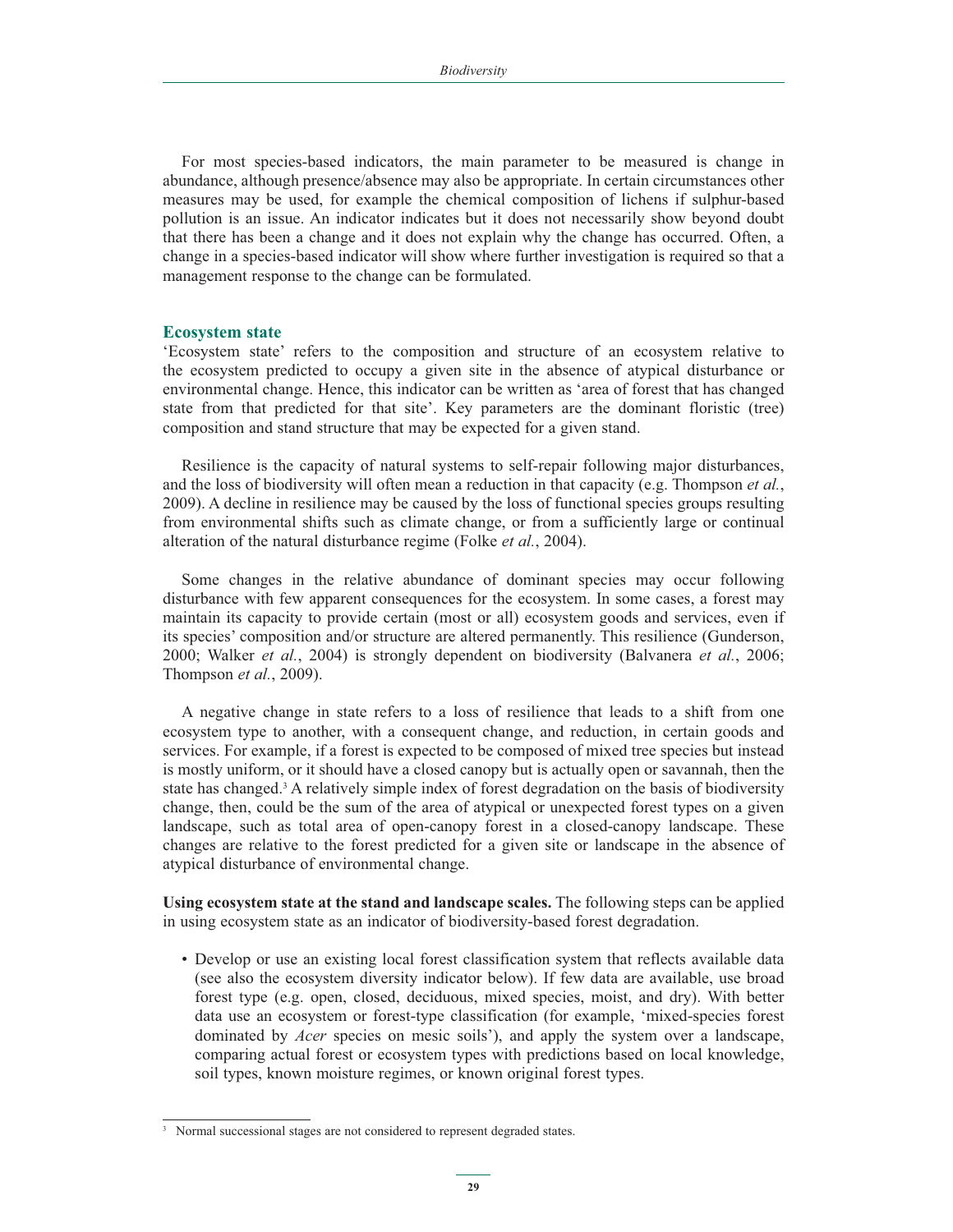For most species-based indicators, the main parameter to be measured is change in abundance, although presence/absence may also be appropriate. In certain circumstances other measures may be used, for example the chemical composition of lichens if sulphur-based pollution is an issue. An indicator indicates but it does not necessarily show beyond doubt that there has been a change and it does not explain why the change has occurred. Often, a change in a species-based indicator will show where further investigation is required so that a management response to the change can be formulated.

#### **Ecosystem state**

'Ecosystem state' refers to the composition and structure of an ecosystem relative to the ecosystem predicted to occupy a given site in the absence of atypical disturbance or environmental change. Hence, this indicator can be written as 'area of forest that has changed state from that predicted for that site'. Key parameters are the dominant floristic (tree) composition and stand structure that may be expected for a given stand.

Resilience is the capacity of natural systems to self-repair following major disturbances, and the loss of biodiversity will often mean a reduction in that capacity (e.g. Thompson *et al.*, 2009). A decline in resilience may be caused by the loss of functional species groups resulting from environmental shifts such as climate change, or from a sufficiently large or continual alteration of the natural disturbance regime (Folke *et al.*, 2004).

Some changes in the relative abundance of dominant species may occur following disturbance with few apparent consequences for the ecosystem. In some cases, a forest may maintain its capacity to provide certain (most or all) ecosystem goods and services, even if its species' composition and/or structure are altered permanently. This resilience (Gunderson, 2000; Walker *et al.*, 2004) is strongly dependent on biodiversity (Balvanera *et al.*, 2006; Thompson *et al.*, 2009).

A negative change in state refers to a loss of resilience that leads to a shift from one ecosystem type to another, with a consequent change, and reduction, in certain goods and services. For example, if a forest is expected to be composed of mixed tree species but instead is mostly uniform, or it should have a closed canopy but is actually open or savannah, then the state has changed.<sup>3</sup> A relatively simple index of forest degradation on the basis of biodiversity change, then, could be the sum of the area of atypical or unexpected forest types on a given landscape, such as total area of open-canopy forest in a closed-canopy landscape. These changes are relative to the forest predicted for a given site or landscape in the absence of atypical disturbance of environmental change.

**Using ecosystem state at the stand and landscape scales.** The following steps can be applied in using ecosystem state as an indicator of biodiversity-based forest degradation.

- Develop or use an existing local forest classification system that reflects available data (see also the ecosystem diversity indicator below). If few data are available, use broad forest type (e.g. open, closed, deciduous, mixed species, moist, and dry). With better data use an ecosystem or forest-type classification (for example, 'mixed-species forest dominated by *Acer* species on mesic soils'), and apply the system over a landscape, comparing actual forest or ecosystem types with predictions based on local knowledge, soil types, known moisture regimes, or known original forest types.

<sup>&</sup>lt;sup>3</sup> Normal successional stages are not considered to represent degraded states.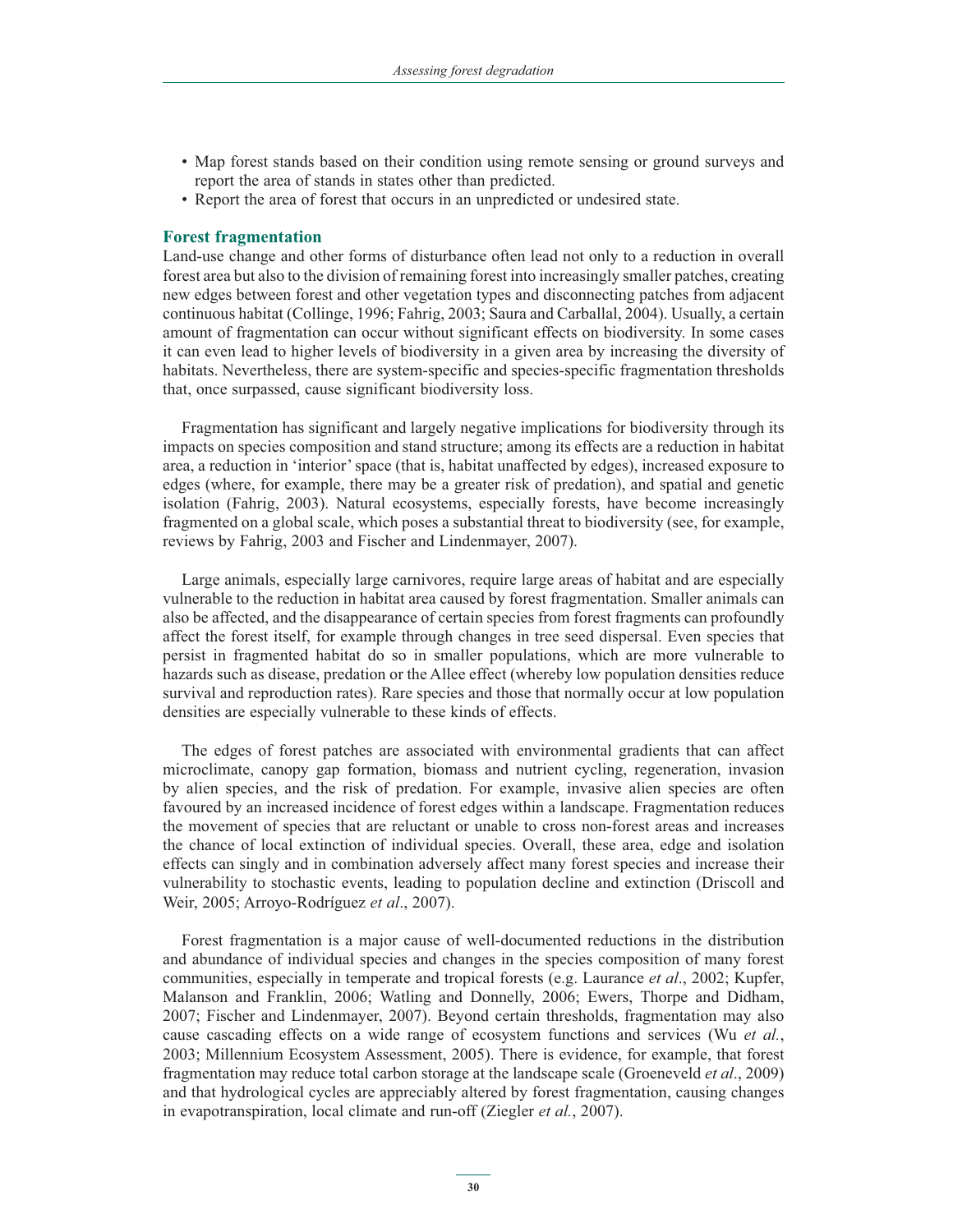- Map forest stands based on their condition using remote sensing or ground surveys and report the area of stands in states other than predicted.
- Report the area of forest that occurs in an unpredicted or undesired state.

#### **Forest fragmentation**

Land-use change and other forms of disturbance often lead not only to a reduction in overall forest area but also to the division of remaining forest into increasingly smaller patches, creating new edges between forest and other vegetation types and disconnecting patches from adjacent continuous habitat (Collinge, 1996; Fahrig, 2003; Saura and Carballal, 2004). Usually, a certain amount of fragmentation can occur without significant effects on biodiversity. In some cases it can even lead to higher levels of biodiversity in a given area by increasing the diversity of habitats. Nevertheless, there are system-specific and species-specific fragmentation thresholds that, once surpassed, cause significant biodiversity loss.

Fragmentation has significant and largely negative implications for biodiversity through its impacts on species composition and stand structure; among its effects are a reduction in habitat area, a reduction in 'interior' space (that is, habitat unaffected by edges), increased exposure to edges (where, for example, there may be a greater risk of predation), and spatial and genetic isolation (Fahrig, 2003). Natural ecosystems, especially forests, have become increasingly fragmented on a global scale, which poses a substantial threat to biodiversity (see, for example, reviews by Fahrig, 2003 and Fischer and Lindenmayer, 2007).

Large animals, especially large carnivores, require large areas of habitat and are especially vulnerable to the reduction in habitat area caused by forest fragmentation. Smaller animals can also be affected, and the disappearance of certain species from forest fragments can profoundly affect the forest itself, for example through changes in tree seed dispersal. Even species that persist in fragmented habitat do so in smaller populations, which are more vulnerable to hazards such as disease, predation or the Allee effect (whereby low population densities reduce survival and reproduction rates). Rare species and those that normally occur at low population densities are especially vulnerable to these kinds of effects.

The edges of forest patches are associated with environmental gradients that can affect microclimate, canopy gap formation, biomass and nutrient cycling, regeneration, invasion by alien species, and the risk of predation. For example, invasive alien species are often favoured by an increased incidence of forest edges within a landscape. Fragmentation reduces the movement of species that are reluctant or unable to cross non-forest areas and increases the chance of local extinction of individual species. Overall, these area, edge and isolation effects can singly and in combination adversely affect many forest species and increase their vulnerability to stochastic events, leading to population decline and extinction (Driscoll and Weir, 2005; Arroyo-Rodríguez *et al*., 2007).

Forest fragmentation is a major cause of well-documented reductions in the distribution and abundance of individual species and changes in the species composition of many forest communities, especially in temperate and tropical forests (e.g. Laurance *et al*., 2002; Kupfer, Malanson and Franklin, 2006; Watling and Donnelly, 2006; Ewers, Thorpe and Didham, 2007; Fischer and Lindenmayer, 2007). Beyond certain thresholds, fragmentation may also cause cascading effects on a wide range of ecosystem functions and services (Wu *et al.*, 2003; Millennium Ecosystem Assessment, 2005). There is evidence, for example, that forest fragmentation may reduce total carbon storage at the landscape scale (Groeneveld *et al*., 2009) and that hydrological cycles are appreciably altered by forest fragmentation, causing changes in evapotranspiration, local climate and run-off (Ziegler *et al.*, 2007).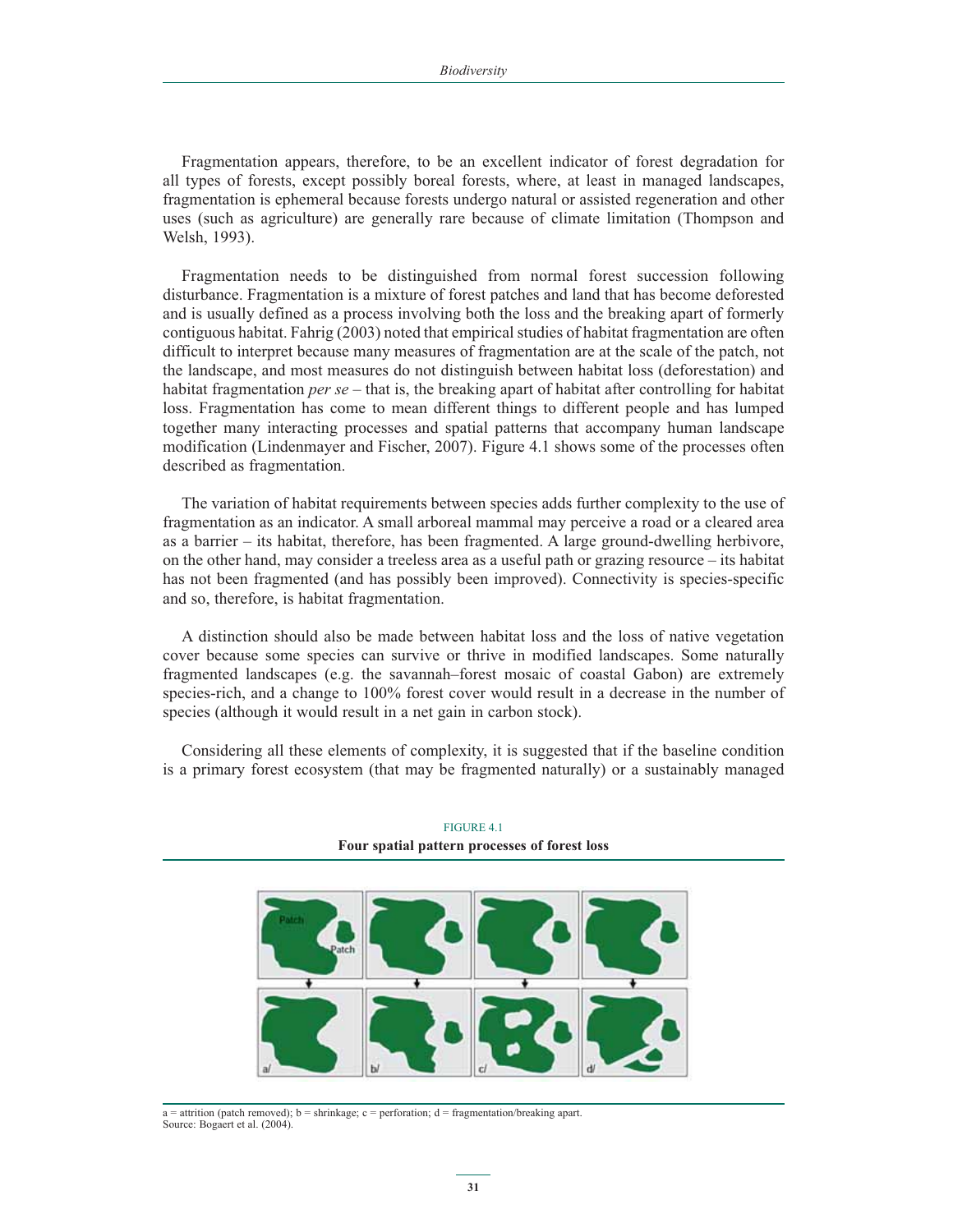Fragmentation appears, therefore, to be an excellent indicator of forest degradation for all types of forests, except possibly boreal forests, where, at least in managed landscapes, fragmentation is ephemeral because forests undergo natural or assisted regeneration and other uses (such as agriculture) are generally rare because of climate limitation (Thompson and Welsh, 1993).

Fragmentation needs to be distinguished from normal forest succession following disturbance. Fragmentation is a mixture of forest patches and land that has become deforested and is usually defined as a process involving both the loss and the breaking apart of formerly contiguous habitat. Fahrig (2003) noted that empirical studies of habitat fragmentation are often difficult to interpret because many measures of fragmentation are at the scale of the patch, not the landscape, and most measures do not distinguish between habitat loss (deforestation) and habitat fragmentation *per se* – that is, the breaking apart of habitat after controlling for habitat loss. Fragmentation has come to mean different things to different people and has lumped together many interacting processes and spatial patterns that accompany human landscape modification (Lindenmayer and Fischer, 2007). Figure 4.1 shows some of the processes often described as fragmentation.

The variation of habitat requirements between species adds further complexity to the use of fragmentation as an indicator. A small arboreal mammal may perceive a road or a cleared area as a barrier – its habitat, therefore, has been fragmented. A large ground-dwelling herbivore, on the other hand, may consider a treeless area as a useful path or grazing resource – its habitat has not been fragmented (and has possibly been improved). Connectivity is species-specific and so, therefore, is habitat fragmentation.

A distinction should also be made between habitat loss and the loss of native vegetation cover because some species can survive or thrive in modified landscapes. Some naturally fragmented landscapes (e.g. the savannah–forest mosaic of coastal Gabon) are extremely species-rich, and a change to 100% forest cover would result in a decrease in the number of species (although it would result in a net gain in carbon stock).

Considering all these elements of complexity, it is suggested that if the baseline condition is a primary forest ecosystem (that may be fragmented naturally) or a sustainably managed



FIGURE 4.1 **Four spatial pattern processes of forest loss**

 $a =$  attrition (patch removed);  $b =$  shrinkage;  $c =$  perforation;  $d =$  fragmentation/breaking apart. Source: Bogaert et al. (2004).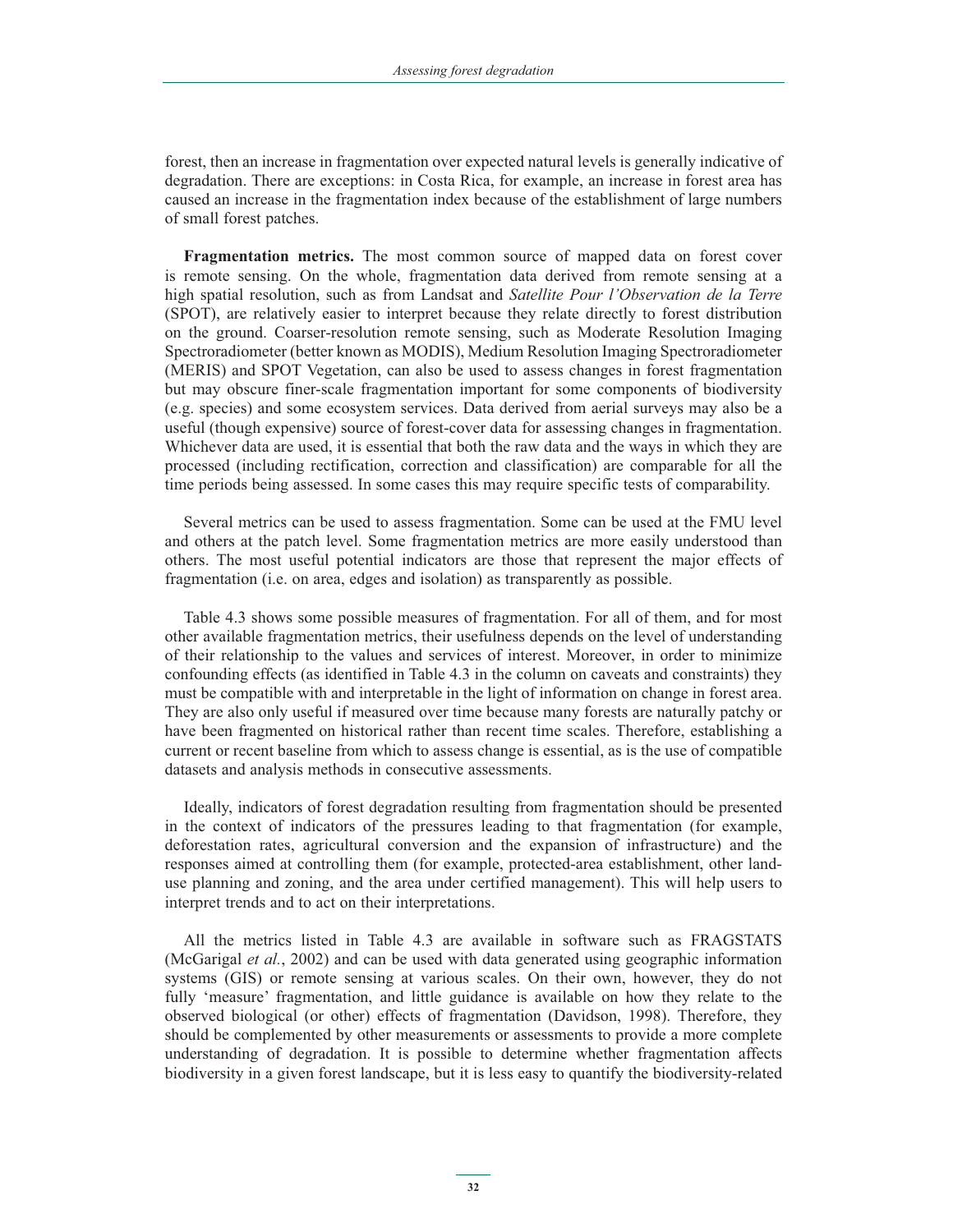forest, then an increase in fragmentation over expected natural levels is generally indicative of degradation. There are exceptions: in Costa Rica, for example, an increase in forest area has caused an increase in the fragmentation index because of the establishment of large numbers of small forest patches.

**Fragmentation metrics.** The most common source of mapped data on forest cover is remote sensing. On the whole, fragmentation data derived from remote sensing at a high spatial resolution, such as from Landsat and *Satellite Pour l'Observation de la Terre* (SPOT), are relatively easier to interpret because they relate directly to forest distribution on the ground. Coarser-resolution remote sensing, such as Moderate Resolution Imaging Spectroradiometer (better known as MODIS), Medium Resolution Imaging Spectroradiometer (MERIS) and SPOT Vegetation, can also be used to assess changes in forest fragmentation but may obscure finer-scale fragmentation important for some components of biodiversity (e.g. species) and some ecosystem services. Data derived from aerial surveys may also be a useful (though expensive) source of forest-cover data for assessing changes in fragmentation. Whichever data are used, it is essential that both the raw data and the ways in which they are processed (including rectification, correction and classification) are comparable for all the time periods being assessed. In some cases this may require specific tests of comparability.

Several metrics can be used to assess fragmentation. Some can be used at the FMU level and others at the patch level. Some fragmentation metrics are more easily understood than others. The most useful potential indicators are those that represent the major effects of fragmentation (i.e. on area, edges and isolation) as transparently as possible.

Table 4.3 shows some possible measures of fragmentation. For all of them, and for most other available fragmentation metrics, their usefulness depends on the level of understanding of their relationship to the values and services of interest. Moreover, in order to minimize confounding effects (as identified in Table 4.3 in the column on caveats and constraints) they must be compatible with and interpretable in the light of information on change in forest area. They are also only useful if measured over time because many forests are naturally patchy or have been fragmented on historical rather than recent time scales. Therefore, establishing a current or recent baseline from which to assess change is essential, as is the use of compatible datasets and analysis methods in consecutive assessments.

Ideally, indicators of forest degradation resulting from fragmentation should be presented in the context of indicators of the pressures leading to that fragmentation (for example, deforestation rates, agricultural conversion and the expansion of infrastructure) and the responses aimed at controlling them (for example, protected-area establishment, other landuse planning and zoning, and the area under certified management). This will help users to interpret trends and to act on their interpretations.

All the metrics listed in Table 4.3 are available in software such as FRAGSTATS (McGarigal *et al.*, 2002) and can be used with data generated using geographic information systems (GIS) or remote sensing at various scales. On their own, however, they do not fully 'measure' fragmentation, and little guidance is available on how they relate to the observed biological (or other) effects of fragmentation (Davidson, 1998). Therefore, they should be complemented by other measurements or assessments to provide a more complete understanding of degradation. It is possible to determine whether fragmentation affects biodiversity in a given forest landscape, but it is less easy to quantify the biodiversity-related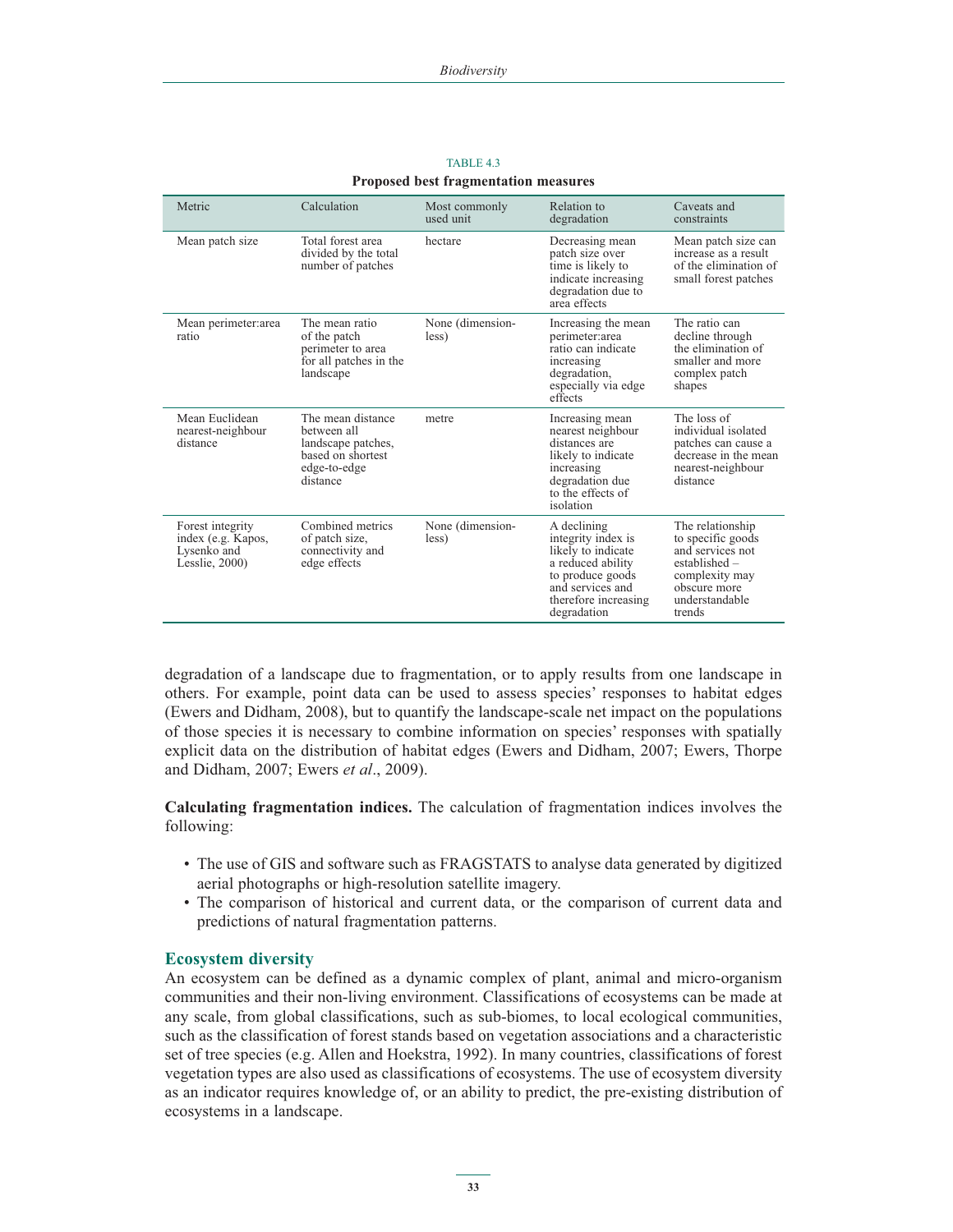| Metric                                                                  | Calculation                                                                                             | Most commonly<br>used unit | Relation to<br>degradation                                                                                                                                  | Caveats and<br>constraints                                                                                                               |
|-------------------------------------------------------------------------|---------------------------------------------------------------------------------------------------------|----------------------------|-------------------------------------------------------------------------------------------------------------------------------------------------------------|------------------------------------------------------------------------------------------------------------------------------------------|
| Mean patch size                                                         | Total forest area<br>divided by the total<br>number of patches                                          | hectare                    | Decreasing mean<br>patch size over<br>time is likely to<br>indicate increasing<br>degradation due to<br>area effects                                        | Mean patch size can<br>increase as a result<br>of the elimination of<br>small forest patches                                             |
| Mean perimeter: area<br>ratio                                           | The mean ratio<br>of the patch<br>perimeter to area<br>for all patches in the<br>landscape              | None (dimension-<br>less)  | Increasing the mean<br>perimeter:area<br>ratio can indicate<br>increasing<br>degradation,<br>especially via edge<br>effects                                 | The ratio can<br>decline through<br>the elimination of<br>smaller and more<br>complex patch<br>shapes                                    |
| Mean Euclidean<br>nearest-neighbour<br>distance                         | The mean distance<br>hetween all<br>landscape patches,<br>based on shortest<br>edge-to-edge<br>distance | metre                      | Increasing mean<br>nearest neighbour<br>distances are<br>likely to indicate<br>increasing<br>degradation due<br>to the effects of<br>isolation              | The loss of<br>individual isolated<br>patches can cause a<br>decrease in the mean<br>nearest-neighbour<br>distance                       |
| Forest integrity<br>index (e.g. Kapos,<br>Lysenko and<br>Lesslie, 2000) | Combined metrics<br>of patch size,<br>connectivity and<br>edge effects                                  | None (dimension-<br>less)  | A declining<br>integrity index is<br>likely to indicate<br>a reduced ability<br>to produce goods<br>and services and<br>therefore increasing<br>degradation | The relationship<br>to specific goods<br>and services not<br>established –<br>complexity may<br>obscure more<br>understandable<br>trends |

TABLE 4.3 **Proposed best fragmentation measures**

degradation of a landscape due to fragmentation, or to apply results from one landscape in others. For example, point data can be used to assess species' responses to habitat edges (Ewers and Didham, 2008), but to quantify the landscape-scale net impact on the populations of those species it is necessary to combine information on species' responses with spatially explicit data on the distribution of habitat edges (Ewers and Didham, 2007; Ewers, Thorpe and Didham, 2007; Ewers *et al*., 2009).

**Calculating fragmentation indices.** The calculation of fragmentation indices involves the following:

- The use of GIS and software such as FRAGSTATS to analyse data generated by digitized aerial photographs or high-resolution satellite imagery.
- The comparison of historical and current data, or the comparison of current data and predictions of natural fragmentation patterns.

### **Ecosystem diversity**

An ecosystem can be defined as a dynamic complex of plant, animal and micro-organism communities and their non-living environment. Classifications of ecosystems can be made at any scale, from global classifications, such as sub-biomes, to local ecological communities, such as the classification of forest stands based on vegetation associations and a characteristic set of tree species (e.g. Allen and Hoekstra, 1992). In many countries, classifications of forest vegetation types are also used as classifications of ecosystems. The use of ecosystem diversity as an indicator requires knowledge of, or an ability to predict, the pre-existing distribution of ecosystems in a landscape.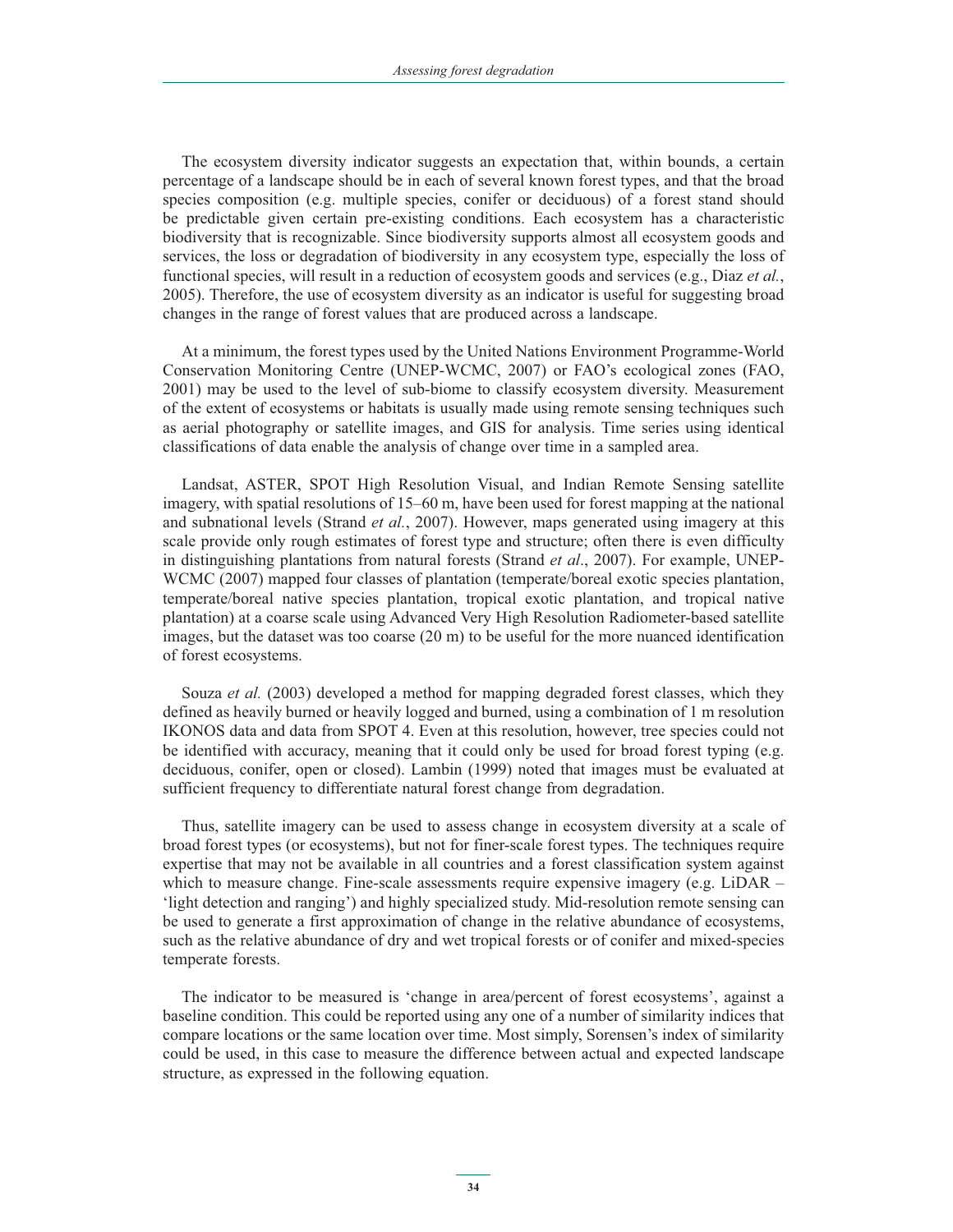The ecosystem diversity indicator suggests an expectation that, within bounds, a certain percentage of a landscape should be in each of several known forest types, and that the broad species composition (e.g. multiple species, conifer or deciduous) of a forest stand should be predictable given certain pre-existing conditions. Each ecosystem has a characteristic biodiversity that is recognizable. Since biodiversity supports almost all ecosystem goods and services, the loss or degradation of biodiversity in any ecosystem type, especially the loss of functional species, will result in a reduction of ecosystem goods and services (e.g., Diaz *et al.*, 2005). Therefore, the use of ecosystem diversity as an indicator is useful for suggesting broad changes in the range of forest values that are produced across a landscape.

At a minimum, the forest types used by the United Nations Environment Programme-World Conservation Monitoring Centre (UNEP-WCMC, 2007) or FAO's ecological zones (FAO, 2001) may be used to the level of sub-biome to classify ecosystem diversity. Measurement of the extent of ecosystems or habitats is usually made using remote sensing techniques such as aerial photography or satellite images, and GIS for analysis. Time series using identical classifications of data enable the analysis of change over time in a sampled area.

Landsat, ASTER, SPOT High Resolution Visual, and Indian Remote Sensing satellite imagery, with spatial resolutions of 15–60 m, have been used for forest mapping at the national and subnational levels (Strand *et al.*, 2007). However, maps generated using imagery at this scale provide only rough estimates of forest type and structure; often there is even difficulty in distinguishing plantations from natural forests (Strand *et al*., 2007). For example, UNEP-WCMC (2007) mapped four classes of plantation (temperate/boreal exotic species plantation, temperate/boreal native species plantation, tropical exotic plantation, and tropical native plantation) at a coarse scale using Advanced Very High Resolution Radiometer-based satellite images, but the dataset was too coarse (20 m) to be useful for the more nuanced identification of forest ecosystems.

Souza *et al.* (2003) developed a method for mapping degraded forest classes, which they defined as heavily burned or heavily logged and burned, using a combination of 1 m resolution IKONOS data and data from SPOT 4. Even at this resolution, however, tree species could not be identified with accuracy, meaning that it could only be used for broad forest typing (e.g. deciduous, conifer, open or closed). Lambin (1999) noted that images must be evaluated at sufficient frequency to differentiate natural forest change from degradation.

Thus, satellite imagery can be used to assess change in ecosystem diversity at a scale of broad forest types (or ecosystems), but not for finer-scale forest types. The techniques require expertise that may not be available in all countries and a forest classification system against which to measure change. Fine-scale assessments require expensive imagery (e.g. LiDAR – 'light detection and ranging') and highly specialized study. Mid-resolution remote sensing can be used to generate a first approximation of change in the relative abundance of ecosystems, such as the relative abundance of dry and wet tropical forests or of conifer and mixed-species temperate forests.

The indicator to be measured is 'change in area/percent of forest ecosystems', against a baseline condition. This could be reported using any one of a number of similarity indices that compare locations or the same location over time. Most simply, Sorensen's index of similarity could be used, in this case to measure the difference between actual and expected landscape structure, as expressed in the following equation.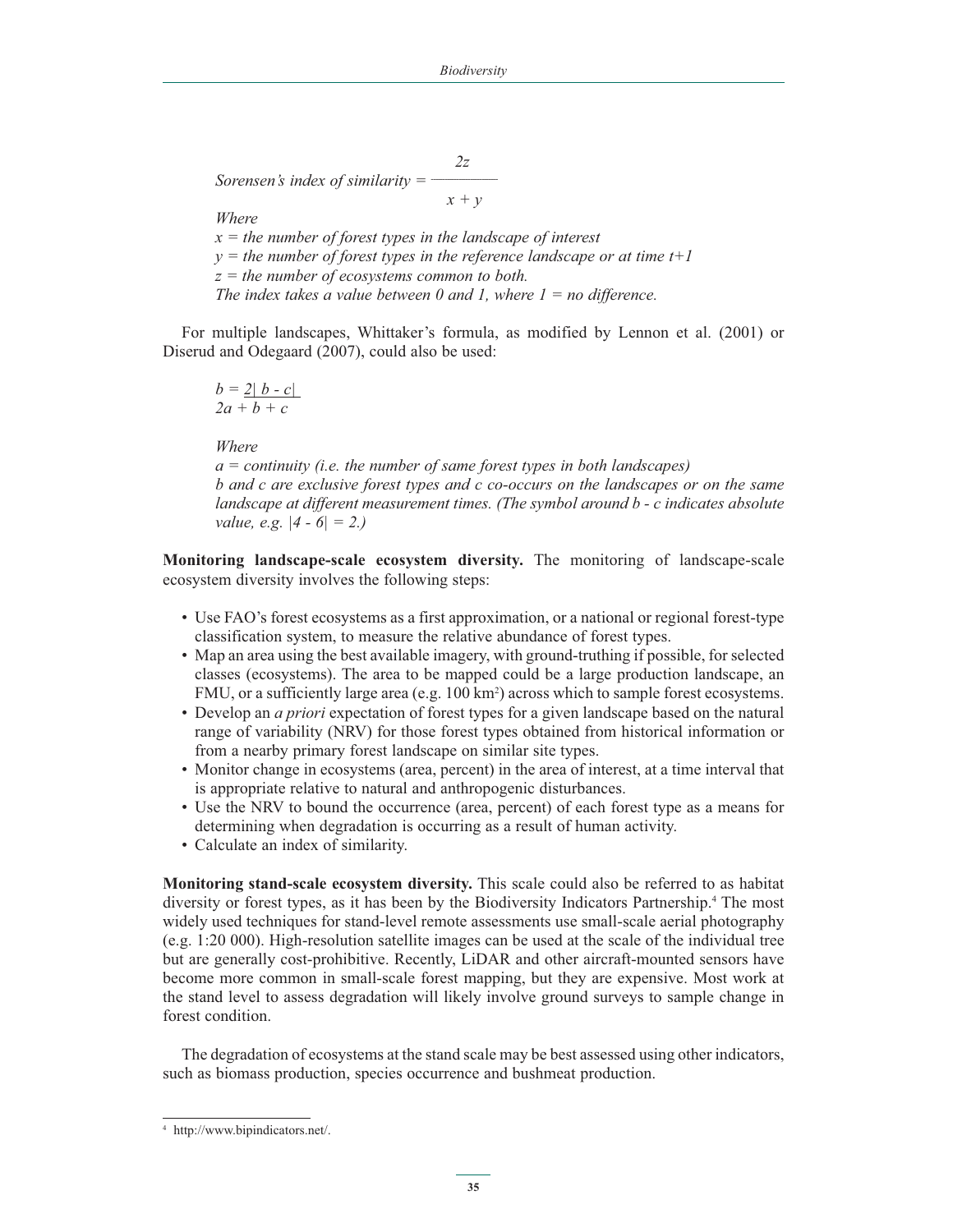*2z Sorensen's index of similarity*  $=$  $$  $x + y$ 

 *Where*

 *x = the number of forest types in the landscape of interest y = the number of forest types in the reference landscape or at time t+1 z = the number of ecosystems common to both.* 

 *The index takes a value between 0 and 1, where 1 = no difference.*

For multiple landscapes, Whittaker's formula, as modified by Lennon et al. (2001) or Diserud and Odegaard (2007), could also be used:

$$
b = 2 | b - c |
$$
  
2a + b + c

 *Where* 

 *a = continuity (i.e. the number of same forest types in both landscapes) b and c are exclusive forest types and c co-occurs on the landscapes or on the same landscape at different measurement times. (The symbol around b - c indicates absolute value, e.g. |4 - 6| = 2.)*

**Monitoring landscape-scale ecosystem diversity.** The monitoring of landscape-scale ecosystem diversity involves the following steps:

- Use FAO's forest ecosystems as a first approximation, or a national or regional forest-type classification system, to measure the relative abundance of forest types.
- Map an area using the best available imagery, with ground-truthing if possible, for selected classes (ecosystems). The area to be mapped could be a large production landscape, an FMU, or a sufficiently large area (e.g. 100 km<sup>2</sup>) across which to sample forest ecosystems.
- Develop an *a priori* expectation of forest types for a given landscape based on the natural range of variability (NRV) for those forest types obtained from historical information or from a nearby primary forest landscape on similar site types.
- Monitor change in ecosystems (area, percent) in the area of interest, at a time interval that is appropriate relative to natural and anthropogenic disturbances.
- Use the NRV to bound the occurrence (area, percent) of each forest type as a means for determining when degradation is occurring as a result of human activity.
- Calculate an index of similarity.

**Monitoring stand-scale ecosystem diversity.** This scale could also be referred to as habitat diversity or forest types, as it has been by the Biodiversity Indicators Partnership.<sup>4</sup> The most widely used techniques for stand-level remote assessments use small-scale aerial photography (e.g. 1:20 000). High-resolution satellite images can be used at the scale of the individual tree but are generally cost-prohibitive. Recently, LiDAR and other aircraft-mounted sensors have become more common in small-scale forest mapping, but they are expensive. Most work at the stand level to assess degradation will likely involve ground surveys to sample change in forest condition.

The degradation of ecosystems at the stand scale may be best assessed using other indicators, such as biomass production, species occurrence and bushmeat production.

<sup>4</sup> http://www.bipindicators.net/.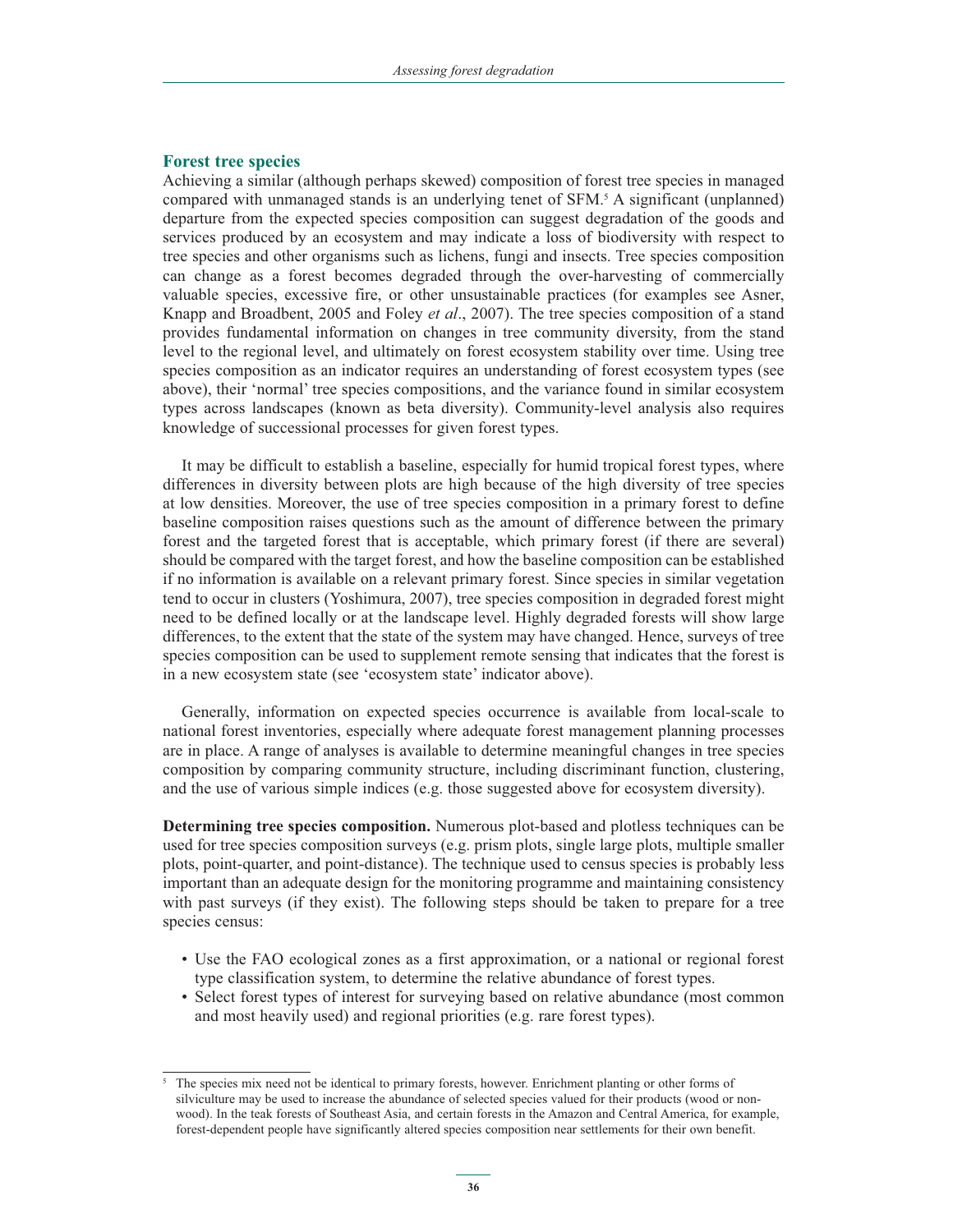#### **Forest tree species**

Achieving a similar (although perhaps skewed) composition of forest tree species in managed compared with unmanaged stands is an underlying tenet of SFM.5 A significant (unplanned) departure from the expected species composition can suggest degradation of the goods and services produced by an ecosystem and may indicate a loss of biodiversity with respect to tree species and other organisms such as lichens, fungi and insects. Tree species composition can change as a forest becomes degraded through the over-harvesting of commercially valuable species, excessive fire, or other unsustainable practices (for examples see Asner, Knapp and Broadbent, 2005 and Foley *et al*., 2007). The tree species composition of a stand provides fundamental information on changes in tree community diversity, from the stand level to the regional level, and ultimately on forest ecosystem stability over time. Using tree species composition as an indicator requires an understanding of forest ecosystem types (see above), their 'normal' tree species compositions, and the variance found in similar ecosystem types across landscapes (known as beta diversity). Community-level analysis also requires knowledge of successional processes for given forest types.

It may be difficult to establish a baseline, especially for humid tropical forest types, where differences in diversity between plots are high because of the high diversity of tree species at low densities. Moreover, the use of tree species composition in a primary forest to define baseline composition raises questions such as the amount of difference between the primary forest and the targeted forest that is acceptable, which primary forest (if there are several) should be compared with the target forest, and how the baseline composition can be established if no information is available on a relevant primary forest. Since species in similar vegetation tend to occur in clusters (Yoshimura, 2007), tree species composition in degraded forest might need to be defined locally or at the landscape level. Highly degraded forests will show large differences, to the extent that the state of the system may have changed. Hence, surveys of tree species composition can be used to supplement remote sensing that indicates that the forest is in a new ecosystem state (see 'ecosystem state' indicator above).

Generally, information on expected species occurrence is available from local-scale to national forest inventories, especially where adequate forest management planning processes are in place. A range of analyses is available to determine meaningful changes in tree species composition by comparing community structure, including discriminant function, clustering, and the use of various simple indices (e.g. those suggested above for ecosystem diversity).

**Determining tree species composition.** Numerous plot-based and plotless techniques can be used for tree species composition surveys (e.g. prism plots, single large plots, multiple smaller plots, point-quarter, and point-distance). The technique used to census species is probably less important than an adequate design for the monitoring programme and maintaining consistency with past surveys (if they exist). The following steps should be taken to prepare for a tree species census:

- Use the FAO ecological zones as a first approximation, or a national or regional forest type classification system, to determine the relative abundance of forest types.
- Select forest types of interest for surveying based on relative abundance (most common and most heavily used) and regional priorities (e.g. rare forest types).

<sup>5</sup> The species mix need not be identical to primary forests, however. Enrichment planting or other forms of silviculture may be used to increase the abundance of selected species valued for their products (wood or nonwood). In the teak forests of Southeast Asia, and certain forests in the Amazon and Central America, for example, forest-dependent people have significantly altered species composition near settlements for their own benefit.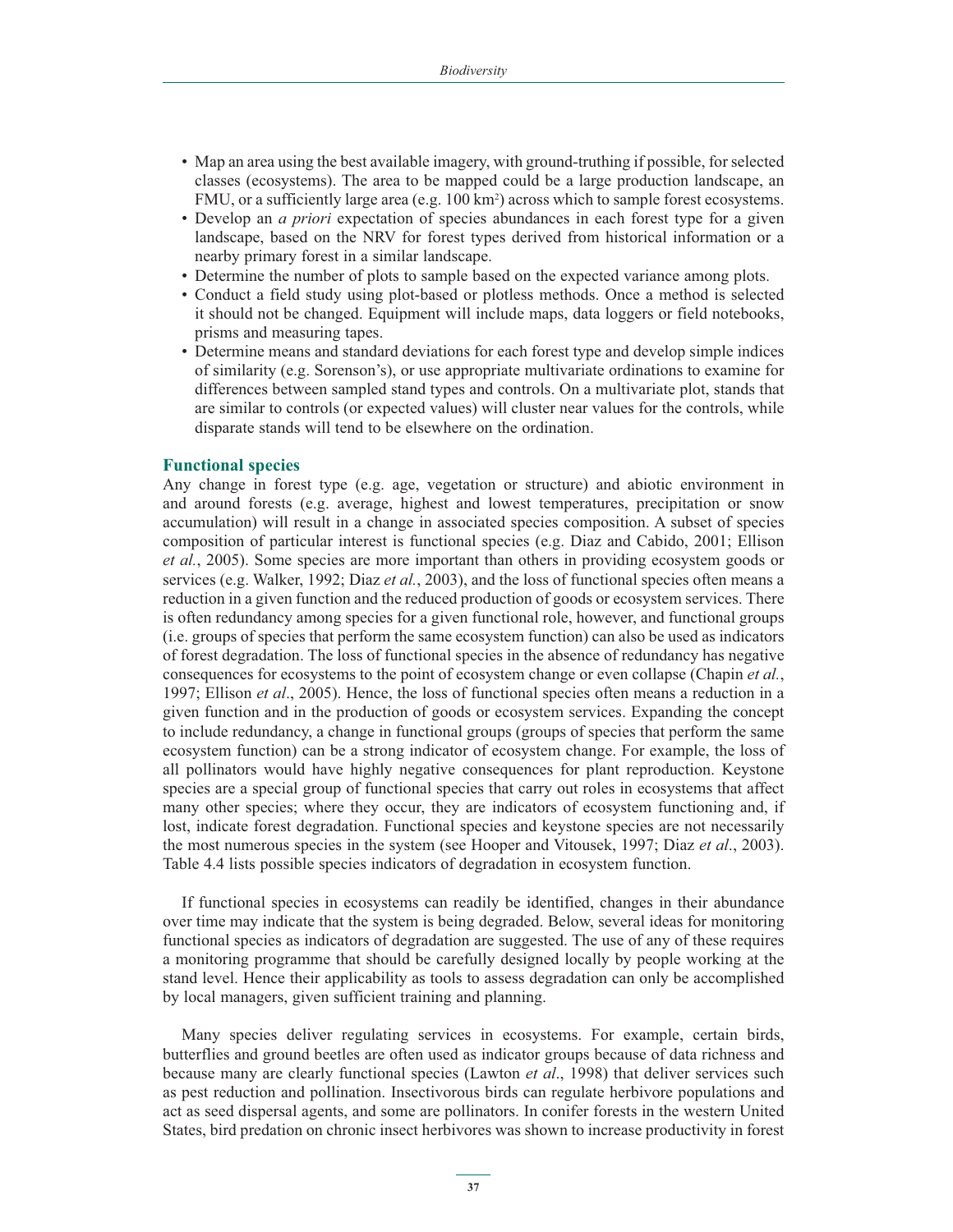- Map an area using the best available imagery, with ground-truthing if possible, for selected classes (ecosystems). The area to be mapped could be a large production landscape, an FMU, or a sufficiently large area (e.g. 100 km<sup>2</sup>) across which to sample forest ecosystems.
- Develop an *a priori* expectation of species abundances in each forest type for a given landscape, based on the NRV for forest types derived from historical information or a nearby primary forest in a similar landscape.
- Determine the number of plots to sample based on the expected variance among plots.
- - Conduct a field study using plot-based or plotless methods. Once a method is selected it should not be changed. Equipment will include maps, data loggers or field notebooks, prisms and measuring tapes.
- Determine means and standard deviations for each forest type and develop simple indices of similarity (e.g. Sorenson's), or use appropriate multivariate ordinations to examine for differences between sampled stand types and controls. On a multivariate plot, stands that are similar to controls (or expected values) will cluster near values for the controls, while disparate stands will tend to be elsewhere on the ordination.

#### **Functional species**

Any change in forest type (e.g. age, vegetation or structure) and abiotic environment in and around forests (e.g. average, highest and lowest temperatures, precipitation or snow accumulation) will result in a change in associated species composition. A subset of species composition of particular interest is functional species (e.g. Diaz and Cabido, 2001; Ellison *et al.*, 2005). Some species are more important than others in providing ecosystem goods or services (e.g. Walker, 1992; Diaz *et al.*, 2003), and the loss of functional species often means a reduction in a given function and the reduced production of goods or ecosystem services. There is often redundancy among species for a given functional role, however, and functional groups (i.e. groups of species that perform the same ecosystem function) can also be used as indicators of forest degradation. The loss of functional species in the absence of redundancy has negative consequences for ecosystems to the point of ecosystem change or even collapse (Chapin *et al.*, 1997; Ellison *et al*., 2005). Hence, the loss of functional species often means a reduction in a given function and in the production of goods or ecosystem services. Expanding the concept to include redundancy, a change in functional groups (groups of species that perform the same ecosystem function) can be a strong indicator of ecosystem change. For example, the loss of all pollinators would have highly negative consequences for plant reproduction. Keystone species are a special group of functional species that carry out roles in ecosystems that affect many other species; where they occur, they are indicators of ecosystem functioning and, if lost, indicate forest degradation. Functional species and keystone species are not necessarily the most numerous species in the system (see Hooper and Vitousek, 1997; Diaz *et al*., 2003). Table 4.4 lists possible species indicators of degradation in ecosystem function.

If functional species in ecosystems can readily be identified, changes in their abundance over time may indicate that the system is being degraded. Below, several ideas for monitoring functional species as indicators of degradation are suggested. The use of any of these requires a monitoring programme that should be carefully designed locally by people working at the stand level. Hence their applicability as tools to assess degradation can only be accomplished by local managers, given sufficient training and planning.

Many species deliver regulating services in ecosystems. For example, certain birds, butterflies and ground beetles are often used as indicator groups because of data richness and because many are clearly functional species (Lawton *et al*., 1998) that deliver services such as pest reduction and pollination. Insectivorous birds can regulate herbivore populations and act as seed dispersal agents, and some are pollinators. In conifer forests in the western United States, bird predation on chronic insect herbivores was shown to increase productivity in forest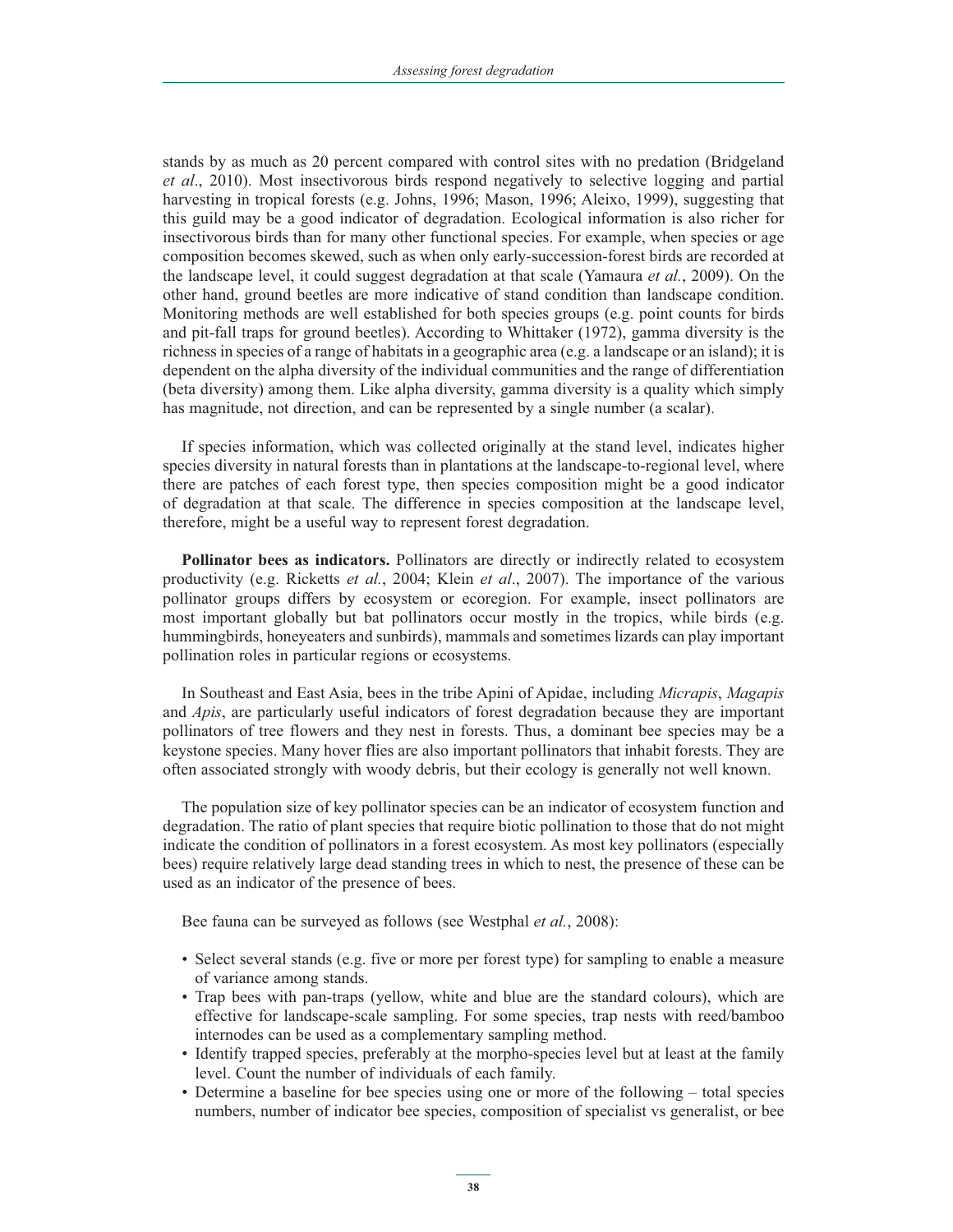stands by as much as 20 percent compared with control sites with no predation (Bridgeland *et al*., 2010). Most insectivorous birds respond negatively to selective logging and partial harvesting in tropical forests (e.g. Johns, 1996; Mason, 1996; Aleixo, 1999), suggesting that this guild may be a good indicator of degradation. Ecological information is also richer for insectivorous birds than for many other functional species. For example, when species or age composition becomes skewed, such as when only early-succession-forest birds are recorded at the landscape level, it could suggest degradation at that scale (Yamaura *et al.*, 2009). On the other hand, ground beetles are more indicative of stand condition than landscape condition. Monitoring methods are well established for both species groups (e.g. point counts for birds and pit-fall traps for ground beetles). According to Whittaker (1972), gamma diversity is the richness in species of a range of habitats in a geographic area (e.g. a landscape or an island); it is dependent on the alpha diversity of the individual communities and the range of differentiation (beta diversity) among them. Like alpha diversity, gamma diversity is a quality which simply has magnitude, not direction, and can be represented by a single number (a scalar).

If species information, which was collected originally at the stand level, indicates higher species diversity in natural forests than in plantations at the landscape-to-regional level, where there are patches of each forest type, then species composition might be a good indicator of degradation at that scale. The difference in species composition at the landscape level, therefore, might be a useful way to represent forest degradation.

**Pollinator bees as indicators.** Pollinators are directly or indirectly related to ecosystem productivity (e.g. Ricketts *et al.*, 2004; Klein *et al*., 2007). The importance of the various pollinator groups differs by ecosystem or ecoregion. For example, insect pollinators are most important globally but bat pollinators occur mostly in the tropics, while birds (e.g. hummingbirds, honeyeaters and sunbirds), mammals and sometimes lizards can play important pollination roles in particular regions or ecosystems.

In Southeast and East Asia, bees in the tribe Apini of Apidae, including *Micrapis*, *Magapis* and *Apis*, are particularly useful indicators of forest degradation because they are important pollinators of tree flowers and they nest in forests. Thus, a dominant bee species may be a keystone species. Many hover flies are also important pollinators that inhabit forests. They are often associated strongly with woody debris, but their ecology is generally not well known.

The population size of key pollinator species can be an indicator of ecosystem function and degradation. The ratio of plant species that require biotic pollination to those that do not might indicate the condition of pollinators in a forest ecosystem. As most key pollinators (especially bees) require relatively large dead standing trees in which to nest, the presence of these can be used as an indicator of the presence of bees.

Bee fauna can be surveyed as follows (see Westphal *et al.*, 2008):

- Select several stands (e.g. five or more per forest type) for sampling to enable a measure of variance among stands.
- Trap bees with pan-traps (yellow, white and blue are the standard colours), which are effective for landscape-scale sampling. For some species, trap nests with reed/bamboo internodes can be used as a complementary sampling method.
- Identify trapped species, preferably at the morpho-species level but at least at the family level. Count the number of individuals of each family.
- Determine a baseline for bee species using one or more of the following total species numbers, number of indicator bee species, composition of specialist vs generalist, or bee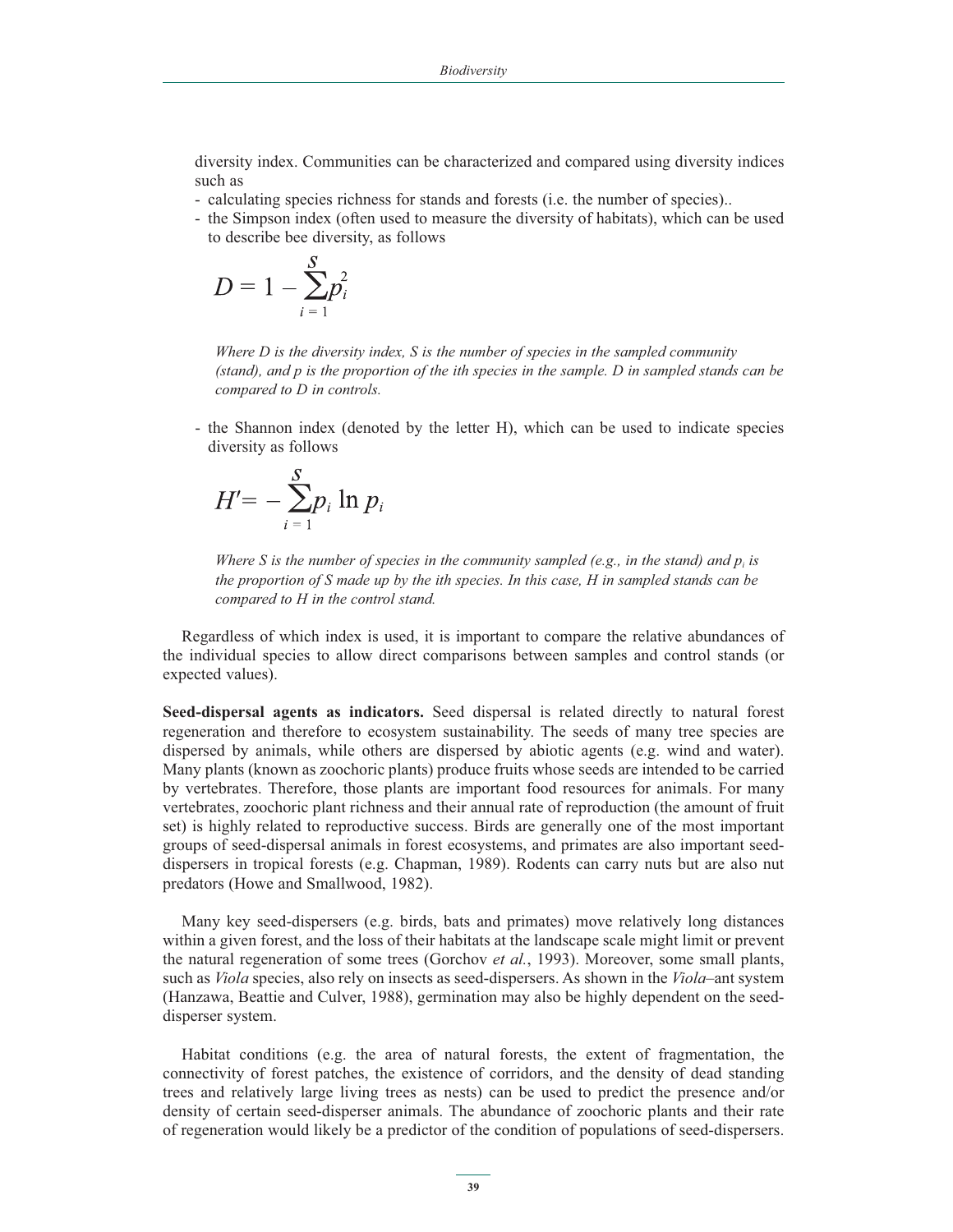diversity index. Communities can be characterized and compared using diversity indices such as

- calculating species richness for stands and forests (i.e. the number of species)..
- the Simpson index (often used to measure the diversity of habitats), which can be used to describe bee diversity, as follows

$$
D=1-\sum_{i=1}^S p_i^2
$$

*Where D is the diversity index, S is the number of species in the sampled community (stand), and p is the proportion of the ith species in the sample. D in sampled stands can be compared to D in controls.*

- the Shannon index (denoted by the letter H), which can be used to indicate species diversity as follows

$$
H' = -\sum_{i=1}^{S} p_i \ln p_i
$$

*Where S is the number of species in the community sampled (e.g., in the stand) and*  $p_i$  *is the proportion of S made up by the ith species. In this case, H in sampled stands can be compared to H in the control stand.* 

Regardless of which index is used, it is important to compare the relative abundances of the individual species to allow direct comparisons between samples and control stands (or expected values).

**Seed-dispersal agents as indicators.** Seed dispersal is related directly to natural forest regeneration and therefore to ecosystem sustainability. The seeds of many tree species are dispersed by animals, while others are dispersed by abiotic agents (e.g. wind and water). Many plants (known as zoochoric plants) produce fruits whose seeds are intended to be carried by vertebrates. Therefore, those plants are important food resources for animals. For many vertebrates, zoochoric plant richness and their annual rate of reproduction (the amount of fruit set) is highly related to reproductive success. Birds are generally one of the most important groups of seed-dispersal animals in forest ecosystems, and primates are also important seeddispersers in tropical forests (e.g. Chapman, 1989). Rodents can carry nuts but are also nut predators (Howe and Smallwood, 1982).

Many key seed-dispersers (e.g. birds, bats and primates) move relatively long distances within a given forest, and the loss of their habitats at the landscape scale might limit or prevent the natural regeneration of some trees (Gorchov *et al.*, 1993). Moreover, some small plants, such as *Viola* species, also rely on insects as seed-dispersers. As shown in the *Viola*–ant system (Hanzawa, Beattie and Culver, 1988), germination may also be highly dependent on the seeddisperser system.

Habitat conditions (e.g. the area of natural forests, the extent of fragmentation, the connectivity of forest patches, the existence of corridors, and the density of dead standing trees and relatively large living trees as nests) can be used to predict the presence and/or density of certain seed-disperser animals. The abundance of zoochoric plants and their rate of regeneration would likely be a predictor of the condition of populations of seed-dispersers.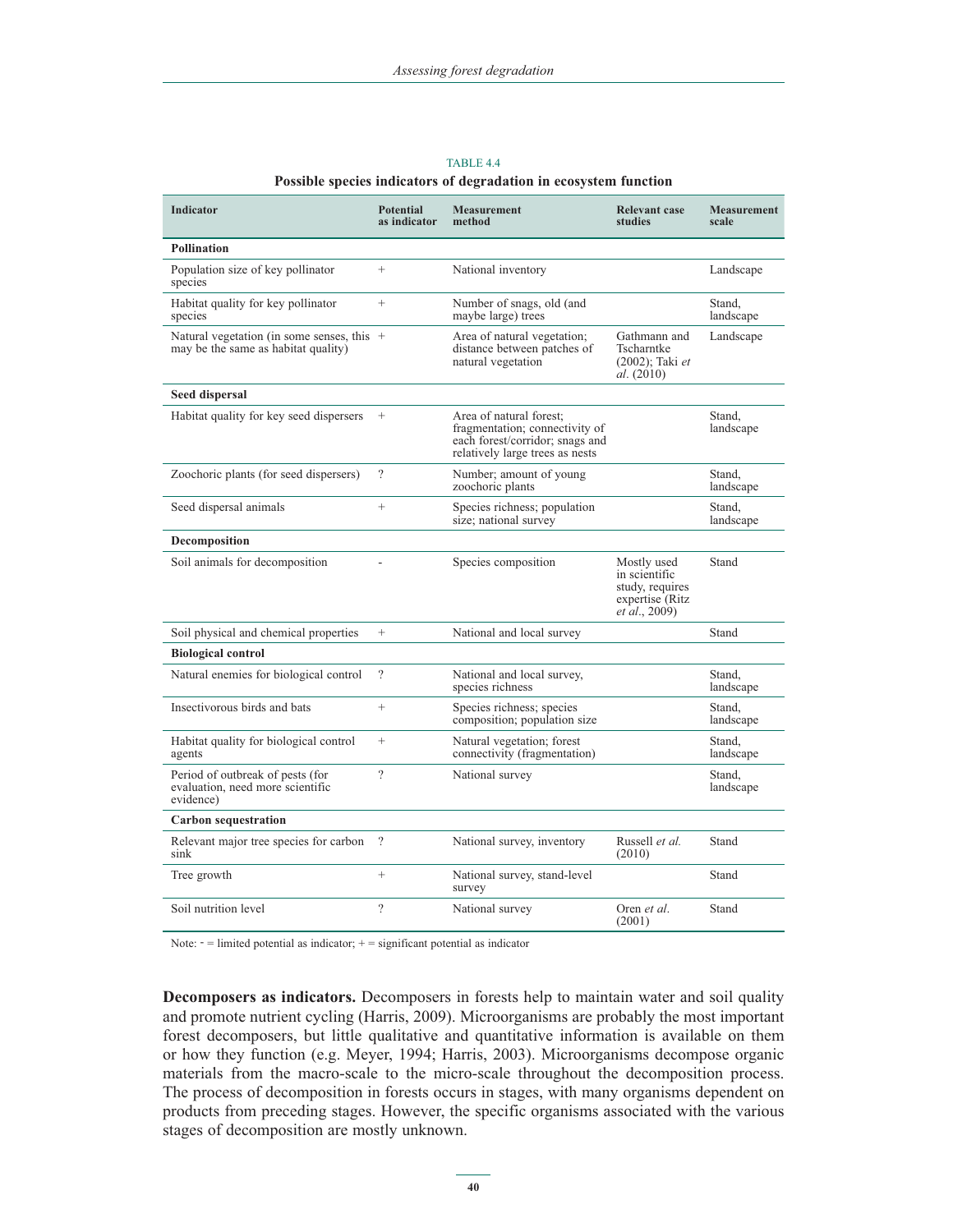| Indicator                                                                           | <b>Potential</b><br>as indicator | <b>Measurement</b><br>method                                                                                                    | <b>Relevant case</b><br>studies                                                              | <b>Measurement</b><br>scale |
|-------------------------------------------------------------------------------------|----------------------------------|---------------------------------------------------------------------------------------------------------------------------------|----------------------------------------------------------------------------------------------|-----------------------------|
| <b>Pollination</b>                                                                  |                                  |                                                                                                                                 |                                                                                              |                             |
| Population size of key pollinator<br>species                                        | $^{+}$                           | National inventory                                                                                                              |                                                                                              | Landscape                   |
| Habitat quality for key pollinator<br>species                                       | $^{+}$                           | Number of snags, old (and<br>maybe large) trees                                                                                 |                                                                                              | Stand,<br>landscape         |
| Natural vegetation (in some senses, this $+$<br>may be the same as habitat quality) |                                  | Area of natural vegetation;<br>distance between patches of<br>natural vegetation                                                | Gathmann and<br>Tscharntke<br>$(2002)$ ; Taki et<br>al. (2010)                               | Landscape                   |
| Seed dispersal                                                                      |                                  |                                                                                                                                 |                                                                                              |                             |
| Habitat quality for key seed dispersers                                             | $^{+}$                           | Area of natural forest:<br>fragmentation; connectivity of<br>each forest/corridor; snags and<br>relatively large trees as nests |                                                                                              | Stand.<br>landscape         |
| Zoochoric plants (for seed dispersers)                                              | $\gamma$                         | Number; amount of young<br>zoochoric plants                                                                                     |                                                                                              | Stand,<br>landscape         |
| Seed dispersal animals                                                              | $^{+}$                           | Species richness; population<br>size; national survey                                                                           |                                                                                              | Stand.<br>landscape         |
| <b>Decomposition</b>                                                                |                                  |                                                                                                                                 |                                                                                              |                             |
| Soil animals for decomposition                                                      | $\overline{a}$                   | Species composition                                                                                                             | Mostly used<br>in scientific<br>study, requires<br>expertise (Ritz)<br><i>et al.</i> , 2009) | Stand                       |
| Soil physical and chemical properties                                               | $^{+}$                           | National and local survey                                                                                                       |                                                                                              | Stand                       |
| <b>Biological control</b>                                                           |                                  |                                                                                                                                 |                                                                                              |                             |
| Natural enemies for biological control                                              | $\overline{\cdot}$               | National and local survey,<br>species richness                                                                                  |                                                                                              | Stand.<br>landscape         |
| Insectivorous birds and bats                                                        | $^{+}$                           | Species richness; species<br>composition; population size                                                                       |                                                                                              | Stand,<br>landscape         |
| Habitat quality for biological control<br>agents                                    | $^{+}$                           | Natural vegetation; forest<br>connectivity (fragmentation)                                                                      |                                                                                              | Stand,<br>landscape         |
| Period of outbreak of pests (for<br>evaluation, need more scientific<br>evidence)   | $\overline{\phantom{a}}$         | National survey                                                                                                                 |                                                                                              | Stand,<br>landscape         |
| <b>Carbon sequestration</b>                                                         |                                  |                                                                                                                                 |                                                                                              |                             |
| Relevant major tree species for carbon<br>sink                                      | $\overline{\cdot}$               | National survey, inventory                                                                                                      | Russell et al.<br>(2010)                                                                     | Stand                       |
| Tree growth                                                                         | $^{+}$                           | National survey, stand-level<br>survey                                                                                          |                                                                                              | Stand                       |
| Soil nutrition level                                                                | 2                                | National survey                                                                                                                 | Oren et al.<br>(2001)                                                                        | Stand                       |

TABLE 4.4 **Possible species indicators of degradation in ecosystem function**

Note:  $-$  = limited potential as indicator;  $+$  = significant potential as indicator

**Decomposers as indicators.** Decomposers in forests help to maintain water and soil quality and promote nutrient cycling (Harris, 2009). Microorganisms are probably the most important forest decomposers, but little qualitative and quantitative information is available on them or how they function (e.g. Meyer, 1994; Harris, 2003). Microorganisms decompose organic materials from the macro-scale to the micro-scale throughout the decomposition process. The process of decomposition in forests occurs in stages, with many organisms dependent on products from preceding stages. However, the specific organisms associated with the various stages of decomposition are mostly unknown.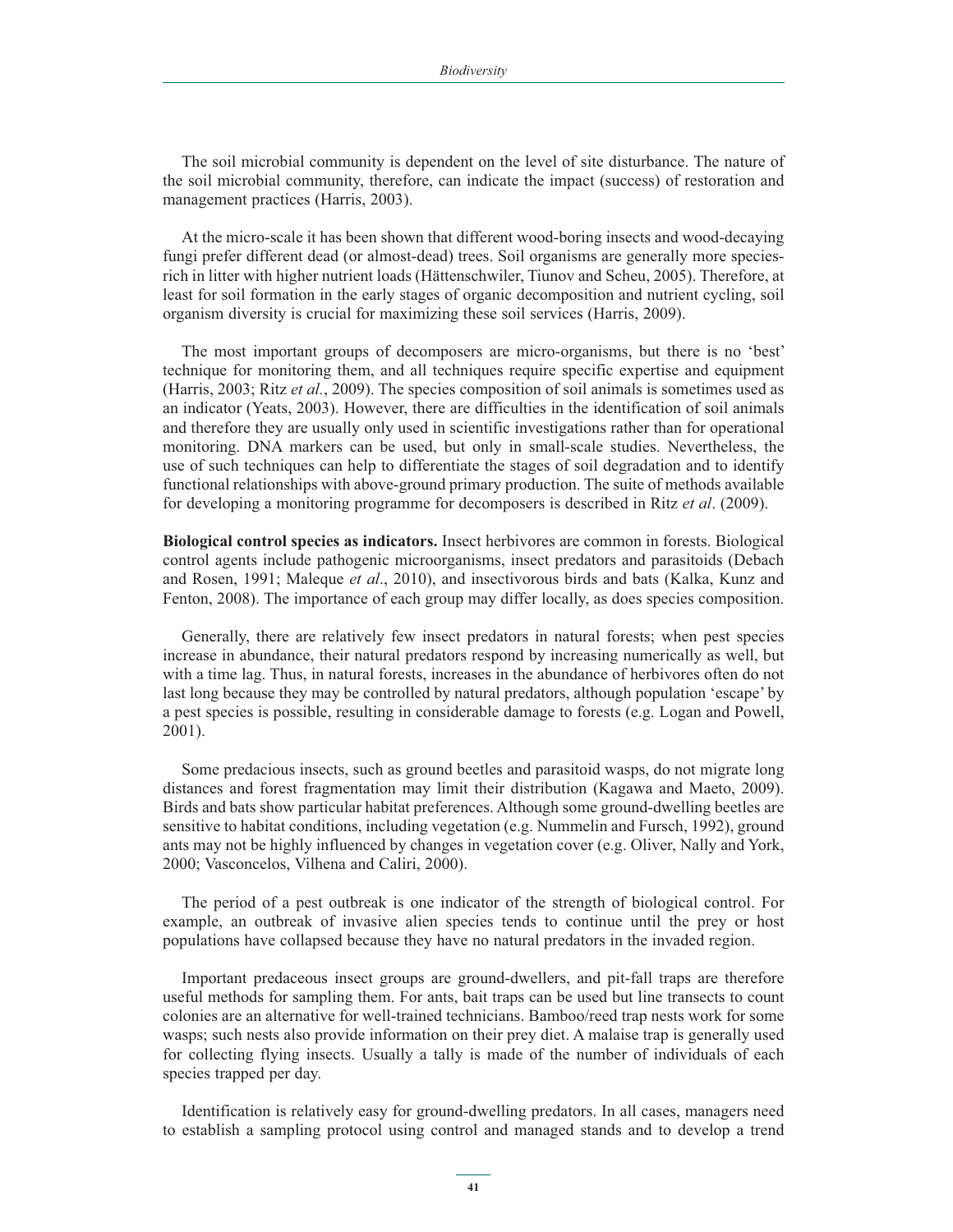The soil microbial community is dependent on the level of site disturbance. The nature of the soil microbial community, therefore, can indicate the impact (success) of restoration and management practices (Harris, 2003).

At the micro-scale it has been shown that different wood-boring insects and wood-decaying fungi prefer different dead (or almost-dead) trees. Soil organisms are generally more speciesrich in litter with higher nutrient loads (Hättenschwiler, Tiunov and Scheu, 2005). Therefore, at least for soil formation in the early stages of organic decomposition and nutrient cycling, soil organism diversity is crucial for maximizing these soil services (Harris, 2009).

The most important groups of decomposers are micro-organisms, but there is no 'best' technique for monitoring them, and all techniques require specific expertise and equipment (Harris, 2003; Ritz *et al.*, 2009). The species composition of soil animals is sometimes used as an indicator (Yeats, 2003). However, there are difficulties in the identification of soil animals and therefore they are usually only used in scientific investigations rather than for operational monitoring. DNA markers can be used, but only in small-scale studies. Nevertheless, the use of such techniques can help to differentiate the stages of soil degradation and to identify functional relationships with above-ground primary production. The suite of methods available for developing a monitoring programme for decomposers is described in Ritz *et al*. (2009).

**Biological control species as indicators.** Insect herbivores are common in forests. Biological control agents include pathogenic microorganisms, insect predators and parasitoids (Debach and Rosen, 1991; Maleque *et al*., 2010), and insectivorous birds and bats (Kalka, Kunz and Fenton, 2008). The importance of each group may differ locally, as does species composition.

Generally, there are relatively few insect predators in natural forests; when pest species increase in abundance, their natural predators respond by increasing numerically as well, but with a time lag. Thus, in natural forests, increases in the abundance of herbivores often do not last long because they may be controlled by natural predators, although population 'escape' by a pest species is possible, resulting in considerable damage to forests (e.g. Logan and Powell, 2001).

Some predacious insects, such as ground beetles and parasitoid wasps, do not migrate long distances and forest fragmentation may limit their distribution (Kagawa and Maeto, 2009). Birds and bats show particular habitat preferences. Although some ground-dwelling beetles are sensitive to habitat conditions, including vegetation (e.g. Nummelin and Fursch, 1992), ground ants may not be highly influenced by changes in vegetation cover (e.g. Oliver, Nally and York, 2000; Vasconcelos, Vilhena and Caliri, 2000).

The period of a pest outbreak is one indicator of the strength of biological control. For example, an outbreak of invasive alien species tends to continue until the prey or host populations have collapsed because they have no natural predators in the invaded region.

Important predaceous insect groups are ground-dwellers, and pit-fall traps are therefore useful methods for sampling them. For ants, bait traps can be used but line transects to count colonies are an alternative for well-trained technicians. Bamboo/reed trap nests work for some wasps; such nests also provide information on their prey diet. A malaise trap is generally used for collecting flying insects. Usually a tally is made of the number of individuals of each species trapped per day.

Identification is relatively easy for ground-dwelling predators. In all cases, managers need to establish a sampling protocol using control and managed stands and to develop a trend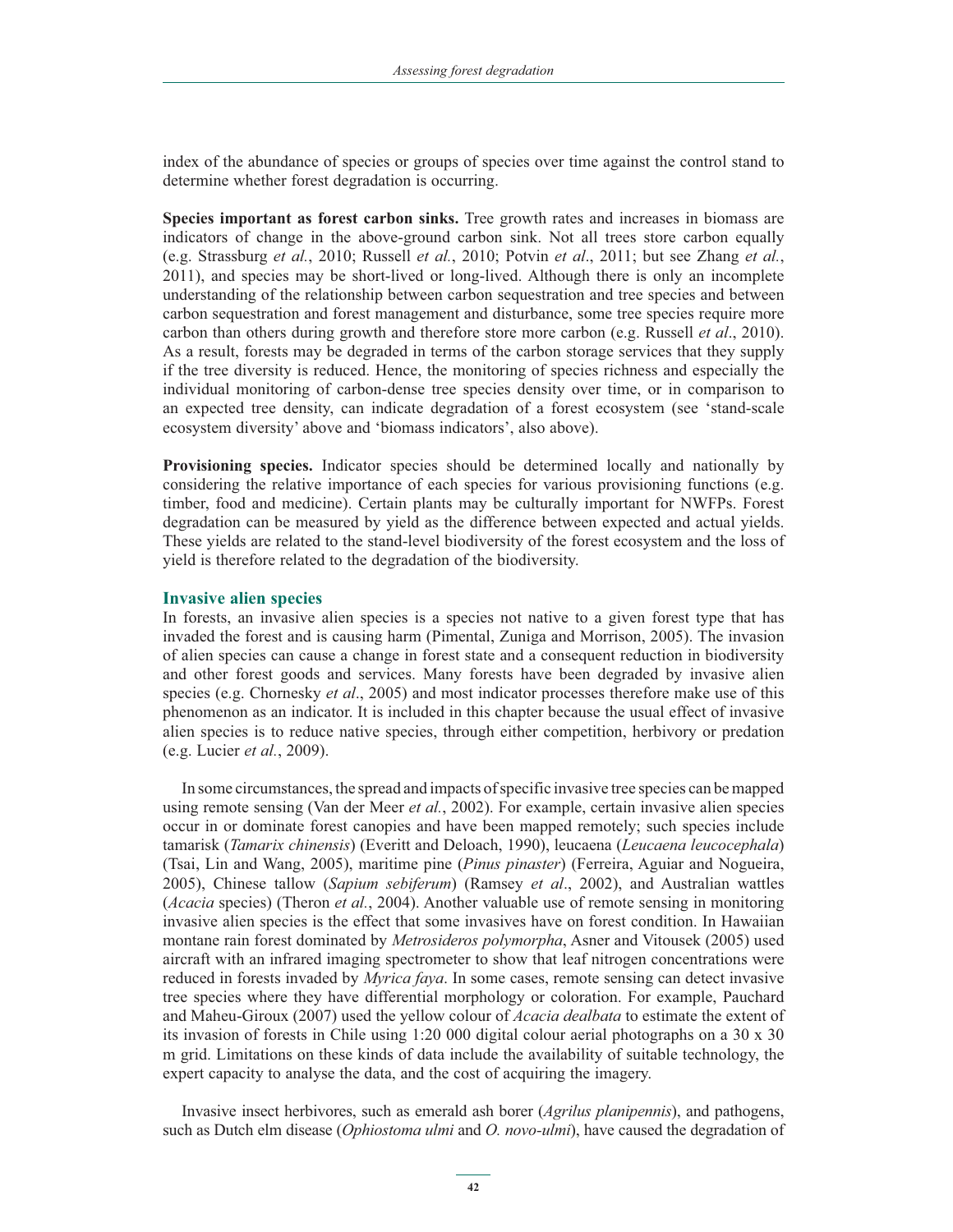index of the abundance of species or groups of species over time against the control stand to determine whether forest degradation is occurring.

**Species important as forest carbon sinks.** Tree growth rates and increases in biomass are indicators of change in the above-ground carbon sink. Not all trees store carbon equally (e.g. Strassburg *et al.*, 2010; Russell *et al.*, 2010; Potvin *et al*., 2011; but see Zhang *et al.*, 2011), and species may be short-lived or long-lived. Although there is only an incomplete understanding of the relationship between carbon sequestration and tree species and between carbon sequestration and forest management and disturbance, some tree species require more carbon than others during growth and therefore store more carbon (e.g. Russell *et al*., 2010). As a result, forests may be degraded in terms of the carbon storage services that they supply if the tree diversity is reduced. Hence, the monitoring of species richness and especially the individual monitoring of carbon-dense tree species density over time, or in comparison to an expected tree density, can indicate degradation of a forest ecosystem (see 'stand-scale ecosystem diversity' above and 'biomass indicators', also above).

**Provisioning species.** Indicator species should be determined locally and nationally by considering the relative importance of each species for various provisioning functions (e.g. timber, food and medicine). Certain plants may be culturally important for NWFPs. Forest degradation can be measured by yield as the difference between expected and actual yields. These yields are related to the stand-level biodiversity of the forest ecosystem and the loss of yield is therefore related to the degradation of the biodiversity.

#### **Invasive alien species**

In forests, an invasive alien species is a species not native to a given forest type that has invaded the forest and is causing harm (Pimental, Zuniga and Morrison, 2005). The invasion of alien species can cause a change in forest state and a consequent reduction in biodiversity and other forest goods and services. Many forests have been degraded by invasive alien species (e.g. Chornesky *et al*., 2005) and most indicator processes therefore make use of this phenomenon as an indicator. It is included in this chapter because the usual effect of invasive alien species is to reduce native species, through either competition, herbivory or predation (e.g. Lucier *et al.*, 2009).

In some circumstances, the spread and impacts of specific invasive tree species can be mapped using remote sensing (Van der Meer *et al.*, 2002). For example, certain invasive alien species occur in or dominate forest canopies and have been mapped remotely; such species include tamarisk (*Tamarix chinensis*) (Everitt and Deloach, 1990), leucaena (*Leucaena leucocephala*) (Tsai, Lin and Wang, 2005), maritime pine (*Pinus pinaster*) (Ferreira, Aguiar and Nogueira, 2005), Chinese tallow (*Sapium sebiferum*) (Ramsey *et al*., 2002), and Australian wattles (*Acacia* species) (Theron *et al.*, 2004). Another valuable use of remote sensing in monitoring invasive alien species is the effect that some invasives have on forest condition. In Hawaiian montane rain forest dominated by *Metrosideros polymorpha*, Asner and Vitousek (2005) used aircraft with an infrared imaging spectrometer to show that leaf nitrogen concentrations were reduced in forests invaded by *Myrica faya*. In some cases, remote sensing can detect invasive tree species where they have differential morphology or coloration. For example, Pauchard and Maheu-Giroux (2007) used the yellow colour of *Acacia dealbata* to estimate the extent of its invasion of forests in Chile using 1:20 000 digital colour aerial photographs on a 30 x 30 m grid. Limitations on these kinds of data include the availability of suitable technology, the expert capacity to analyse the data, and the cost of acquiring the imagery.

Invasive insect herbivores, such as emerald ash borer (*Agrilus planipennis*), and pathogens, such as Dutch elm disease (*Ophiostoma ulmi* and *O. novo-ulmi*), have caused the degradation of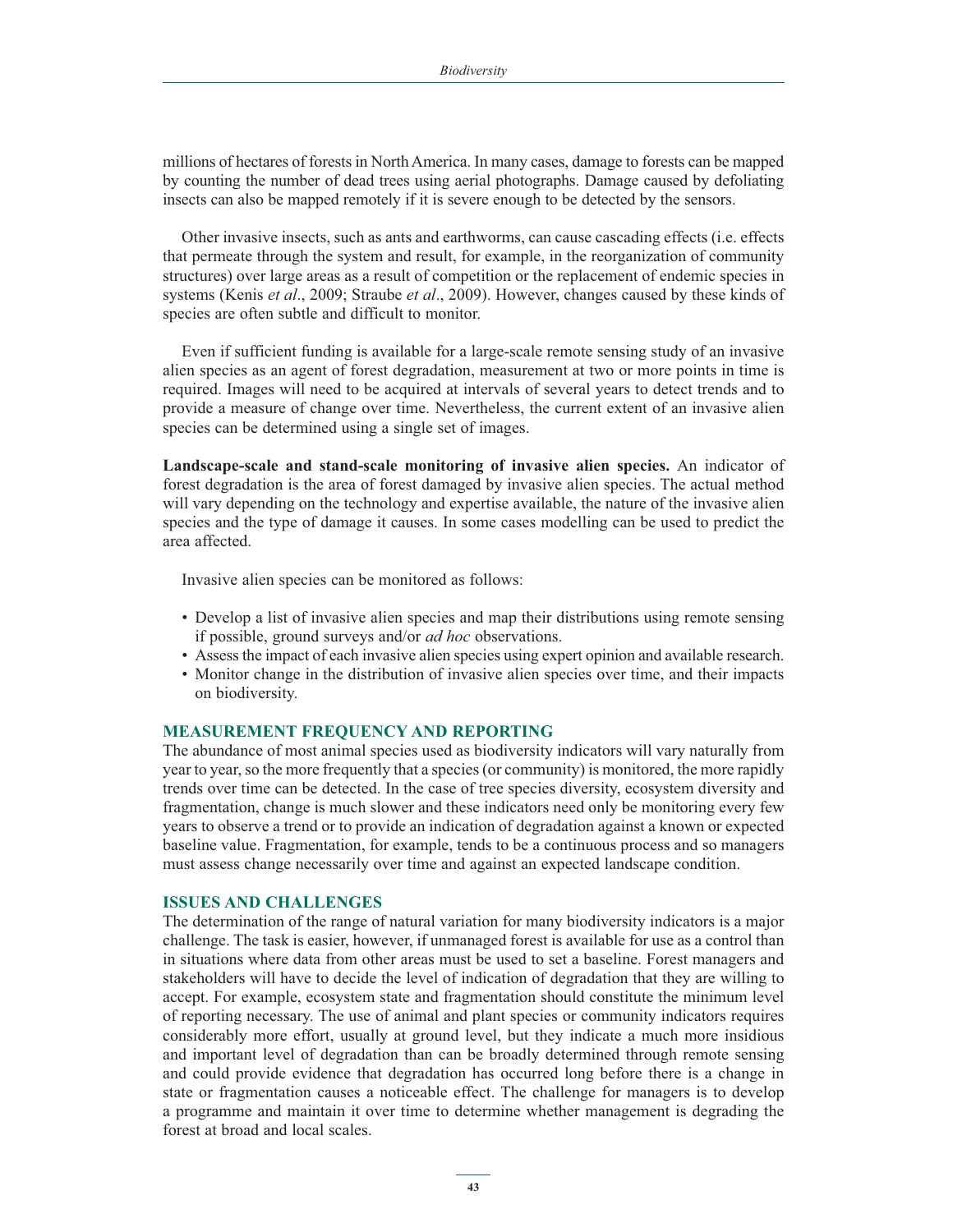millions of hectares of forests in North America. In many cases, damage to forests can be mapped by counting the number of dead trees using aerial photographs. Damage caused by defoliating insects can also be mapped remotely if it is severe enough to be detected by the sensors.

Other invasive insects, such as ants and earthworms, can cause cascading effects (i.e. effects that permeate through the system and result, for example, in the reorganization of community structures) over large areas as a result of competition or the replacement of endemic species in systems (Kenis *et al*., 2009; Straube *et al*., 2009). However, changes caused by these kinds of species are often subtle and difficult to monitor.

Even if sufficient funding is available for a large-scale remote sensing study of an invasive alien species as an agent of forest degradation, measurement at two or more points in time is required. Images will need to be acquired at intervals of several years to detect trends and to provide a measure of change over time. Nevertheless, the current extent of an invasive alien species can be determined using a single set of images.

**Landscape-scale and stand-scale monitoring of invasive alien species.** An indicator of forest degradation is the area of forest damaged by invasive alien species. The actual method will vary depending on the technology and expertise available, the nature of the invasive alien species and the type of damage it causes. In some cases modelling can be used to predict the area affected.

Invasive alien species can be monitored as follows:

- Develop a list of invasive alien species and map their distributions using remote sensing if possible, ground surveys and/or *ad hoc* observations.
- Assess the impact of each invasive alien species using expert opinion and available research.
- Monitor change in the distribution of invasive alien species over time, and their impacts on biodiversity.

#### **MEASUREMENT FREQUENCY AND REPORTING**

The abundance of most animal species used as biodiversity indicators will vary naturally from year to year, so the more frequently that a species (or community) is monitored, the more rapidly trends over time can be detected. In the case of tree species diversity, ecosystem diversity and fragmentation, change is much slower and these indicators need only be monitoring every few years to observe a trend or to provide an indication of degradation against a known or expected baseline value. Fragmentation, for example, tends to be a continuous process and so managers must assess change necessarily over time and against an expected landscape condition.

#### **ISSUES AND CHALLENGES**

The determination of the range of natural variation for many biodiversity indicators is a major challenge. The task is easier, however, if unmanaged forest is available for use as a control than in situations where data from other areas must be used to set a baseline. Forest managers and stakeholders will have to decide the level of indication of degradation that they are willing to accept. For example, ecosystem state and fragmentation should constitute the minimum level of reporting necessary. The use of animal and plant species or community indicators requires considerably more effort, usually at ground level, but they indicate a much more insidious and important level of degradation than can be broadly determined through remote sensing and could provide evidence that degradation has occurred long before there is a change in state or fragmentation causes a noticeable effect. The challenge for managers is to develop a programme and maintain it over time to determine whether management is degrading the forest at broad and local scales.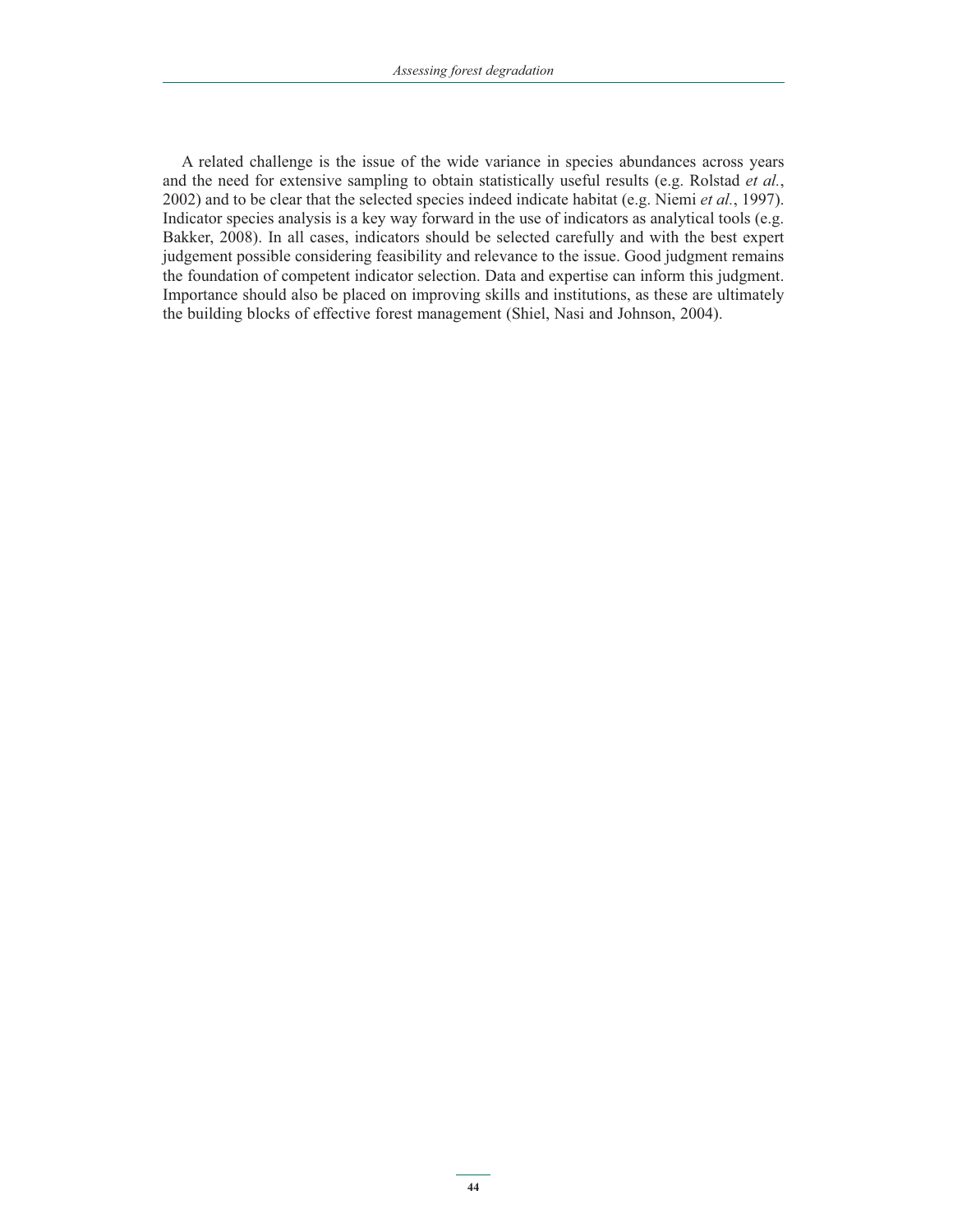A related challenge is the issue of the wide variance in species abundances across years and the need for extensive sampling to obtain statistically useful results (e.g. Rolstad *et al.*, 2002) and to be clear that the selected species indeed indicate habitat (e.g. Niemi *et al.*, 1997). Indicator species analysis is a key way forward in the use of indicators as analytical tools (e.g. Bakker, 2008). In all cases, indicators should be selected carefully and with the best expert judgement possible considering feasibility and relevance to the issue. Good judgment remains the foundation of competent indicator selection. Data and expertise can inform this judgment. Importance should also be placed on improving skills and institutions, as these are ultimately the building blocks of effective forest management (Shiel, Nasi and Johnson, 2004).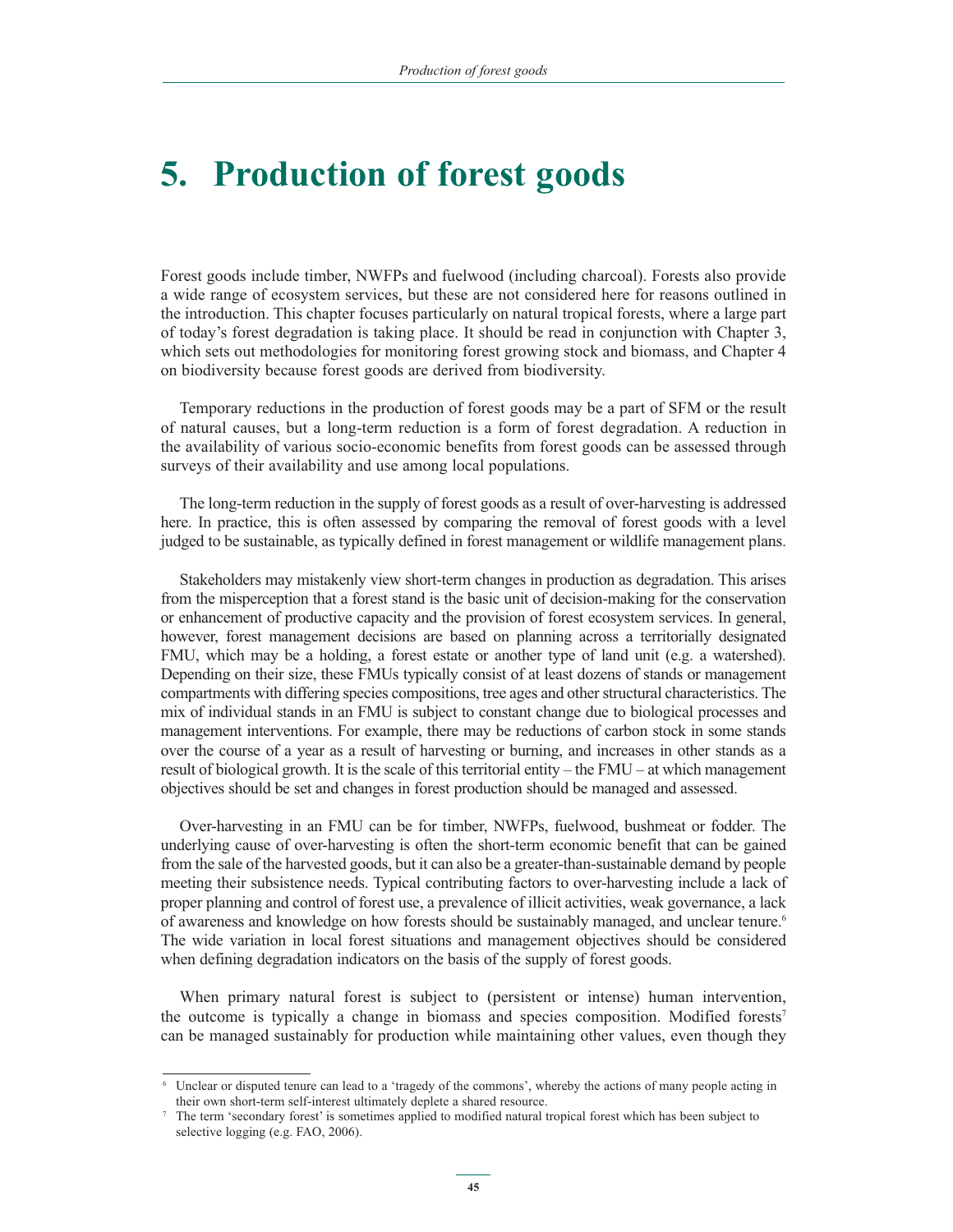# **5. Production of forest goods**

Forest goods include timber, NWFPs and fuelwood (including charcoal). Forests also provide a wide range of ecosystem services, but these are not considered here for reasons outlined in the introduction. This chapter focuses particularly on natural tropical forests, where a large part of today's forest degradation is taking place. It should be read in conjunction with Chapter 3, which sets out methodologies for monitoring forest growing stock and biomass, and Chapter 4 on biodiversity because forest goods are derived from biodiversity.

Temporary reductions in the production of forest goods may be a part of SFM or the result of natural causes, but a long-term reduction is a form of forest degradation. A reduction in the availability of various socio-economic benefits from forest goods can be assessed through surveys of their availability and use among local populations.

The long-term reduction in the supply of forest goods as a result of over-harvesting is addressed here. In practice, this is often assessed by comparing the removal of forest goods with a level judged to be sustainable, as typically defined in forest management or wildlife management plans.

Stakeholders may mistakenly view short-term changes in production as degradation. This arises from the misperception that a forest stand is the basic unit of decision-making for the conservation or enhancement of productive capacity and the provision of forest ecosystem services. In general, however, forest management decisions are based on planning across a territorially designated FMU, which may be a holding, a forest estate or another type of land unit (e.g. a watershed). Depending on their size, these FMUs typically consist of at least dozens of stands or management compartments with differing species compositions, tree ages and other structural characteristics. The mix of individual stands in an FMU is subject to constant change due to biological processes and management interventions. For example, there may be reductions of carbon stock in some stands over the course of a year as a result of harvesting or burning, and increases in other stands as a result of biological growth. It is the scale of this territorial entity – the FMU – at which management objectives should be set and changes in forest production should be managed and assessed.

Over-harvesting in an FMU can be for timber, NWFPs, fuelwood, bushmeat or fodder. The underlying cause of over-harvesting is often the short-term economic benefit that can be gained from the sale of the harvested goods, but it can also be a greater-than-sustainable demand by people meeting their subsistence needs. Typical contributing factors to over-harvesting include a lack of proper planning and control of forest use, a prevalence of illicit activities, weak governance, a lack of awareness and knowledge on how forests should be sustainably managed, and unclear tenure.<sup>6</sup> The wide variation in local forest situations and management objectives should be considered when defining degradation indicators on the basis of the supply of forest goods.

When primary natural forest is subject to (persistent or intense) human intervention, the outcome is typically a change in biomass and species composition. Modified forests<sup>7</sup> can be managed sustainably for production while maintaining other values, even though they

<sup>6</sup> Unclear or disputed tenure can lead to a 'tragedy of the commons', whereby the actions of many people acting in their own short-term self-interest ultimately deplete a shared resource.

<sup>7</sup> The term 'secondary forest' is sometimes applied to modified natural tropical forest which has been subject to selective logging (e.g. FAO, 2006).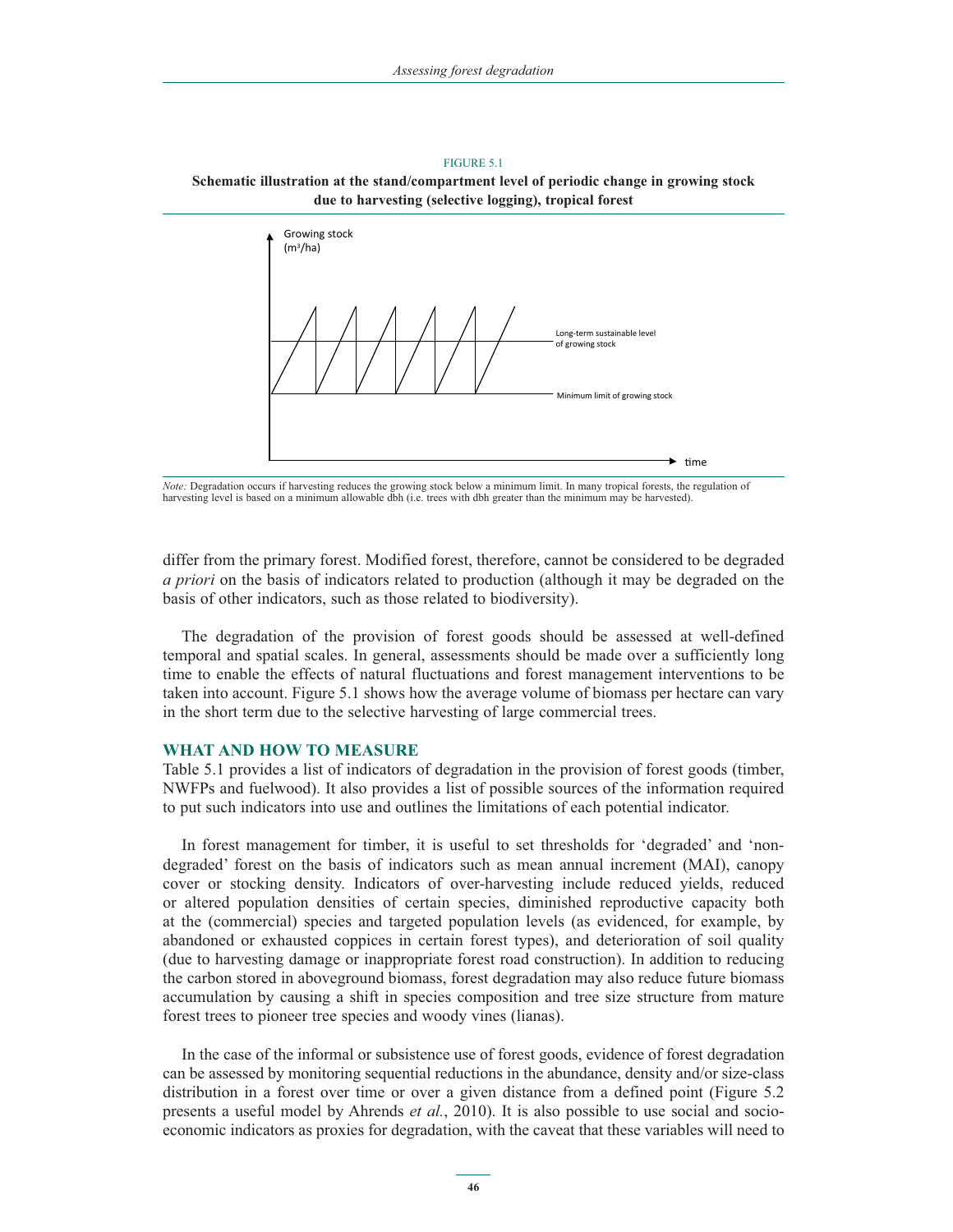FIGURE 5.1 **Schematic illustration at the stand/compartment level of periodic change in growing stock due to harvesting (selective logging), tropical forest**



*Note:* Degradation occurs if harvesting reduces the growing stock below a minimum limit. In many tropical forests, the regulation of harvesting level is based on a minimum allowable dbh (i.e. trees with dbh greater than the minimum may be harvested).

differ from the primary forest. Modified forest, therefore, cannot be considered to be degraded *a priori* on the basis of indicators related to production (although it may be degraded on the basis of other indicators, such as those related to biodiversity).

The degradation of the provision of forest goods should be assessed at well-defined temporal and spatial scales. In general, assessments should be made over a sufficiently long time to enable the effects of natural fluctuations and forest management interventions to be taken into account. Figure 5.1 shows how the average volume of biomass per hectare can vary in the short term due to the selective harvesting of large commercial trees.

#### **WHAT AND HOW TO MEASURE**

Table 5.1 provides a list of indicators of degradation in the provision of forest goods (timber, NWFPs and fuelwood). It also provides a list of possible sources of the information required to put such indicators into use and outlines the limitations of each potential indicator.

In forest management for timber, it is useful to set thresholds for 'degraded' and 'nondegraded' forest on the basis of indicators such as mean annual increment (MAI), canopy cover or stocking density. Indicators of over-harvesting include reduced yields, reduced or altered population densities of certain species, diminished reproductive capacity both at the (commercial) species and targeted population levels (as evidenced, for example, by abandoned or exhausted coppices in certain forest types), and deterioration of soil quality (due to harvesting damage or inappropriate forest road construction). In addition to reducing the carbon stored in aboveground biomass, forest degradation may also reduce future biomass accumulation by causing a shift in species composition and tree size structure from mature forest trees to pioneer tree species and woody vines (lianas).

In the case of the informal or subsistence use of forest goods, evidence of forest degradation can be assessed by monitoring sequential reductions in the abundance, density and/or size-class distribution in a forest over time or over a given distance from a defined point (Figure 5.2 presents a useful model by Ahrends *et al.*, 2010). It is also possible to use social and socioeconomic indicators as proxies for degradation, with the caveat that these variables will need to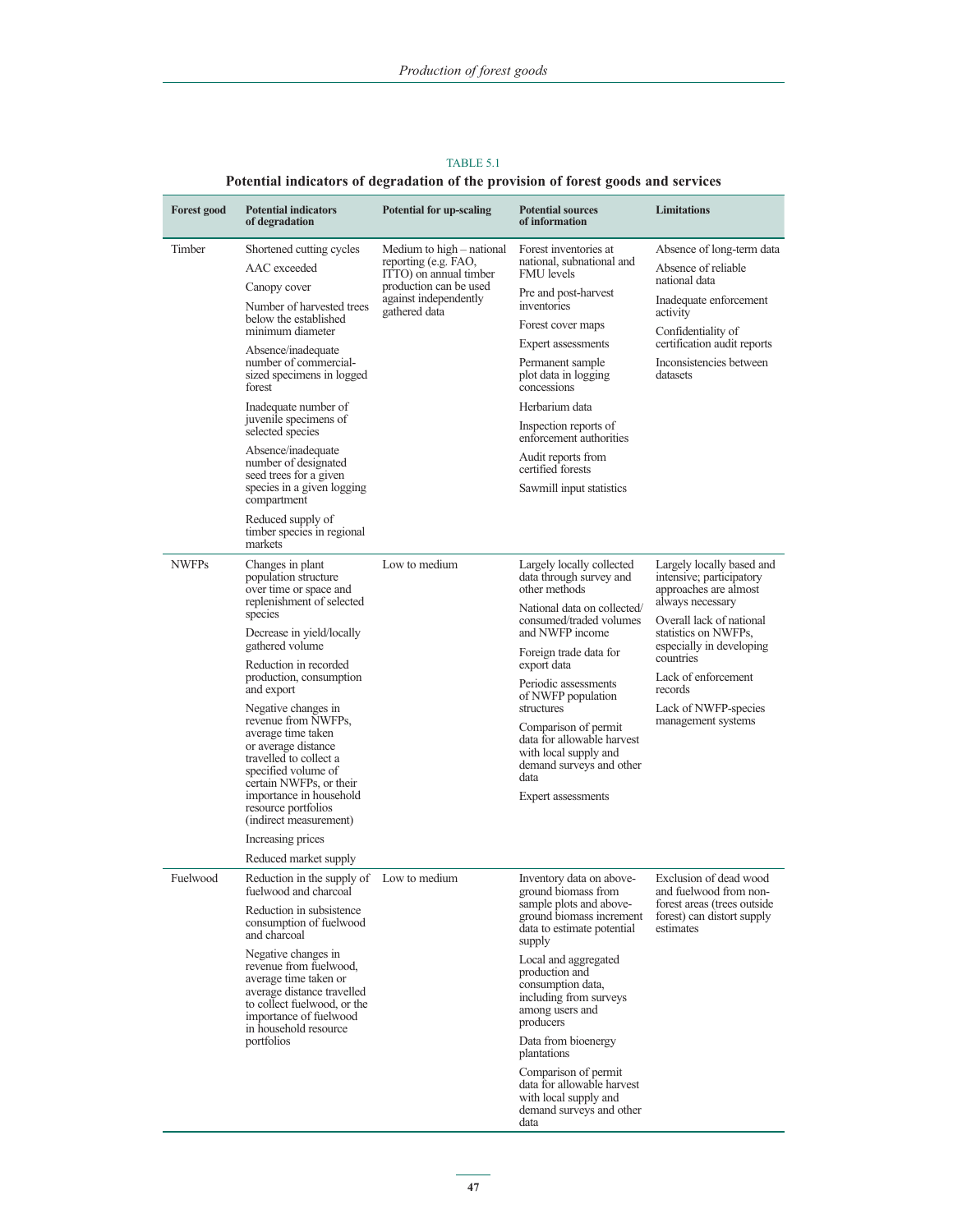| <b>Forest good</b>            | <b>Potential indicators</b><br>of degradation                                                                                                                                          | <b>Potential for up-scaling</b>                                             | <b>Potential sources</b><br>of information                                                                                            | <b>Limitations</b>                                                             |
|-------------------------------|----------------------------------------------------------------------------------------------------------------------------------------------------------------------------------------|-----------------------------------------------------------------------------|---------------------------------------------------------------------------------------------------------------------------------------|--------------------------------------------------------------------------------|
| Timber                        | Shortened cutting cycles<br>AAC exceeded                                                                                                                                               | Medium to high – national<br>reporting (e.g. FAO,<br>ITTO) on annual timber | Forest inventories at<br>national, subnational and<br><b>FMU</b> levels                                                               | Absence of long-term data<br>Absence of reliable<br>national data              |
|                               | Canopy cover<br>Number of harvested trees                                                                                                                                              | production can be used<br>against independently<br>gathered data            | Pre and post-harvest<br>inventories                                                                                                   | Inadequate enforcement<br>activity                                             |
|                               | below the established<br>minimum diameter<br>Absence/inadequate                                                                                                                        |                                                                             | Forest cover maps<br>Expert assessments                                                                                               | Confidentiality of<br>certification audit reports                              |
|                               | number of commercial-<br>sized specimens in logged<br>forest                                                                                                                           |                                                                             | Permanent sample<br>plot data in logging<br>concessions                                                                               | Inconsistencies between<br>datasets                                            |
|                               | Inadequate number of<br>juvenile specimens of                                                                                                                                          |                                                                             | Herbarium data                                                                                                                        |                                                                                |
|                               | selected species                                                                                                                                                                       |                                                                             | Inspection reports of<br>enforcement authorities                                                                                      |                                                                                |
|                               | Absence/inadequate<br>number of designated<br>seed trees for a given                                                                                                                   |                                                                             | Audit reports from<br>certified forests                                                                                               |                                                                                |
|                               | species in a given logging<br>compartment                                                                                                                                              |                                                                             | Sawmill input statistics                                                                                                              |                                                                                |
|                               | Reduced supply of<br>timber species in regional<br>markets                                                                                                                             |                                                                             |                                                                                                                                       |                                                                                |
| <b>NWFPs</b>                  | Changes in plant<br>population structure<br>over time or space and                                                                                                                     | Low to medium                                                               | Largely locally collected<br>data through survey and<br>other methods                                                                 | Largely locally based and<br>intensive; participatory<br>approaches are almost |
|                               | replenishment of selected<br>species                                                                                                                                                   |                                                                             | National data on collected/<br>consumed/traded volumes                                                                                | always necessary<br>Overall lack of national                                   |
| gathered volume<br>and export | Decrease in yield/locally                                                                                                                                                              |                                                                             | and NWFP income                                                                                                                       | statistics on NWFPs,                                                           |
|                               | Reduction in recorded                                                                                                                                                                  |                                                                             | Foreign trade data for<br>export data                                                                                                 | especially in developing<br>countries                                          |
|                               | production, consumption                                                                                                                                                                |                                                                             | Periodic assessments<br>of NWFP population                                                                                            | Lack of enforcement<br>records                                                 |
|                               | Negative changes in<br>revenue from NWFPs,                                                                                                                                             |                                                                             | structures                                                                                                                            | Lack of NWFP-species<br>management systems                                     |
|                               | average time taken<br>or average distance<br>travelled to collect a<br>specified volume of<br>certain NWFPs, or their<br>importance in household<br>resource portfolios                |                                                                             | Comparison of permit<br>data for allowable harvest<br>with local supply and<br>demand surveys and other<br>data<br>Expert assessments |                                                                                |
|                               | (indirect measurement)                                                                                                                                                                 |                                                                             |                                                                                                                                       |                                                                                |
|                               | Increasing prices<br>Reduced market supply                                                                                                                                             |                                                                             |                                                                                                                                       |                                                                                |
| Fuelwood                      | Reduction in the supply of<br>fuelwood and charcoal                                                                                                                                    | Low to medium                                                               | Inventory data on above-<br>ground biomass from                                                                                       | Exclusion of dead wood<br>and fuelwood from non-                               |
|                               | Reduction in subsistence<br>consumption of fuelwood<br>and charcoal                                                                                                                    |                                                                             | sample plots and above-<br>ground biomass increment<br>data to estimate potential<br>supply                                           | forest areas (trees outside)<br>forest) can distort supply<br>estimates        |
|                               | Negative changes in<br>revenue from fuelwood.<br>average time taken or<br>average distance travelled<br>to collect fuelwood, or the<br>importance of fuelwood<br>in household resource |                                                                             | Local and aggregated<br>production and<br>consumption data,<br>including from surveys<br>among users and<br>producers                 |                                                                                |
|                               | portfolios                                                                                                                                                                             |                                                                             | Data from bioenergy<br>plantations                                                                                                    |                                                                                |
|                               |                                                                                                                                                                                        |                                                                             | Comparison of permit<br>data for allowable harvest<br>with local supply and<br>demand surveys and other<br>data                       |                                                                                |

TABLE 5.1 **Potential indicators of degradation of the provision of forest goods and services**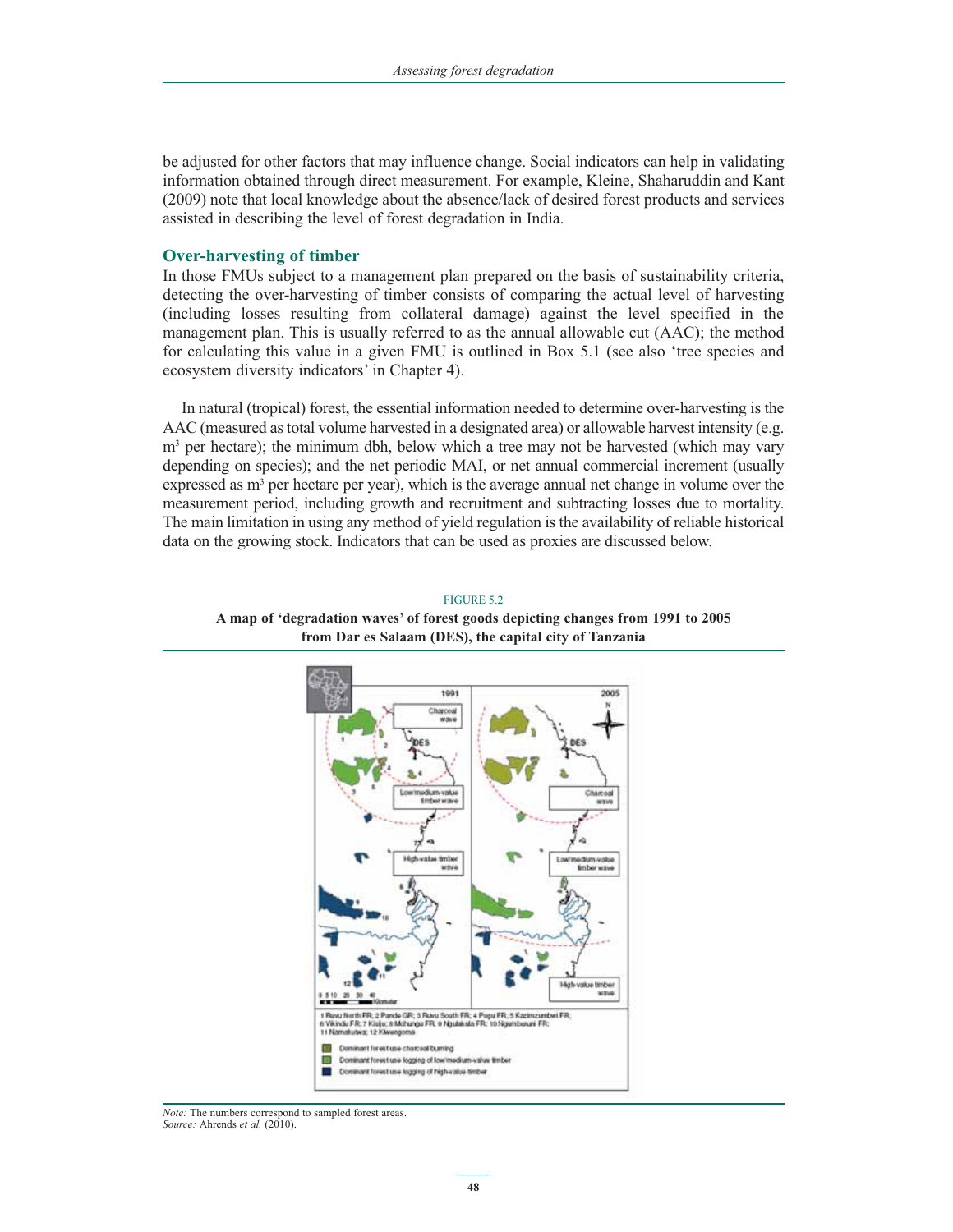be adjusted for other factors that may influence change. Social indicators can help in validating information obtained through direct measurement. For example, Kleine, Shaharuddin and Kant (2009) note that local knowledge about the absence/lack of desired forest products and services assisted in describing the level of forest degradation in India.

#### **Over-harvesting of timber**

In those FMUs subject to a management plan prepared on the basis of sustainability criteria, detecting the over-harvesting of timber consists of comparing the actual level of harvesting (including losses resulting from collateral damage) against the level specified in the management plan. This is usually referred to as the annual allowable cut (AAC); the method for calculating this value in a given FMU is outlined in Box 5.1 (see also 'tree species and ecosystem diversity indicators' in Chapter 4).

In natural (tropical) forest, the essential information needed to determine over-harvesting is the AAC (measured as total volume harvested in a designated area) or allowable harvest intensity (e.g. m<sup>3</sup> per hectare); the minimum dbh, below which a tree may not be harvested (which may vary depending on species); and the net periodic MAI, or net annual commercial increment (usually expressed as m<sup>3</sup> per hectare per year), which is the average annual net change in volume over the measurement period, including growth and recruitment and subtracting losses due to mortality. The main limitation in using any method of yield regulation is the availability of reliable historical data on the growing stock. Indicators that can be used as proxies are discussed below.

# 1991 2005  $\overline{a}$ dun vak **Imberway** i Ruvu Nortlı FR; 2 Pande GR; 3 Ruvu Soutlı FR; 4 Poşu FR; 5 Kazimzantovi FR;<br>1 Vikində FR; 7 Kisiju; 6 Mchangu FR; 9 Nijulakıda FR; 10 Nijumboruni FR;<br>11 Nomakutva; 12 Klivengoma Dominant forest use charcoal burning Dominant forest use logging of low/medium-value timber Dominant forest use logging of high-value timber

FIGURE 5.2

**A map of 'degradation waves' of forest goods depicting changes from 1991 to 2005 from Dar es Salaam (DES), the capital city of Tanzania**

*Note:* The numbers correspond to sampled forest areas. *Source:* Ahrends *et al.* (2010).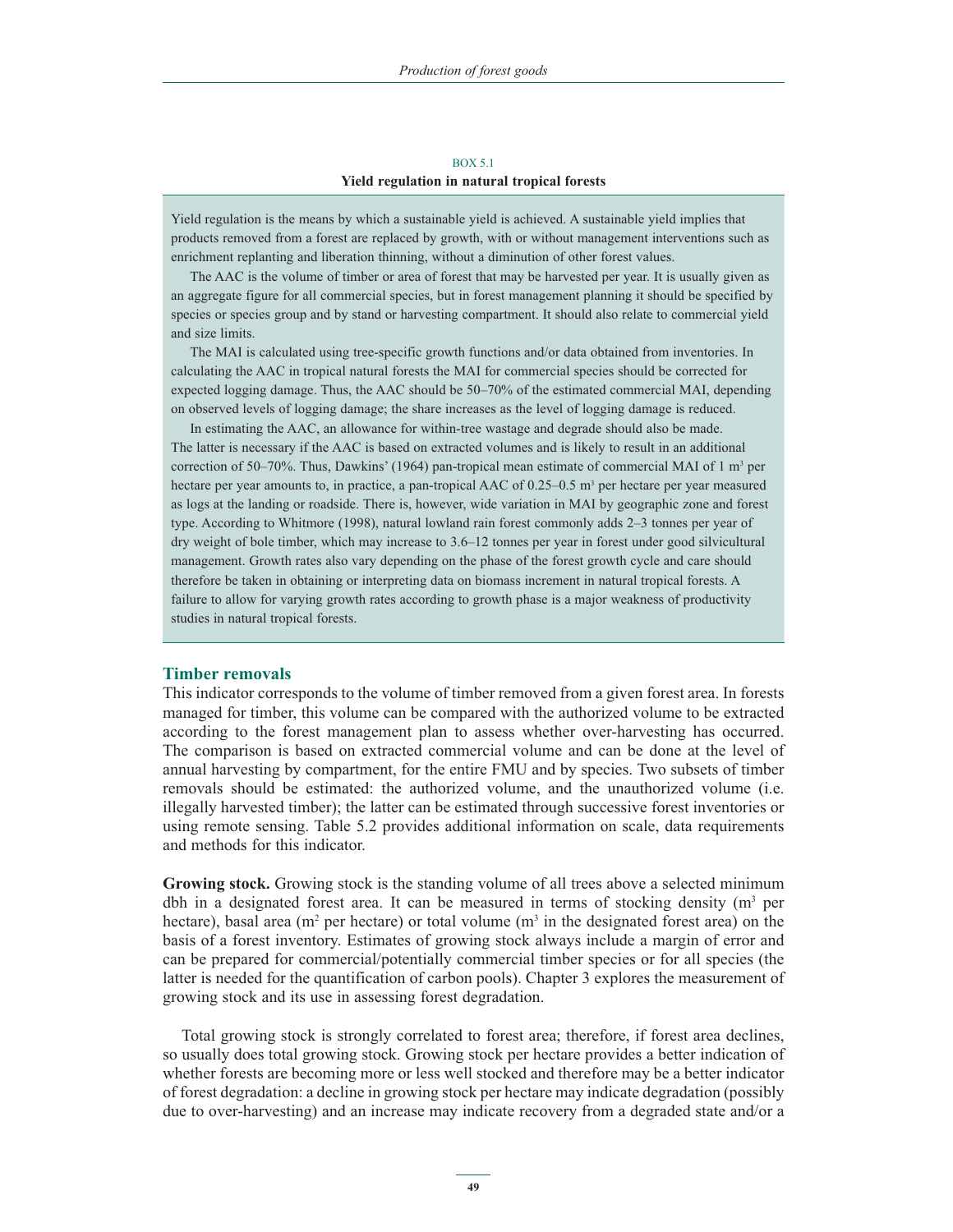#### BOX 5.1 **Yield regulation in natural tropical forests**

Yield regulation is the means by which a sustainable yield is achieved. A sustainable yield implies that products removed from a forest are replaced by growth, with or without management interventions such as enrichment replanting and liberation thinning, without a diminution of other forest values.

The AAC is the volume of timber or area of forest that may be harvested per year. It is usually given as an aggregate figure for all commercial species, but in forest management planning it should be specified by species or species group and by stand or harvesting compartment. It should also relate to commercial yield and size limits.

The MAI is calculated using tree-specific growth functions and/or data obtained from inventories. In calculating the AAC in tropical natural forests the MAI for commercial species should be corrected for expected logging damage. Thus, the AAC should be 50–70% of the estimated commercial MAI, depending on observed levels of logging damage; the share increases as the level of logging damage is reduced.

In estimating the AAC, an allowance for within-tree wastage and degrade should also be made. The latter is necessary if the AAC is based on extracted volumes and is likely to result in an additional correction of 50–70%. Thus, Dawkins' (1964) pan-tropical mean estimate of commercial MAI of 1 m<sup>3</sup> per hectare per year amounts to, in practice, a pan-tropical AAC of 0.25–0.5 m<sup>3</sup> per hectare per year measured as logs at the landing or roadside. There is, however, wide variation in MAI by geographic zone and forest type. According to Whitmore (1998), natural lowland rain forest commonly adds 2–3 tonnes per year of dry weight of bole timber, which may increase to 3.6–12 tonnes per year in forest under good silvicultural management. Growth rates also vary depending on the phase of the forest growth cycle and care should therefore be taken in obtaining or interpreting data on biomass increment in natural tropical forests. A failure to allow for varying growth rates according to growth phase is a major weakness of productivity studies in natural tropical forests.

#### **Timber removals**

This indicator corresponds to the volume of timber removed from a given forest area. In forests managed for timber, this volume can be compared with the authorized volume to be extracted according to the forest management plan to assess whether over-harvesting has occurred. The comparison is based on extracted commercial volume and can be done at the level of annual harvesting by compartment, for the entire FMU and by species. Two subsets of timber removals should be estimated: the authorized volume, and the unauthorized volume (i.e. illegally harvested timber); the latter can be estimated through successive forest inventories or using remote sensing. Table 5.2 provides additional information on scale, data requirements and methods for this indicator.

**Growing stock.** Growing stock is the standing volume of all trees above a selected minimum dbh in a designated forest area. It can be measured in terms of stocking density  $(m<sup>3</sup>$  per hectare), basal area ( $m<sup>2</sup>$  per hectare) or total volume ( $m<sup>3</sup>$  in the designated forest area) on the basis of a forest inventory. Estimates of growing stock always include a margin of error and can be prepared for commercial/potentially commercial timber species or for all species (the latter is needed for the quantification of carbon pools). Chapter 3 explores the measurement of growing stock and its use in assessing forest degradation.

Total growing stock is strongly correlated to forest area; therefore, if forest area declines, so usually does total growing stock. Growing stock per hectare provides a better indication of whether forests are becoming more or less well stocked and therefore may be a better indicator of forest degradation: a decline in growing stock per hectare may indicate degradation (possibly due to over-harvesting) and an increase may indicate recovery from a degraded state and/or a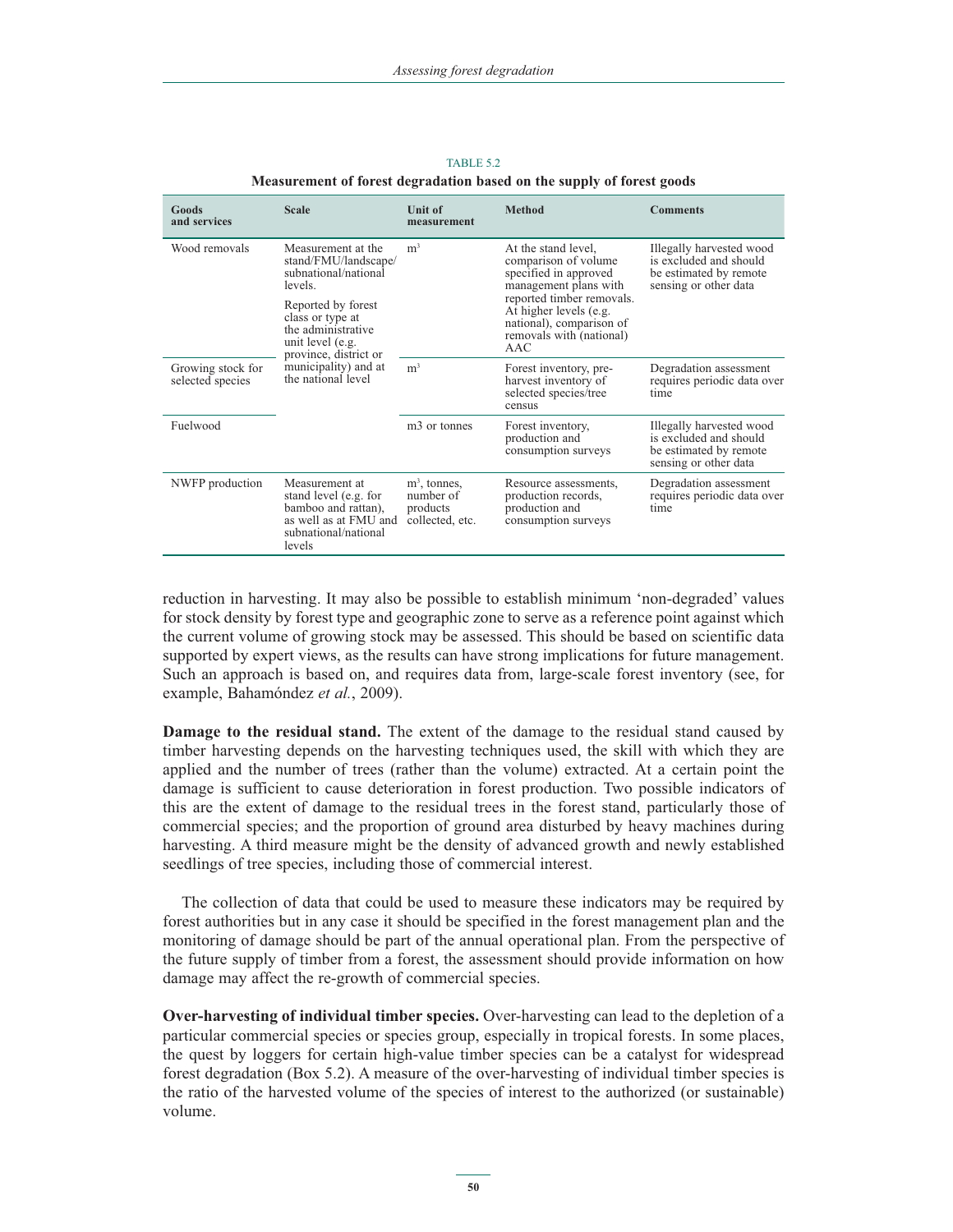| Goods<br>and services                                                                                       | <b>Scale</b>                                                                                                              | <b>Unit of</b><br>measurement                               | <b>Method</b>                                                                                                      | <b>Comments</b>                                                                                       |  |
|-------------------------------------------------------------------------------------------------------------|---------------------------------------------------------------------------------------------------------------------------|-------------------------------------------------------------|--------------------------------------------------------------------------------------------------------------------|-------------------------------------------------------------------------------------------------------|--|
| Wood removals<br>levels<br>Reported by forest<br>class or type at<br>the administrative<br>unit level (e.g. | Measurement at the<br>stand/FMU/landscape/<br>subnational/national                                                        | m <sup>3</sup>                                              | At the stand level,<br>comparison of volume<br>specified in approved<br>management plans with                      | Illegally harvested wood<br>is excluded and should<br>be estimated by remote<br>sensing or other data |  |
|                                                                                                             | province, district or                                                                                                     |                                                             | reported timber removals.<br>At higher levels (e.g.<br>national), comparison of<br>removals with (national)<br>AAC |                                                                                                       |  |
| Growing stock for<br>selected species                                                                       | municipality) and at<br>the national level                                                                                | m <sup>3</sup>                                              | Forest inventory, pre-<br>harvest inventory of<br>selected species/tree<br>census                                  | Degradation assessment<br>requires periodic data over<br>time                                         |  |
| Fuelwood                                                                                                    |                                                                                                                           | m <sub>3</sub> or tonnes                                    | Forest inventory,<br>production and<br>consumption surveys                                                         | Illegally harvested wood<br>is excluded and should<br>be estimated by remote<br>sensing or other data |  |
| NWFP production                                                                                             | Measurement at<br>stand level (e.g. for<br>bamboo and rattan),<br>as well as at FMU and<br>subnational/national<br>levels | $m^3$ , tonnes,<br>number of<br>products<br>collected, etc. | Resource assessments,<br>production records,<br>production and<br>consumption surveys                              | Degradation assessment<br>requires periodic data over<br>time                                         |  |

TABLE 5.2 **Measurement of forest degradation based on the supply of forest goods**

reduction in harvesting. It may also be possible to establish minimum 'non-degraded' values for stock density by forest type and geographic zone to serve as a reference point against which the current volume of growing stock may be assessed. This should be based on scientific data supported by expert views, as the results can have strong implications for future management. Such an approach is based on, and requires data from, large-scale forest inventory (see, for example, Bahamóndez *et al.*, 2009).

**Damage to the residual stand.** The extent of the damage to the residual stand caused by timber harvesting depends on the harvesting techniques used, the skill with which they are applied and the number of trees (rather than the volume) extracted. At a certain point the damage is sufficient to cause deterioration in forest production. Two possible indicators of this are the extent of damage to the residual trees in the forest stand, particularly those of commercial species; and the proportion of ground area disturbed by heavy machines during harvesting. A third measure might be the density of advanced growth and newly established seedlings of tree species, including those of commercial interest.

The collection of data that could be used to measure these indicators may be required by forest authorities but in any case it should be specified in the forest management plan and the monitoring of damage should be part of the annual operational plan. From the perspective of the future supply of timber from a forest, the assessment should provide information on how damage may affect the re-growth of commercial species.

**Over-harvesting of individual timber species.** Over-harvesting can lead to the depletion of a particular commercial species or species group, especially in tropical forests. In some places, the quest by loggers for certain high-value timber species can be a catalyst for widespread forest degradation (Box 5.2). A measure of the over-harvesting of individual timber species is the ratio of the harvested volume of the species of interest to the authorized (or sustainable) volume.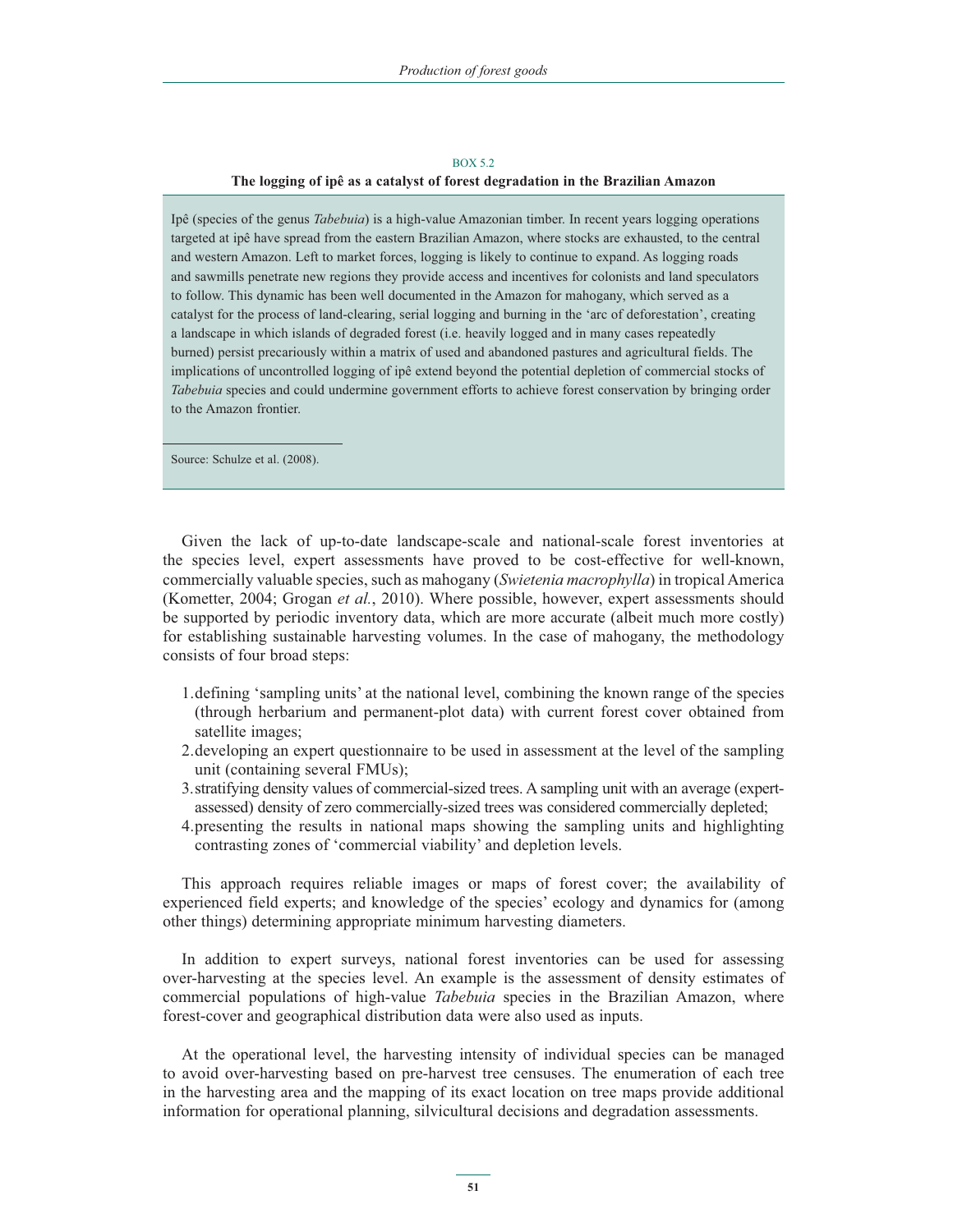#### BOX 5.2 **The logging of ipê as a catalyst of forest degradation in the Brazilian Amazon**

Ipê (species of the genus *Tabebuia*) is a high-value Amazonian timber. In recent years logging operations targeted at ipê have spread from the eastern Brazilian Amazon, where stocks are exhausted, to the central and western Amazon. Left to market forces, logging is likely to continue to expand. As logging roads and sawmills penetrate new regions they provide access and incentives for colonists and land speculators to follow. This dynamic has been well documented in the Amazon for mahogany, which served as a catalyst for the process of land-clearing, serial logging and burning in the 'arc of deforestation', creating a landscape in which islands of degraded forest (i.e. heavily logged and in many cases repeatedly burned) persist precariously within a matrix of used and abandoned pastures and agricultural fields. The implications of uncontrolled logging of ipê extend beyond the potential depletion of commercial stocks of *Tabebuia* species and could undermine government efforts to achieve forest conservation by bringing order to the Amazon frontier.

Source: Schulze et al. (2008).

Given the lack of up-to-date landscape-scale and national-scale forest inventories at the species level, expert assessments have proved to be cost-effective for well-known, commercially valuable species, such as mahogany (*Swietenia macrophylla*) in tropical America (Kometter, 2004; Grogan *et al.*, 2010). Where possible, however, expert assessments should be supported by periodic inventory data, which are more accurate (albeit much more costly) for establishing sustainable harvesting volumes. In the case of mahogany, the methodology consists of four broad steps:

- 1. defining 'sampling units' at the national level, combining the known range of the species (through herbarium and permanent-plot data) with current forest cover obtained from satellite images;
- 2. developing an expert questionnaire to be used in assessment at the level of the sampling unit (containing several FMUs);
- 3. stratifying density values of commercial-sized trees. A sampling unit with an average (expertassessed) density of zero commercially-sized trees was considered commercially depleted;
- 4. presenting the results in national maps showing the sampling units and highlighting contrasting zones of 'commercial viability' and depletion levels.

This approach requires reliable images or maps of forest cover; the availability of experienced field experts; and knowledge of the species' ecology and dynamics for (among other things) determining appropriate minimum harvesting diameters.

In addition to expert surveys, national forest inventories can be used for assessing over-harvesting at the species level. An example is the assessment of density estimates of commercial populations of high-value *Tabebuia* species in the Brazilian Amazon, where forest-cover and geographical distribution data were also used as inputs.

At the operational level, the harvesting intensity of individual species can be managed to avoid over-harvesting based on pre-harvest tree censuses. The enumeration of each tree in the harvesting area and the mapping of its exact location on tree maps provide additional information for operational planning, silvicultural decisions and degradation assessments.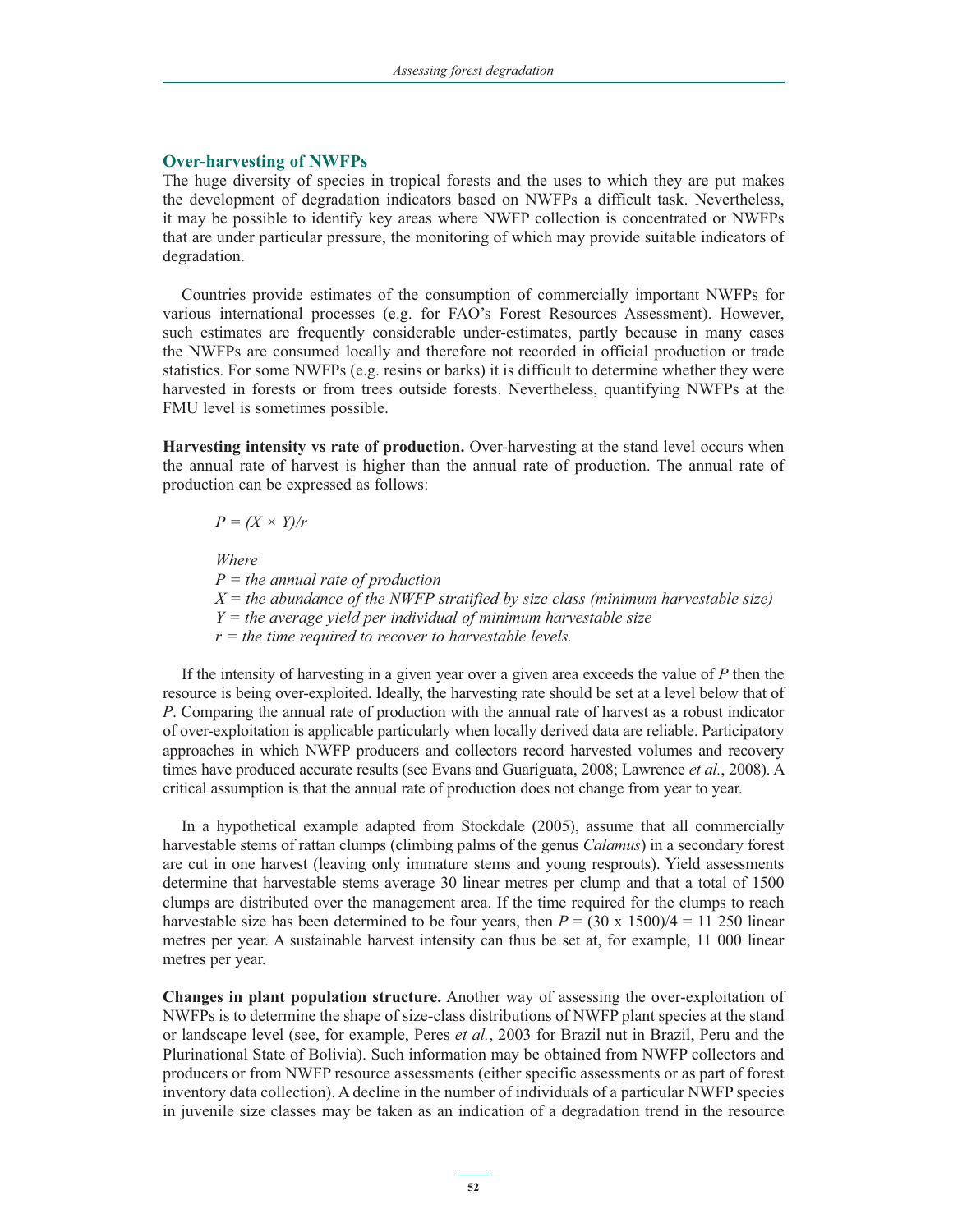#### **Over-harvesting of NWFPs**

The huge diversity of species in tropical forests and the uses to which they are put makes the development of degradation indicators based on NWFPs a difficult task. Nevertheless, it may be possible to identify key areas where NWFP collection is concentrated or NWFPs that are under particular pressure, the monitoring of which may provide suitable indicators of degradation.

Countries provide estimates of the consumption of commercially important NWFPs for various international processes (e.g. for FAO's Forest Resources Assessment). However, such estimates are frequently considerable under-estimates, partly because in many cases the NWFPs are consumed locally and therefore not recorded in official production or trade statistics. For some NWFPs (e.g. resins or barks) it is difficult to determine whether they were harvested in forests or from trees outside forests. Nevertheless, quantifying NWFPs at the FMU level is sometimes possible.

**Harvesting intensity vs rate of production.** Over-harvesting at the stand level occurs when the annual rate of harvest is higher than the annual rate of production. The annual rate of production can be expressed as follows:

 $P = (X \times Y)/r$ 

 *Where*

 *P = the annual rate of production X = the abundance of the NWFP stratified by size class (minimum harvestable size) Y = the average yield per individual of minimum harvestable size r = the time required to recover to harvestable levels.* 

If the intensity of harvesting in a given year over a given area exceeds the value of *P* then the resource is being over-exploited. Ideally, the harvesting rate should be set at a level below that of *P*. Comparing the annual rate of production with the annual rate of harvest as a robust indicator of over-exploitation is applicable particularly when locally derived data are reliable. Participatory approaches in which NWFP producers and collectors record harvested volumes and recovery times have produced accurate results (see Evans and Guariguata, 2008; Lawrence *et al.*, 2008). A critical assumption is that the annual rate of production does not change from year to year.

In a hypothetical example adapted from Stockdale (2005), assume that all commercially harvestable stems of rattan clumps (climbing palms of the genus *Calamus*) in a secondary forest are cut in one harvest (leaving only immature stems and young resprouts). Yield assessments determine that harvestable stems average 30 linear metres per clump and that a total of 1500 clumps are distributed over the management area. If the time required for the clumps to reach harvestable size has been determined to be four years, then  $P = (30 \times 1500)/4 = 11250$  linear metres per year. A sustainable harvest intensity can thus be set at, for example, 11 000 linear metres per year.

**Changes in plant population structure.** Another way of assessing the over-exploitation of NWFPs is to determine the shape of size-class distributions of NWFP plant species at the stand or landscape level (see, for example, Peres *et al.*, 2003 for Brazil nut in Brazil, Peru and the Plurinational State of Bolivia). Such information may be obtained from NWFP collectors and producers or from NWFP resource assessments (either specific assessments or as part of forest inventory data collection). A decline in the number of individuals of a particular NWFP species in juvenile size classes may be taken as an indication of a degradation trend in the resource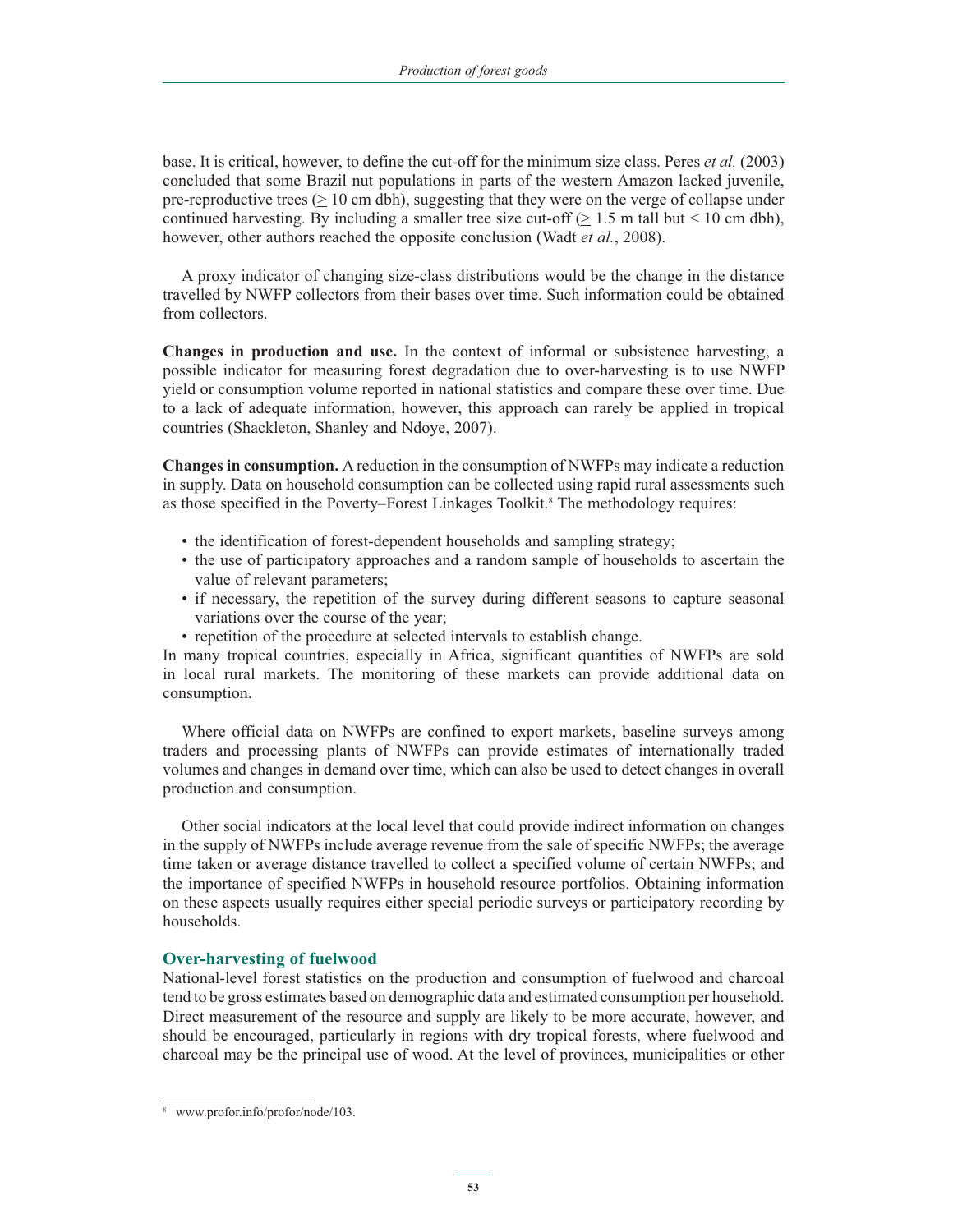base. It is critical, however, to define the cut-off for the minimum size class. Peres *et al.* (2003) concluded that some Brazil nut populations in parts of the western Amazon lacked juvenile, pre-reproductive trees  $(> 10 \text{ cm dbh})$ , suggesting that they were on the verge of collapse under continued harvesting. By including a smaller tree size cut-off  $(> 1.5 \text{ m tall but} < 10 \text{ cm db})$ , however, other authors reached the opposite conclusion (Wadt *et al.*, 2008).

A proxy indicator of changing size-class distributions would be the change in the distance travelled by NWFP collectors from their bases over time. Such information could be obtained from collectors.

**Changes in production and use.** In the context of informal or subsistence harvesting, a possible indicator for measuring forest degradation due to over-harvesting is to use NWFP yield or consumption volume reported in national statistics and compare these over time. Due to a lack of adequate information, however, this approach can rarely be applied in tropical countries (Shackleton, Shanley and Ndoye, 2007).

**Changes in consumption.** A reduction in the consumption of NWFPs may indicate a reduction in supply. Data on household consumption can be collected using rapid rural assessments such as those specified in the Poverty–Forest Linkages Toolkit.<sup>8</sup> The methodology requires:

- the identification of forest-dependent households and sampling strategy;
- the use of participatory approaches and a random sample of households to ascertain the value of relevant parameters;
- if necessary, the repetition of the survey during different seasons to capture seasonal variations over the course of the year;
- repetition of the procedure at selected intervals to establish change.

In many tropical countries, especially in Africa, significant quantities of NWFPs are sold in local rural markets. The monitoring of these markets can provide additional data on consumption.

Where official data on NWFPs are confined to export markets, baseline surveys among traders and processing plants of NWFPs can provide estimates of internationally traded volumes and changes in demand over time, which can also be used to detect changes in overall production and consumption.

Other social indicators at the local level that could provide indirect information on changes in the supply of NWFPs include average revenue from the sale of specific NWFPs; the average time taken or average distance travelled to collect a specified volume of certain NWFPs; and the importance of specified NWFPs in household resource portfolios. Obtaining information on these aspects usually requires either special periodic surveys or participatory recording by households.

### **Over-harvesting of fuelwood**

National-level forest statistics on the production and consumption of fuelwood and charcoal tend to be gross estimates based on demographic data and estimated consumption per household. Direct measurement of the resource and supply are likely to be more accurate, however, and should be encouraged, particularly in regions with dry tropical forests, where fuelwood and charcoal may be the principal use of wood. At the level of provinces, municipalities or other

<sup>8</sup> www.profor.info/profor/node/103.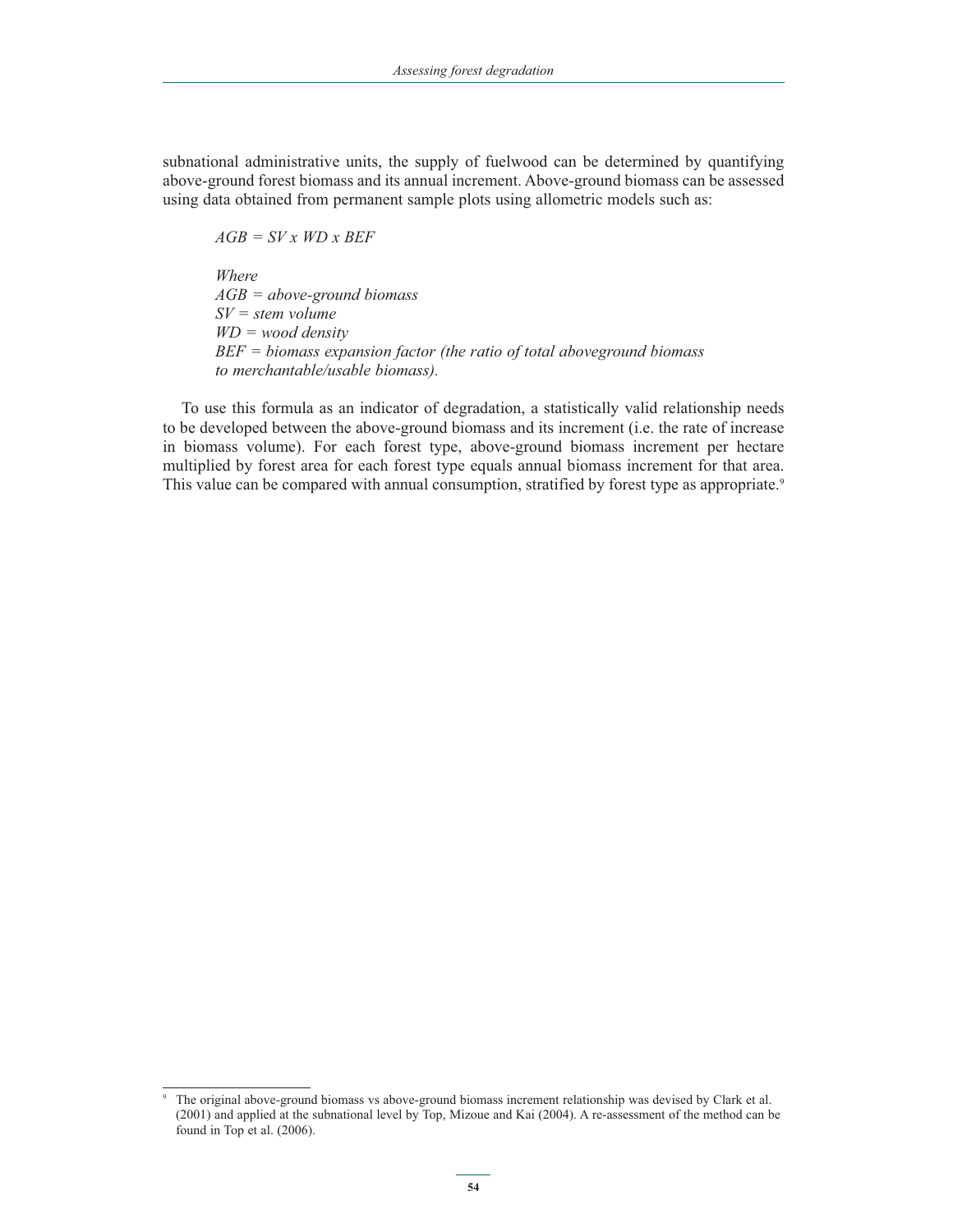subnational administrative units, the supply of fuelwood can be determined by quantifying above-ground forest biomass and its annual increment. Above-ground biomass can be assessed using data obtained from permanent sample plots using allometric models such as:

 *AGB = SV x WD x BEF* 

 *Where AGB = above-ground biomass SV = stem volume WD = wood density BEF = biomass expansion factor (the ratio of total aboveground biomass to merchantable/usable biomass).* 

To use this formula as an indicator of degradation, a statistically valid relationship needs to be developed between the above-ground biomass and its increment (i.e. the rate of increase in biomass volume). For each forest type, above-ground biomass increment per hectare multiplied by forest area for each forest type equals annual biomass increment for that area. This value can be compared with annual consumption, stratified by forest type as appropriate.<sup>9</sup>

<sup>9</sup> The original above-ground biomass vs above-ground biomass increment relationship was devised by Clark et al. (2001) and applied at the subnational level by Top, Mizoue and Kai (2004). A re-assessment of the method can be found in Top et al. (2006).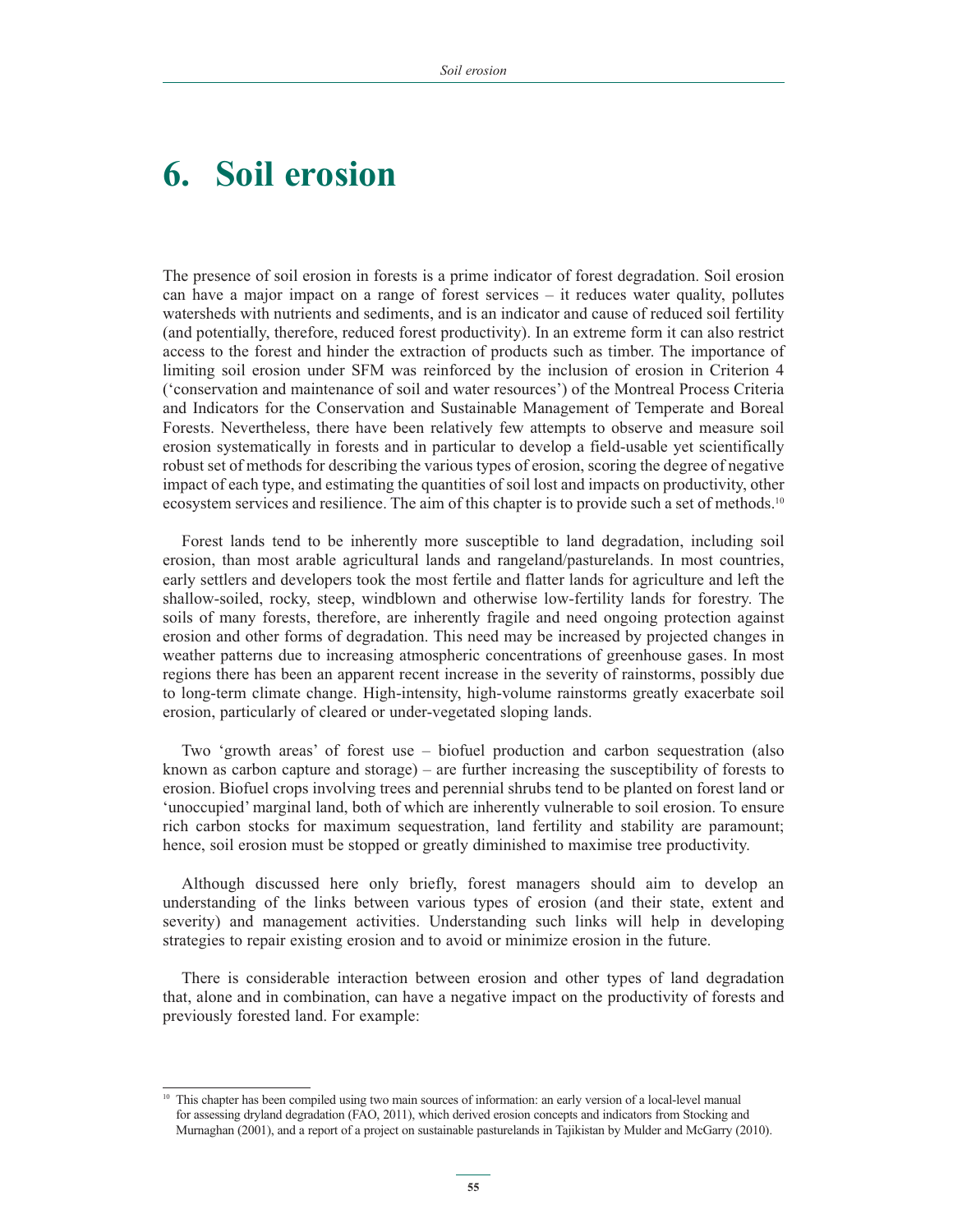## **6. Soil erosion**

The presence of soil erosion in forests is a prime indicator of forest degradation. Soil erosion can have a major impact on a range of forest services – it reduces water quality, pollutes watersheds with nutrients and sediments, and is an indicator and cause of reduced soil fertility (and potentially, therefore, reduced forest productivity). In an extreme form it can also restrict access to the forest and hinder the extraction of products such as timber. The importance of limiting soil erosion under SFM was reinforced by the inclusion of erosion in Criterion 4 ('conservation and maintenance of soil and water resources') of the Montreal Process Criteria and Indicators for the Conservation and Sustainable Management of Temperate and Boreal Forests. Nevertheless, there have been relatively few attempts to observe and measure soil erosion systematically in forests and in particular to develop a field-usable yet scientifically robust set of methods for describing the various types of erosion, scoring the degree of negative impact of each type, and estimating the quantities of soil lost and impacts on productivity, other ecosystem services and resilience. The aim of this chapter is to provide such a set of methods.<sup>10</sup>

Forest lands tend to be inherently more susceptible to land degradation, including soil erosion, than most arable agricultural lands and rangeland/pasturelands. In most countries, early settlers and developers took the most fertile and flatter lands for agriculture and left the shallow-soiled, rocky, steep, windblown and otherwise low-fertility lands for forestry. The soils of many forests, therefore, are inherently fragile and need ongoing protection against erosion and other forms of degradation. This need may be increased by projected changes in weather patterns due to increasing atmospheric concentrations of greenhouse gases. In most regions there has been an apparent recent increase in the severity of rainstorms, possibly due to long-term climate change. High-intensity, high-volume rainstorms greatly exacerbate soil erosion, particularly of cleared or under-vegetated sloping lands.

Two 'growth areas' of forest use – biofuel production and carbon sequestration (also known as carbon capture and storage) – are further increasing the susceptibility of forests to erosion. Biofuel crops involving trees and perennial shrubs tend to be planted on forest land or 'unoccupied' marginal land, both of which are inherently vulnerable to soil erosion. To ensure rich carbon stocks for maximum sequestration, land fertility and stability are paramount; hence, soil erosion must be stopped or greatly diminished to maximise tree productivity.

Although discussed here only briefly, forest managers should aim to develop an understanding of the links between various types of erosion (and their state, extent and severity) and management activities. Understanding such links will help in developing strategies to repair existing erosion and to avoid or minimize erosion in the future.

There is considerable interaction between erosion and other types of land degradation that, alone and in combination, can have a negative impact on the productivity of forests and previously forested land. For example:

<sup>10</sup> This chapter has been compiled using two main sources of information: an early version of a local-level manual for assessing dryland degradation (FAO, 2011), which derived erosion concepts and indicators from Stocking and Murnaghan (2001), and a report of a project on sustainable pasturelands in Tajikistan by Mulder and McGarry (2010).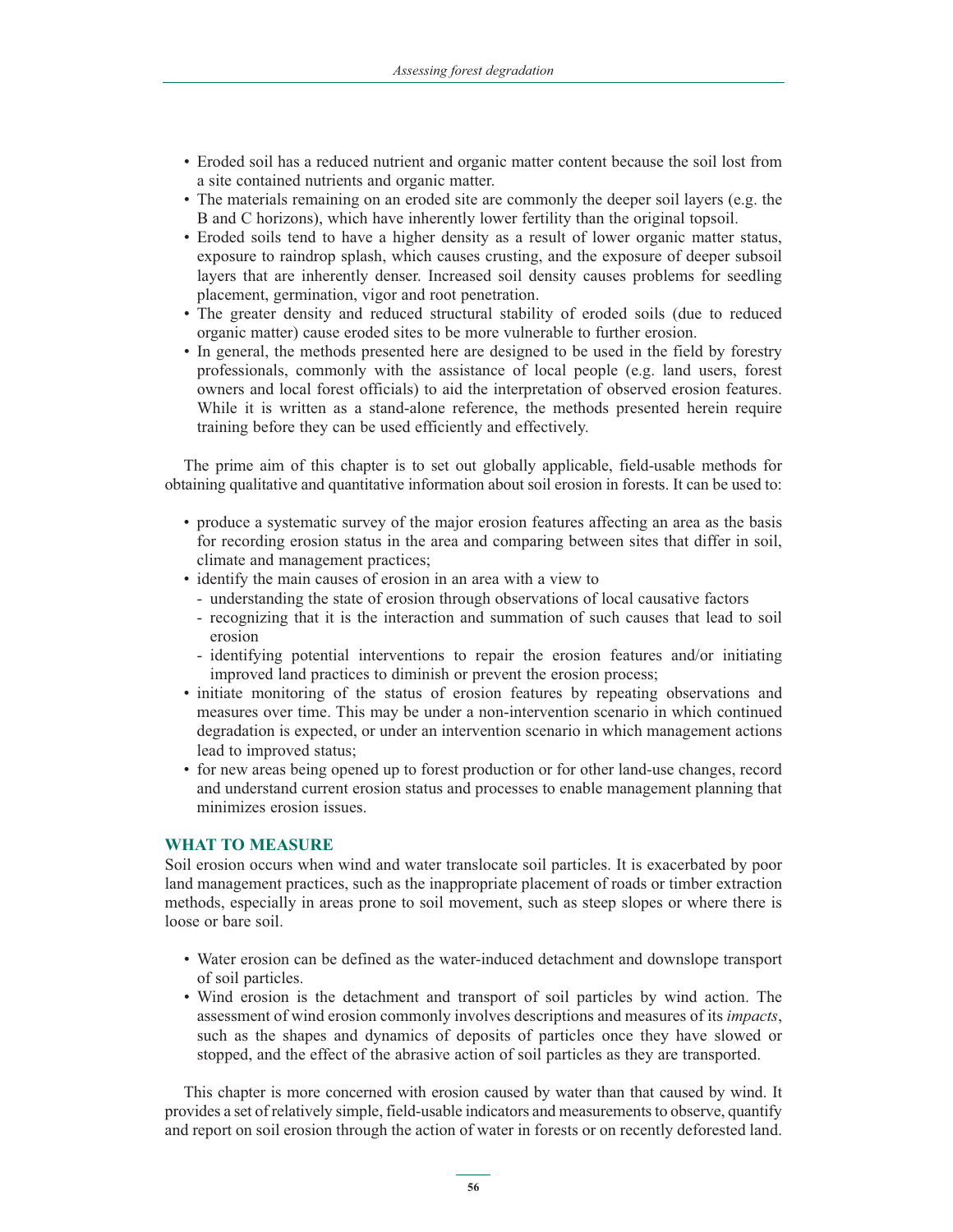- Eroded soil has a reduced nutrient and organic matter content because the soil lost from a site contained nutrients and organic matter.
- The materials remaining on an eroded site are commonly the deeper soil layers (e.g. the B and C horizons), which have inherently lower fertility than the original topsoil.
- Eroded soils tend to have a higher density as a result of lower organic matter status, exposure to raindrop splash, which causes crusting, and the exposure of deeper subsoil layers that are inherently denser. Increased soil density causes problems for seedling placement, germination, vigor and root penetration.
- The greater density and reduced structural stability of eroded soils (due to reduced organic matter) cause eroded sites to be more vulnerable to further erosion.
- In general, the methods presented here are designed to be used in the field by forestry professionals, commonly with the assistance of local people (e.g. land users, forest owners and local forest officials) to aid the interpretation of observed erosion features. While it is written as a stand-alone reference, the methods presented herein require training before they can be used efficiently and effectively.

The prime aim of this chapter is to set out globally applicable, field-usable methods for obtaining qualitative and quantitative information about soil erosion in forests. It can be used to:

- produce a systematic survey of the major erosion features affecting an area as the basis for recording erosion status in the area and comparing between sites that differ in soil, climate and management practices;
- identify the main causes of erosion in an area with a view to
	- understanding the state of erosion through observations of local causative factors
	- recognizing that it is the interaction and summation of such causes that lead to soil erosion
	- identifying potential interventions to repair the erosion features and/or initiating improved land practices to diminish or prevent the erosion process;
- initiate monitoring of the status of erosion features by repeating observations and measures over time. This may be under a non-intervention scenario in which continued degradation is expected, or under an intervention scenario in which management actions lead to improved status;
- for new areas being opened up to forest production or for other land-use changes, record and understand current erosion status and processes to enable management planning that minimizes erosion issues.

#### **WHAT TO MEASURE**

Soil erosion occurs when wind and water translocate soil particles. It is exacerbated by poor land management practices, such as the inappropriate placement of roads or timber extraction methods, especially in areas prone to soil movement, such as steep slopes or where there is loose or bare soil.

- Water erosion can be defined as the water-induced detachment and downslope transport of soil particles.
- Wind erosion is the detachment and transport of soil particles by wind action. The assessment of wind erosion commonly involves descriptions and measures of its *impacts*, such as the shapes and dynamics of deposits of particles once they have slowed or stopped, and the effect of the abrasive action of soil particles as they are transported.

This chapter is more concerned with erosion caused by water than that caused by wind. It provides a set of relatively simple, field-usable indicators and measurements to observe, quantify and report on soil erosion through the action of water in forests or on recently deforested land.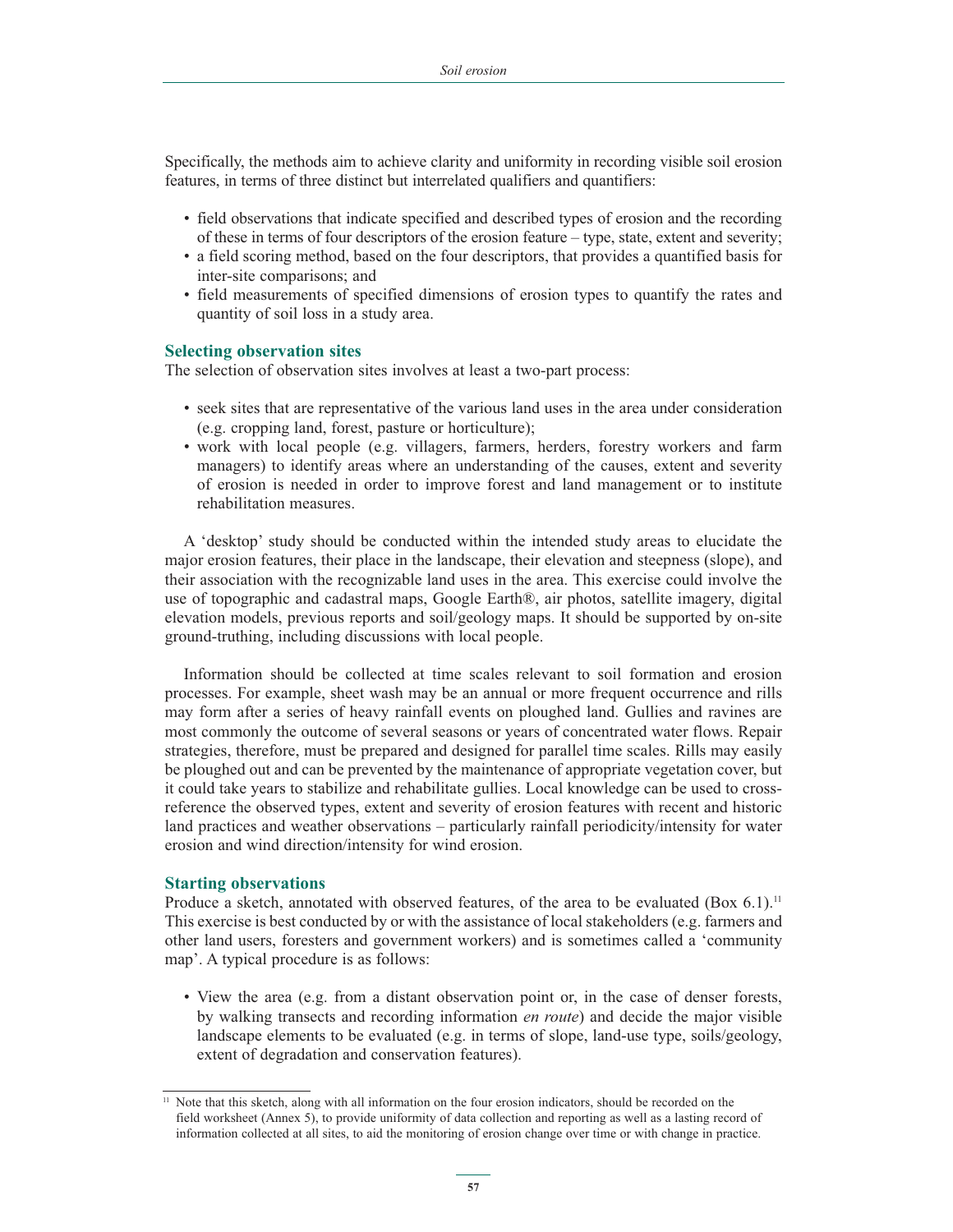Specifically, the methods aim to achieve clarity and uniformity in recording visible soil erosion features, in terms of three distinct but interrelated qualifiers and quantifiers:

- field observations that indicate specified and described types of erosion and the recording of these in terms of four descriptors of the erosion feature – type, state, extent and severity;
- a field scoring method, based on the four descriptors, that provides a quantified basis for inter-site comparisons; and
- field measurements of specified dimensions of erosion types to quantify the rates and quantity of soil loss in a study area.

#### **Selecting observation sites**

The selection of observation sites involves at least a two-part process:

- seek sites that are representative of the various land uses in the area under consideration (e.g. cropping land, forest, pasture or horticulture);
- work with local people (e.g. villagers, farmers, herders, forestry workers and farm managers) to identify areas where an understanding of the causes, extent and severity of erosion is needed in order to improve forest and land management or to institute rehabilitation measures.

A 'desktop' study should be conducted within the intended study areas to elucidate the major erosion features, their place in the landscape, their elevation and steepness (slope), and their association with the recognizable land uses in the area. This exercise could involve the use of topographic and cadastral maps, Google Earth®, air photos, satellite imagery, digital elevation models, previous reports and soil/geology maps. It should be supported by on-site ground-truthing, including discussions with local people.

Information should be collected at time scales relevant to soil formation and erosion processes. For example, sheet wash may be an annual or more frequent occurrence and rills may form after a series of heavy rainfall events on ploughed land. Gullies and ravines are most commonly the outcome of several seasons or years of concentrated water flows. Repair strategies, therefore, must be prepared and designed for parallel time scales. Rills may easily be ploughed out and can be prevented by the maintenance of appropriate vegetation cover, but it could take years to stabilize and rehabilitate gullies. Local knowledge can be used to crossreference the observed types, extent and severity of erosion features with recent and historic land practices and weather observations – particularly rainfall periodicity/intensity for water erosion and wind direction/intensity for wind erosion.

## **Starting observations**

Produce a sketch, annotated with observed features, of the area to be evaluated (Box  $6.1$ ).<sup>11</sup> This exercise is best conducted by or with the assistance of local stakeholders (e.g. farmers and other land users, foresters and government workers) and is sometimes called a 'community map'. A typical procedure is as follows:

- View the area (e.g. from a distant observation point or, in the case of denser forests, by walking transects and recording information *en route*) and decide the major visible landscape elements to be evaluated (e.g. in terms of slope, land-use type, soils/geology, extent of degradation and conservation features).

<sup>&</sup>lt;sup>11</sup> Note that this sketch, along with all information on the four erosion indicators, should be recorded on the field worksheet (Annex 5), to provide uniformity of data collection and reporting as well as a lasting record of information collected at all sites, to aid the monitoring of erosion change over time or with change in practice.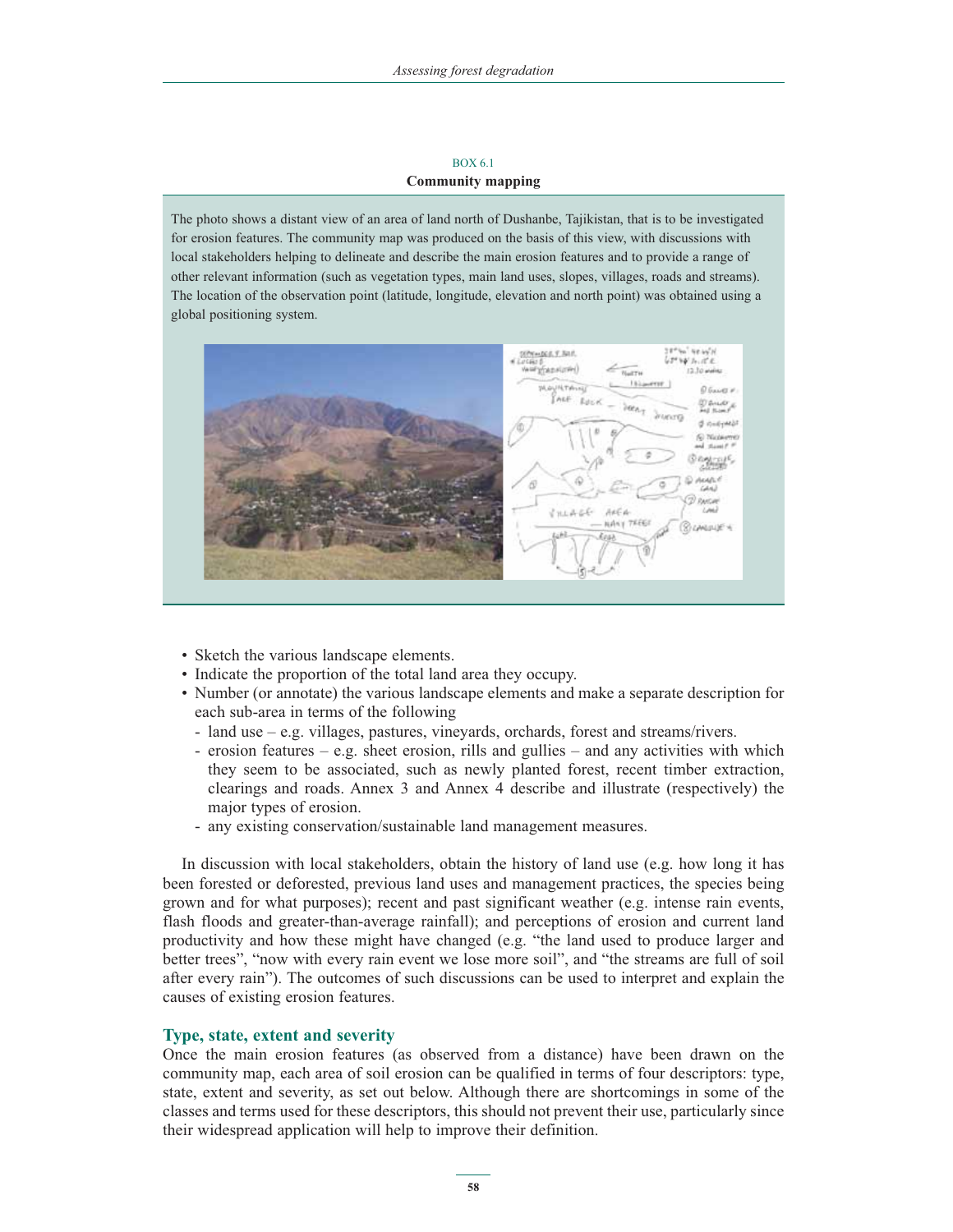#### BOX 6.1 **Community mapping**

The photo shows a distant view of an area of land north of Dushanbe, Tajikistan, that is to be investigated for erosion features. The community map was produced on the basis of this view, with discussions with local stakeholders helping to delineate and describe the main erosion features and to provide a range of other relevant information (such as vegetation types, main land uses, slopes, villages, roads and streams). The location of the observation point (latitude, longitude, elevation and north point) was obtained using a global positioning system.



- Sketch the various landscape elements.
- Indicate the proportion of the total land area they occupy.
- Number (or annotate) the various landscape elements and make a separate description for each sub-area in terms of the following
	- land use e.g. villages, pastures, vineyards, orchards, forest and streams/rivers.
	- erosion features e.g. sheet erosion, rills and gullies and any activities with which they seem to be associated, such as newly planted forest, recent timber extraction, clearings and roads. Annex 3 and Annex 4 describe and illustrate (respectively) the major types of erosion.
	- any existing conservation/sustainable land management measures.

In discussion with local stakeholders, obtain the history of land use (e.g. how long it has been forested or deforested, previous land uses and management practices, the species being grown and for what purposes); recent and past significant weather (e.g. intense rain events, flash floods and greater-than-average rainfall); and perceptions of erosion and current land productivity and how these might have changed (e.g. "the land used to produce larger and better trees", "now with every rain event we lose more soil", and "the streams are full of soil after every rain"). The outcomes of such discussions can be used to interpret and explain the causes of existing erosion features.

### **Type, state, extent and severity**

Once the main erosion features (as observed from a distance) have been drawn on the community map, each area of soil erosion can be qualified in terms of four descriptors: type, state, extent and severity, as set out below. Although there are shortcomings in some of the classes and terms used for these descriptors, this should not prevent their use, particularly since their widespread application will help to improve their definition.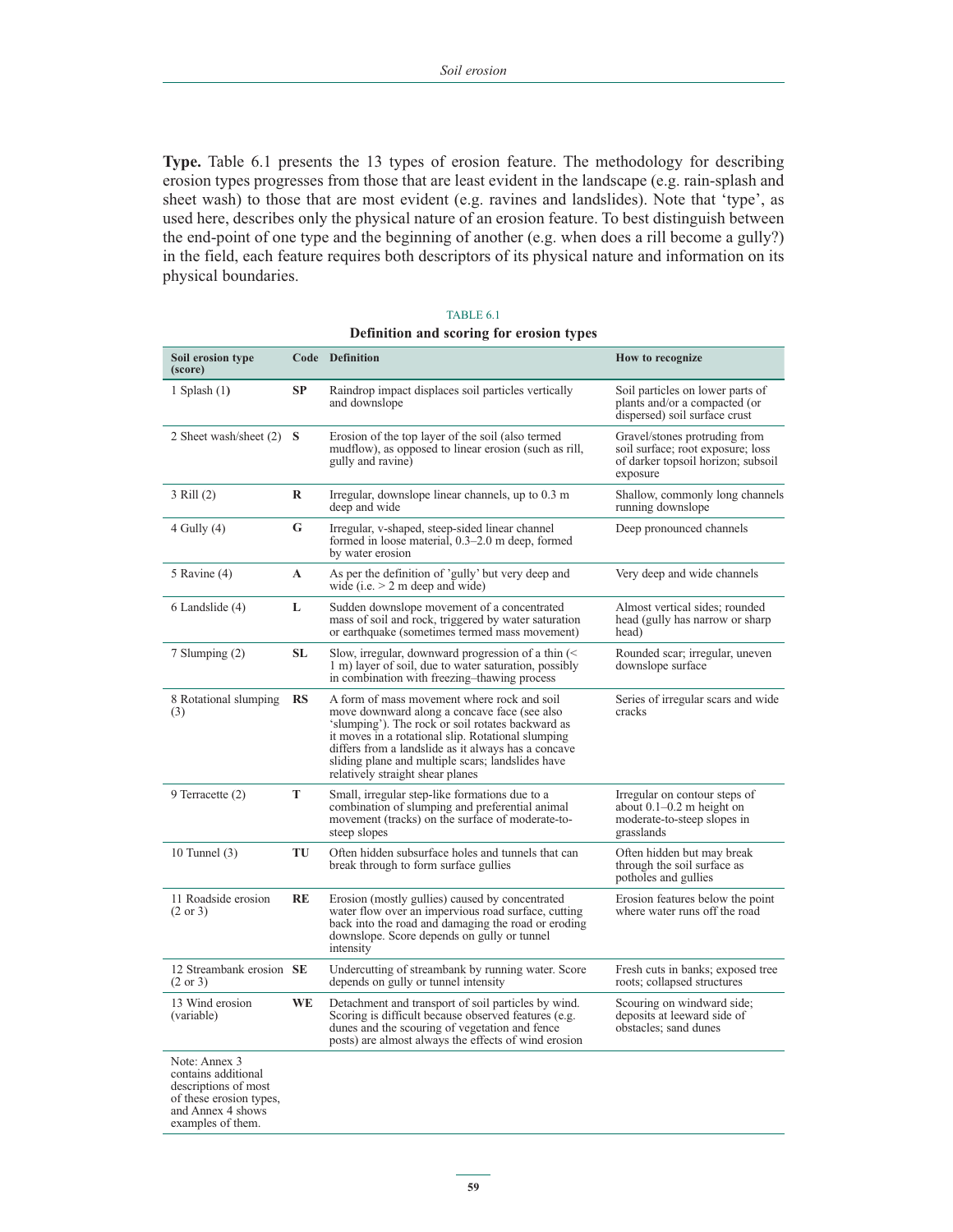**Type.** Table 6.1 presents the 13 types of erosion feature. The methodology for describing erosion types progresses from those that are least evident in the landscape (e.g. rain-splash and sheet wash) to those that are most evident (e.g. ravines and landslides). Note that 'type', as used here, describes only the physical nature of an erosion feature. To best distinguish between the end-point of one type and the beginning of another (e.g. when does a rill become a gully?) in the field, each feature requires both descriptors of its physical nature and information on its physical boundaries.

| Soil erosion type<br>(score)                                                                                 |           | Code Definition                                                                                                                                                                                                                                                                                                                                        | How to recognize                                                                                                     |
|--------------------------------------------------------------------------------------------------------------|-----------|--------------------------------------------------------------------------------------------------------------------------------------------------------------------------------------------------------------------------------------------------------------------------------------------------------------------------------------------------------|----------------------------------------------------------------------------------------------------------------------|
| 1 Splash $(1)$                                                                                               | <b>SP</b> | Raindrop impact displaces soil particles vertically<br>and downslope                                                                                                                                                                                                                                                                                   | Soil particles on lower parts of<br>plants and/or a compacted (or<br>dispersed) soil surface crust                   |
| 2 Sheet wash/sheet $(2)$ S                                                                                   |           | Erosion of the top layer of the soil (also termed<br>mudflow), as opposed to linear erosion (such as rill,<br>gully and ravine)                                                                                                                                                                                                                        | Gravel/stones protruding from<br>soil surface; root exposure; loss<br>of darker topsoil horizon; subsoil<br>exposure |
| 3 Rill (2)                                                                                                   | R         | Irregular, downslope linear channels, up to 0.3 m<br>deep and wide                                                                                                                                                                                                                                                                                     | Shallow, commonly long channels<br>running downslope                                                                 |
| $4$ Gully $(4)$                                                                                              | G         | Irregular, v-shaped, steep-sided linear channel<br>formed in loose material, 0.3–2.0 m deep, formed<br>by water erosion                                                                                                                                                                                                                                | Deep pronounced channels                                                                                             |
| 5 Ravine $(4)$                                                                                               | A         | As per the definition of 'gully' but very deep and<br>wide (i.e. $> 2$ m deep and wide)                                                                                                                                                                                                                                                                | Very deep and wide channels                                                                                          |
| 6 Landslide (4)                                                                                              | L         | Sudden downslope movement of a concentrated<br>mass of soil and rock, triggered by water saturation<br>or earthquake (sometimes termed mass movement)                                                                                                                                                                                                  | Almost vertical sides; rounded<br>head (gully has narrow or sharp)<br>head)                                          |
| 7 Slumping (2)                                                                                               | <b>SL</b> | Slow, irregular, downward progression of a thin $\leq$<br>1 m) layer of soil, due to water saturation, possibly<br>in combination with freezing-thawing process                                                                                                                                                                                        | Rounded scar; irregular, uneven<br>downslope surface                                                                 |
| 8 Rotational slumping<br>(3)                                                                                 | RS        | A form of mass movement where rock and soil<br>move downward along a concave face (see also<br>'slumping'). The rock or soil rotates backward as<br>it moves in a rotational slip. Rotational slumping<br>differs from a landslide as it always has a concave<br>sliding plane and multiple scars; landslides have<br>relatively straight shear planes | Series of irregular scars and wide<br>cracks                                                                         |
| 9 Terracette (2)                                                                                             | T         | Small, irregular step-like formations due to a<br>combination of slumping and preferential animal<br>movement (tracks) on the surface of moderate-to-<br>steep slopes                                                                                                                                                                                  | Irregular on contour steps of<br>about $0.1-0.2$ m height on<br>moderate-to-steep slopes in<br>grasslands            |
| 10 Tunnel $(3)$                                                                                              | TU        | Often hidden subsurface holes and tunnels that can<br>break through to form surface gullies                                                                                                                                                                                                                                                            | Often hidden but may break<br>through the soil surface as<br>potholes and gullies                                    |
| 11 Roadside erosion<br>$(2 \text{ or } 3)$                                                                   | RE        | Erosion (mostly gullies) caused by concentrated<br>water flow over an impervious road surface, cutting<br>back into the road and damaging the road or eroding<br>downslope. Score depends on gully or tunnel<br>intensity                                                                                                                              | Erosion features below the point<br>where water runs off the road                                                    |
| 12 Streambank erosion SE<br>$(2 \text{ or } 3)$                                                              |           | Undercutting of streambank by running water. Score<br>depends on gully or tunnel intensity                                                                                                                                                                                                                                                             | Fresh cuts in banks; exposed tree<br>roots; collapsed structures                                                     |
| 13 Wind erosion<br>(variable)                                                                                | <b>WE</b> | Detachment and transport of soil particles by wind.<br>Scoring is difficult because observed features (e.g.<br>dunes and the scouring of vegetation and fence<br>posts) are almost always the effects of wind erosion                                                                                                                                  | Scouring on windward side;<br>deposits at leeward side of<br>obstacles; sand dunes                                   |
| Note: Annex 3<br>contains additional<br>descriptions of most<br>of these erosion types,<br>and Annex 4 shows |           |                                                                                                                                                                                                                                                                                                                                                        |                                                                                                                      |

| TABLE 6.1                                |  |  |  |  |  |
|------------------------------------------|--|--|--|--|--|
| Definition and scoring for erosion types |  |  |  |  |  |

examples of them.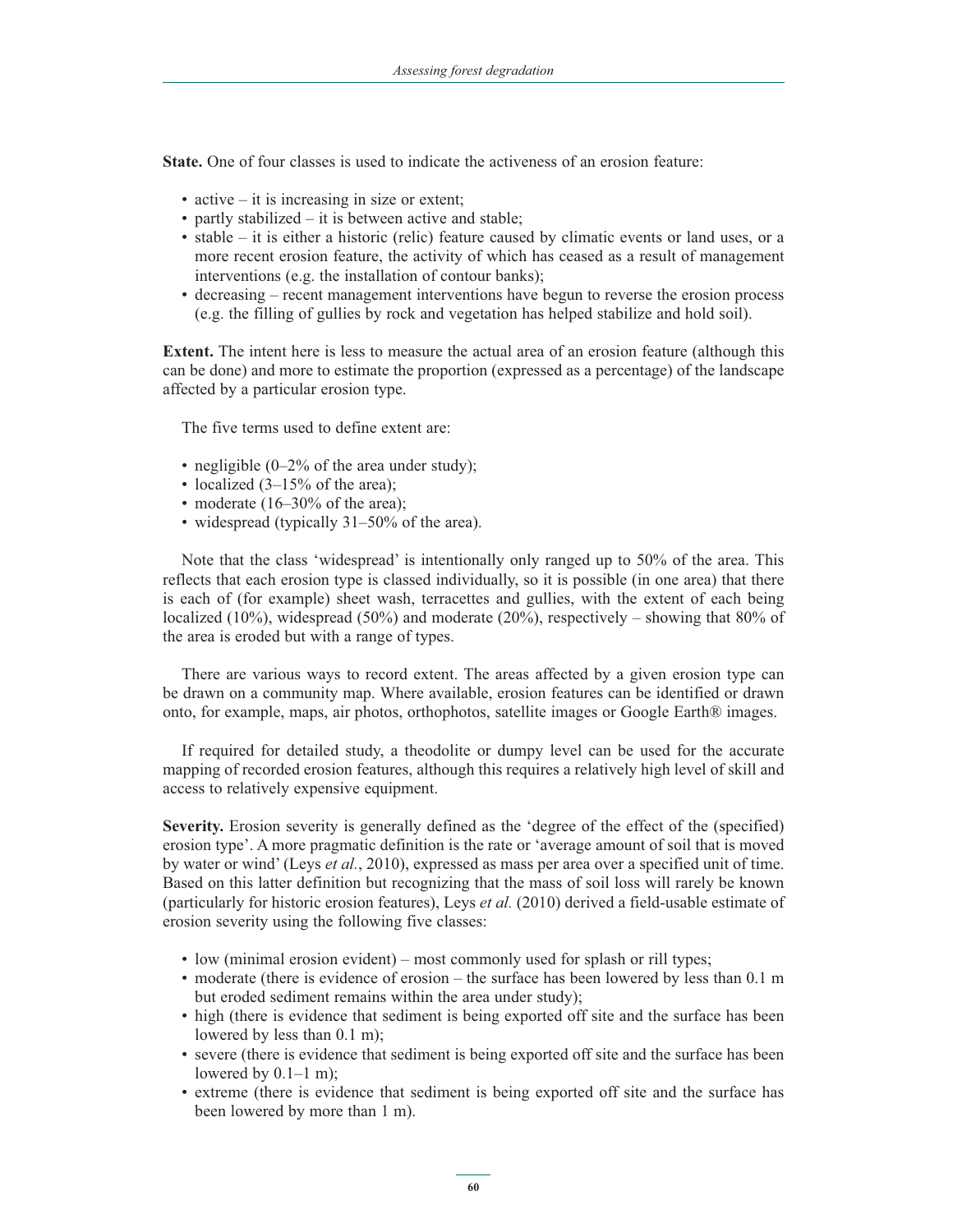**State.** One of four classes is used to indicate the activeness of an erosion feature:

- active it is increasing in size or extent;
- partly stabilized it is between active and stable;
- stable it is either a historic (relic) feature caused by climatic events or land uses, or a more recent erosion feature, the activity of which has ceased as a result of management interventions (e.g. the installation of contour banks);
- decreasing recent management interventions have begun to reverse the erosion process (e.g. the filling of gullies by rock and vegetation has helped stabilize and hold soil).

**Extent.** The intent here is less to measure the actual area of an erosion feature (although this can be done) and more to estimate the proportion (expressed as a percentage) of the landscape affected by a particular erosion type.

The five terms used to define extent are:

- negligible (0–2% of the area under study);
- localized (3–15% of the area);
- moderate (16–30% of the area);
- widespread (typically 31–50% of the area).

Note that the class 'widespread' is intentionally only ranged up to 50% of the area. This reflects that each erosion type is classed individually, so it is possible (in one area) that there is each of (for example) sheet wash, terracettes and gullies, with the extent of each being localized (10%), widespread (50%) and moderate (20%), respectively – showing that 80% of the area is eroded but with a range of types.

There are various ways to record extent. The areas affected by a given erosion type can be drawn on a community map. Where available, erosion features can be identified or drawn onto, for example, maps, air photos, orthophotos, satellite images or Google Earth® images.

If required for detailed study, a theodolite or dumpy level can be used for the accurate mapping of recorded erosion features, although this requires a relatively high level of skill and access to relatively expensive equipment.

**Severity.** Erosion severity is generally defined as the 'degree of the effect of the (specified) erosion type'. A more pragmatic definition is the rate or 'average amount of soil that is moved by water or wind' (Leys *et al.*, 2010), expressed as mass per area over a specified unit of time. Based on this latter definition but recognizing that the mass of soil loss will rarely be known (particularly for historic erosion features), Leys *et al.* (2010) derived a field-usable estimate of erosion severity using the following five classes:

- low (minimal erosion evident) most commonly used for splash or rill types;
- moderate (there is evidence of erosion the surface has been lowered by less than 0.1 m but eroded sediment remains within the area under study);
- high (there is evidence that sediment is being exported off site and the surface has been lowered by less than 0.1 m);
- severe (there is evidence that sediment is being exported off site and the surface has been lowered by 0.1–1 m);
- extreme (there is evidence that sediment is being exported off site and the surface has been lowered by more than 1 m).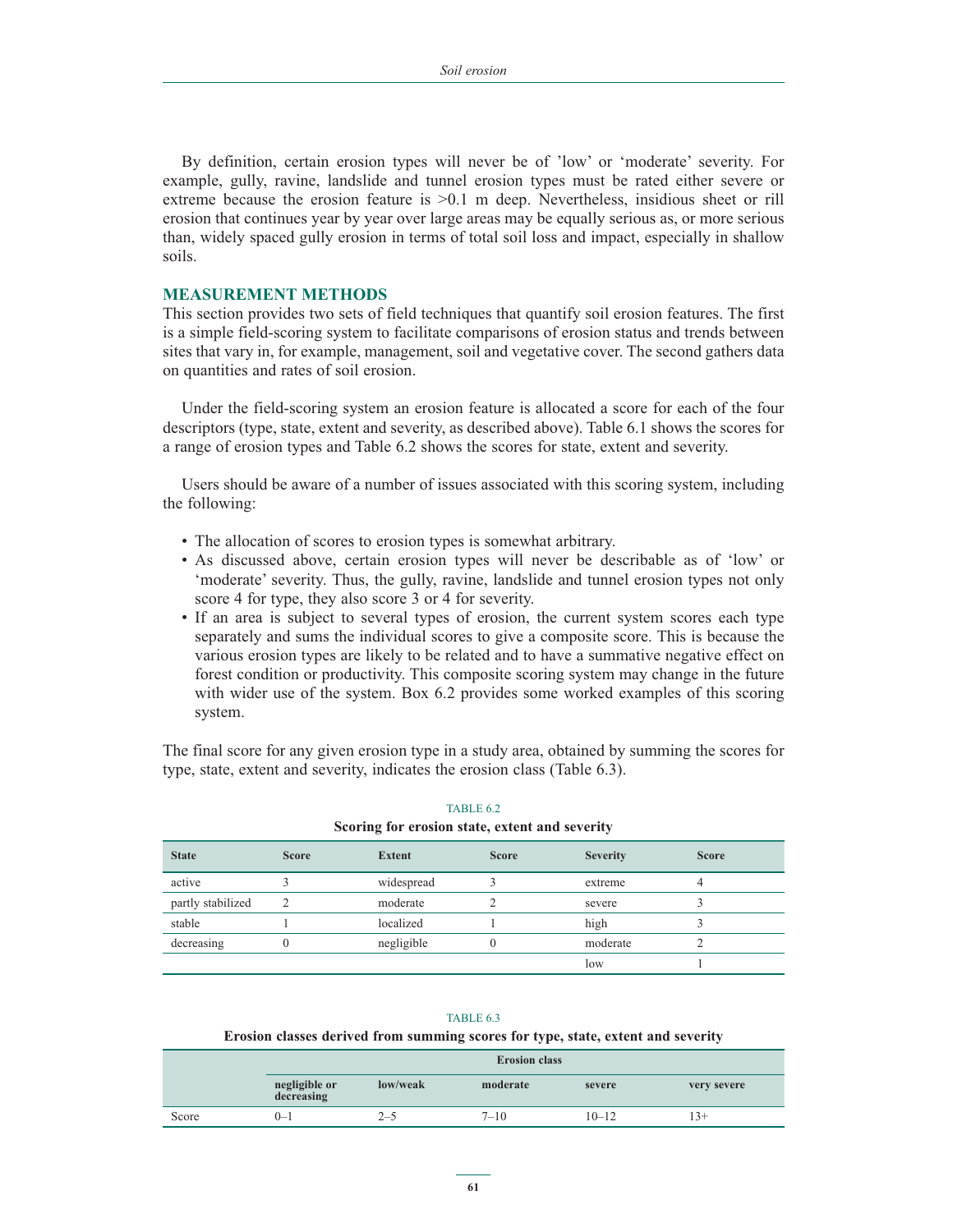By definition, certain erosion types will never be of 'low' or 'moderate' severity. For example, gully, ravine, landslide and tunnel erosion types must be rated either severe or extreme because the erosion feature is >0.1 m deep. Nevertheless, insidious sheet or rill erosion that continues year by year over large areas may be equally serious as, or more serious than, widely spaced gully erosion in terms of total soil loss and impact, especially in shallow soils.

#### **MEASUREMENT METHODS**

This section provides two sets of field techniques that quantify soil erosion features. The first is a simple field-scoring system to facilitate comparisons of erosion status and trends between sites that vary in, for example, management, soil and vegetative cover. The second gathers data on quantities and rates of soil erosion.

Under the field-scoring system an erosion feature is allocated a score for each of the four descriptors (type, state, extent and severity, as described above). Table 6.1 shows the scores for a range of erosion types and Table 6.2 shows the scores for state, extent and severity.

Users should be aware of a number of issues associated with this scoring system, including the following:

- The allocation of scores to erosion types is somewhat arbitrary.
- As discussed above, certain erosion types will never be describable as of 'low' or 'moderate' severity. Thus, the gully, ravine, landslide and tunnel erosion types not only score 4 for type, they also score 3 or 4 for severity.
- If an area is subject to several types of erosion, the current system scores each type separately and sums the individual scores to give a composite score. This is because the various erosion types are likely to be related and to have a summative negative effect on forest condition or productivity. This composite scoring system may change in the future with wider use of the system. Box 6.2 provides some worked examples of this scoring system.

The final score for any given erosion type in a study area, obtained by summing the scores for type, state, extent and severity, indicates the erosion class (Table 6.3).

| bearing for crosion state, extent and severity |              |            |              |                 |              |  |  |
|------------------------------------------------|--------------|------------|--------------|-----------------|--------------|--|--|
| <b>State</b>                                   | <b>Score</b> | Extent     | <b>Score</b> | <b>Severity</b> | <b>Score</b> |  |  |
| active                                         |              | widespread |              | extreme         |              |  |  |
| partly stabilized                              |              | moderate   |              | severe          |              |  |  |
| stable                                         |              | localized  |              | high            |              |  |  |
| decreasing                                     |              | negligible | 0            | moderate        |              |  |  |
|                                                |              |            |              | low             |              |  |  |

#### TABLE 6.2 **Scoring for erosion state, extent and severity**

#### TABLE 6.3

#### **Erosion classes derived from summing scores for type, state, extent and severity**

|       | <b>Erosion class</b>        |          |          |           |             |
|-------|-----------------------------|----------|----------|-----------|-------------|
|       | negligible or<br>decreasing | low/weak | moderate | severe    | very severe |
| Score | $0 - 1$                     | $2 - 5$  | $7 - 10$ | $10 - 12$ | 13+         |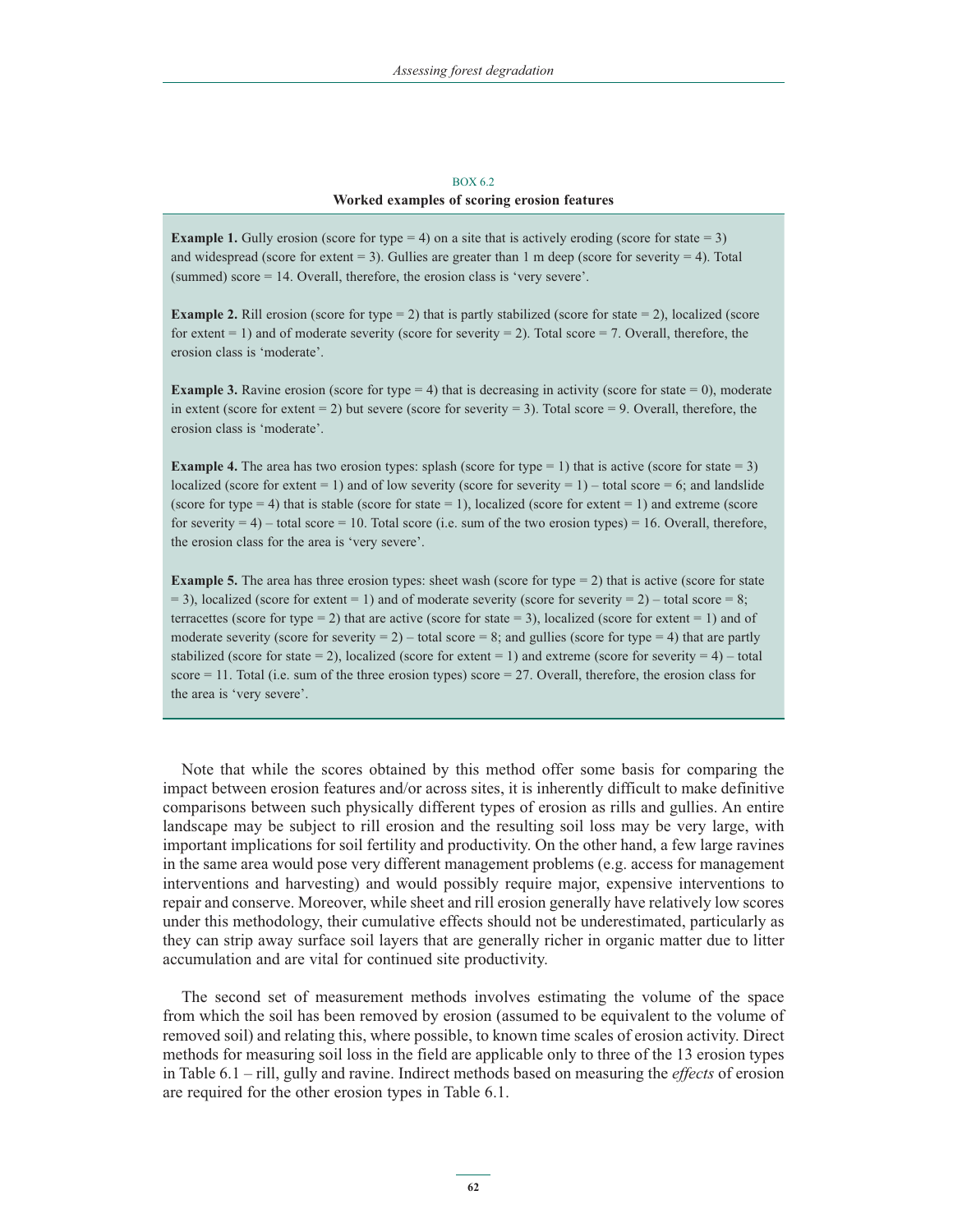#### **BOX 6.2 Worked examples of scoring erosion features**

**Example 1.** Gully erosion (score for type  $= 4$ ) on a site that is actively eroding (score for state  $= 3$ ) and widespread (score for extent  $= 3$ ). Gullies are greater than 1 m deep (score for severity  $= 4$ ). Total (summed) score = 14. Overall, therefore, the erosion class is 'very severe'.

**Example 2.** Rill erosion (score for type  $= 2$ ) that is partly stabilized (score for state  $= 2$ ), localized (score for extent  $= 1$ ) and of moderate severity (score for severity  $= 2$ ). Total score  $= 7$ . Overall, therefore, the erosion class is 'moderate'.

**Example 3.** Ravine erosion (score for type = 4) that is decreasing in activity (score for state = 0), moderate in extent (score for extent  $= 2$ ) but severe (score for severity  $= 3$ ). Total score  $= 9$ . Overall, therefore, the erosion class is 'moderate'.

**Example 4.** The area has two erosion types: splash (score for type  $= 1$ ) that is active (score for state  $= 3$ ) localized (score for extent = 1) and of low severity (score for severity = 1) – total score = 6; and landslide (score for type  $= 4$ ) that is stable (score for state  $= 1$ ), localized (score for extent  $= 1$ ) and extreme (score for severity  $= 4$ ) – total score  $= 10$ . Total score (i.e. sum of the two erosion types)  $= 16$ . Overall, therefore, the erosion class for the area is 'very severe'.

**Example 5.** The area has three erosion types: sheet wash (score for type  $= 2$ ) that is active (score for state  $= 3$ ), localized (score for extent  $= 1$ ) and of moderate severity (score for severity  $= 2$ ) – total score  $= 8$ ; terracettes (score for type = 2) that are active (score for state = 3), localized (score for extent = 1) and of moderate severity (score for severity  $= 2$ ) – total score  $= 8$ ; and gullies (score for type  $= 4$ ) that are partly stabilized (score for state = 2), localized (score for extent = 1) and extreme (score for severity =  $4$ ) – total score = 11. Total (i.e. sum of the three erosion types) score = 27. Overall, therefore, the erosion class for the area is 'very severe'.

Note that while the scores obtained by this method offer some basis for comparing the impact between erosion features and/or across sites, it is inherently difficult to make definitive comparisons between such physically different types of erosion as rills and gullies. An entire landscape may be subject to rill erosion and the resulting soil loss may be very large, with important implications for soil fertility and productivity. On the other hand, a few large ravines in the same area would pose very different management problems (e.g. access for management interventions and harvesting) and would possibly require major, expensive interventions to repair and conserve. Moreover, while sheet and rill erosion generally have relatively low scores under this methodology, their cumulative effects should not be underestimated, particularly as they can strip away surface soil layers that are generally richer in organic matter due to litter accumulation and are vital for continued site productivity.

The second set of measurement methods involves estimating the volume of the space from which the soil has been removed by erosion (assumed to be equivalent to the volume of removed soil) and relating this, where possible, to known time scales of erosion activity. Direct methods for measuring soil loss in the field are applicable only to three of the 13 erosion types in Table 6.1 – rill, gully and ravine. Indirect methods based on measuring the *effects* of erosion are required for the other erosion types in Table 6.1.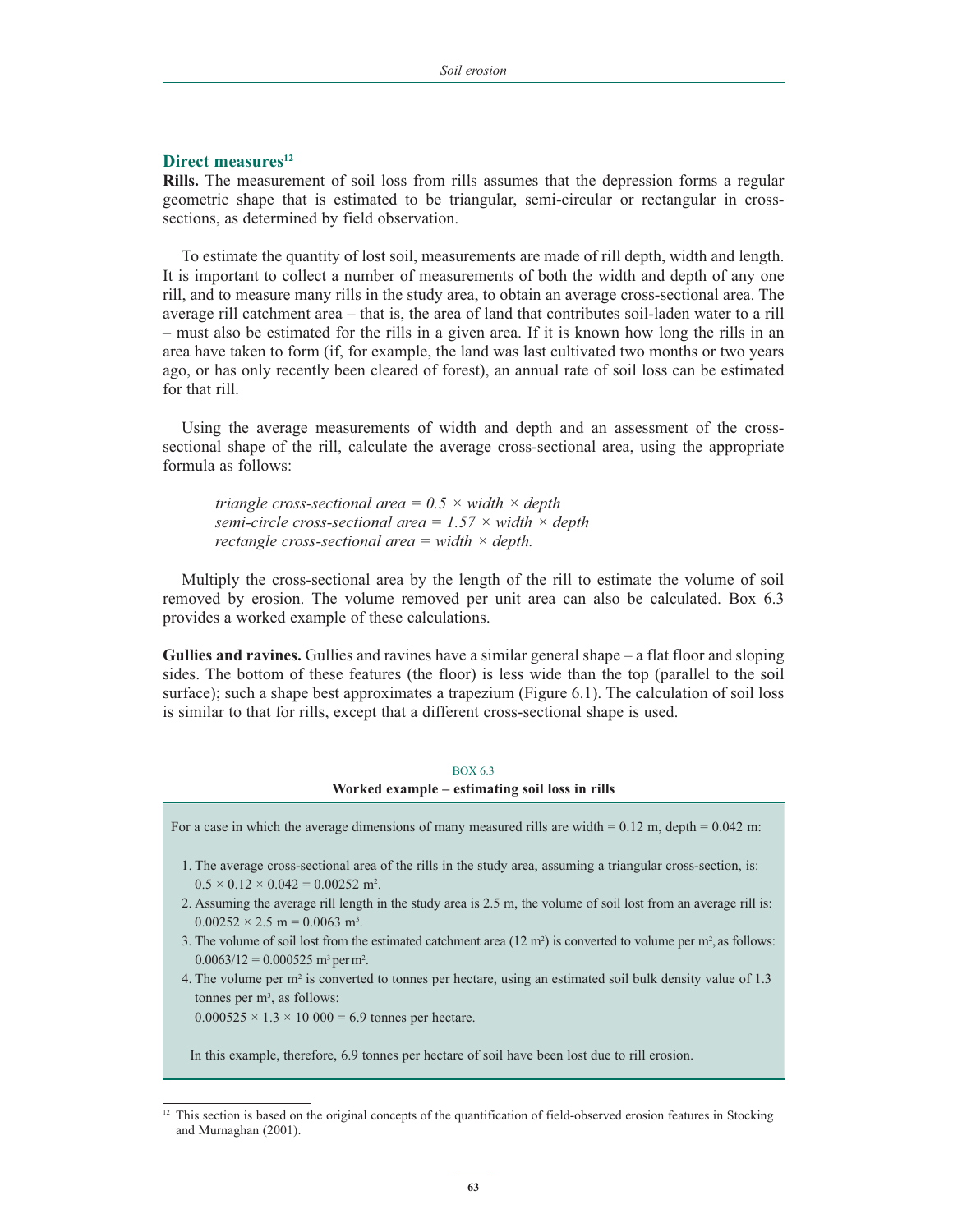#### **Direct measures**<sup>12</sup>

**Rills.** The measurement of soil loss from rills assumes that the depression forms a regular geometric shape that is estimated to be triangular, semi-circular or rectangular in crosssections, as determined by field observation.

To estimate the quantity of lost soil, measurements are made of rill depth, width and length. It is important to collect a number of measurements of both the width and depth of any one rill, and to measure many rills in the study area, to obtain an average cross-sectional area. The average rill catchment area – that is, the area of land that contributes soil-laden water to a rill – must also be estimated for the rills in a given area. If it is known how long the rills in an area have taken to form (if, for example, the land was last cultivated two months or two years ago, or has only recently been cleared of forest), an annual rate of soil loss can be estimated for that rill.

Using the average measurements of width and depth and an assessment of the crosssectional shape of the rill, calculate the average cross-sectional area, using the appropriate formula as follows:

 *triangle cross-sectional area = 0.5 × width × depth semi-circle cross-sectional area = 1.57 × width × depth rectangle cross-sectional area = width × depth.*

Multiply the cross-sectional area by the length of the rill to estimate the volume of soil removed by erosion. The volume removed per unit area can also be calculated. Box 6.3 provides a worked example of these calculations.

**Gullies and ravines.** Gullies and ravines have a similar general shape – a flat floor and sloping sides. The bottom of these features (the floor) is less wide than the top (parallel to the soil surface); such a shape best approximates a trapezium (Figure 6.1). The calculation of soil loss is similar to that for rills, except that a different cross-sectional shape is used.

#### BOX 6.3

**Worked example – estimating soil loss in rills**

For a case in which the average dimensions of many measured rills are width =  $0.12$  m, depth =  $0.042$  m:

- 1. The average cross-sectional area of the rills in the study area, assuming a triangular cross-section, is:  $0.5 \times 0.12 \times 0.042 = 0.00252$  m<sup>2</sup>.
- 2. Assuming the average rill length in the study area is 2.5 m, the volume of soil lost from an average rill is:  $0.00252 \times 2.5$  m = 0.0063 m<sup>3</sup>.
- 3. The volume of soil lost from the estimated catchment area  $(12 \text{ m}^2)$  is converted to volume per  $\text{m}^2$ , as follows:  $0.0063/12 = 0.000525$  m<sup>3</sup> per m<sup>2</sup>.
- 4. The volume per m2 is converted to tonnes per hectare, using an estimated soil bulk density value of 1.3 tonnes per  $m^3$ , as follows:

 $0.000525 \times 1.3 \times 10\,000 = 6.9$  tonnes per hectare.

In this example, therefore, 6.9 tonnes per hectare of soil have been lost due to rill erosion.

<sup>&</sup>lt;sup>12</sup> This section is based on the original concepts of the quantification of field-observed erosion features in Stocking and Murnaghan (2001).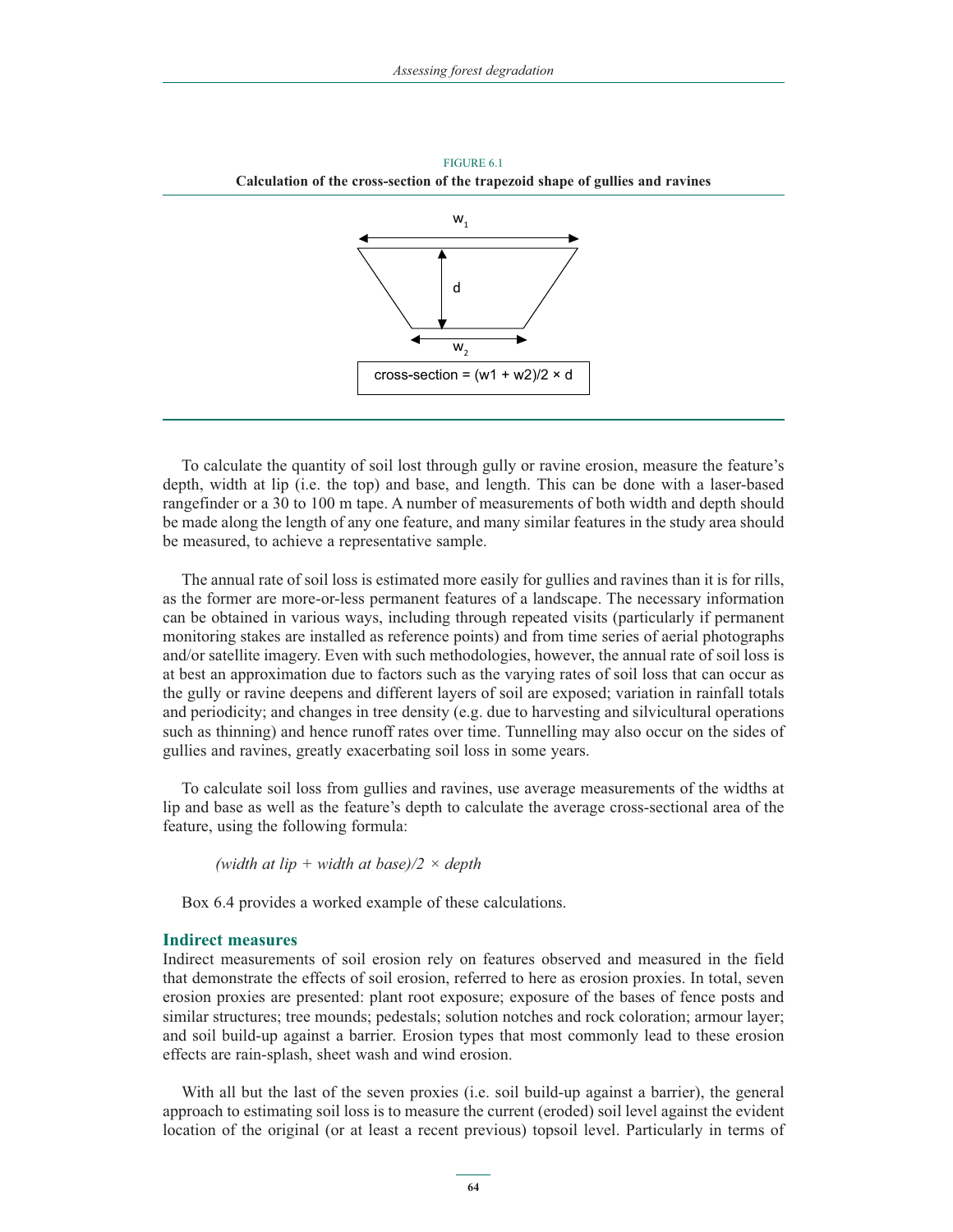

FIGURE 6.1 **Calculation of the cross-section of the trapezoid shape of gullies and ravines**

To calculate the quantity of soil lost through gully or ravine erosion, measure the feature's depth, width at lip (i.e. the top) and base, and length. This can be done with a laser-based rangefinder or a 30 to 100 m tape. A number of measurements of both width and depth should be made along the length of any one feature, and many similar features in the study area should be measured, to achieve a representative sample.

The annual rate of soil loss is estimated more easily for gullies and ravines than it is for rills, as the former are more-or-less permanent features of a landscape. The necessary information can be obtained in various ways, including through repeated visits (particularly if permanent monitoring stakes are installed as reference points) and from time series of aerial photographs and/or satellite imagery. Even with such methodologies, however, the annual rate of soil loss is at best an approximation due to factors such as the varying rates of soil loss that can occur as the gully or ravine deepens and different layers of soil are exposed; variation in rainfall totals and periodicity; and changes in tree density (e.g. due to harvesting and silvicultural operations such as thinning) and hence runoff rates over time. Tunnelling may also occur on the sides of gullies and ravines, greatly exacerbating soil loss in some years.

To calculate soil loss from gullies and ravines, use average measurements of the widths at lip and base as well as the feature's depth to calculate the average cross-sectional area of the feature, using the following formula:

 *(width at lip + width at base)/2 × depth*

Box 6.4 provides a worked example of these calculations.

#### **Indirect measures**

Indirect measurements of soil erosion rely on features observed and measured in the field that demonstrate the effects of soil erosion, referred to here as erosion proxies. In total, seven erosion proxies are presented: plant root exposure; exposure of the bases of fence posts and similar structures; tree mounds; pedestals; solution notches and rock coloration; armour layer; and soil build-up against a barrier. Erosion types that most commonly lead to these erosion effects are rain-splash, sheet wash and wind erosion.

With all but the last of the seven proxies (i.e. soil build-up against a barrier), the general approach to estimating soil loss is to measure the current (eroded) soil level against the evident location of the original (or at least a recent previous) topsoil level. Particularly in terms of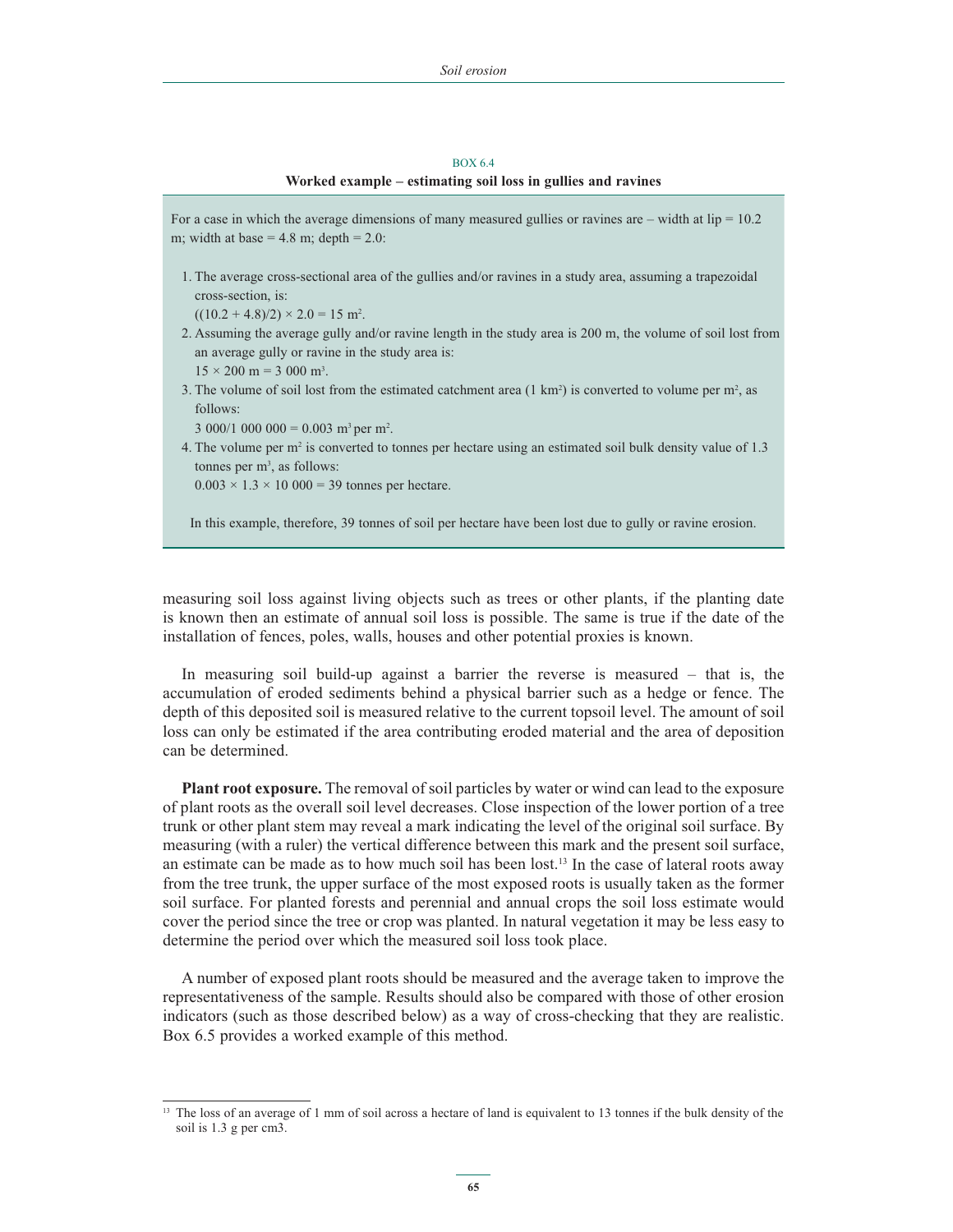#### BOX 6.4

#### **Worked example – estimating soil loss in gullies and ravines**

For a case in which the average dimensions of many measured gullies or ravines are – width at  $lip = 10.2$ m; width at base =  $4.8$  m; depth =  $2.0$ :

1. The average cross-sectional area of the gullies and/or ravines in a study area, assuming a trapezoidal cross-section, is:

 $((10.2 + 4.8)/2) \times 2.0 = 15$  m<sup>2</sup>.

- 2. Assuming the average gully and/or ravine length in the study area is 200 m, the volume of soil lost from an average gully or ravine in the study area is:  $15 \times 200 \text{ m} = 3000 \text{ m}^3$ .
- 3. The volume of soil lost from the estimated catchment area  $(1 \text{ km}^2)$  is converted to volume per m<sup>2</sup>, as follows:

 $3000/1000000 = 0.003$  m<sup>3</sup> per m<sup>2</sup>.

4. The volume per  $m<sup>2</sup>$  is converted to tonnes per hectare using an estimated soil bulk density value of 1.3 tonnes per  $m^3$ , as follows:

 $0.003 \times 1.3 \times 10\,000 = 39$  tonnes per hectare.

In this example, therefore, 39 tonnes of soil per hectare have been lost due to gully or ravine erosion.

measuring soil loss against living objects such as trees or other plants, if the planting date is known then an estimate of annual soil loss is possible. The same is true if the date of the installation of fences, poles, walls, houses and other potential proxies is known.

In measuring soil build-up against a barrier the reverse is measured – that is, the accumulation of eroded sediments behind a physical barrier such as a hedge or fence. The depth of this deposited soil is measured relative to the current topsoil level. The amount of soil loss can only be estimated if the area contributing eroded material and the area of deposition can be determined.

**Plant root exposure.** The removal of soil particles by water or wind can lead to the exposure of plant roots as the overall soil level decreases. Close inspection of the lower portion of a tree trunk or other plant stem may reveal a mark indicating the level of the original soil surface. By measuring (with a ruler) the vertical difference between this mark and the present soil surface, an estimate can be made as to how much soil has been lost.13 In the case of lateral roots away from the tree trunk, the upper surface of the most exposed roots is usually taken as the former soil surface. For planted forests and perennial and annual crops the soil loss estimate would cover the period since the tree or crop was planted. In natural vegetation it may be less easy to determine the period over which the measured soil loss took place.

A number of exposed plant roots should be measured and the average taken to improve the representativeness of the sample. Results should also be compared with those of other erosion indicators (such as those described below) as a way of cross-checking that they are realistic. Box 6.5 provides a worked example of this method.

<sup>&</sup>lt;sup>13</sup> The loss of an average of 1 mm of soil across a hectare of land is equivalent to 13 tonnes if the bulk density of the soil is 1.3 g per cm3.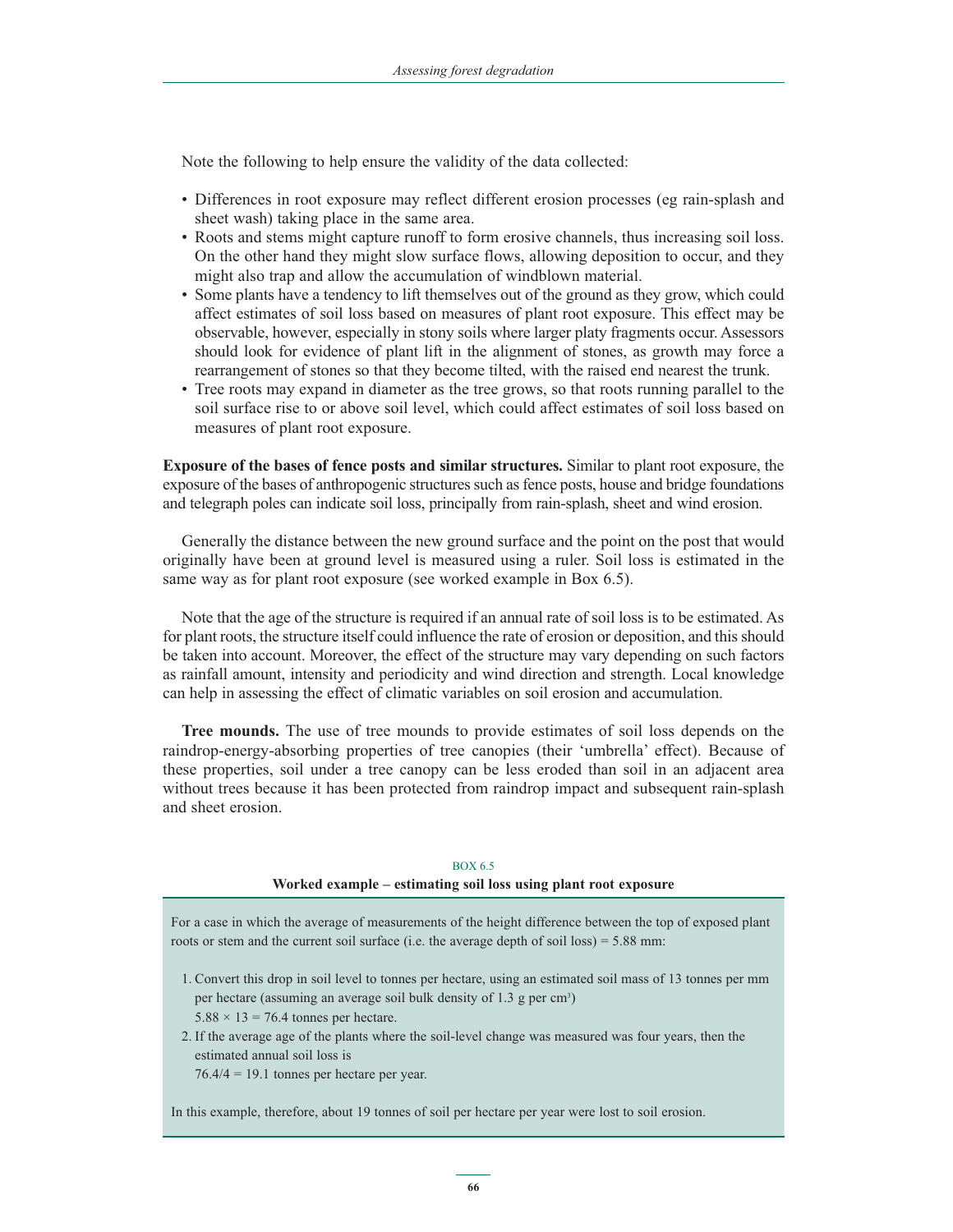Note the following to help ensure the validity of the data collected:

- Differences in root exposure may reflect different erosion processes (eg rain-splash and sheet wash) taking place in the same area.
- Roots and stems might capture runoff to form erosive channels, thus increasing soil loss. On the other hand they might slow surface flows, allowing deposition to occur, and they might also trap and allow the accumulation of windblown material.
- - Some plants have a tendency to lift themselves out of the ground as they grow, which could affect estimates of soil loss based on measures of plant root exposure. This effect may be observable, however, especially in stony soils where larger platy fragments occur. Assessors should look for evidence of plant lift in the alignment of stones, as growth may force a rearrangement of stones so that they become tilted, with the raised end nearest the trunk.
- Tree roots may expand in diameter as the tree grows, so that roots running parallel to the soil surface rise to or above soil level, which could affect estimates of soil loss based on measures of plant root exposure.

**Exposure of the bases of fence posts and similar structures.** Similar to plant root exposure, the exposure of the bases of anthropogenic structures such as fence posts, house and bridge foundations and telegraph poles can indicate soil loss, principally from rain-splash, sheet and wind erosion.

Generally the distance between the new ground surface and the point on the post that would originally have been at ground level is measured using a ruler. Soil loss is estimated in the same way as for plant root exposure (see worked example in Box 6.5).

Note that the age of the structure is required if an annual rate of soil loss is to be estimated. As for plant roots, the structure itself could influence the rate of erosion or deposition, and this should be taken into account. Moreover, the effect of the structure may vary depending on such factors as rainfall amount, intensity and periodicity and wind direction and strength. Local knowledge can help in assessing the effect of climatic variables on soil erosion and accumulation.

**Tree mounds.** The use of tree mounds to provide estimates of soil loss depends on the raindrop-energy-absorbing properties of tree canopies (their 'umbrella' effect). Because of these properties, soil under a tree canopy can be less eroded than soil in an adjacent area without trees because it has been protected from raindrop impact and subsequent rain-splash and sheet erosion.

#### BOX 6.5

#### **Worked example – estimating soil loss using plant root exposure**

For a case in which the average of measurements of the height difference between the top of exposed plant roots or stem and the current soil surface (i.e. the average depth of soil loss) = 5.88 mm:

- 1. Convert this drop in soil level to tonnes per hectare, using an estimated soil mass of 13 tonnes per mm per hectare (assuming an average soil bulk density of 1.3 g per cm<sup>3</sup>)  $5.88 \times 13 = 76.4$  tonnes per hectare.
- 2. If the average age of the plants where the soil-level change was measured was four years, then the estimated annual soil loss is

76.4/4 = 19.1 tonnes per hectare per year.

In this example, therefore, about 19 tonnes of soil per hectare per year were lost to soil erosion.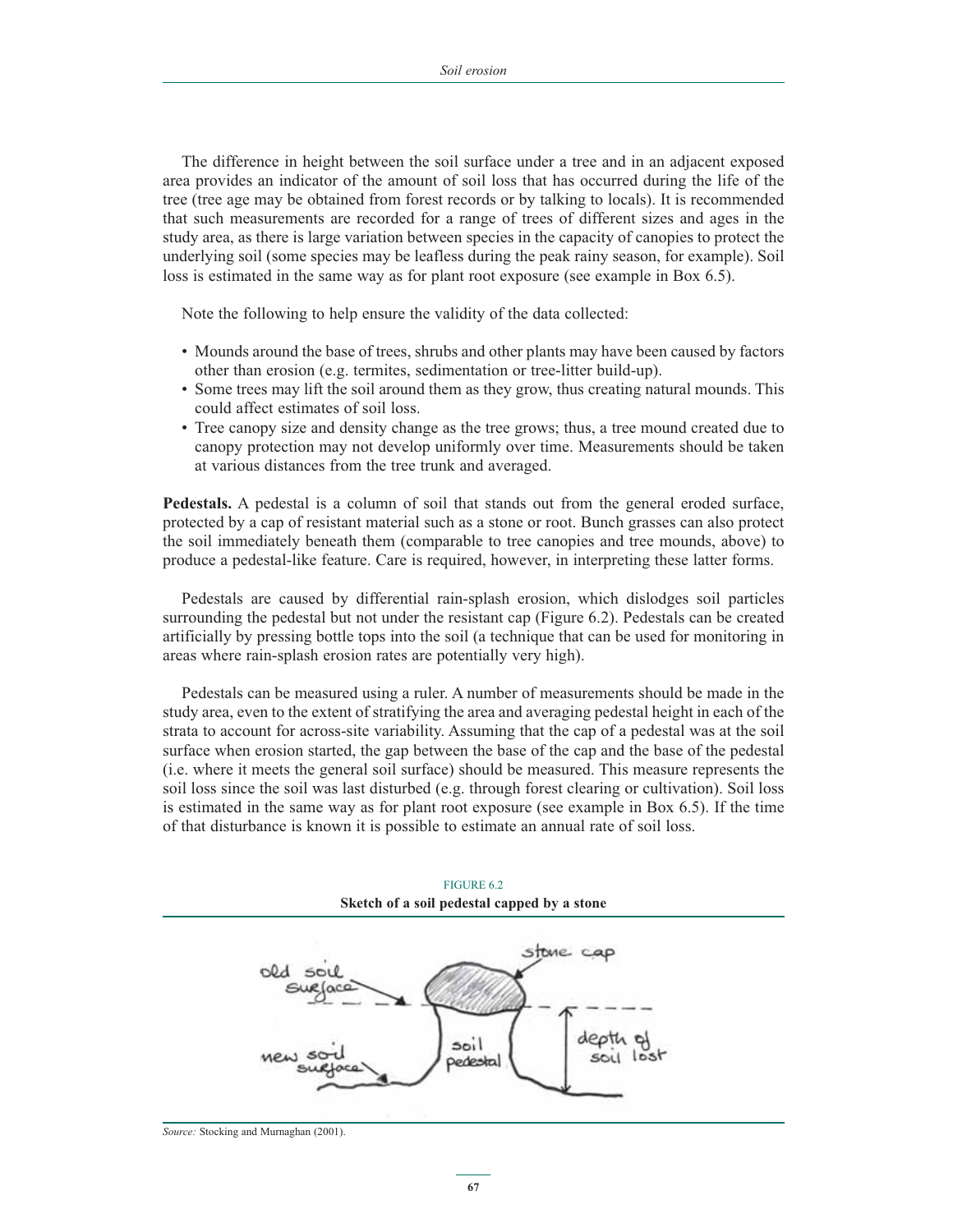The difference in height between the soil surface under a tree and in an adjacent exposed area provides an indicator of the amount of soil loss that has occurred during the life of the tree (tree age may be obtained from forest records or by talking to locals). It is recommended that such measurements are recorded for a range of trees of different sizes and ages in the study area, as there is large variation between species in the capacity of canopies to protect the underlying soil (some species may be leafless during the peak rainy season, for example). Soil loss is estimated in the same way as for plant root exposure (see example in Box 6.5).

Note the following to help ensure the validity of the data collected:

- Mounds around the base of trees, shrubs and other plants may have been caused by factors other than erosion (e.g. termites, sedimentation or tree-litter build-up).
- Some trees may lift the soil around them as they grow, thus creating natural mounds. This could affect estimates of soil loss.
- Tree canopy size and density change as the tree grows; thus, a tree mound created due to canopy protection may not develop uniformly over time. Measurements should be taken at various distances from the tree trunk and averaged.

**Pedestals.** A pedestal is a column of soil that stands out from the general eroded surface, protected by a cap of resistant material such as a stone or root. Bunch grasses can also protect the soil immediately beneath them (comparable to tree canopies and tree mounds, above) to produce a pedestal-like feature. Care is required, however, in interpreting these latter forms.

Pedestals are caused by differential rain-splash erosion, which dislodges soil particles surrounding the pedestal but not under the resistant cap (Figure 6.2). Pedestals can be created artificially by pressing bottle tops into the soil (a technique that can be used for monitoring in areas where rain-splash erosion rates are potentially very high).

Pedestals can be measured using a ruler. A number of measurements should be made in the study area, even to the extent of stratifying the area and averaging pedestal height in each of the strata to account for across-site variability. Assuming that the cap of a pedestal was at the soil surface when erosion started, the gap between the base of the cap and the base of the pedestal (i.e. where it meets the general soil surface) should be measured. This measure represents the soil loss since the soil was last disturbed (e.g. through forest clearing or cultivation). Soil loss is estimated in the same way as for plant root exposure (see example in Box 6.5). If the time of that disturbance is known it is possible to estimate an annual rate of soil loss.



FIGURE 6.2 **Sketch of a soil pedestal capped by a stone**

*Source:* Stocking and Murnaghan (2001).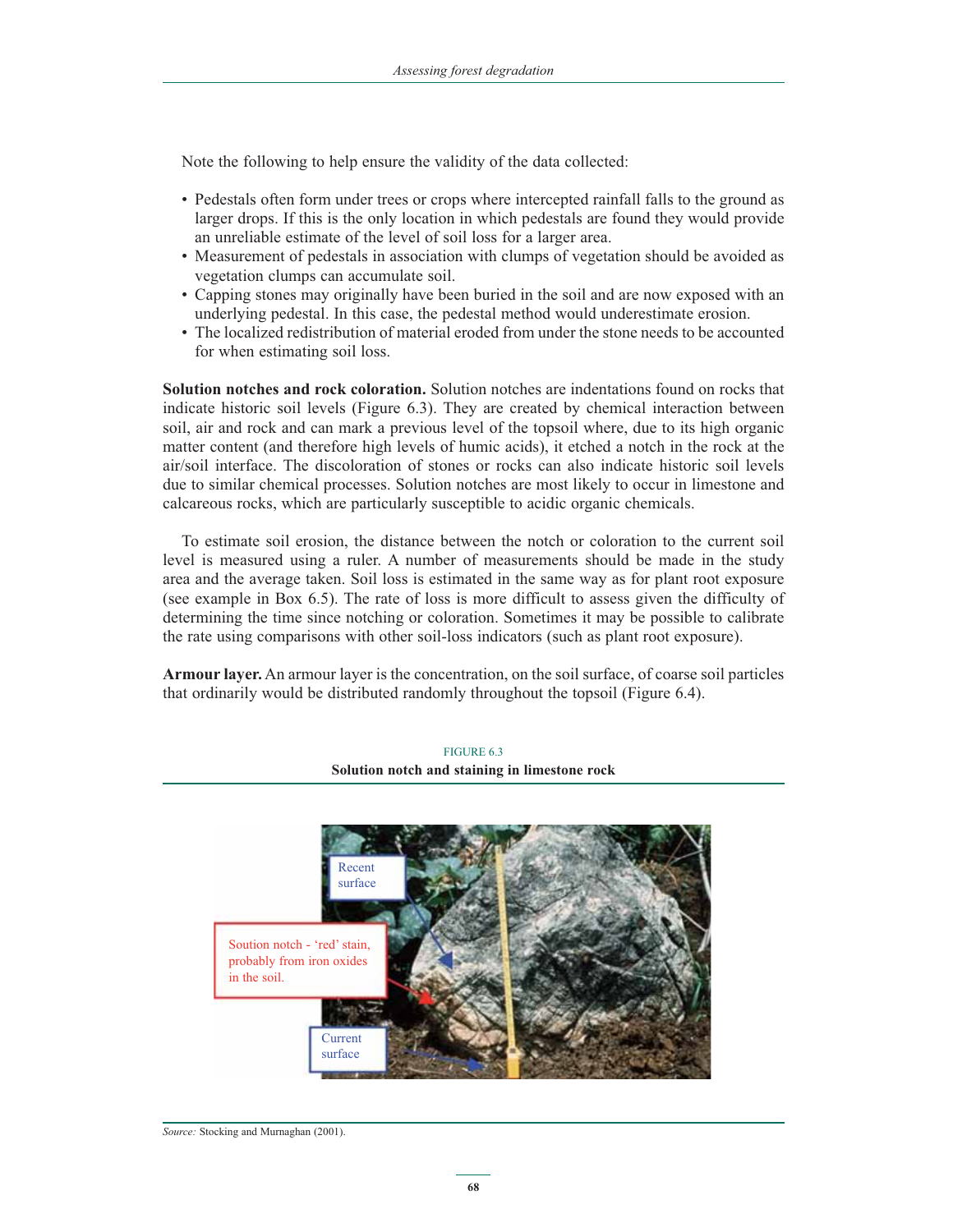Note the following to help ensure the validity of the data collected:

- Pedestals often form under trees or crops where intercepted rainfall falls to the ground as larger drops. If this is the only location in which pedestals are found they would provide an unreliable estimate of the level of soil loss for a larger area.
- Measurement of pedestals in association with clumps of vegetation should be avoided as vegetation clumps can accumulate soil.
- Capping stones may originally have been buried in the soil and are now exposed with an underlying pedestal. In this case, the pedestal method would underestimate erosion.
- The localized redistribution of material eroded from under the stone needs to be accounted for when estimating soil loss.

**Solution notches and rock coloration.** Solution notches are indentations found on rocks that indicate historic soil levels (Figure 6.3). They are created by chemical interaction between soil, air and rock and can mark a previous level of the topsoil where, due to its high organic matter content (and therefore high levels of humic acids), it etched a notch in the rock at the air/soil interface. The discoloration of stones or rocks can also indicate historic soil levels due to similar chemical processes. Solution notches are most likely to occur in limestone and calcareous rocks, which are particularly susceptible to acidic organic chemicals.

To estimate soil erosion, the distance between the notch or coloration to the current soil level is measured using a ruler. A number of measurements should be made in the study area and the average taken. Soil loss is estimated in the same way as for plant root exposure (see example in Box 6.5). The rate of loss is more difficult to assess given the difficulty of determining the time since notching or coloration. Sometimes it may be possible to calibrate the rate using comparisons with other soil-loss indicators (such as plant root exposure).

**Armour layer.** An armour layer is the concentration, on the soil surface, of coarse soil particles that ordinarily would be distributed randomly throughout the topsoil (Figure 6.4).



FIGURE 6.3 **Solution notch and staining in limestone rock**

*Source:* Stocking and Murnaghan (2001).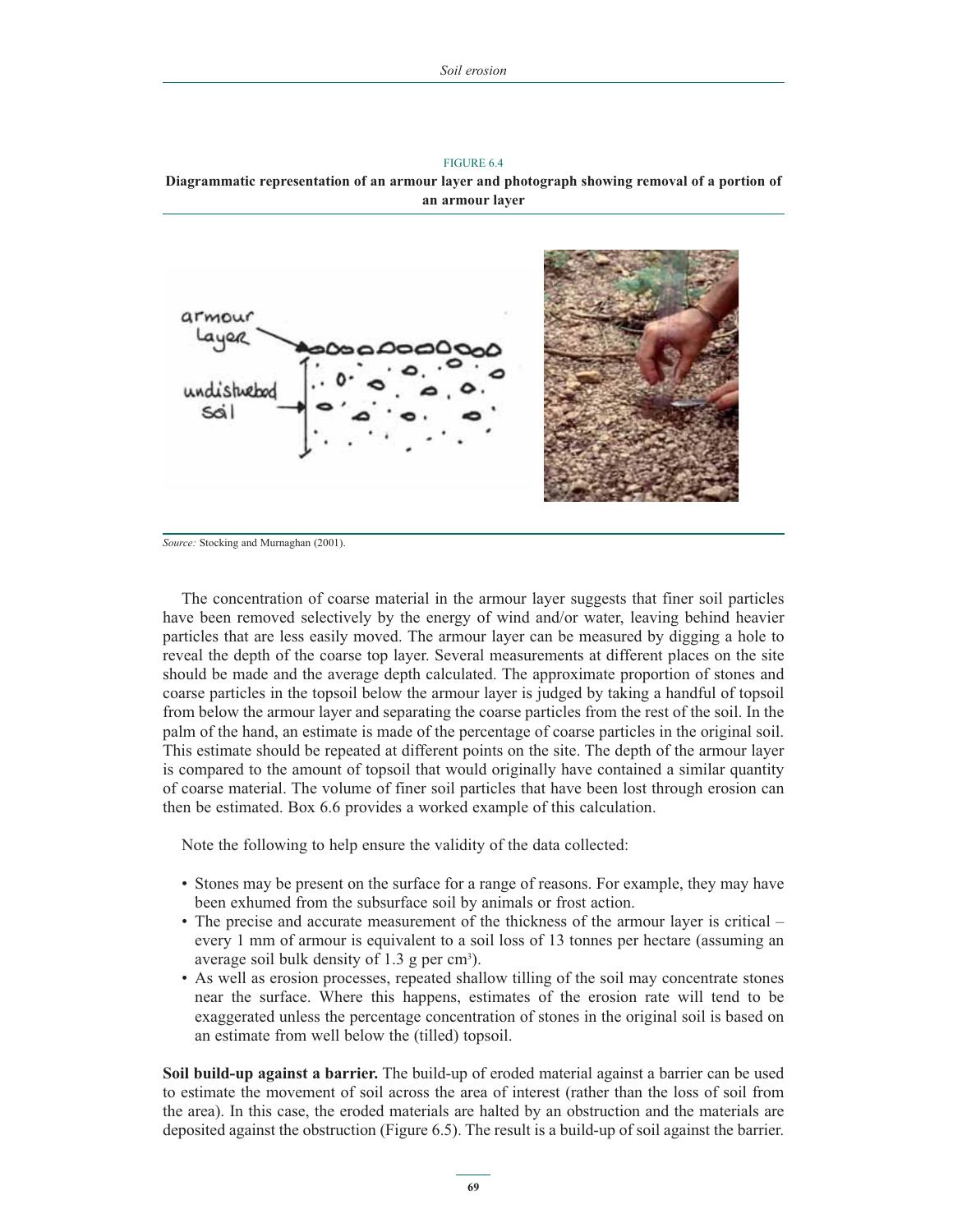FIGURE 6.4 **Diagrammatic representation of an armour layer and photograph showing removal of a portion of an armour layer**



*Source:* Stocking and Murnaghan (2001).

The concentration of coarse material in the armour layer suggests that finer soil particles have been removed selectively by the energy of wind and/or water, leaving behind heavier particles that are less easily moved. The armour layer can be measured by digging a hole to reveal the depth of the coarse top layer. Several measurements at different places on the site should be made and the average depth calculated. The approximate proportion of stones and coarse particles in the topsoil below the armour layer is judged by taking a handful of topsoil from below the armour layer and separating the coarse particles from the rest of the soil. In the palm of the hand, an estimate is made of the percentage of coarse particles in the original soil. This estimate should be repeated at different points on the site. The depth of the armour layer is compared to the amount of topsoil that would originally have contained a similar quantity of coarse material. The volume of finer soil particles that have been lost through erosion can then be estimated. Box 6.6 provides a worked example of this calculation.

Note the following to help ensure the validity of the data collected:

- Stones may be present on the surface for a range of reasons. For example, they may have been exhumed from the subsurface soil by animals or frost action.
- The precise and accurate measurement of the thickness of the armour layer is critical every 1 mm of armour is equivalent to a soil loss of 13 tonnes per hectare (assuming an average soil bulk density of  $1.3$  g per cm<sup>3</sup>).
- As well as erosion processes, repeated shallow tilling of the soil may concentrate stones near the surface. Where this happens, estimates of the erosion rate will tend to be exaggerated unless the percentage concentration of stones in the original soil is based on an estimate from well below the (tilled) topsoil.

**Soil build-up against a barrier.** The build-up of eroded material against a barrier can be used to estimate the movement of soil across the area of interest (rather than the loss of soil from the area). In this case, the eroded materials are halted by an obstruction and the materials are deposited against the obstruction (Figure 6.5). The result is a build-up of soil against the barrier.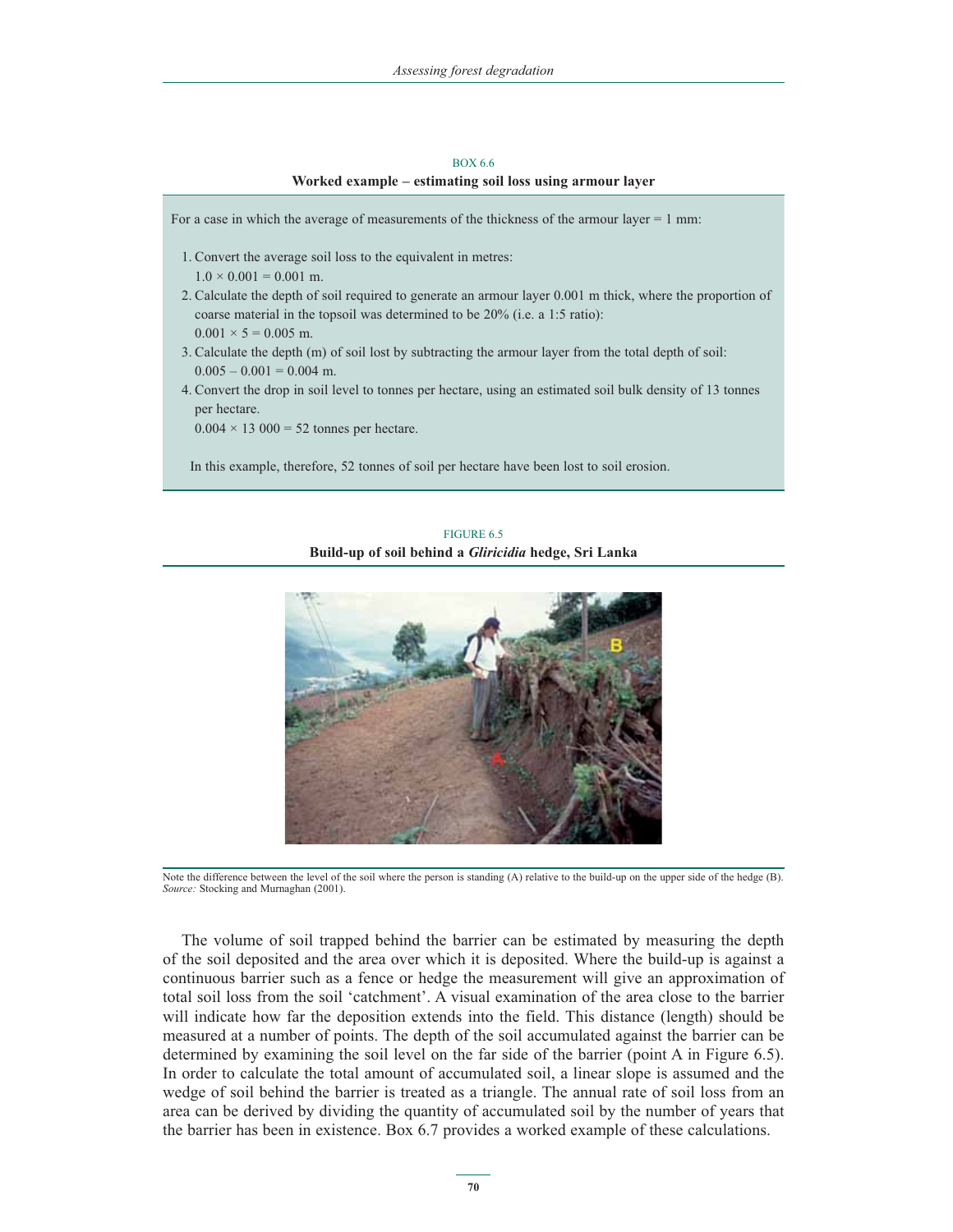#### BOX 6.6 **Worked example – estimating soil loss using armour layer**

For a case in which the average of measurements of the thickness of the armour layer = 1 mm: 1. Convert the average soil loss to the equivalent in metres:  $1.0 \times 0.001 = 0.001$  m. 2. Calculate the depth of soil required to generate an armour layer 0.001 m thick, where the proportion of coarse material in the topsoil was determined to be 20% (i.e. a 1:5 ratio):  $0.001 \times 5 = 0.005$  m. 3. Calculate the depth (m) of soil lost by subtracting the armour layer from the total depth of soil:  $0.005 - 0.001 = 0.004$  m. 4. Convert the drop in soil level to tonnes per hectare, using an estimated soil bulk density of 13 tonnes per hectare.  $0.004 \times 13\,000 = 52$  tonnes per hectare. In this example, therefore, 52 tonnes of soil per hectare have been lost to soil erosion.

### FIGURE 6.5 **Build-up of soil behind a** *Gliricidia* **hedge, Sri Lanka**



Note the difference between the level of the soil where the person is standing (A) relative to the build-up on the upper side of the hedge (B). *Source:* Stocking and Murnaghan (2001).

The volume of soil trapped behind the barrier can be estimated by measuring the depth of the soil deposited and the area over which it is deposited. Where the build-up is against a continuous barrier such as a fence or hedge the measurement will give an approximation of total soil loss from the soil 'catchment'. A visual examination of the area close to the barrier will indicate how far the deposition extends into the field. This distance (length) should be measured at a number of points. The depth of the soil accumulated against the barrier can be determined by examining the soil level on the far side of the barrier (point A in Figure 6.5). In order to calculate the total amount of accumulated soil, a linear slope is assumed and the wedge of soil behind the barrier is treated as a triangle. The annual rate of soil loss from an area can be derived by dividing the quantity of accumulated soil by the number of years that the barrier has been in existence. Box 6.7 provides a worked example of these calculations.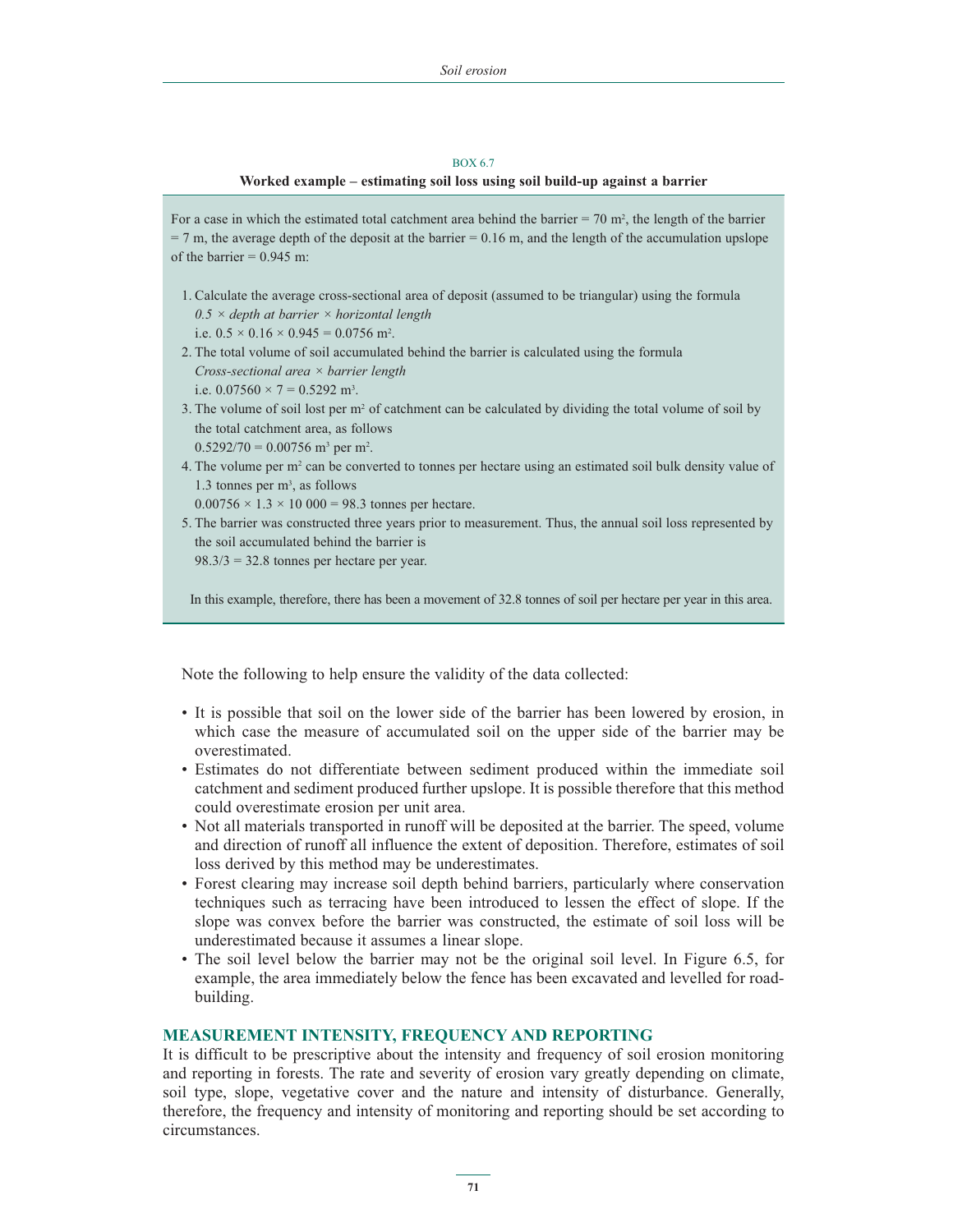#### BOX 6.7

#### **Worked example – estimating soil loss using soil build-up against a barrier**

For a case in which the estimated total catchment area behind the barrier  $= 70$  m<sup>2</sup>, the length of the barrier  $= 7$  m, the average depth of the deposit at the barrier  $= 0.16$  m, and the length of the accumulation upslope of the barrier  $= 0.945$  m:

- 1. Calculate the average cross-sectional area of deposit (assumed to be triangular) using the formula *0.5 × depth at barrier × horizontal length*  i.e.  $0.5 \times 0.16 \times 0.945 = 0.0756$  m<sup>2</sup>.
- 2. The total volume of soil accumulated behind the barrier is calculated using the formula *Cross-sectional area × barrier length*  i.e.  $0.07560 \times 7 = 0.5292$  m<sup>3</sup>.
- 3. The volume of soil lost per  $m<sup>2</sup>$  of catchment can be calculated by dividing the total volume of soil by the total catchment area, as follows  $0.5292/70 = 0.00756$  m<sup>3</sup> per m<sup>2</sup>.
- 4. The volume per  $m^2$  can be converted to tonnes per hectare using an estimated soil bulk density value of 1.3 tonnes per m3 , as follows

 $0.00756 \times 1.3 \times 10\,000 = 98.3$  tonnes per hectare.

5. The barrier was constructed three years prior to measurement. Thus, the annual soil loss represented by the soil accumulated behind the barrier is  $98.3/3 = 32.8$  tonnes per hectare per year.

In this example, therefore, there has been a movement of 32.8 tonnes of soil per hectare per year in this area.

Note the following to help ensure the validity of the data collected:

- It is possible that soil on the lower side of the barrier has been lowered by erosion, in which case the measure of accumulated soil on the upper side of the barrier may be overestimated.
- Estimates do not differentiate between sediment produced within the immediate soil catchment and sediment produced further upslope. It is possible therefore that this method could overestimate erosion per unit area.
- Not all materials transported in runoff will be deposited at the barrier. The speed, volume and direction of runoff all influence the extent of deposition. Therefore, estimates of soil loss derived by this method may be underestimates.
- Forest clearing may increase soil depth behind barriers, particularly where conservation techniques such as terracing have been introduced to lessen the effect of slope. If the slope was convex before the barrier was constructed, the estimate of soil loss will be underestimated because it assumes a linear slope.
- The soil level below the barrier may not be the original soil level. In Figure 6.5, for example, the area immediately below the fence has been excavated and levelled for roadbuilding.

## **MEASUREMENT INTENSITY, FREQUENCY AND REPORTING**

It is difficult to be prescriptive about the intensity and frequency of soil erosion monitoring and reporting in forests. The rate and severity of erosion vary greatly depending on climate, soil type, slope, vegetative cover and the nature and intensity of disturbance. Generally, therefore, the frequency and intensity of monitoring and reporting should be set according to circumstances.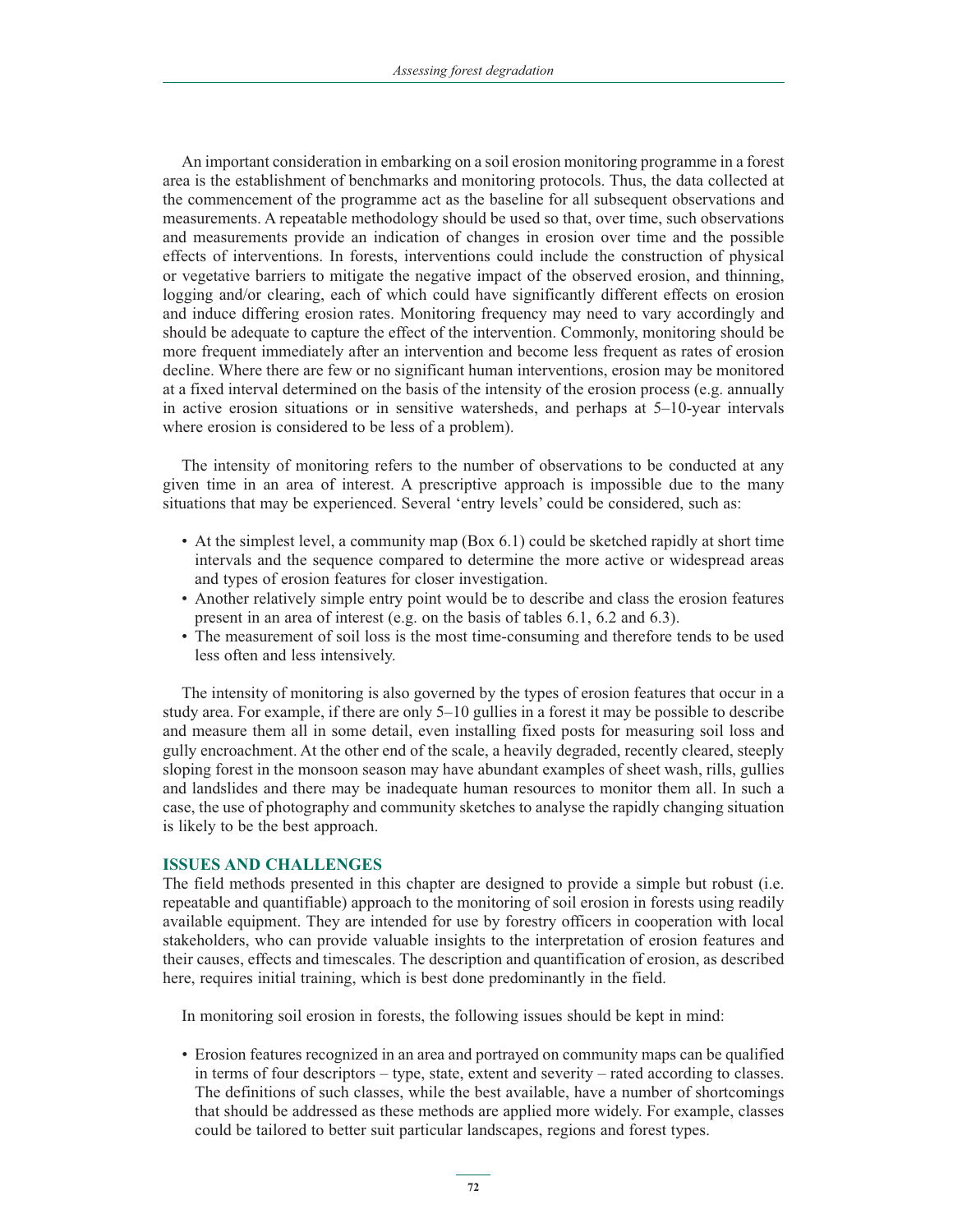An important consideration in embarking on a soil erosion monitoring programme in a forest area is the establishment of benchmarks and monitoring protocols. Thus, the data collected at the commencement of the programme act as the baseline for all subsequent observations and measurements. A repeatable methodology should be used so that, over time, such observations and measurements provide an indication of changes in erosion over time and the possible effects of interventions. In forests, interventions could include the construction of physical or vegetative barriers to mitigate the negative impact of the observed erosion, and thinning, logging and/or clearing, each of which could have significantly different effects on erosion and induce differing erosion rates. Monitoring frequency may need to vary accordingly and should be adequate to capture the effect of the intervention. Commonly, monitoring should be more frequent immediately after an intervention and become less frequent as rates of erosion decline. Where there are few or no significant human interventions, erosion may be monitored at a fixed interval determined on the basis of the intensity of the erosion process (e.g. annually in active erosion situations or in sensitive watersheds, and perhaps at 5–10-year intervals where erosion is considered to be less of a problem).

The intensity of monitoring refers to the number of observations to be conducted at any given time in an area of interest. A prescriptive approach is impossible due to the many situations that may be experienced. Several 'entry levels' could be considered, such as:

- At the simplest level, a community map (Box 6.1) could be sketched rapidly at short time intervals and the sequence compared to determine the more active or widespread areas and types of erosion features for closer investigation.
- Another relatively simple entry point would be to describe and class the erosion features present in an area of interest (e.g. on the basis of tables 6.1, 6.2 and 6.3).
- The measurement of soil loss is the most time-consuming and therefore tends to be used less often and less intensively.

The intensity of monitoring is also governed by the types of erosion features that occur in a study area. For example, if there are only 5–10 gullies in a forest it may be possible to describe and measure them all in some detail, even installing fixed posts for measuring soil loss and gully encroachment. At the other end of the scale, a heavily degraded, recently cleared, steeply sloping forest in the monsoon season may have abundant examples of sheet wash, rills, gullies and landslides and there may be inadequate human resources to monitor them all. In such a case, the use of photography and community sketches to analyse the rapidly changing situation is likely to be the best approach.

### **ISSUES AND CHALLENGES**

The field methods presented in this chapter are designed to provide a simple but robust (i.e. repeatable and quantifiable) approach to the monitoring of soil erosion in forests using readily available equipment. They are intended for use by forestry officers in cooperation with local stakeholders, who can provide valuable insights to the interpretation of erosion features and their causes, effects and timescales. The description and quantification of erosion, as described here, requires initial training, which is best done predominantly in the field.

In monitoring soil erosion in forests, the following issues should be kept in mind:

- Erosion features recognized in an area and portrayed on community maps can be qualified in terms of four descriptors – type, state, extent and severity – rated according to classes. The definitions of such classes, while the best available, have a number of shortcomings that should be addressed as these methods are applied more widely. For example, classes could be tailored to better suit particular landscapes, regions and forest types.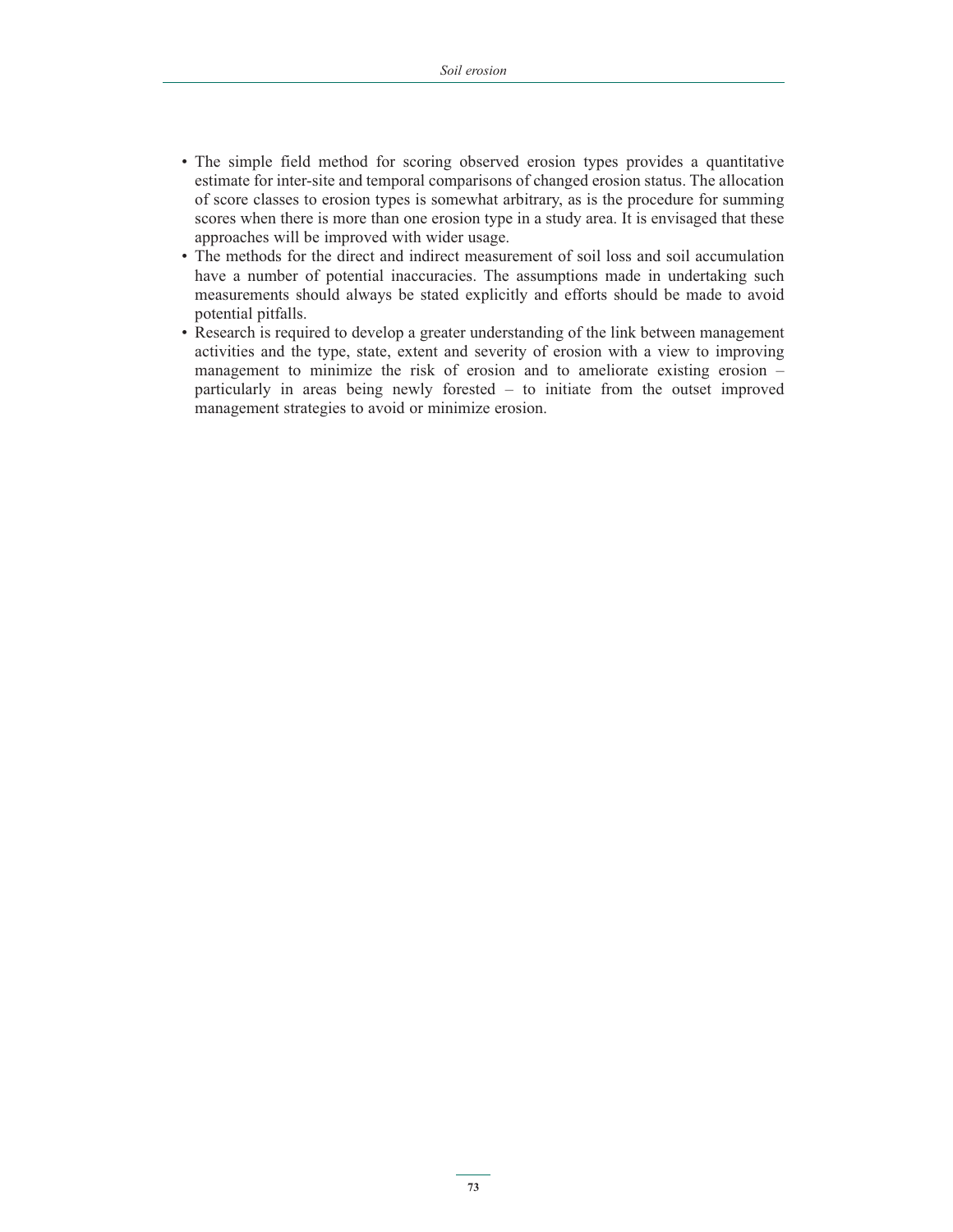- The simple field method for scoring observed erosion types provides a quantitative estimate for inter-site and temporal comparisons of changed erosion status. The allocation of score classes to erosion types is somewhat arbitrary, as is the procedure for summing scores when there is more than one erosion type in a study area. It is envisaged that these approaches will be improved with wider usage.
- The methods for the direct and indirect measurement of soil loss and soil accumulation have a number of potential inaccuracies. The assumptions made in undertaking such measurements should always be stated explicitly and efforts should be made to avoid potential pitfalls.
- Research is required to develop a greater understanding of the link between management activities and the type, state, extent and severity of erosion with a view to improving management to minimize the risk of erosion and to ameliorate existing erosion – particularly in areas being newly forested – to initiate from the outset improved management strategies to avoid or minimize erosion.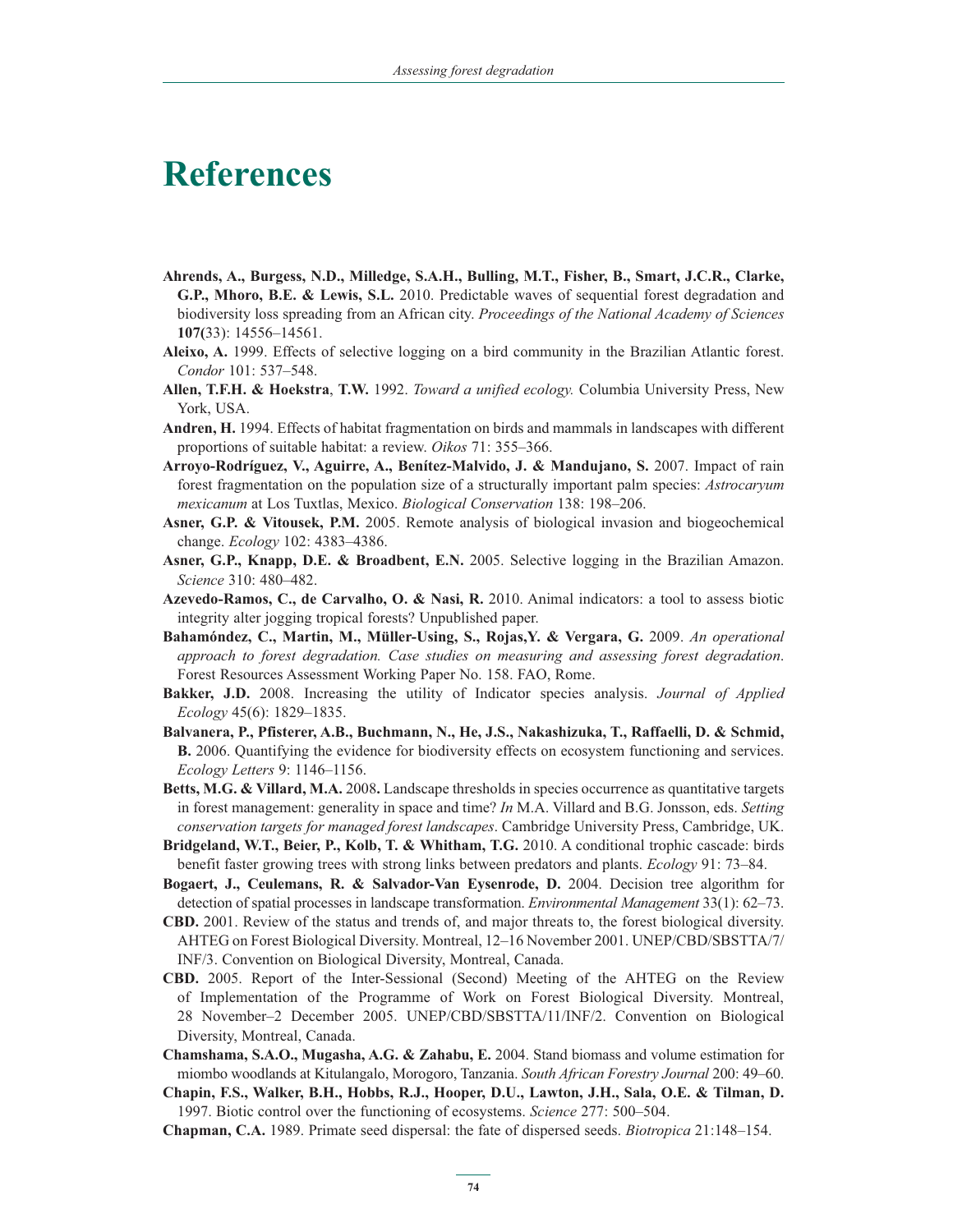# **References**

- **Ahrends, A., Burgess, N.D., Milledge, S.A.H., Bulling, M.T., Fisher, B., Smart, J.C.R., Clarke, G.P., Mhoro, B.E. & Lewis, S.L.** 2010. Predictable waves of sequential forest degradation and biodiversity loss spreading from an African city. *Proceedings of the National Academy of Sciences* **107(**33): 14556–14561.
- **Aleixo, A.** 1999. Effects of selective logging on a bird community in the Brazilian Atlantic forest. *Condor* 101: 537–548.
- **Allen, T.F.H. & Hoekstra**, **T.W.** 1992. *Toward a unified ecology.* Columbia University Press, New York, USA.
- **Andren, H.** 1994. Effects of habitat fragmentation on birds and mammals in landscapes with different proportions of suitable habitat: a review. *Oikos* 71: 355–366.
- **Arroyo-Rodríguez, V., Aguirre, A., Benítez-Malvido, J. & Mandujano, S.** 2007. Impact of rain forest fragmentation on the population size of a structurally important palm species: *Astrocaryum mexicanum* at Los Tuxtlas, Mexico. *Biological Conservation* 138: 198–206.
- **Asner, G.P. & Vitousek, P.M.** 2005. Remote analysis of biological invasion and biogeochemical change. *Ecology* 102: 4383–4386.
- **Asner, G.P., Knapp, D.E. & Broadbent, E.N.** 2005. Selective logging in the Brazilian Amazon. *Science* 310: 480–482.
- **Azevedo-Ramos, C., de Carvalho, O. & Nasi, R.** 2010. Animal indicators: a tool to assess biotic integrity alter jogging tropical forests? Unpublished paper.
- **Bahamóndez, C., Martin, M., Müller-Using, S., Rojas,Y. & Vergara, G.** 2009. *An operational approach to forest degradation. Case studies on measuring and assessing forest degradation*. Forest Resources Assessment Working Paper No. 158. FAO, Rome.
- **Bakker, J.D.** 2008. Increasing the utility of Indicator species analysis. *Journal of Applied Ecology* 45(6): 1829–1835.
- **Balvanera, P., Pfisterer, A.B., Buchmann, N., He, J.S., Nakashizuka, T., Raffaelli, D. & Schmid, B.** 2006. Quantifying the evidence for biodiversity effects on ecosystem functioning and services. *Ecology Letters* 9: 1146–1156.
- **Betts, M.G. & Villard, M.A.** 2008**.** Landscape thresholds in species occurrence as quantitative targets in forest management: generality in space and time? *In* M.A. Villard and B.G. Jonsson, eds. *Setting conservation targets for managed forest landscapes*. Cambridge University Press, Cambridge, UK.
- **Bridgeland, W.T., Beier, P., Kolb, T. & Whitham, T.G.** 2010. A conditional trophic cascade: birds benefit faster growing trees with strong links between predators and plants. *Ecology* 91: 73–84.
- **Bogaert, J., Ceulemans, R. & Salvador-Van Eysenrode, D.** 2004. Decision tree algorithm for detection of spatial processes in landscape transformation. *Environmental Management* 33(1): 62–73.
- **CBD.** 2001. Review of the status and trends of, and major threats to, the forest biological diversity. AHTEG on Forest Biological Diversity. Montreal, 12–16 November 2001. UNEP/CBD/SBSTTA/7/ INF/3. Convention on Biological Diversity, Montreal, Canada.
- **CBD.** 2005. Report of the Inter-Sessional (Second) Meeting of the AHTEG on the Review of Implementation of the Programme of Work on Forest Biological Diversity. Montreal, 28 November–2 December 2005. UNEP/CBD/SBSTTA/11/INF/2. Convention on Biological Diversity, Montreal, Canada.
- **Chamshama, S.A.O., Mugasha, A.G. & Zahabu, E.** 2004. Stand biomass and volume estimation for miombo woodlands at Kitulangalo, Morogoro, Tanzania. *South African Forestry Journal* 200: 49–60.
- **Chapin, F.S., Walker, B.H., Hobbs, R.J., Hooper, D.U., Lawton, J.H., Sala, O.E. & Tilman, D.**  1997. Biotic control over the functioning of ecosystems. *Science* 277: 500–504.
- **Chapman, C.A.** 1989. Primate seed dispersal: the fate of dispersed seeds. *Biotropica* 21:148–154.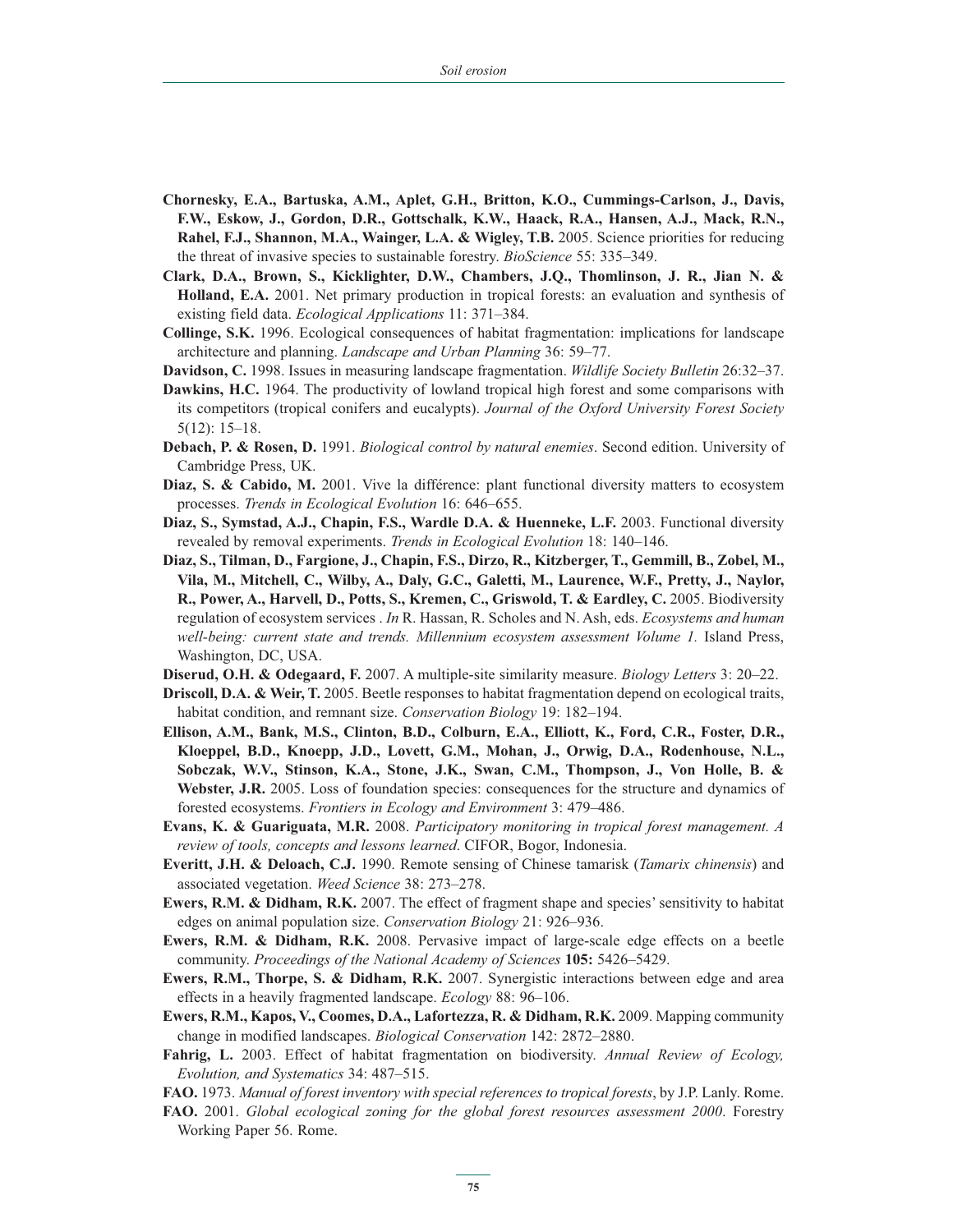- **Chornesky, E.A., Bartuska, A.M., Aplet, G.H., Britton, K.O., Cummings-Carlson, J., Davis, F.W., Eskow, J., Gordon, D.R., Gottschalk, K.W., Haack, R.A., Hansen, A.J., Mack, R.N., Rahel, F.J., Shannon, M.A., Wainger, L.A. & Wigley, T.B.** 2005. Science priorities for reducing the threat of invasive species to sustainable forestry. *BioScience* 55: 335–349.
- **Clark, D.A., Brown, S., Kicklighter, D.W., Chambers, J.Q., Thomlinson, J. R., Jian N. & Holland, E.A.** 2001. Net primary production in tropical forests: an evaluation and synthesis of existing field data. *Ecological Applications* 11: 371–384.
- **Collinge, S.K.** 1996. Ecological consequences of habitat fragmentation: implications for landscape architecture and planning. *Landscape and Urban Planning* 36: 59–77.
- **Davidson, C.** 1998. Issues in measuring landscape fragmentation. *Wildlife Society Bulletin* 26:32–37.
- **Dawkins, H.C.** 1964. The productivity of lowland tropical high forest and some comparisons with its competitors (tropical conifers and eucalypts). *Journal of the Oxford University Forest Society* 5(12): 15–18.
- **Debach, P. & Rosen, D.** 1991. *Biological control by natural enemies*. Second edition. University of Cambridge Press, UK.
- **Diaz, S. & Cabido, M.** 2001. Vive la différence: plant functional diversity matters to ecosystem processes. *Trends in Ecological Evolution* 16: 646–655.
- **Diaz, S., Symstad, A.J., Chapin, F.S., Wardle D.A. & Huenneke, L.F.** 2003. Functional diversity revealed by removal experiments. *Trends in Ecological Evolution* 18: 140–146.
- **Diaz, S., Tilman, D., Fargione, J., Chapin, F.S., Dirzo, R., Kitzberger, T., Gemmill, B., Zobel, M., Vila, M., Mitchell, C., Wilby, A., Daly, G.C., Galetti, M., Laurence, W.F., Pretty, J., Naylor,**  R., Power, A., Harvell, D., Potts, S., Kremen, C., Griswold, T. & Eardley, C. 2005. Biodiversity regulation of ecosystem services . *In* R. Hassan, R. Scholes and N. Ash, eds. *Ecosystems and human well-being: current state and trends. Millennium ecosystem assessment Volume 1.* Island Press, Washington, DC, USA.
- **Diserud, O.H. & Odegaard, F.** 2007. A multiple-site similarity measure. *Biology Letters* 3: 20–22.
- **Driscoll, D.A. & Weir, T.** 2005. Beetle responses to habitat fragmentation depend on ecological traits, habitat condition, and remnant size. *Conservation Biology* 19: 182–194.
- **Ellison, A.M., Bank, M.S., Clinton, B.D., Colburn, E.A., Elliott, K., Ford, C.R., Foster, D.R., Kloeppel, B.D., Knoepp, J.D., Lovett, G.M., Mohan, J., Orwig, D.A., Rodenhouse, N.L., Sobczak, W.V., Stinson, K.A., Stone, J.K., Swan, C.M., Thompson, J., Von Holle, B. & Webster, J.R.** 2005. Loss of foundation species: consequences for the structure and dynamics of forested ecosystems. *Frontiers in Ecology and Environment* 3: 479–486.
- **Evans, K. & Guariguata, M.R.** 2008. *Participatory monitoring in tropical forest management. A review of tools, concepts and lessons learned*. CIFOR, Bogor, Indonesia.
- **Everitt, J.H. & Deloach, C.J.** 1990. Remote sensing of Chinese tamarisk (*Tamarix chinensis*) and associated vegetation. *Weed Science* 38: 273–278.
- **Ewers, R.M. & Didham, R.K.** 2007. The effect of fragment shape and species' sensitivity to habitat edges on animal population size. *Conservation Biology* 21: 926–936.
- **Ewers, R.M. & Didham, R.K.** 2008. Pervasive impact of large-scale edge effects on a beetle community. *Proceedings of the National Academy of Sciences* **105:** 5426–5429.
- **Ewers, R.M., Thorpe, S. & Didham, R.K.** 2007. Synergistic interactions between edge and area effects in a heavily fragmented landscape. *Ecology* 88: 96–106.
- **Ewers, R.M., Kapos, V., Coomes, D.A., Lafortezza, R. & Didham, R.K.** 2009. Mapping community change in modified landscapes. *Biological Conservation* 142: 2872–2880.
- **Fahrig, L.** 2003. Effect of habitat fragmentation on biodiversity. *Annual Review of Ecology, Evolution, and Systematics* 34: 487–515.
- **FAO.** 1973. *Manual of forest inventory with special references to tropical forests*, by J.P. Lanly. Rome.
- **FAO.** 2001. *Global ecological zoning for the global forest resources assessment 2000*. Forestry Working Paper 56. Rome.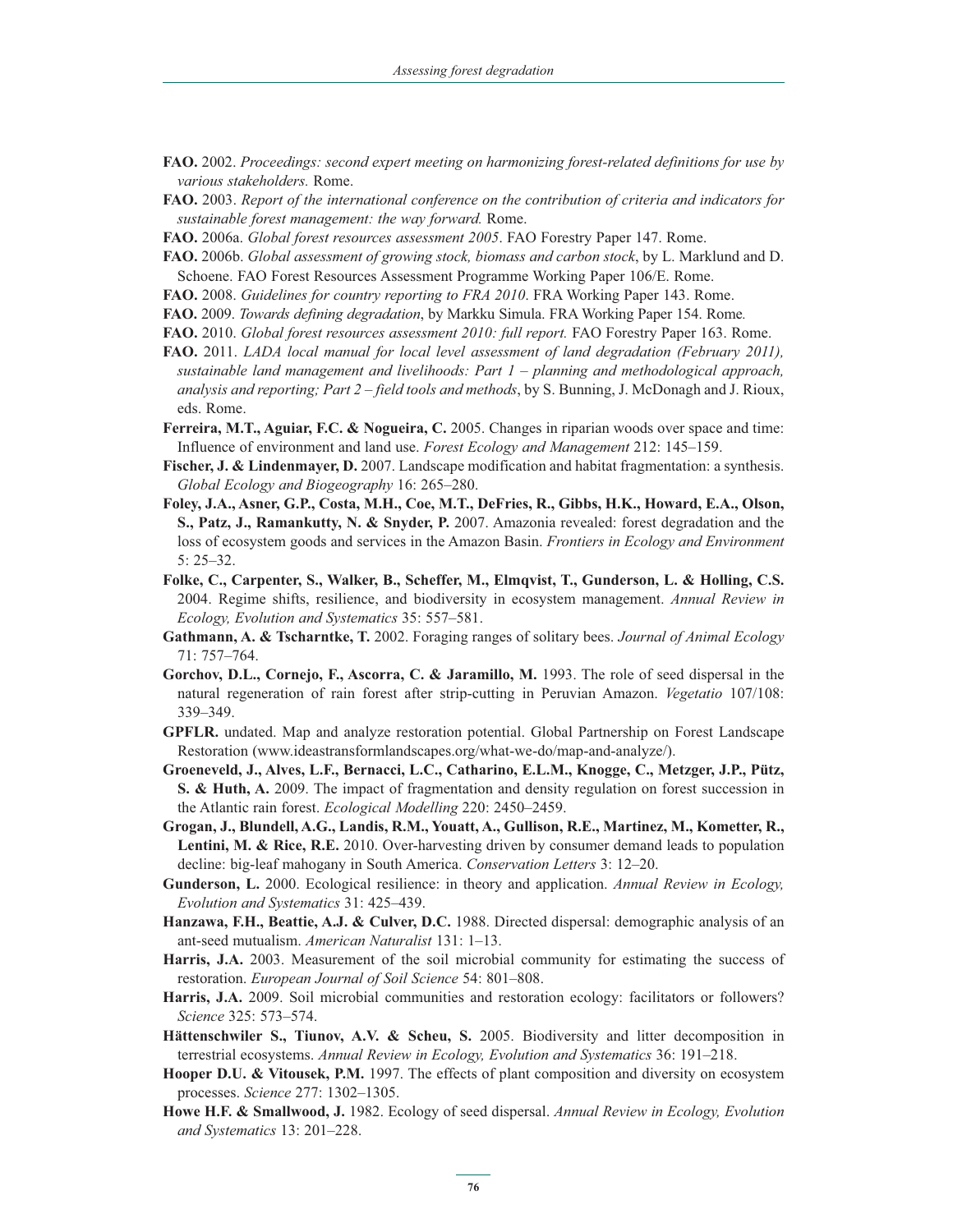- **FAO.** 2002. *Proceedings: second expert meeting on harmonizing forest-related definitions for use by various stakeholders.* Rome.
- **FAO.** 2003. *Report of the international conference on the contribution of criteria and indicators for sustainable forest management: the way forward.* Rome.
- **FAO.** 2006a. *Global forest resources assessment 2005*. FAO Forestry Paper 147. Rome.
- **FAO.** 2006b. *Global assessment of growing stock, biomass and carbon stock*, by L. Marklund and D. Schoene. FAO Forest Resources Assessment Programme Working Paper 106/E. Rome.
- **FAO.** 2008. *Guidelines for country reporting to FRA 2010*. FRA Working Paper 143. Rome.
- **FAO.** 2009. *Towards defining degradation*, by Markku Simula. FRA Working Paper 154. Rome*.*
- **FAO.** 2010. *Global forest resources assessment 2010: full report.* FAO Forestry Paper 163. Rome.
- **FAO.** 2011. *LADA local manual for local level assessment of land degradation (February 2011), sustainable land management and livelihoods: Part 1 – planning and methodological approach, analysis and reporting; Part 2 – field tools and methods*, by S. Bunning, J. McDonagh and J. Rioux, eds. Rome.
- **Ferreira, M.T., Aguiar, F.C. & Nogueira, C.** 2005. Changes in riparian woods over space and time: Influence of environment and land use. *Forest Ecology and Management* 212: 145–159.
- **Fischer, J. & Lindenmayer, D.** 2007. Landscape modification and habitat fragmentation: a synthesis. *Global Ecology and Biogeography* 16: 265–280.
- **Foley, J.A., Asner, G.P., Costa, M.H., Coe, M.T., DeFries, R., Gibbs, H.K., Howard, E.A., Olson, S., Patz, J., Ramankutty, N. & Snyder, P.** 2007. Amazonia revealed: forest degradation and the loss of ecosystem goods and services in the Amazon Basin. *Frontiers in Ecology and Environment* 5: 25–32.
- **Folke, C., Carpenter, S., Walker, B., Scheffer, M., Elmqvist, T., Gunderson, L. & Holling, C.S.** 2004. Regime shifts, resilience, and biodiversity in ecosystem management. *Annual Review in Ecology, Evolution and Systematics* 35: 557–581.
- **Gathmann, A. & Tscharntke, T.** 2002. Foraging ranges of solitary bees. *Journal of Animal Ecology* 71: 757–764.
- **Gorchov, D.L., Cornejo, F., Ascorra, C. & Jaramillo, M.** 1993. The role of seed dispersal in the natural regeneration of rain forest after strip-cutting in Peruvian Amazon. *Vegetatio* 107/108: 339–349.
- **GPFLR.** undated. Map and analyze restoration potential. Global Partnership on Forest Landscape Restoration (www.ideastransformlandscapes.org/what-we-do/map-and-analyze/).
- **Groeneveld, J., Alves, L.F., Bernacci, L.C., Catharino, E.L.M., Knogge, C., Metzger, J.P., Pütz, S. & Huth, A.** 2009. The impact of fragmentation and density regulation on forest succession in the Atlantic rain forest. *Ecological Modelling* 220: 2450–2459.
- **Grogan, J., Blundell, A.G., Landis, R.M., Youatt, A., Gullison, R.E., Martinez, M., Kometter, R., Lentini, M. & Rice, R.E.** 2010. Over-harvesting driven by consumer demand leads to population decline: big-leaf mahogany in South America. *Conservation Letters* 3: 12–20.
- **Gunderson, L.** 2000. Ecological resilience: in theory and application. *Annual Review in Ecology, Evolution and Systematics* 31: 425–439.
- **Hanzawa, F.H., Beattie, A.J. & Culver, D.C.** 1988. Directed dispersal: demographic analysis of an ant-seed mutualism. *American Naturalist* 131: 1–13.
- **Harris, J.A.** 2003. Measurement of the soil microbial community for estimating the success of restoration. *European Journal of Soil Science* 54: 801–808.
- **Harris, J.A.** 2009. Soil microbial communities and restoration ecology: facilitators or followers? *Science* 325: 573–574.
- **Hättenschwiler S., Tiunov, A.V. & Scheu, S.** 2005. Biodiversity and litter decomposition in terrestrial ecosystems. *Annual Review in Ecology, Evolution and Systematics* 36: 191–218.
- **Hooper D.U. & Vitousek, P.M.** 1997. The effects of plant composition and diversity on ecosystem processes. *Science* 277: 1302–1305.
- **Howe H.F. & Smallwood, J.** 1982. Ecology of seed dispersal. *Annual Review in Ecology, Evolution and Systematics* 13: 201–228.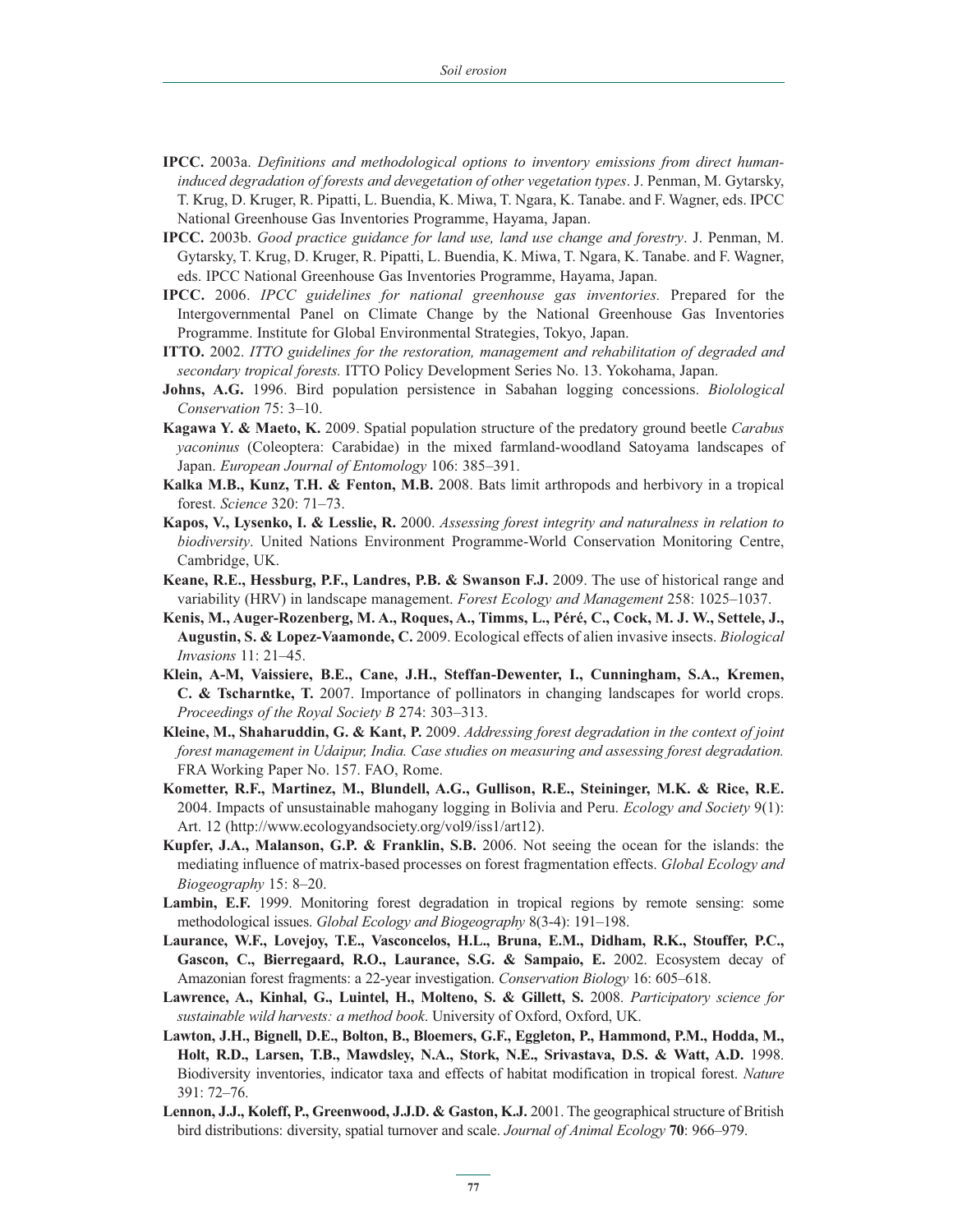- **IPCC.** 2003a. *Definitions and methodological options to inventory emissions from direct humaninduced degradation of forests and devegetation of other vegetation types*. J. Penman, M. Gytarsky, T. Krug, D. Kruger, R. Pipatti, L. Buendia, K. Miwa, T. Ngara, K. Tanabe. and F. Wagner, eds. IPCC National Greenhouse Gas Inventories Programme, Hayama, Japan.
- **IPCC.** 2003b. *Good practice guidance for land use, land use change and forestry*. J. Penman, M. Gytarsky, T. Krug, D. Kruger, R. Pipatti, L. Buendia, K. Miwa, T. Ngara, K. Tanabe. and F. Wagner, eds. IPCC National Greenhouse Gas Inventories Programme, Hayama, Japan.
- **IPCC.** 2006. *IPCC guidelines for national greenhouse gas inventories.* Prepared for the Intergovernmental Panel on Climate Change by the National Greenhouse Gas Inventories Programme. Institute for Global Environmental Strategies, Tokyo, Japan.
- **ITTO.** 2002. *ITTO guidelines for the restoration, management and rehabilitation of degraded and secondary tropical forests.* ITTO Policy Development Series No. 13. Yokohama, Japan.
- **Johns, A.G.** 1996. Bird population persistence in Sabahan logging concessions. *Biolological Conservation* 75: 3–10.
- **Kagawa Y. & Maeto, K.** 2009. Spatial population structure of the predatory ground beetle *Carabus yaconinus* (Coleoptera: Carabidae) in the mixed farmland-woodland Satoyama landscapes of Japan. *European Journal of Entomology* 106: 385–391.
- **Kalka M.B., Kunz, T.H. & Fenton, M.B.** 2008. Bats limit arthropods and herbivory in a tropical forest. *Science* 320: 71–73.
- **Kapos, V., Lysenko, I. & Lesslie, R.** 2000. *Assessing forest integrity and naturalness in relation to biodiversity*. United Nations Environment Programme-World Conservation Monitoring Centre, Cambridge, UK.
- **Keane, R.E., Hessburg, P.F., Landres, P.B. & Swanson F.J.** 2009. The use of historical range and variability (HRV) in landscape management. *Forest Ecology and Management* 258: 1025–1037.
- **Kenis, M., Auger-Rozenberg, M. A., Roques, A., Timms, L., Péré, C., Cock, M. J. W., Settele, J., Augustin, S. & Lopez-Vaamonde, C.** 2009. Ecological effects of alien invasive insects. *Biological Invasions* 11: 21–45.
- **Klein, A-M, Vaissiere, B.E., Cane, J.H., Steffan-Dewenter, I., Cunningham, S.A., Kremen, C. & Tscharntke, T.** 2007. Importance of pollinators in changing landscapes for world crops. *Proceedings of the Royal Society B* 274: 303–313.
- **Kleine, M., Shaharuddin, G. & Kant, P.** 2009. *Addressing forest degradation in the context of joint forest management in Udaipur, India. Case studies on measuring and assessing forest degradation.*  FRA Working Paper No. 157. FAO, Rome.
- **Kometter, R.F., Martinez, M., Blundell, A.G., Gullison, R.E., Steininger, M.K. & Rice, R.E.**  2004. Impacts of unsustainable mahogany logging in Bolivia and Peru. *Ecology and Society* 9(1): Art. 12 (http://www.ecologyandsociety.org/vol9/iss1/art12).
- **Kupfer, J.A., Malanson, G.P. & Franklin, S.B.** 2006. Not seeing the ocean for the islands: the mediating influence of matrix-based processes on forest fragmentation effects. *Global Ecology and Biogeography* 15: 8–20.
- Lambin, E.F. 1999. Monitoring forest degradation in tropical regions by remote sensing: some methodological issues. *Global Ecology and Biogeography* 8(3-4): 191–198.
- **Laurance, W.F., Lovejoy, T.E., Vasconcelos, H.L., Bruna, E.M., Didham, R.K., Stouffer, P.C., Gascon, C., Bierregaard, R.O., Laurance, S.G. & Sampaio, E.** 2002. Ecosystem decay of Amazonian forest fragments: a 22-year investigation. *Conservation Biology* 16: 605–618.
- **Lawrence, A., Kinhal, G., Luintel, H., Molteno, S. & Gillett, S.** 2008. *Participatory science for sustainable wild harvests: a method book*. University of Oxford, Oxford, UK.
- **Lawton, J.H., Bignell, D.E., Bolton, B., Bloemers, G.F., Eggleton, P., Hammond, P.M., Hodda, M., Holt, R.D., Larsen, T.B., Mawdsley, N.A., Stork, N.E., Srivastava, D.S. & Watt, A.D.** 1998. Biodiversity inventories, indicator taxa and effects of habitat modification in tropical forest. *Nature* 391: 72–76.
- **Lennon, J.J., Koleff, P., Greenwood, J.J.D. & Gaston, K.J.** 2001. The geographical structure of British bird distributions: diversity, spatial turnover and scale. *Journal of Animal Ecology* **70**: 966–979.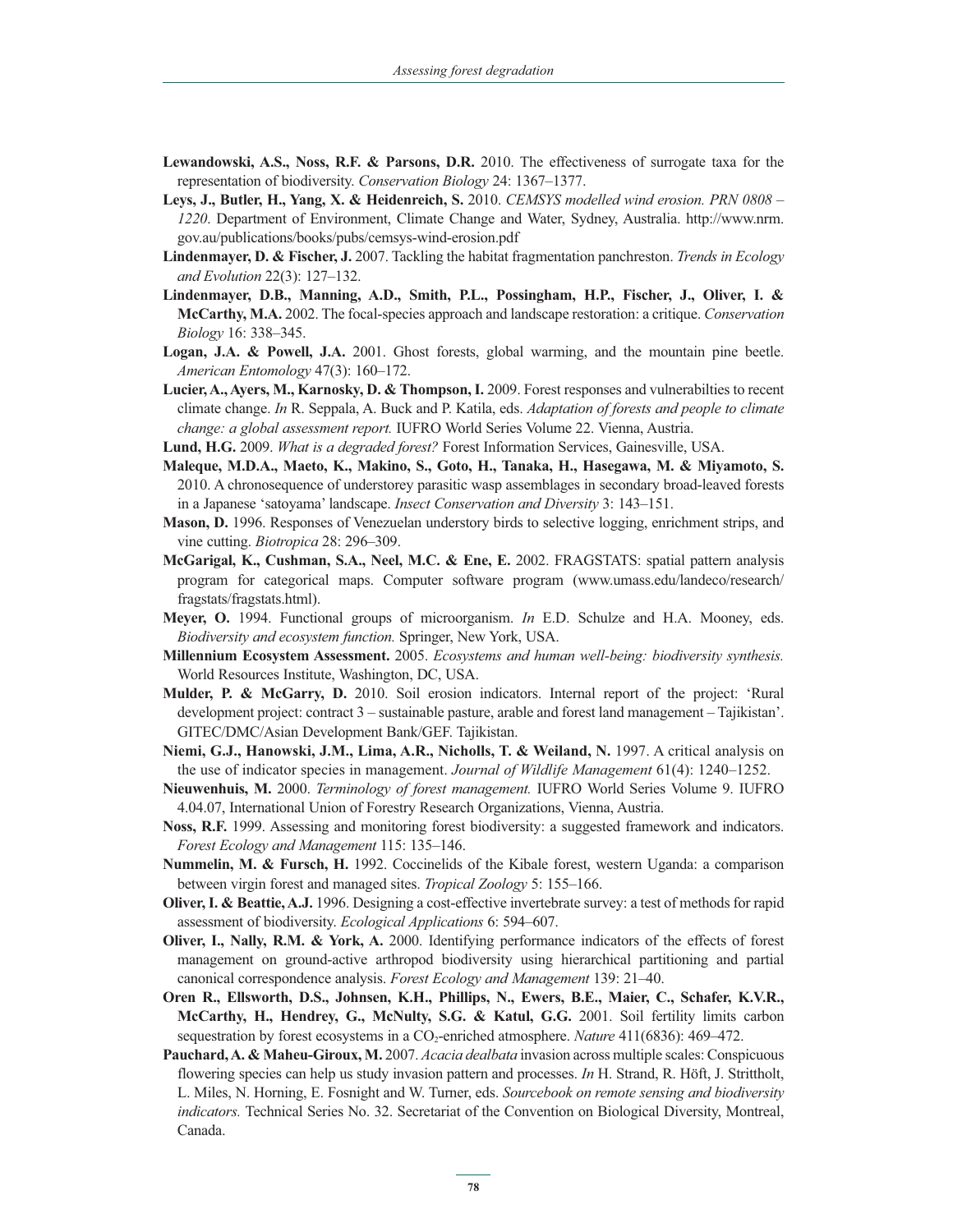- **Lewandowski, A.S., Noss, R.F. & Parsons, D.R.** 2010. The effectiveness of surrogate taxa for the representation of biodiversity. *Conservation Biology* 24: 1367–1377.
- **Leys, J., Butler, H., Yang, X. & Heidenreich, S.** 2010. *CEMSYS modelled wind erosion. PRN 0808 1220*. Department of Environment, Climate Change and Water, Sydney, Australia. http://www.nrm. gov.au/publications/books/pubs/cemsys-wind-erosion.pdf
- **Lindenmayer, D. & Fischer, J.** 2007. Tackling the habitat fragmentation panchreston. *Trends in Ecology and Evolution* 22(3): 127–132.
- **Lindenmayer, D.B., Manning, A.D., Smith, P.L., Possingham, H.P., Fischer, J., Oliver, I. & McCarthy, M.A.** 2002. The focal-species approach and landscape restoration: a critique. *Conservation Biology* 16: 338–345.
- **Logan, J.A. & Powell, J.A.** 2001. Ghost forests, global warming, and the mountain pine beetle. *American Entomology* 47(3): 160–172.
- Lucier, A., Ayers, M., Karnosky, D. & Thompson, I. 2009. Forest responses and vulnerabilties to recent climate change. *In* R. Seppala, A. Buck and P. Katila, eds. *Adaptation of forests and people to climate change: a global assessment report.* IUFRO World Series Volume 22. Vienna, Austria.
- **Lund, H.G.** 2009. *What is a degraded forest?* Forest Information Services, Gainesville, USA.
- **Maleque, M.D.A., Maeto, K., Makino, S., Goto, H., Tanaka, H., Hasegawa, M. & Miyamoto, S.** 2010. A chronosequence of understorey parasitic wasp assemblages in secondary broad-leaved forests in a Japanese 'satoyama' landscape. *Insect Conservation and Diversity* 3: 143–151.
- **Mason, D.** 1996. Responses of Venezuelan understory birds to selective logging, enrichment strips, and vine cutting. *Biotropica* 28: 296–309.
- **McGarigal, K., Cushman, S.A., Neel, M.C. & Ene, E.** 2002. FRAGSTATS: spatial pattern analysis program for categorical maps. Computer software program (www.umass.edu/landeco/research/ fragstats/fragstats.html).
- **Meyer, O.** 1994. Functional groups of microorganism. *In* E.D. Schulze and H.A. Mooney, eds. *Biodiversity and ecosystem function.* Springer, New York, USA.
- **Millennium Ecosystem Assessment.** 2005. *Ecosystems and human well-being: biodiversity synthesis.*  World Resources Institute, Washington, DC, USA.
- **Mulder, P. & McGarry, D.** 2010. Soil erosion indicators. Internal report of the project: 'Rural development project: contract 3 – sustainable pasture, arable and forest land management – Tajikistan'. GITEC/DMC/Asian Development Bank/GEF. Tajikistan.
- **Niemi, G.J., Hanowski, J.M., Lima, A.R., Nicholls, T. & Weiland, N.** 1997. A critical analysis on the use of indicator species in management. *Journal of Wildlife Management* 61(4): 1240–1252.
- **Nieuwenhuis, M.** 2000. *Terminology of forest management.* IUFRO World Series Volume 9. IUFRO 4.04.07, International Union of Forestry Research Organizations, Vienna, Austria.
- **Noss, R.F.** 1999. Assessing and monitoring forest biodiversity: a suggested framework and indicators. *Forest Ecology and Management* 115: 135–146.
- **Nummelin, M. & Fursch, H.** 1992. Coccinelids of the Kibale forest, western Uganda: a comparison between virgin forest and managed sites. *Tropical Zoology* 5: 155–166.
- **Oliver, I. & Beattie, A.J.** 1996. Designing a cost-effective invertebrate survey: a test of methods for rapid assessment of biodiversity. *Ecological Applications* 6: 594–607.
- **Oliver, I., Nally, R.M. & York, A.** 2000. Identifying performance indicators of the effects of forest management on ground-active arthropod biodiversity using hierarchical partitioning and partial canonical correspondence analysis. *Forest Ecology and Management* 139: 21–40.
- **Oren R., Ellsworth, D.S., Johnsen, K.H., Phillips, N., Ewers, B.E., Maier, C., Schafer, K.V.R., McCarthy, H., Hendrey, G., McNulty, S.G. & Katul, G.G.** 2001. Soil fertility limits carbon sequestration by forest ecosystems in a CO<sub>2</sub>-enriched atmosphere. *Nature* 411(6836): 469–472.
- **Pauchard, A. & Maheu-Giroux, M.** 2007. *Acacia dealbata* invasion across multiple scales: Conspicuous flowering species can help us study invasion pattern and processes. *In* H. Strand, R. Höft, J. Strittholt, L. Miles, N. Horning, E. Fosnight and W. Turner, eds. *Sourcebook on remote sensing and biodiversity indicators.* Technical Series No. 32. Secretariat of the Convention on Biological Diversity, Montreal, Canada.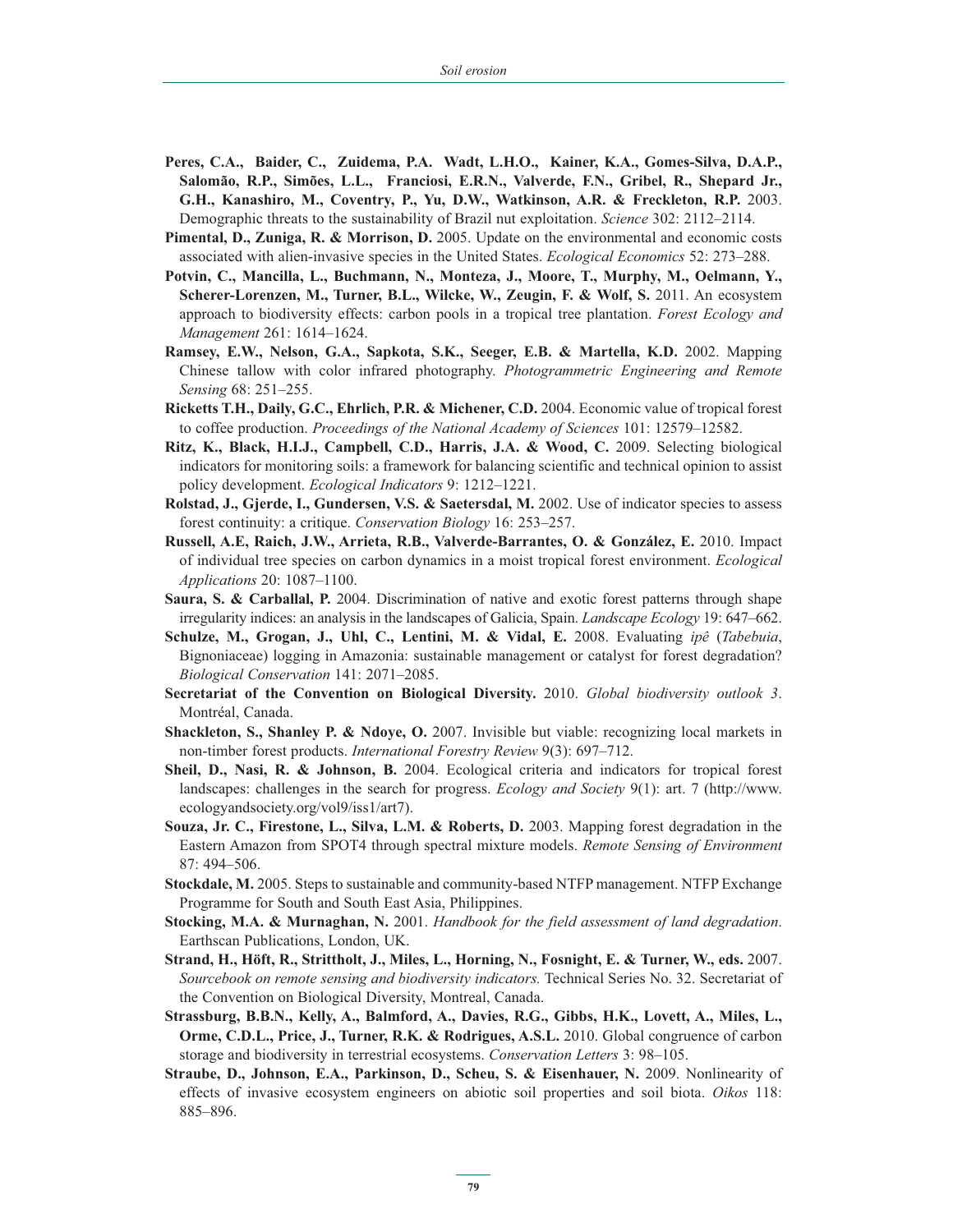- **Peres, C.A., Baider, C., Zuidema, P.A. Wadt, L.H.O., Kainer, K.A., Gomes-Silva, D.A.P., Salomão, R.P., Simões, L.L., Franciosi, E.R.N., Valverde, F.N., Gribel, R., Shepard Jr., G.H., Kanashiro, M., Coventry, P., Yu, D.W., Watkinson, A.R. & Freckleton, R.P.** 2003. Demographic threats to the sustainability of Brazil nut exploitation. *Science* 302: 2112–2114.
- **Pimental, D., Zuniga, R. & Morrison, D.** 2005. Update on the environmental and economic costs associated with alien-invasive species in the United States. *Ecological Economics* 52: 273–288.
- **Potvin, C., Mancilla, L., Buchmann, N., Monteza, J., Moore, T., Murphy, M., Oelmann, Y., Scherer-Lorenzen, M., Turner, B.L., Wilcke, W., Zeugin, F. & Wolf, S.** 2011. An ecosystem approach to biodiversity effects: carbon pools in a tropical tree plantation. *Forest Ecology and Management* 261: 1614–1624.
- **Ramsey, E.W., Nelson, G.A., Sapkota, S.K., Seeger, E.B. & Martella, K.D.** 2002. Mapping Chinese tallow with color infrared photography. *Photogrammetric Engineering and Remote Sensing* 68: 251–255.
- **Ricketts T.H., Daily, G.C., Ehrlich, P.R. & Michener, C.D.** 2004. Economic value of tropical forest to coffee production. *Proceedings of the National Academy of Sciences* 101: 12579–12582.
- **Ritz, K., Black, H.I.J., Campbell, C.D., Harris, J.A. & Wood, C.** 2009. Selecting biological indicators for monitoring soils: a framework for balancing scientific and technical opinion to assist policy development. *Ecological Indicators* 9: 1212–1221.
- **Rolstad, J., Gjerde, I., Gundersen, V.S. & Saetersdal, M.** 2002. Use of indicator species to assess forest continuity: a critique. *Conservation Biology* 16: 253–257.
- **Russell, A.E, Raich, J.W., Arrieta, R.B., Valverde-Barrantes, O. & González, E.** 2010. Impact of individual tree species on carbon dynamics in a moist tropical forest environment. *Ecological Applications* 20: 1087–1100.
- **Saura, S. & Carballal, P.** 2004. Discrimination of native and exotic forest patterns through shape irregularity indices: an analysis in the landscapes of Galicia, Spain. *Landscape Ecology* 19: 647–662.
- **Schulze, M., Grogan, J., Uhl, C., Lentini, M. & Vidal, E.** 2008. Evaluating *ipê* (*Tabebuia*, Bignoniaceae) logging in Amazonia: sustainable management or catalyst for forest degradation? *Biological Conservation* 141: 2071–2085.
- **Secretariat of the Convention on Biological Diversity.** 2010. *Global biodiversity outlook 3*. Montréal, Canada.
- **Shackleton, S., Shanley P. & Ndoye, O.** 2007. Invisible but viable: recognizing local markets in non-timber forest products. *International Forestry Review* 9(3): 697–712.
- **Sheil, D., Nasi, R. & Johnson, B.** 2004. Ecological criteria and indicators for tropical forest landscapes: challenges in the search for progress. *Ecology and Society* 9(1): art. 7 (http://www. ecologyandsociety.org/vol9/iss1/art7).
- **Souza, Jr. C., Firestone, L., Silva, L.M. & Roberts, D.** 2003. Mapping forest degradation in the Eastern Amazon from SPOT4 through spectral mixture models. *Remote Sensing of Environment* 87: 494–506.
- **Stockdale, M.** 2005. Steps to sustainable and community-based NTFP management. NTFP Exchange Programme for South and South East Asia, Philippines.
- **Stocking, M.A. & Murnaghan, N.** 2001. *Handbook for the field assessment of land degradation*. Earthscan Publications, London, UK.
- **Strand, H., Höft, R., Strittholt, J., Miles, L., Horning, N., Fosnight, E. & Turner, W., eds.** 2007. *Sourcebook on remote sensing and biodiversity indicators.* Technical Series No. 32. Secretariat of the Convention on Biological Diversity, Montreal, Canada.
- **Strassburg, B.B.N., Kelly, A., Balmford, A., Davies, R.G., Gibbs, H.K., Lovett, A., Miles, L., Orme, C.D.L., Price, J., Turner, R.K. & Rodrigues, A.S.L.** 2010. Global congruence of carbon storage and biodiversity in terrestrial ecosystems. *Conservation Letters* 3: 98–105.
- **Straube, D., Johnson, E.A., Parkinson, D., Scheu, S. & Eisenhauer, N.** 2009. Nonlinearity of effects of invasive ecosystem engineers on abiotic soil properties and soil biota. *Oikos* 118: 885–896.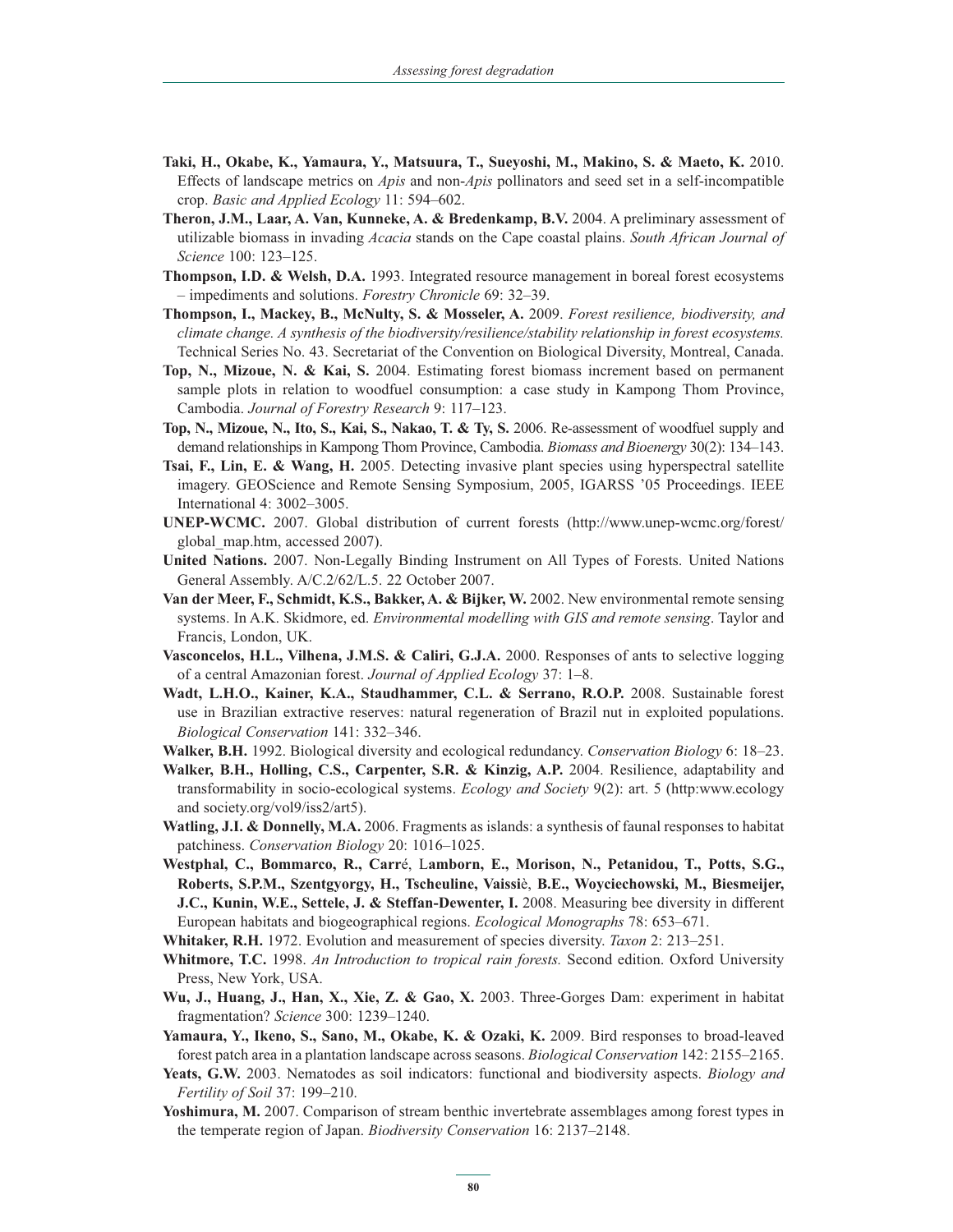- **Taki, H., Okabe, K., Yamaura, Y., Matsuura, T., Sueyoshi, M., Makino, S. & Maeto, K.** 2010. Effects of landscape metrics on *Apis* and non-*Apis* pollinators and seed set in a self-incompatible crop. *Basic and Applied Ecology* 11: 594–602.
- **Theron, J.M., Laar, A. Van, Kunneke, A. & Bredenkamp, B.V.** 2004. A preliminary assessment of utilizable biomass in invading *Acacia* stands on the Cape coastal plains. *South African Journal of Science* 100: 123–125.
- **Thompson, I.D. & Welsh, D.A.** 1993. Integrated resource management in boreal forest ecosystems – impediments and solutions. *Forestry Chronicle* 69: 32–39.
- **Thompson, I., Mackey, B., McNulty, S. & Mosseler, A.** 2009. *Forest resilience, biodiversity, and climate change. A synthesis of the biodiversity/resilience/stability relationship in forest ecosystems.* Technical Series No. 43. Secretariat of the Convention on Biological Diversity, Montreal, Canada.
- **Top, N., Mizoue, N. & Kai, S.** 2004. Estimating forest biomass increment based on permanent sample plots in relation to woodfuel consumption: a case study in Kampong Thom Province, Cambodia. *Journal of Forestry Research* 9: 117–123.
- **Top, N., Mizoue, N., Ito, S., Kai, S., Nakao, T. & Ty, S.** 2006. Re-assessment of woodfuel supply and demand relationships in Kampong Thom Province, Cambodia. *Biomass and Bioenergy* 30(2): 134–143.
- **Tsai, F., Lin, E. & Wang, H.** 2005. Detecting invasive plant species using hyperspectral satellite imagery. GEOScience and Remote Sensing Symposium, 2005, IGARSS '05 Proceedings. IEEE International 4: 3002–3005.
- **UNEP-WCMC.** 2007. Global distribution of current forests (http://www.unep-wcmc.org/forest/ global\_map.htm, accessed 2007).
- **United Nations.** 2007. Non-Legally Binding Instrument on All Types of Forests. United Nations General Assembly. A/C.2/62/L.5. 22 October 2007.
- **Van der Meer, F., Schmidt, K.S., Bakker, A. & Bijker, W. 2002. New environmental remote sensing** systems. In A.K. Skidmore, ed. *Environmental modelling with GIS and remote sensing*. Taylor and Francis, London, UK.
- Vasconcelos, H.L., Vilhena, J.M.S. & Caliri, G.J.A. 2000. Responses of ants to selective logging of a central Amazonian forest. *Journal of Applied Ecology* 37: 1–8.
- **Wadt, L.H.O., Kainer, K.A., Staudhammer, C.L. & Serrano, R.O.P.** 2008. Sustainable forest use in Brazilian extractive reserves: natural regeneration of Brazil nut in exploited populations. *Biological Conservation* 141: 332–346.
- **Walker, B.H.** 1992. Biological diversity and ecological redundancy. *Conservation Biology* 6: 18–23.
- **Walker, B.H., Holling, C.S., Carpenter, S.R. & Kinzig, A.P.** 2004. Resilience, adaptability and transformability in socio-ecological systems. *Ecology and Society* 9(2): art. 5 (http:www.ecology and society.org/vol9/iss2/art5).
- **Watling, J.I. & Donnelly, M.A.** 2006. Fragments as islands: a synthesis of faunal responses to habitat patchiness. *Conservation Biology* 20: 1016–1025.
- **Westphal, C., Bommarco, R., Carr**é, L**amborn, E., Morison, N., Petanidou, T., Potts, S.G., Roberts, S.P.M., Szentgyorgy, H., Tscheuline, Vaissi**è, **B.E., Woyciechowski, M., Biesmeijer, J.C., Kunin, W.E., Settele, J. & Steffan-Dewenter, I.** 2008. Measuring bee diversity in different European habitats and biogeographical regions. *Ecological Monographs* 78: 653–671.
- **Whitaker, R.H.** 1972. Evolution and measurement of species diversity. *Taxon* 2: 213–251.
- **Whitmore, T.C.** 1998. *An Introduction to tropical rain forests.* Second edition. Oxford University Press, New York, USA.
- **Wu, J., Huang, J., Han, X., Xie, Z. & Gao, X.** 2003. Three-Gorges Dam: experiment in habitat fragmentation? *Science* 300: 1239–1240.
- **Yamaura, Y., Ikeno, S., Sano, M., Okabe, K. & Ozaki, K.** 2009. Bird responses to broad-leaved forest patch area in a plantation landscape across seasons. *Biological Conservation* 142: 2155–2165.
- **Yeats, G.W.** 2003. Nematodes as soil indicators: functional and biodiversity aspects. *Biology and Fertility of Soil* 37: 199–210.
- **Yoshimura, M.** 2007. Comparison of stream benthic invertebrate assemblages among forest types in the temperate region of Japan. *Biodiversity Conservation* 16: 2137–2148.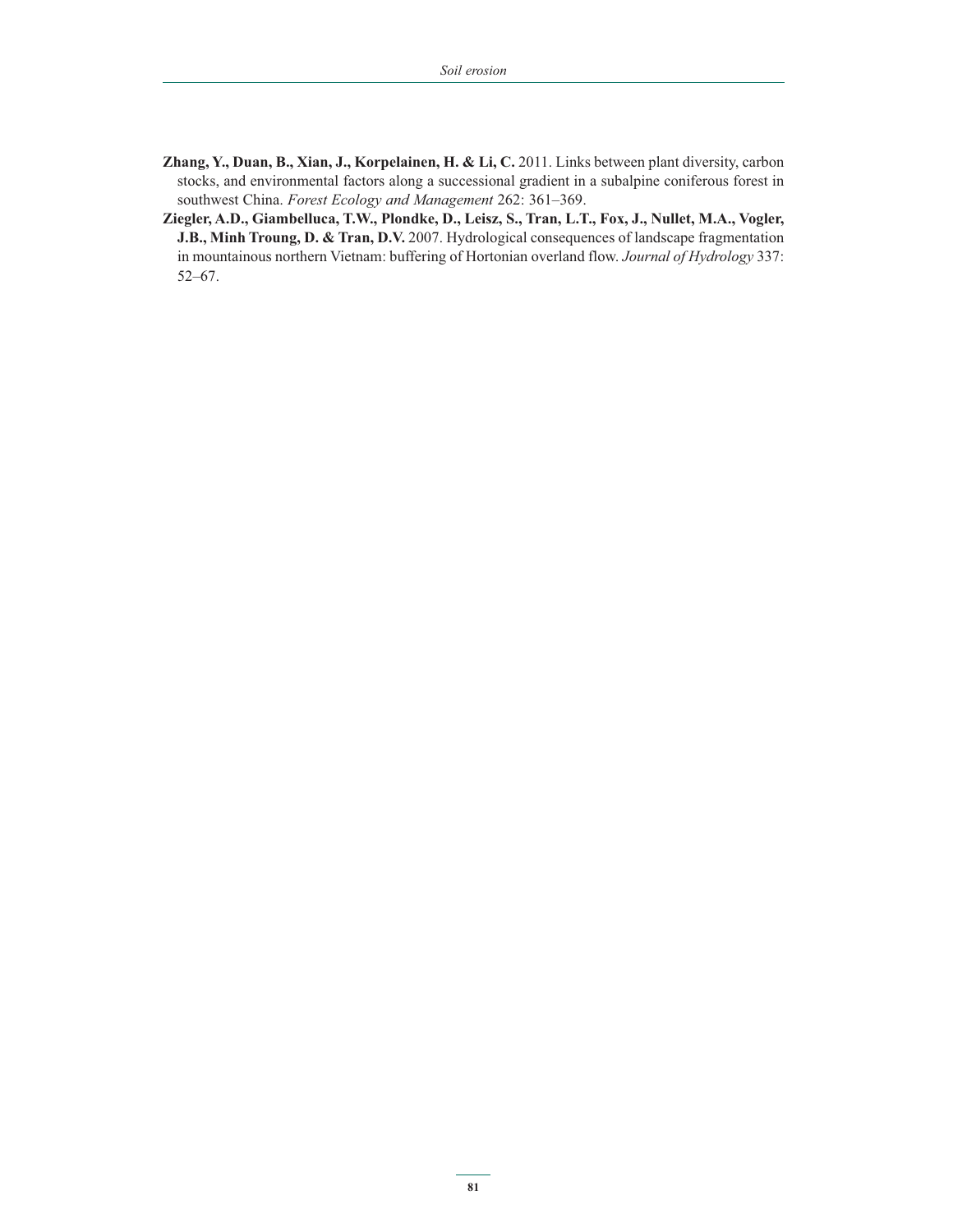- **Zhang, Y., Duan, B., Xian, J., Korpelainen, H. & Li, C.** 2011. Links between plant diversity, carbon stocks, and environmental factors along a successional gradient in a subalpine coniferous forest in southwest China. *Forest Ecology and Management* 262: 361–369.
- **Ziegler, A.D., Giambelluca, T.W., Plondke, D., Leisz, S., Tran, L.T., Fox, J., Nullet, M.A., Vogler, J.B., Minh Troung, D. & Tran, D.V.** 2007. Hydrological consequences of landscape fragmentation in mountainous northern Vietnam: buffering of Hortonian overland flow. *Journal of Hydrology* 337: 52–67.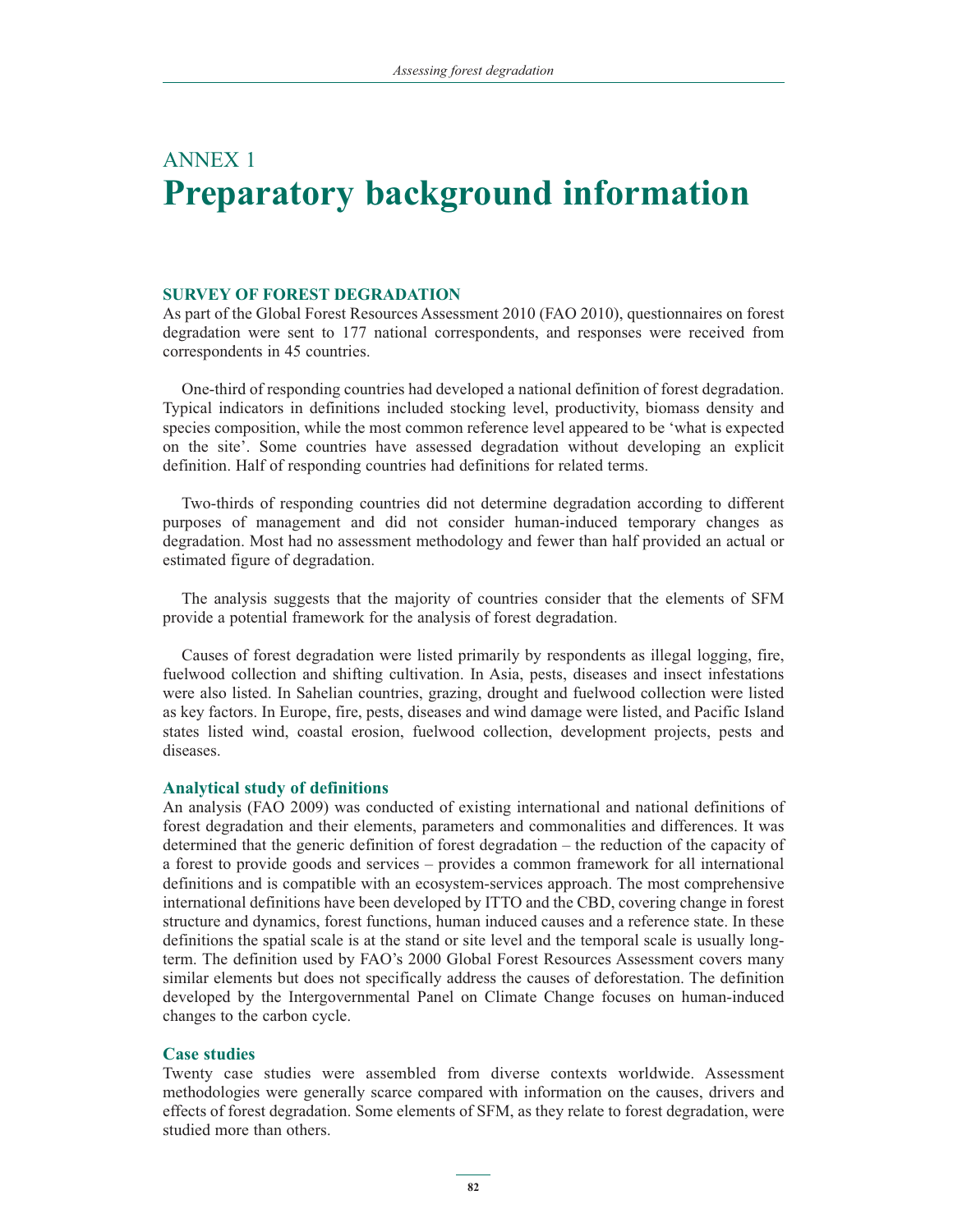## ANNEX 1 **Preparatory background information**

## **SURVEY OF FOREST DEGRADATION**

As part of the Global Forest Resources Assessment 2010 (FAO 2010), questionnaires on forest degradation were sent to 177 national correspondents, and responses were received from correspondents in 45 countries.

One-third of responding countries had developed a national definition of forest degradation. Typical indicators in definitions included stocking level, productivity, biomass density and species composition, while the most common reference level appeared to be 'what is expected on the site'. Some countries have assessed degradation without developing an explicit definition. Half of responding countries had definitions for related terms.

Two-thirds of responding countries did not determine degradation according to different purposes of management and did not consider human-induced temporary changes as degradation. Most had no assessment methodology and fewer than half provided an actual or estimated figure of degradation.

The analysis suggests that the majority of countries consider that the elements of SFM provide a potential framework for the analysis of forest degradation.

Causes of forest degradation were listed primarily by respondents as illegal logging, fire, fuelwood collection and shifting cultivation. In Asia, pests, diseases and insect infestations were also listed. In Sahelian countries, grazing, drought and fuelwood collection were listed as key factors. In Europe, fire, pests, diseases and wind damage were listed, and Pacific Island states listed wind, coastal erosion, fuelwood collection, development projects, pests and diseases.

## **Analytical study of definitions**

An analysis (FAO 2009) was conducted of existing international and national definitions of forest degradation and their elements, parameters and commonalities and differences. It was determined that the generic definition of forest degradation – the reduction of the capacity of a forest to provide goods and services *–* provides a common framework for all international definitions and is compatible with an ecosystem-services approach. The most comprehensive international definitions have been developed by ITTO and the CBD, covering change in forest structure and dynamics, forest functions, human induced causes and a reference state. In these definitions the spatial scale is at the stand or site level and the temporal scale is usually longterm. The definition used by FAO's 2000 Global Forest Resources Assessment covers many similar elements but does not specifically address the causes of deforestation. The definition developed by the Intergovernmental Panel on Climate Change focuses on human-induced changes to the carbon cycle.

## **Case studies**

Twenty case studies were assembled from diverse contexts worldwide. Assessment methodologies were generally scarce compared with information on the causes, drivers and effects of forest degradation. Some elements of SFM, as they relate to forest degradation, were studied more than others.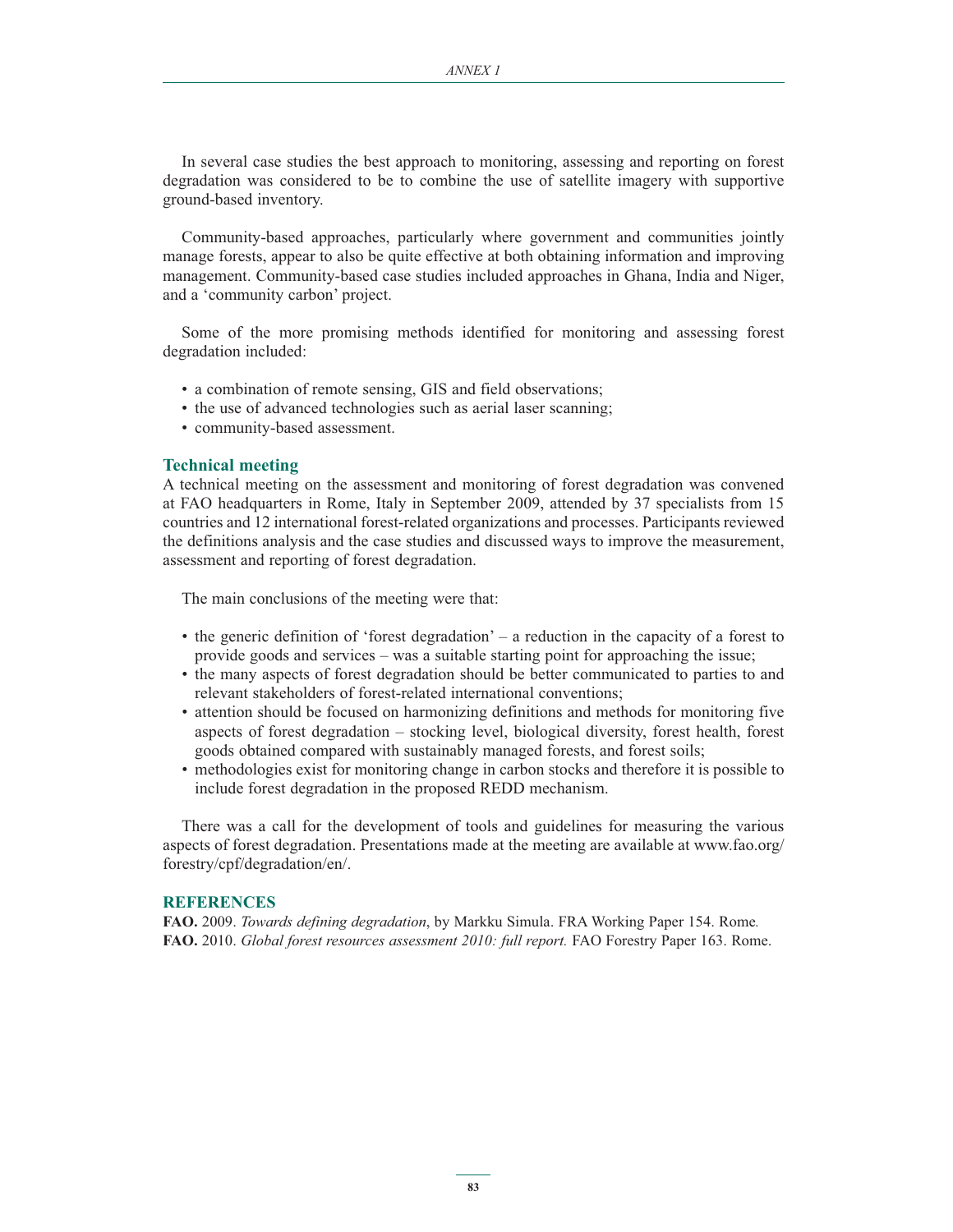In several case studies the best approach to monitoring, assessing and reporting on forest degradation was considered to be to combine the use of satellite imagery with supportive ground-based inventory.

Community-based approaches, particularly where government and communities jointly manage forests, appear to also be quite effective at both obtaining information and improving management. Community-based case studies included approaches in Ghana, India and Niger, and a 'community carbon' project.

Some of the more promising methods identified for monitoring and assessing forest degradation included:

- a combination of remote sensing, GIS and field observations;
- the use of advanced technologies such as aerial laser scanning;
- community-based assessment.

#### **Technical meeting**

A technical meeting on the assessment and monitoring of forest degradation was convened at FAO headquarters in Rome, Italy in September 2009, attended by 37 specialists from 15 countries and 12 international forest-related organizations and processes. Participants reviewed the definitions analysis and the case studies and discussed ways to improve the measurement, assessment and reporting of forest degradation.

The main conclusions of the meeting were that:

- the generic definition of 'forest degradation' a reduction in the capacity of a forest to provide goods and services – was a suitable starting point for approaching the issue;
- the many aspects of forest degradation should be better communicated to parties to and relevant stakeholders of forest-related international conventions;
- attention should be focused on harmonizing definitions and methods for monitoring five aspects of forest degradation – stocking level, biological diversity, forest health, forest goods obtained compared with sustainably managed forests, and forest soils;
- methodologies exist for monitoring change in carbon stocks and therefore it is possible to include forest degradation in the proposed REDD mechanism.

There was a call for the development of tools and guidelines for measuring the various aspects of forest degradation. Presentations made at the meeting are available at www.fao.org/ forestry/cpf/degradation/en/.

#### **REFERENCES**

**FAO.** 2009. *Towards defining degradation*, by Markku Simula. FRA Working Paper 154. Rome*.* **FAO.** 2010. *Global forest resources assessment 2010: full report.* FAO Forestry Paper 163. Rome.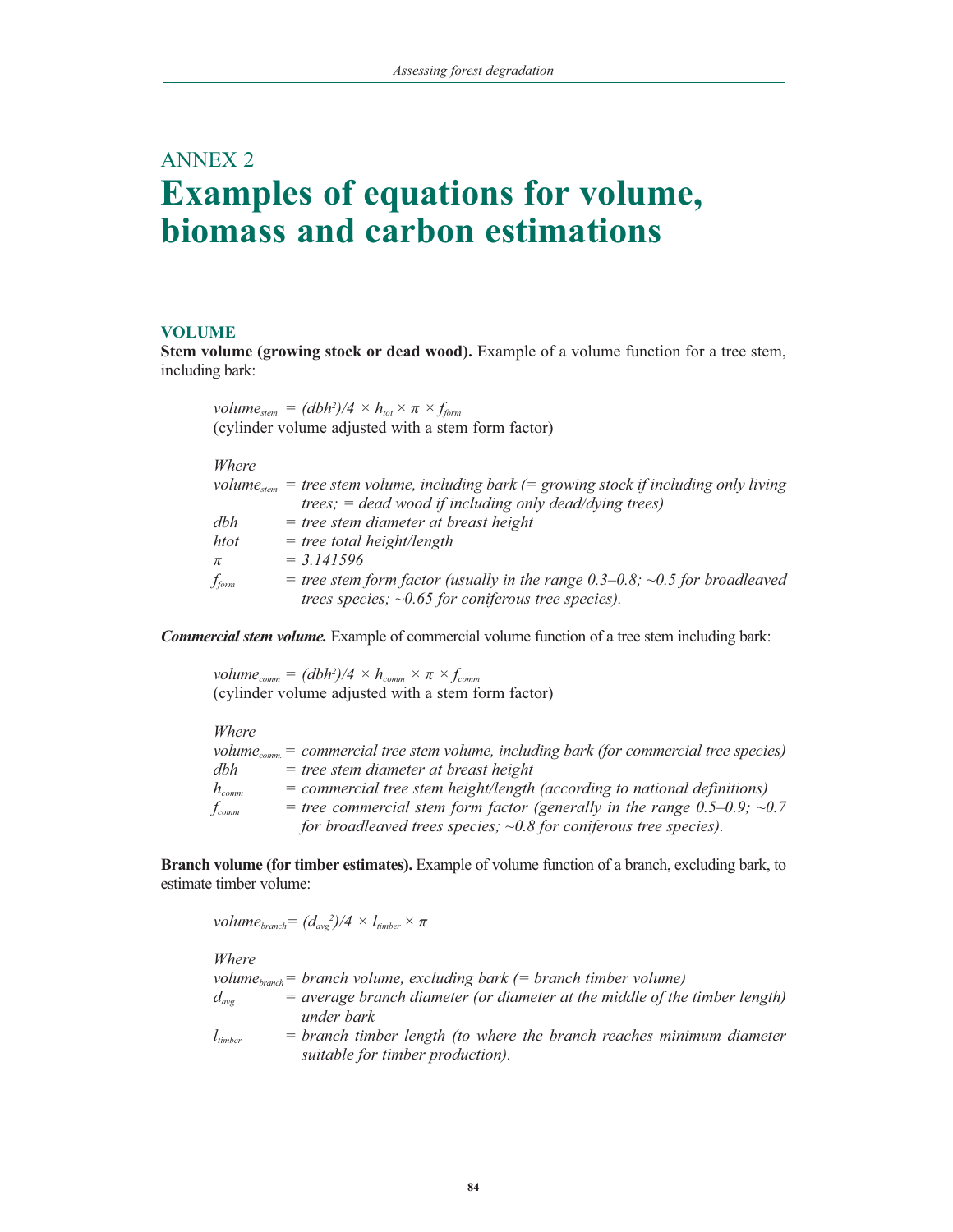## ANNEX 2 **Examples of equations for volume, biomass and carbon estimations**

#### **VOLUME**

**Stem volume (growing stock or dead wood).** Example of a volume function for a tree stem, including bark:

|                   | volume <sub>stem</sub> = $(dbh^2)/4 \times h_{tot} \times \pi \times f_{form}$                                                                                  |
|-------------------|-----------------------------------------------------------------------------------------------------------------------------------------------------------------|
|                   | (cylinder volume adjusted with a stem form factor)                                                                                                              |
| Where             |                                                                                                                                                                 |
|                   | volume <sub>stem</sub> = tree stem volume, including bark (= growing stock if including only living<br>trees; $=$ dead wood if including only dead/dying trees) |
| dbh               | $=$ tree stem diameter at breast height                                                                                                                         |
| htot              | $=$ tree total height/length                                                                                                                                    |
| π                 | $= 3.141596$                                                                                                                                                    |
| f <sub>form</sub> | = tree stem form factor (usually in the range $0.3-0.8$ ; $\sim 0.5$ for broadleaved<br>trees species; $\sim 0.65$ for coniferous tree species).                |

*Commercial stem volume.* Example of commercial volume function of a tree stem including bark:

 $volume_{comm} = (dbh^2)/4 \times h_{comm} \times \pi \times f_{comm}$ (cylinder volume adjusted with a stem form factor)

*Where* 

|                | volume <sub>comm</sub> = commercial tree stem volume, including bark (for commercial tree species) |
|----------------|----------------------------------------------------------------------------------------------------|
| dbh -          | $=$ tree stem diameter at breast height                                                            |
| $h_{\rm comm}$ | $=$ commercial tree stem height/length (according to national definitions)                         |
| f<br>comm      | = tree commercial stem form factor (generally in the range $0.5-0.9$ ; $\sim 0.7$                  |
|                | for broadleaved trees species; $\sim 0.8$ for coniferous tree species).                            |

**Branch volume (for timber estimates).** Example of volume function of a branch, excluding bark, to estimate timber volume:

 $volume_{branch} = (d_{avg}^2)/4 \times l_{timber} \times \pi$ 

*Where* 

|                                   | volume <sub>branch</sub> = branch volume, excluding bark (= branch timber volume) |
|-----------------------------------|-----------------------------------------------------------------------------------|
| $d_{\alpha\sigma}$                | $=$ average branch diameter (or diameter at the middle of the timber length)      |
|                                   | under bark                                                                        |
| $l_{\scriptsize \textit{timber}}$ | $=$ branch timber length (to where the branch reaches minimum diameter            |
|                                   | suitable for timber production).                                                  |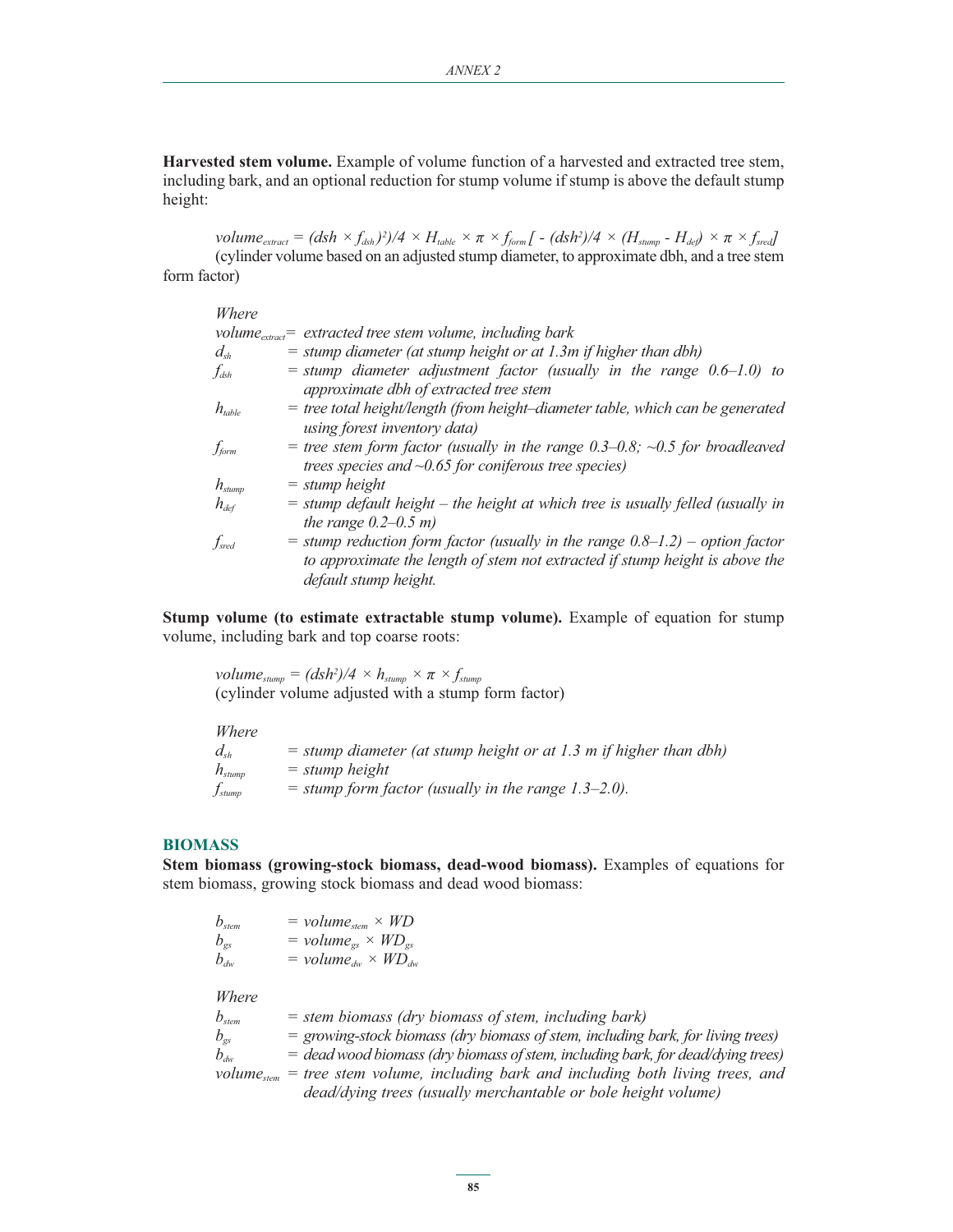**Harvested stem volume.** Example of volume function of a harvested and extracted tree stem, including bark, and an optional reduction for stump volume if stump is above the default stump height:

 $volume_{extract} = (dsh \times f_{dsh})^2)/4 \times H_{table} \times \pi \times f_{form}$  [ -  $(dsh^2)/4 \times (H_{stump} - H_{def}) \times \pi \times f_{sred}$ ] (cylinder volume based on an adjusted stump diameter, to approximate dbh, and a tree stem form factor)

| Where                           |                                                                                                                                                                                            |
|---------------------------------|--------------------------------------------------------------------------------------------------------------------------------------------------------------------------------------------|
|                                 | volume <sub>extract</sub> = extracted tree stem volume, including bark                                                                                                                     |
| $d_{\scriptscriptstyle sh}$     | $=$ stump diameter (at stump height or at 1.3m if higher than dbh)                                                                                                                         |
| $f_{\rm dsh}$                   | $=$ stump diameter adjustment factor (usually in the range 0.6–1.0) to                                                                                                                     |
|                                 | approximate dbh of extracted tree stem                                                                                                                                                     |
| $h_{\scriptscriptstyle{table}}$ | $=$ tree total height/length (from height-diameter table, which can be generated<br>using forest inventory data)                                                                           |
| f<br>form                       | = tree stem form factor (usually in the range $0.3-0.8$ ; $\sim 0.5$ for broadleaved<br>trees species and $\sim 0.65$ for coniferous tree species)                                         |
| $h_{\mathit{stump}}$            | $=$ stump height                                                                                                                                                                           |
| $h_{\scriptscriptstyle def}$    | $=$ stump default height $-$ the height at which tree is usually felled (usually in<br>the range $0.2-0.5$ m)                                                                              |
| $f_{\mathrm{sred}}$             | $=$ stump reduction form factor (usually in the range $0.8-1.2$ ) – option factor<br>to approximate the length of stem not extracted if stump height is above the<br>default stump height. |

**Stump volume (to estimate extractable stump volume).** Example of equation for stump volume, including bark and top coarse roots:

 $volume_{\text{stump}} = (dsh^2)/4 \times h_{\text{stump}} \times \pi \times f_{\text{stump}}$ (cylinder volume adjusted with a stump form factor)

*Where* 

| $d_{\scriptscriptstyle sh}$    | $=$ stump diameter (at stump height or at 1.3 m if higher than dbh) |
|--------------------------------|---------------------------------------------------------------------|
| $h_{\mathit{stump}}$           | $=$ stump height                                                    |
| $\mathcal{t}_{\mathit{stump}}$ | $=$ stump form factor (usually in the range 1.3–2.0).               |

## **BIOMASS**

**Stem biomass (growing-stock biomass, dead-wood biomass).** Examples of equations for stem biomass, growing stock biomass and dead wood biomass:

| $b_{\rm stem}$ | $= volume_{stem} \times WD$    |
|----------------|--------------------------------|
| $b_{gs}$       | $= volume_{gs} \times WD_{gs}$ |
| $b_{dw}$       | $= volume_{dw} \times WD_{dw}$ |

*Where* 

| $b_{\rm stem}$                     | $=$ stem biomass (dry biomass of stem, including bark)                                         |
|------------------------------------|------------------------------------------------------------------------------------------------|
| $b_{\scriptscriptstyle \text{gs}}$ | $=$ growing-stock biomass (dry biomass of stem, including bark, for living trees)              |
| $b_{\scriptscriptstyle dw}$        | $=$ dead wood biomass (dry biomass of stem, including bark, for dead/dying trees)              |
|                                    | volume <sub>stem</sub> = tree stem volume, including bark and including both living trees, and |
|                                    | dead/dying trees (usually merchantable or bole height volume)                                  |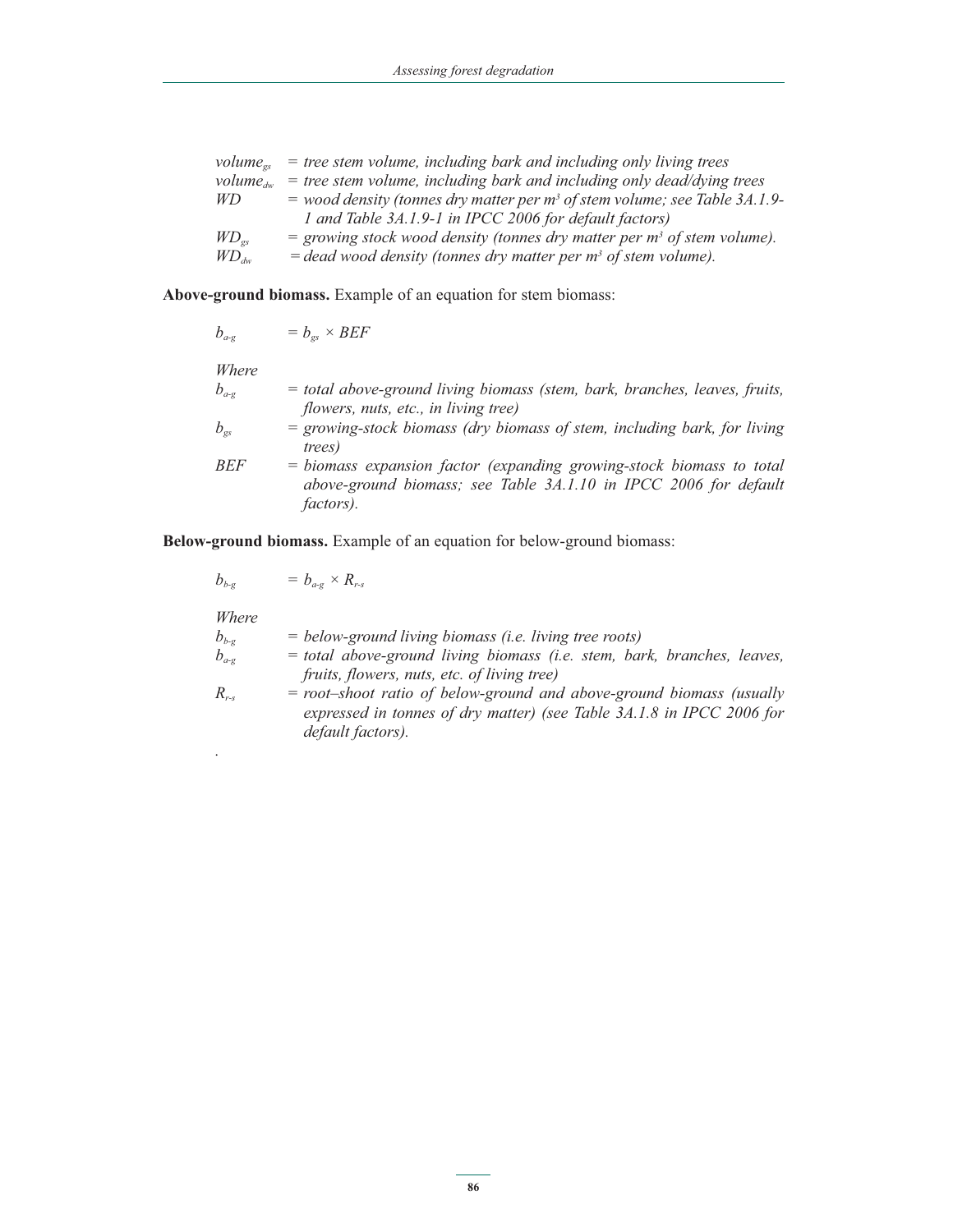| $volume_{os}$ | $=$ tree stem volume, including bark and including only living trees           |
|---------------|--------------------------------------------------------------------------------|
| $volume_{dw}$ | $=$ tree stem volume, including bark and including only dead/dying trees       |
| WD.           | $=$ wood density (tonnes dry matter per $m3$ of stem volume; see Table 3A.1.9- |
|               | 1 and Table 3A.1.9-1 in IPCC 2006 for default factors)                         |
| $WD_{gs}$     | = growing stock wood density (tonnes dry matter per $m3$ of stem volume).      |
| $WD_{dw}$     | $=$ dead wood density (tonnes dry matter per $m3$ of stem volume).             |

**Above-ground biomass.** Example of an equation for stem biomass:

$$
b_{a\cdot g} = b_{gs} \times BEF
$$

*Where*

| $b_{\scriptscriptstyle a\text{-}g}$ | = total above-ground living biomass (stem, bark, branches, leaves, fruits, |
|-------------------------------------|----------------------------------------------------------------------------|
|                                     | flowers, nuts, etc., in living tree)                                       |
| $b_{\tiny{\text{gs}}}$              | $=$ growing-stock biomass (dry biomass of stem, including bark, for living |
|                                     | <i>trees</i> )                                                             |
| BEF                                 | = biomass expansion factor (expanding growing-stock biomass to total       |
|                                     | above-ground biomass; see Table 3A.1.10 in IPCC 2006 for default           |
|                                     | <i>factors</i> ).                                                          |
|                                     |                                                                            |

**Below-ground biomass.** Example of an equation for below-ground biomass:

$$
b_{b-g} = b_{a-g} \times R_{r-s}
$$

*.*

| Where     |                                                                         |
|-----------|-------------------------------------------------------------------------|
| $b_{b-g}$ | $=$ below-ground living biomass (i.e. living tree roots)                |
| $b_{a-g}$ | = total above-ground living biomass (i.e. stem, bark, branches, leaves, |
|           | fruits, flowers, nuts, etc. of living tree)                             |
| $R_{rs}$  | $=$ root-shoot ratio of below-ground and above-ground biomass (usually  |
|           | expressed in tonnes of dry matter) (see Table 3A.1.8 in IPCC 2006 for   |
|           | default factors).                                                       |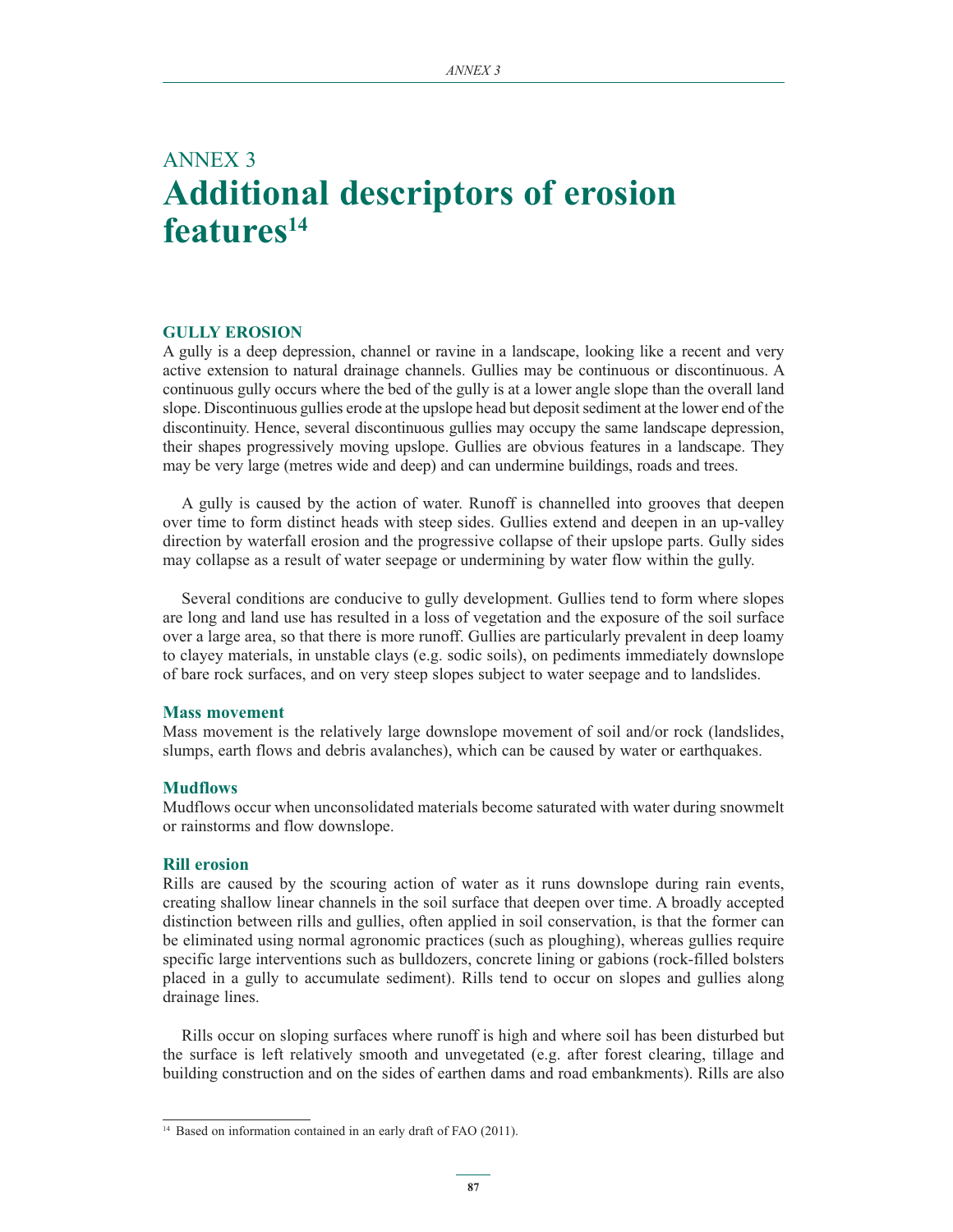## ANNEX 3 **Additional descriptors of erosion features14**

#### **GULLY EROSION**

A gully is a deep depression, channel or ravine in a landscape, looking like a recent and very active extension to natural drainage channels. Gullies may be continuous or discontinuous. A continuous gully occurs where the bed of the gully is at a lower angle slope than the overall land slope. Discontinuous gullies erode at the upslope head but deposit sediment at the lower end of the discontinuity. Hence, several discontinuous gullies may occupy the same landscape depression, their shapes progressively moving upslope. Gullies are obvious features in a landscape. They may be very large (metres wide and deep) and can undermine buildings, roads and trees.

A gully is caused by the action of water. Runoff is channelled into grooves that deepen over time to form distinct heads with steep sides. Gullies extend and deepen in an up-valley direction by waterfall erosion and the progressive collapse of their upslope parts. Gully sides may collapse as a result of water seepage or undermining by water flow within the gully.

Several conditions are conducive to gully development. Gullies tend to form where slopes are long and land use has resulted in a loss of vegetation and the exposure of the soil surface over a large area, so that there is more runoff. Gullies are particularly prevalent in deep loamy to clayey materials, in unstable clays (e.g. sodic soils), on pediments immediately downslope of bare rock surfaces, and on very steep slopes subject to water seepage and to landslides.

#### **Mass movement**

Mass movement is the relatively large downslope movement of soil and/or rock (landslides, slumps, earth flows and debris avalanches), which can be caused by water or earthquakes.

#### **Mudflows**

Mudflows occur when unconsolidated materials become saturated with water during snowmelt or rainstorms and flow downslope.

## **Rill erosion**

Rills are caused by the scouring action of water as it runs downslope during rain events, creating shallow linear channels in the soil surface that deepen over time. A broadly accepted distinction between rills and gullies, often applied in soil conservation, is that the former can be eliminated using normal agronomic practices (such as ploughing), whereas gullies require specific large interventions such as bulldozers, concrete lining or gabions (rock-filled bolsters placed in a gully to accumulate sediment). Rills tend to occur on slopes and gullies along drainage lines.

Rills occur on sloping surfaces where runoff is high and where soil has been disturbed but the surface is left relatively smooth and unvegetated (e.g. after forest clearing, tillage and building construction and on the sides of earthen dams and road embankments). Rills are also

<sup>&</sup>lt;sup>14</sup> Based on information contained in an early draft of FAO (2011).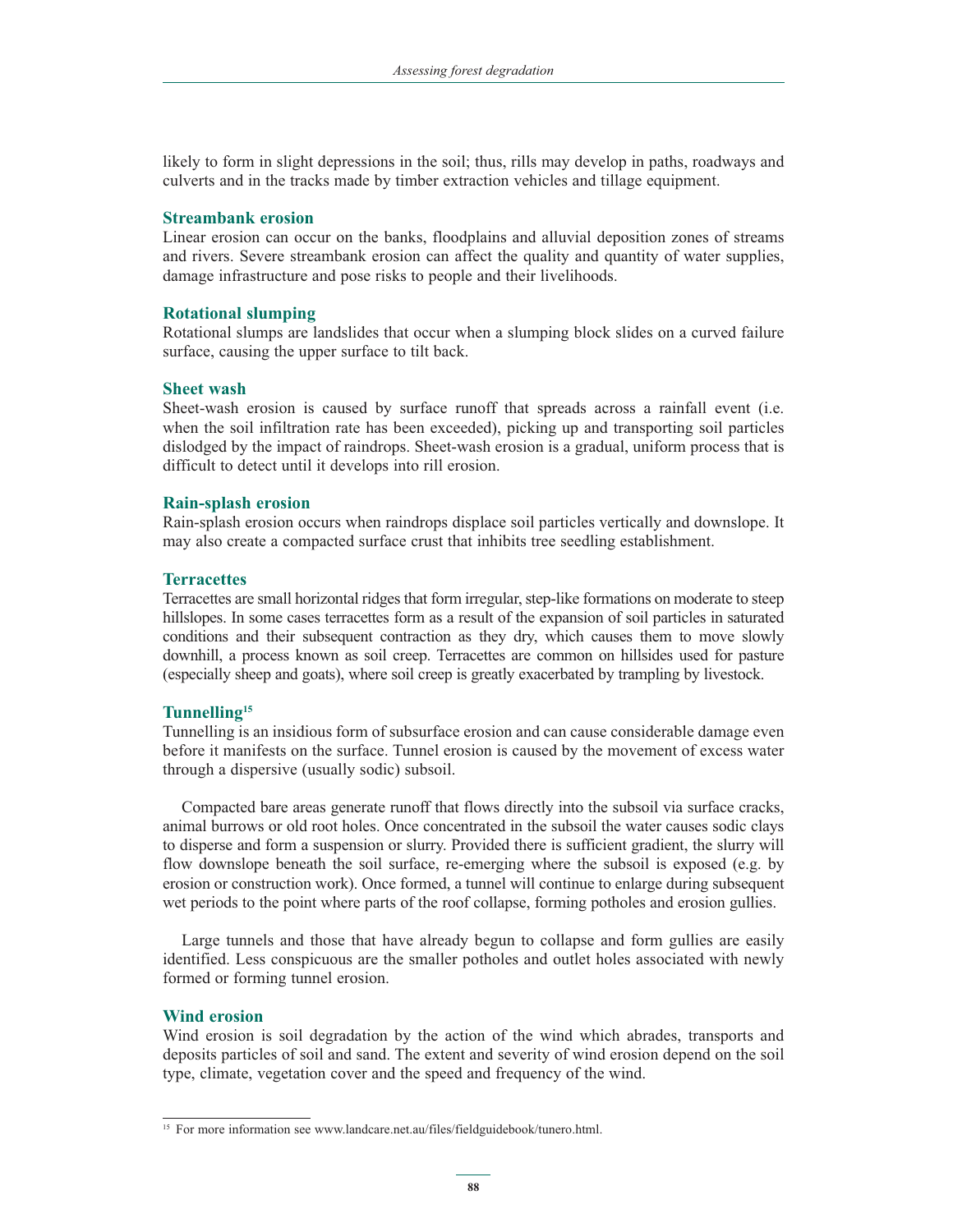likely to form in slight depressions in the soil; thus, rills may develop in paths, roadways and culverts and in the tracks made by timber extraction vehicles and tillage equipment.

### **Streambank erosion**

Linear erosion can occur on the banks, floodplains and alluvial deposition zones of streams and rivers. Severe streambank erosion can affect the quality and quantity of water supplies, damage infrastructure and pose risks to people and their livelihoods.

#### **Rotational slumping**

Rotational slumps are landslides that occur when a slumping block slides on a curved failure surface, causing the upper surface to tilt back.

#### **Sheet wash**

Sheet-wash erosion is caused by surface runoff that spreads across a rainfall event (i.e. when the soil infiltration rate has been exceeded), picking up and transporting soil particles dislodged by the impact of raindrops. Sheet-wash erosion is a gradual, uniform process that is difficult to detect until it develops into rill erosion.

#### **Rain-splash erosion**

Rain-splash erosion occurs when raindrops displace soil particles vertically and downslope. It may also create a compacted surface crust that inhibits tree seedling establishment.

#### **Terracettes**

Terracettes are small horizontal ridges that form irregular, step-like formations on moderate to steep hillslopes. In some cases terracettes form as a result of the expansion of soil particles in saturated conditions and their subsequent contraction as they dry, which causes them to move slowly downhill, a process known as soil creep. Terracettes are common on hillsides used for pasture (especially sheep and goats), where soil creep is greatly exacerbated by trampling by livestock.

## **Tunnelling15**

Tunnelling is an insidious form of subsurface erosion and can cause considerable damage even before it manifests on the surface. Tunnel erosion is caused by the movement of excess water through a dispersive (usually sodic) subsoil.

Compacted bare areas generate runoff that flows directly into the subsoil via surface cracks, animal burrows or old root holes. Once concentrated in the subsoil the water causes sodic clays to disperse and form a suspension or slurry. Provided there is sufficient gradient, the slurry will flow downslope beneath the soil surface, re-emerging where the subsoil is exposed (e.g. by erosion or construction work). Once formed, a tunnel will continue to enlarge during subsequent wet periods to the point where parts of the roof collapse, forming potholes and erosion gullies.

Large tunnels and those that have already begun to collapse and form gullies are easily identified. Less conspicuous are the smaller potholes and outlet holes associated with newly formed or forming tunnel erosion.

#### **Wind erosion**

Wind erosion is soil degradation by the action of the wind which abrades, transports and deposits particles of soil and sand. The extent and severity of wind erosion depend on the soil type, climate, vegetation cover and the speed and frequency of the wind.

<sup>&</sup>lt;sup>15</sup> For more information see www.landcare.net.au/files/fieldguidebook/tunero.html.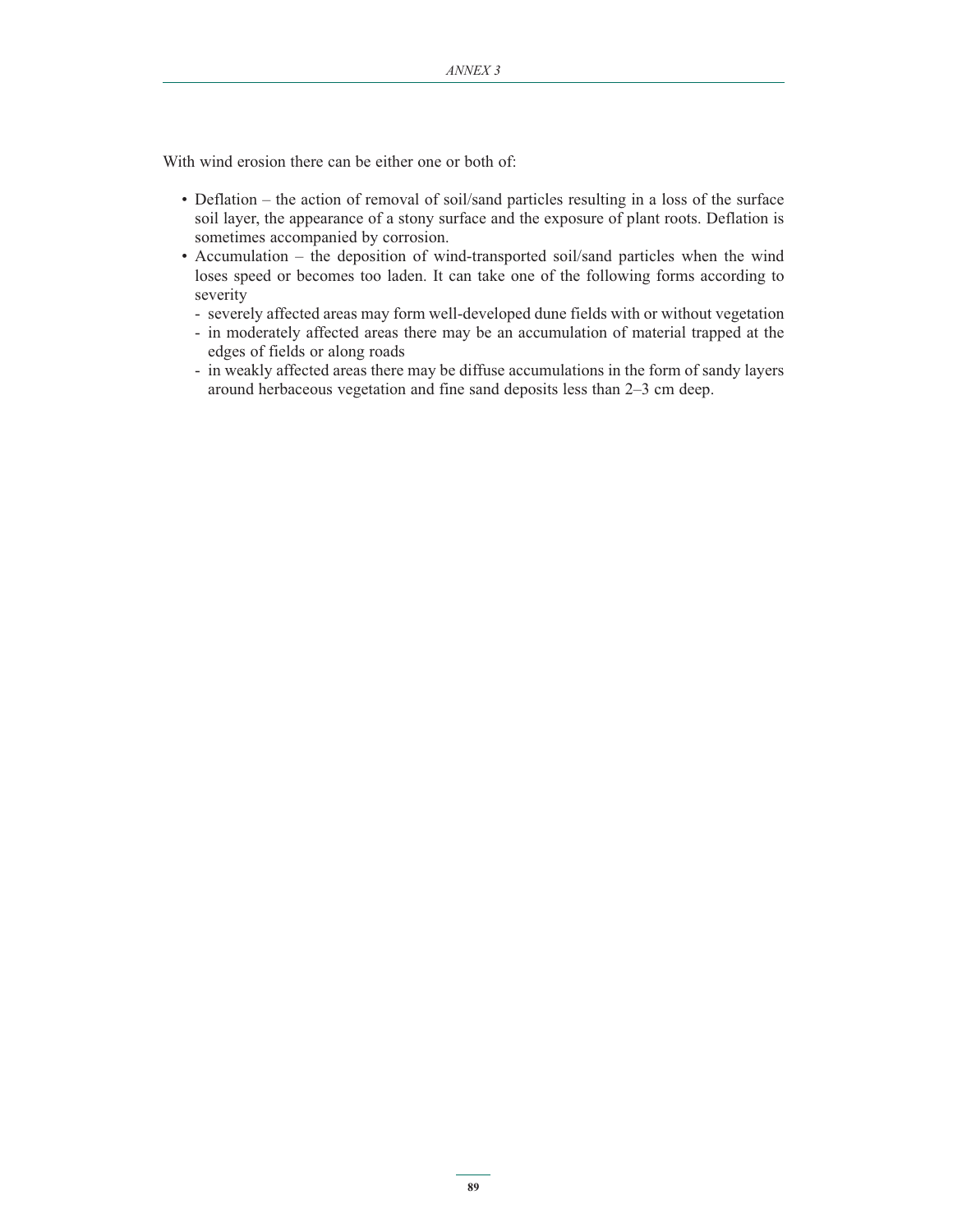With wind erosion there can be either one or both of:

- Deflation the action of removal of soil/sand particles resulting in a loss of the surface soil layer, the appearance of a stony surface and the exposure of plant roots. Deflation is sometimes accompanied by corrosion.
- Accumulation the deposition of wind-transported soil/sand particles when the wind loses speed or becomes too laden. It can take one of the following forms according to severity
	- severely affected areas may form well-developed dune fields with or without vegetation
	- in moderately affected areas there may be an accumulation of material trapped at the edges of fields or along roads
	- in weakly affected areas there may be diffuse accumulations in the form of sandy layers around herbaceous vegetation and fine sand deposits less than 2–3 cm deep.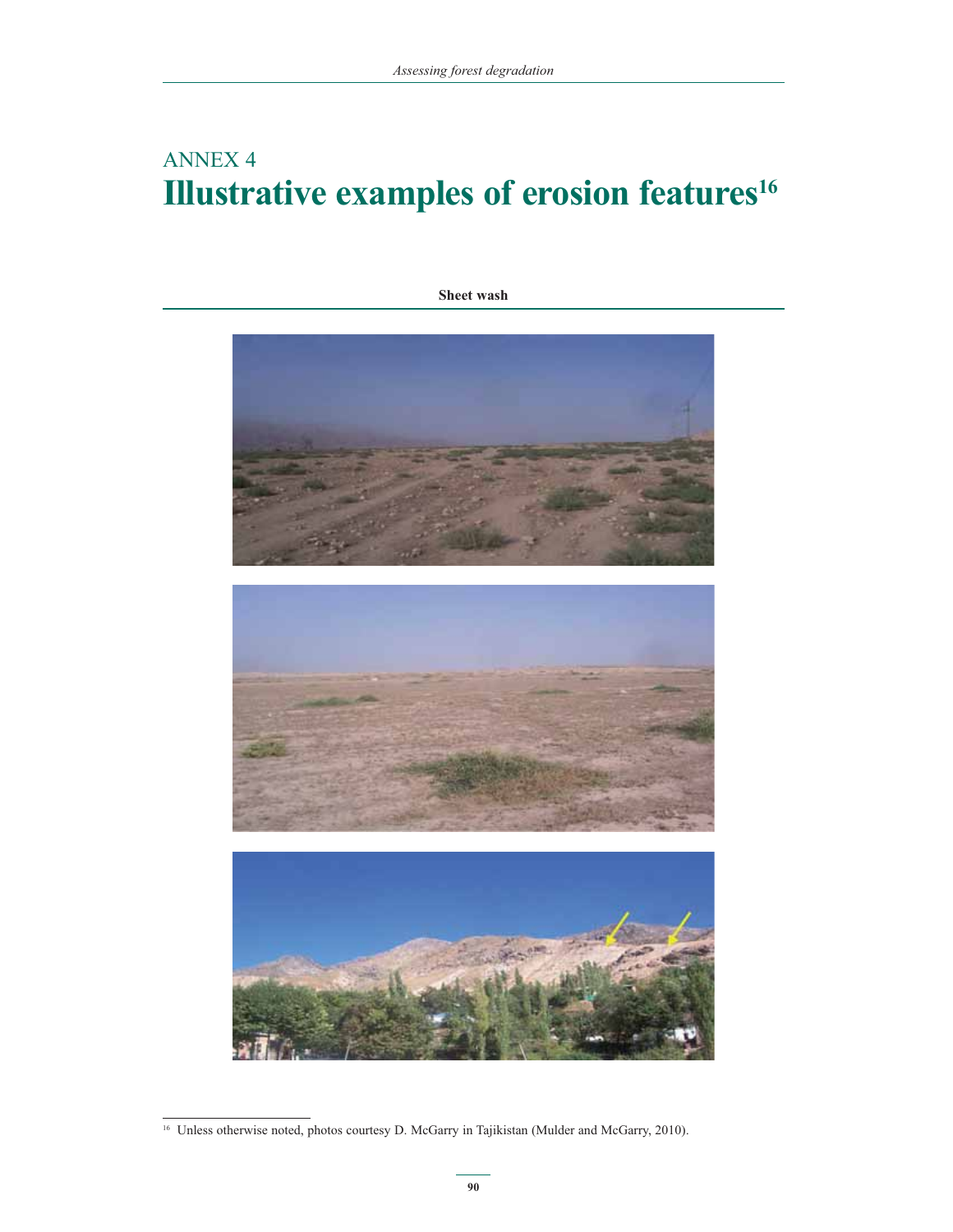# ANNEX 4 **Illustrative examples of erosion features<sup>16</sup>**

**Sheet wash**



<sup>&</sup>lt;sup>16</sup> Unless otherwise noted, photos courtesy D. McGarry in Tajikistan (Mulder and McGarry, 2010).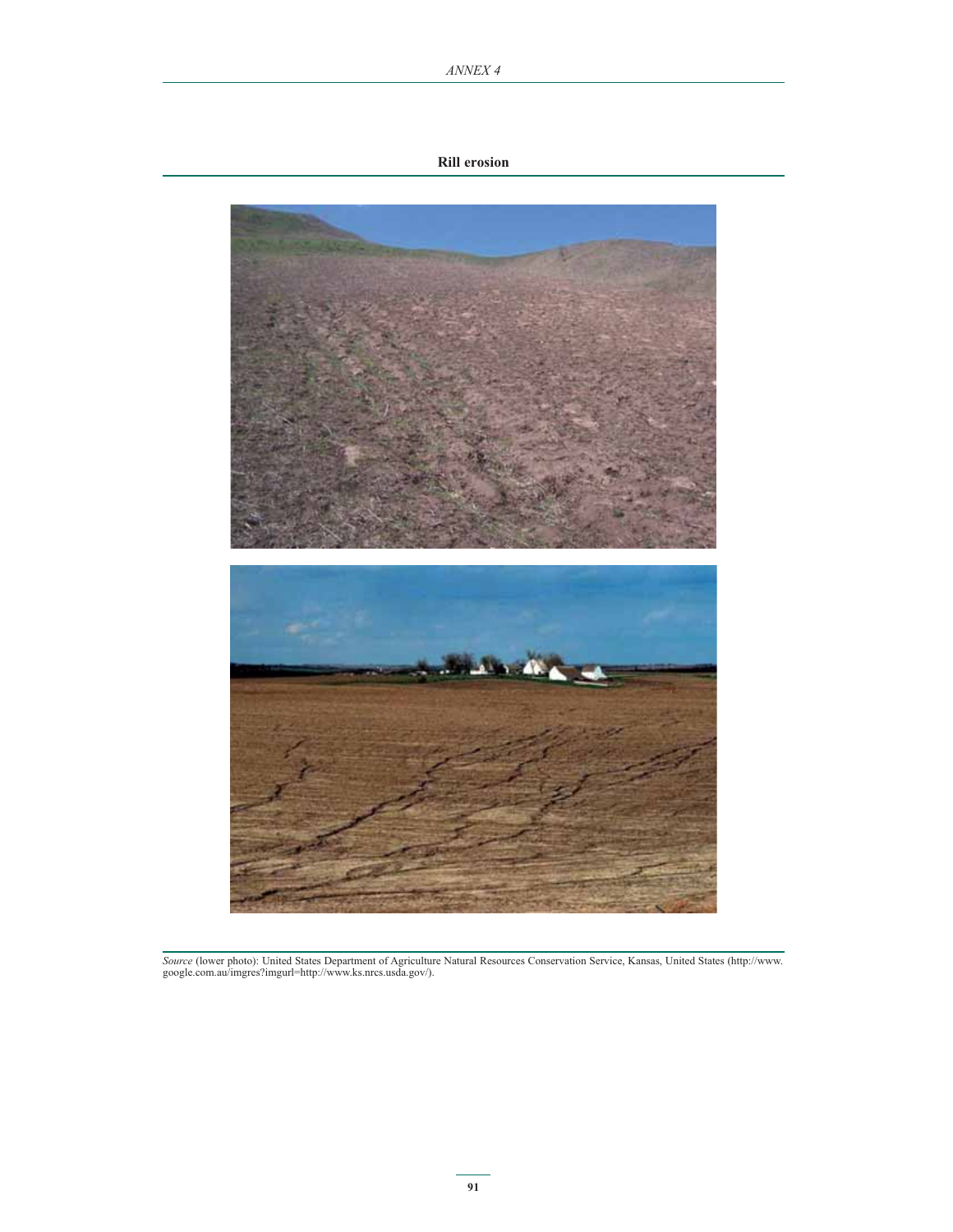#### **Rill erosion**



*Source* (lower photo): United States Department of Agriculture Natural Resources Conservation Service, Kansas, United States (http://www. google.com.au/imgres?imgurl=http://www.ks.nrcs.usda.gov/).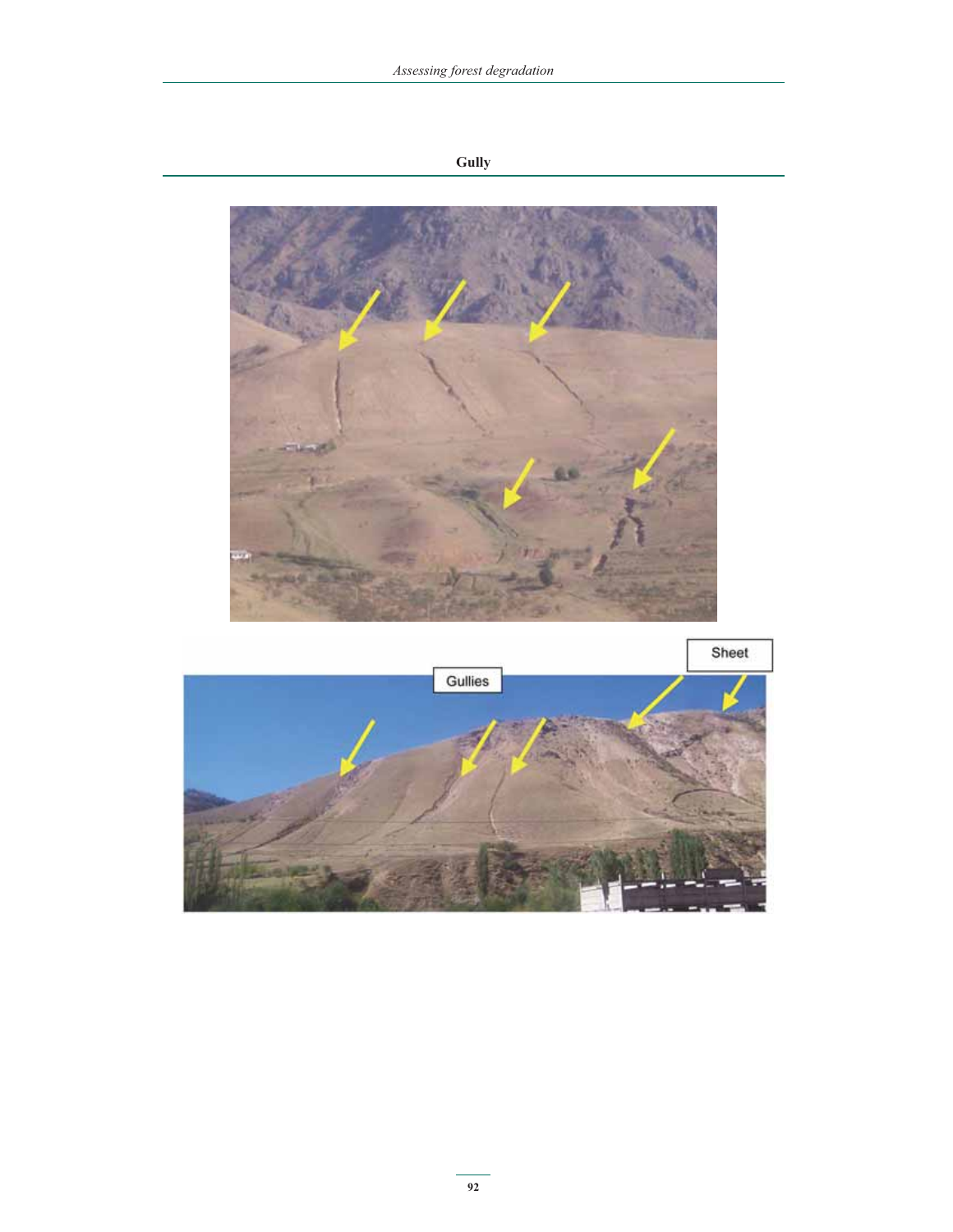

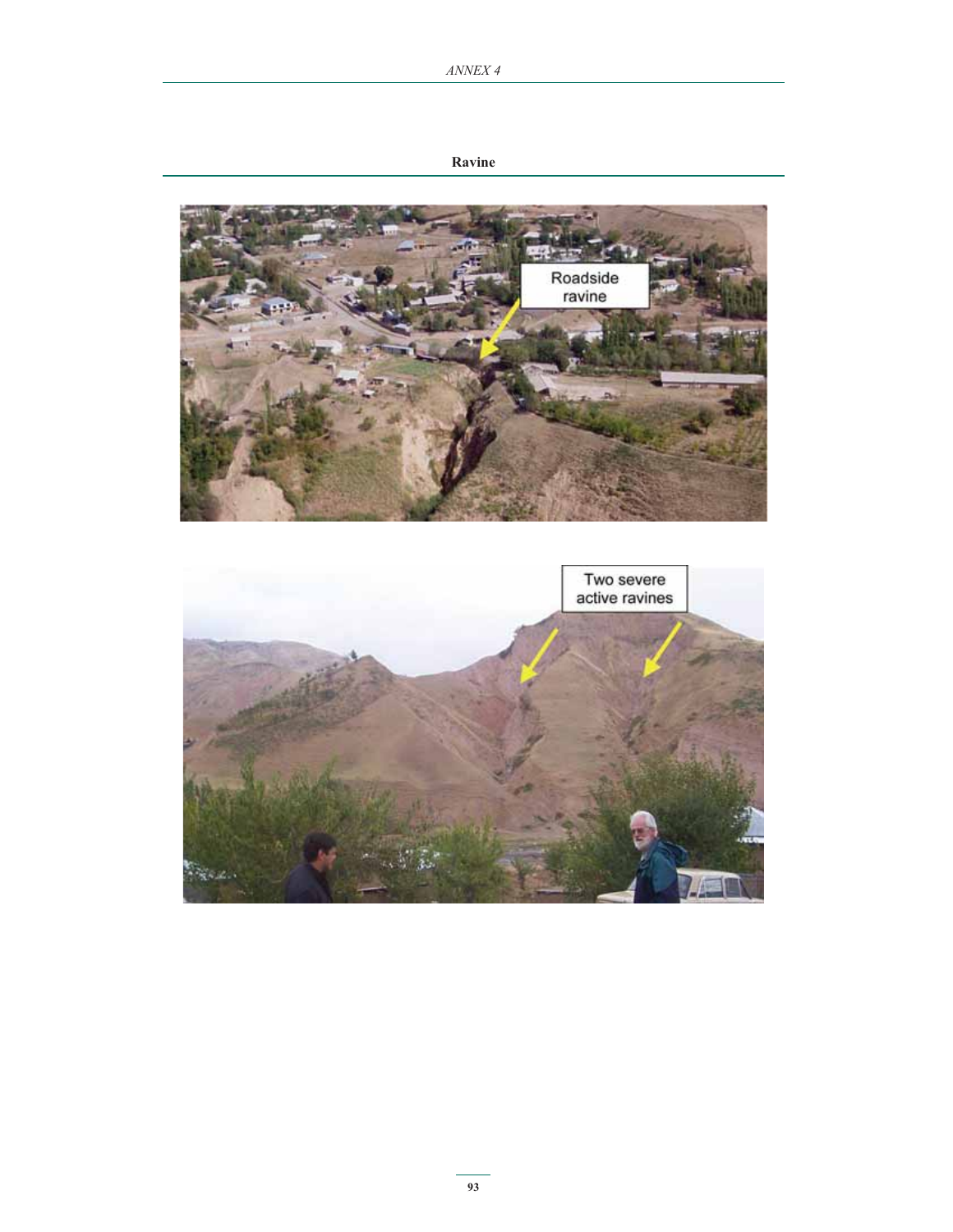**Ravine**



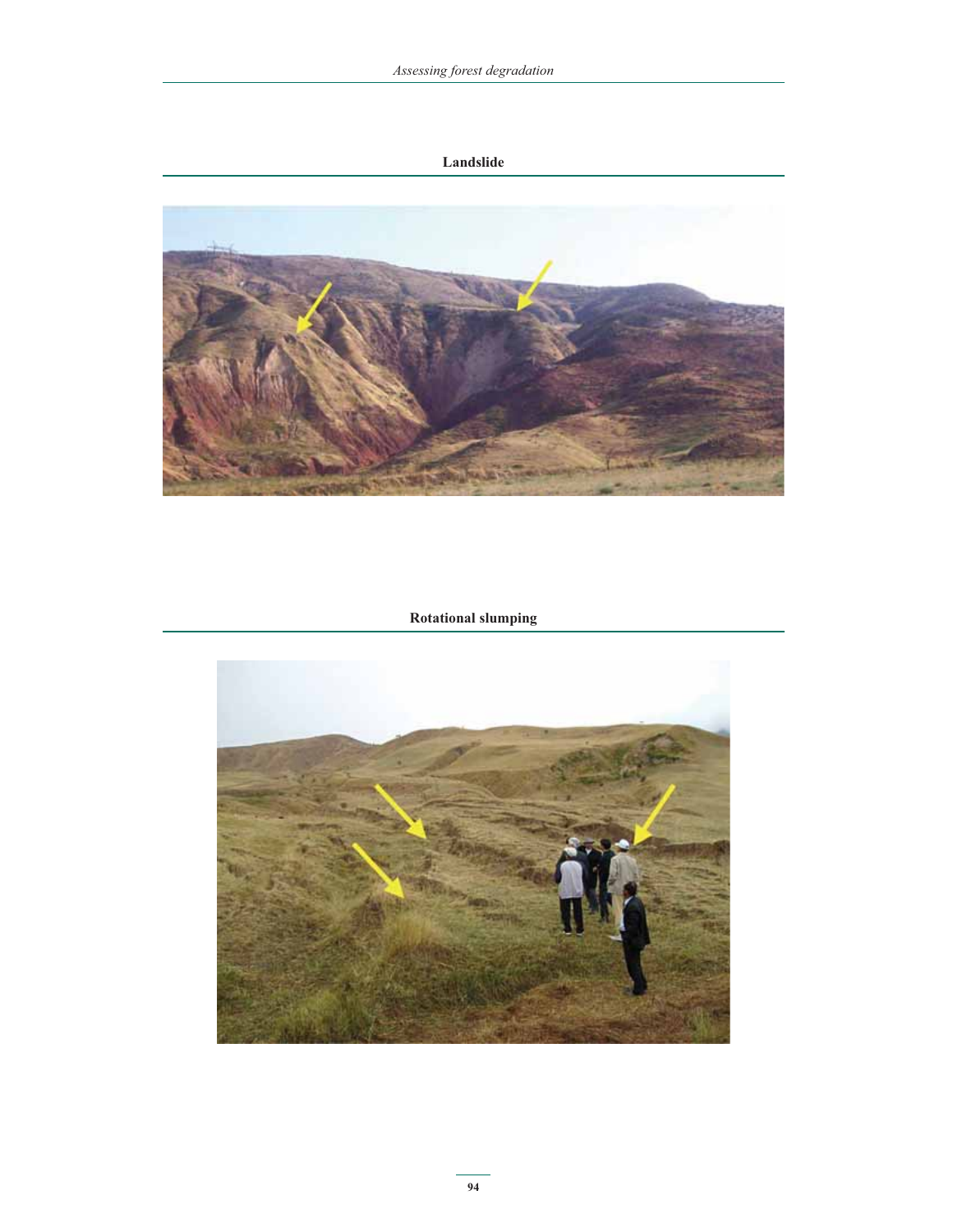## **Landslide**



 **Rotational slumping**

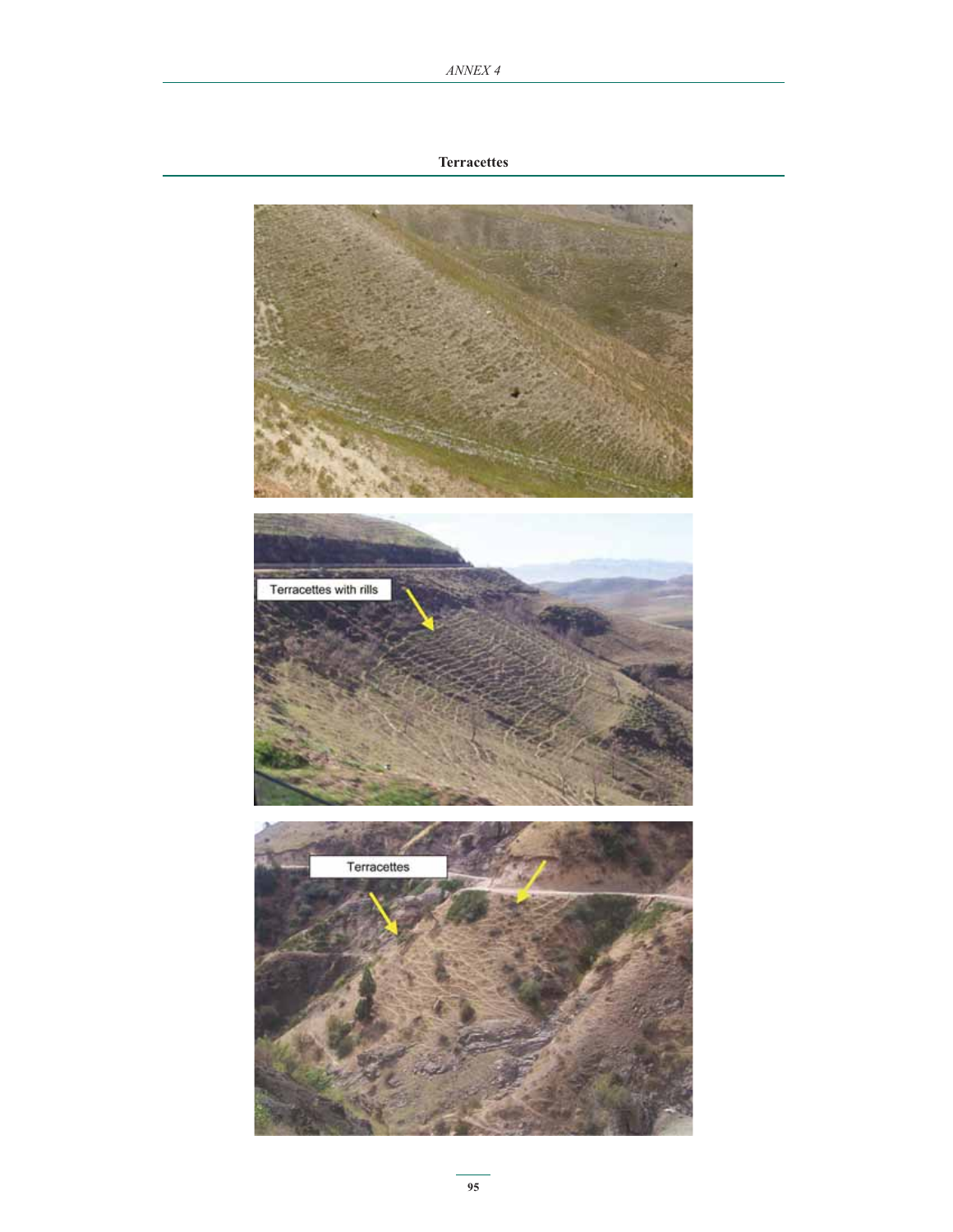## **Terracettes**

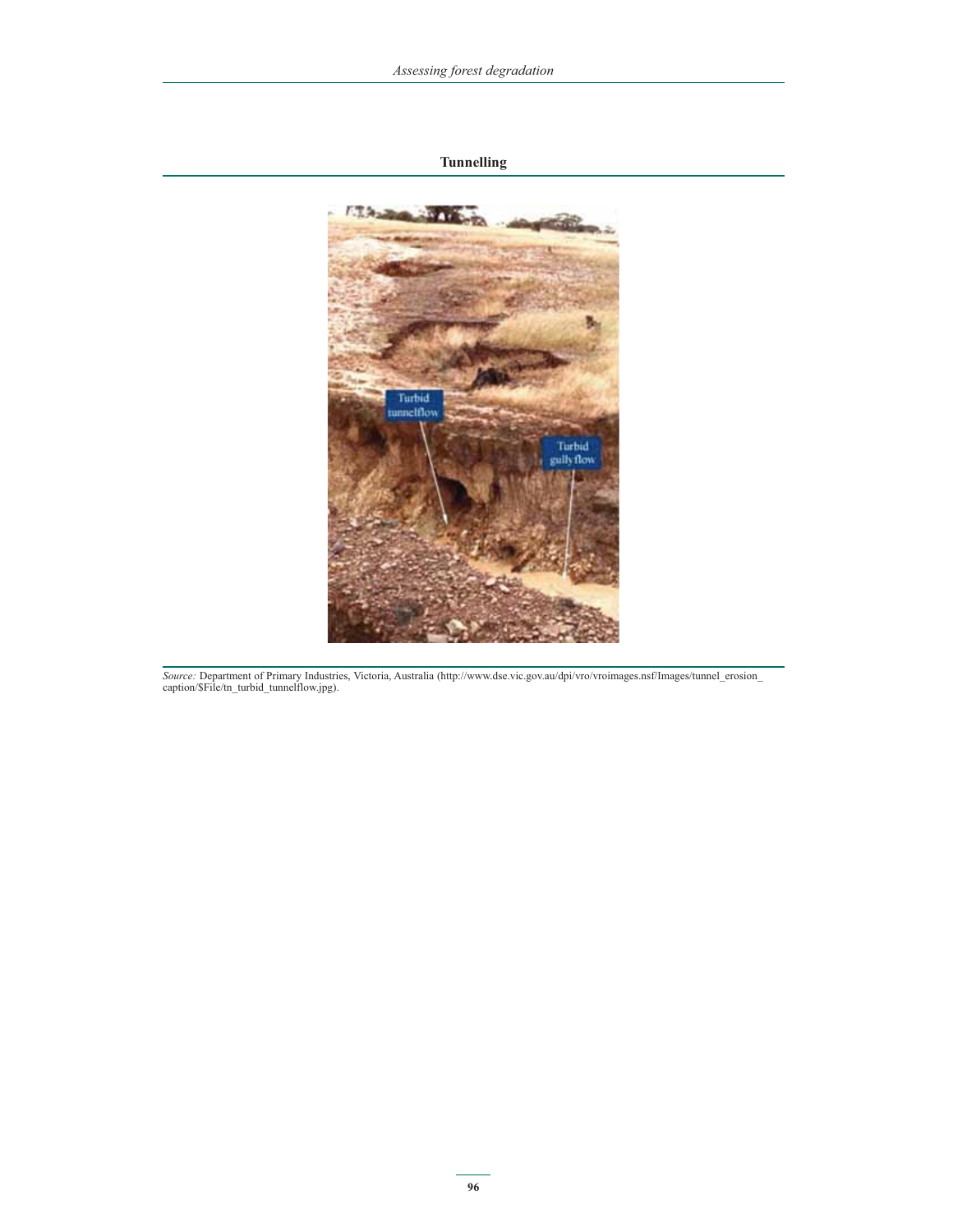## **Tunnelling**



*Source:* Department of Primary Industries, Victoria, Australia (http://www.dse.vic.gov.au/dpi/vro/vroimages.nsf/Images/tunnel\_erosion\_ caption/\$File/tn\_turbid\_tunnelflow.jpg).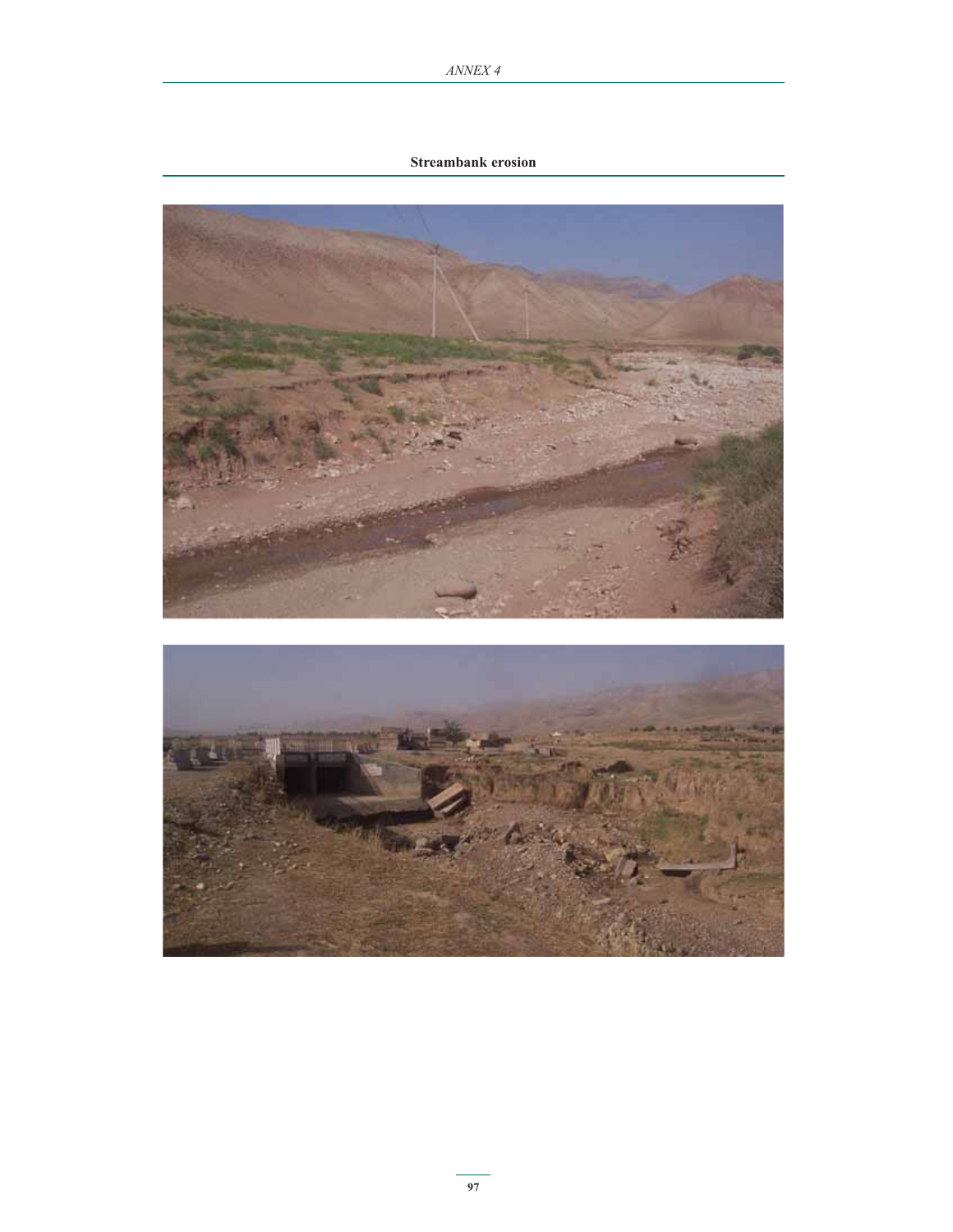## **Streambank erosion**

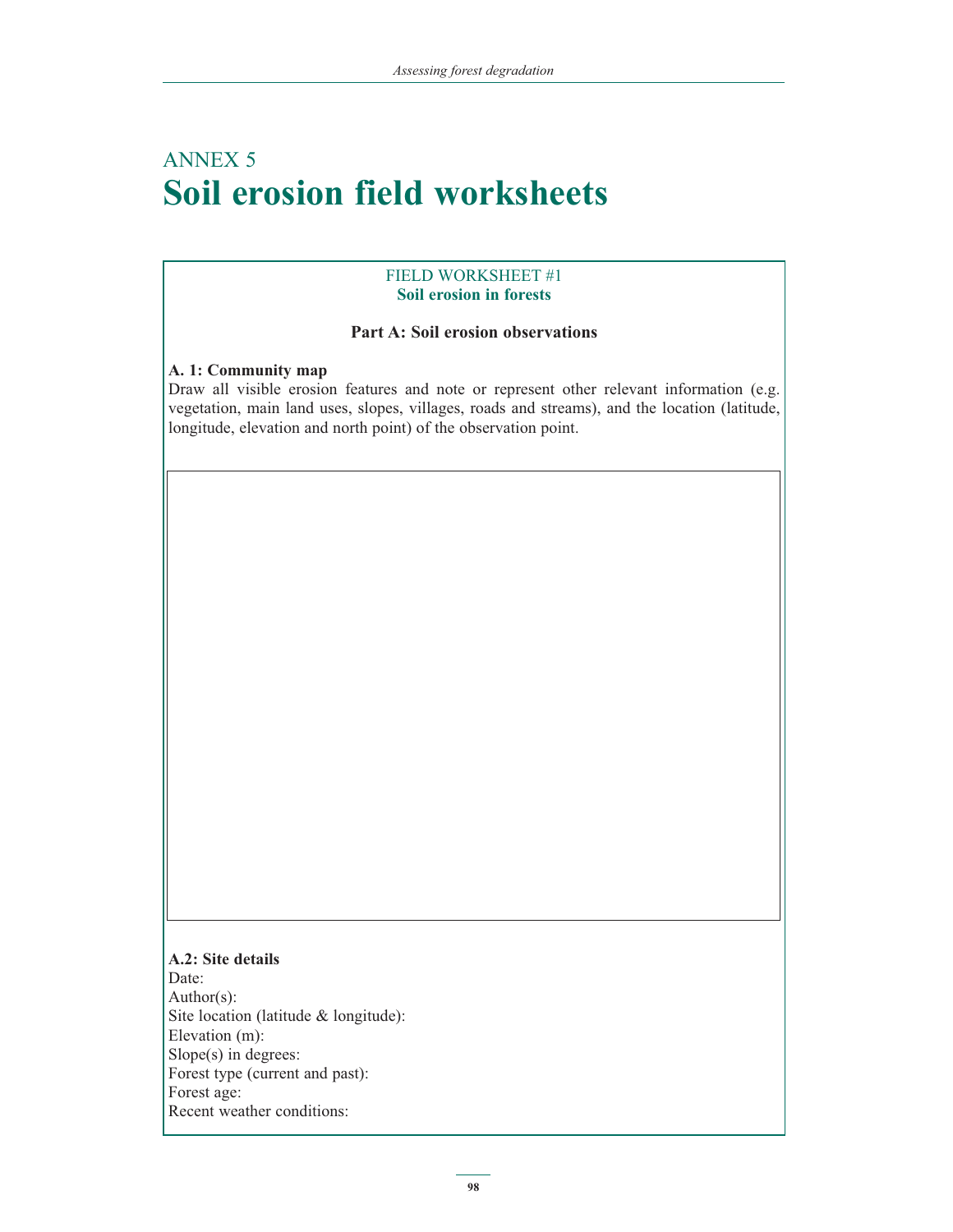## ANNEX 5 **Soil erosion field worksheets**

## FIELD WORKSHEET #1 **Soil erosion in forests**

## **Part A: Soil erosion observations**

## **A. 1: Community map**

Draw all visible erosion features and note or represent other relevant information (e.g. vegetation, main land uses, slopes, villages, roads and streams), and the location (latitude, longitude, elevation and north point) of the observation point.

## **A.2: Site details** Date: Author(s): Site location (latitude & longitude): Elevation (m): Slope(s) in degrees: Forest type (current and past): Forest age: Recent weather conditions: